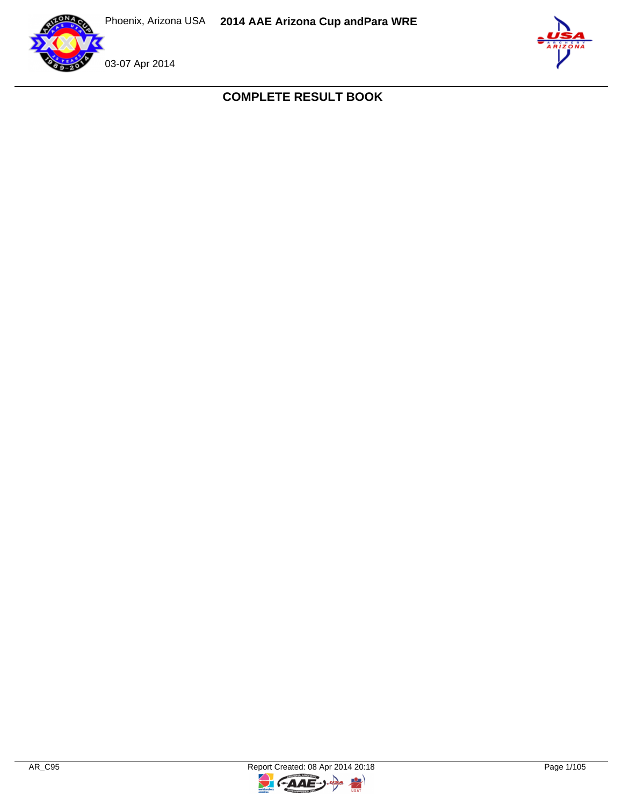



**COMPLETE RESULT BOOK**

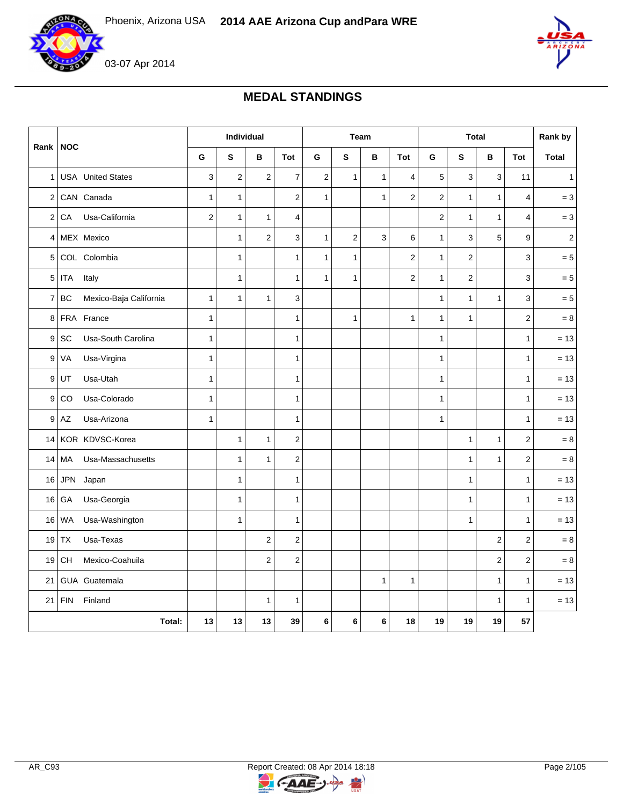

03-07 Apr 2014



# **MEDAL STANDINGS**

|                |                                       |                         | Individual              |                  |                         |                         |                  | Team         |                  |                  | <b>Total</b>     |              |                | Rank by          |
|----------------|---------------------------------------|-------------------------|-------------------------|------------------|-------------------------|-------------------------|------------------|--------------|------------------|------------------|------------------|--------------|----------------|------------------|
| Rank           | <b>NOC</b>                            | G                       | ${\sf s}$               | В                | Tot                     | G                       | ${\bf s}$        | B            | <b>Tot</b>       | G                | S                | $\, {\bf B}$ | <b>Tot</b>     | <b>Total</b>     |
| $\mathbf{1}$   | <b>USA</b> United States              | 3                       | $\overline{\mathbf{c}}$ | $\sqrt{2}$       | $\overline{7}$          | $\overline{\mathbf{c}}$ | $\mathbf{1}$     | $\mathbf{1}$ | 4                | 5                | 3                | 3            | 11             | $\mathbf{1}$     |
| $\overline{2}$ | CAN Canada                            | 1                       | $\mathbf{1}$            |                  | $\mathbf 2$             | 1                       |                  | $\mathbf{1}$ | 2                | $\boldsymbol{2}$ | 1                | $\mathbf{1}$ | 4              | $= 3$            |
| $\overline{2}$ | Usa-California<br>CA                  | $\overline{\mathbf{c}}$ | $\mathbf{1}$            | $\mathbf{1}$     | 4                       |                         |                  |              |                  | $\boldsymbol{2}$ | $\mathbf{1}$     | $\mathbf{1}$ | 4              | $= 3$            |
| 4              | MEX Mexico                            |                         | $\mathbf{1}$            | $\sqrt{2}$       | 3                       | $\mathbf{1}$            | $\boldsymbol{2}$ | 3            | 6                | $\mathbf{1}$     | 3                | 5            | 9              | $\boldsymbol{2}$ |
| 5              | COL Colombia                          |                         | $\mathbf{1}$            |                  | $\mathbf 1$             | $\mathbf{1}$            | $\mathbf{1}$     |              | $\boldsymbol{2}$ | $\mathbf{1}$     | $\boldsymbol{2}$ |              | 3              | $= 5$            |
| 5 <sup>1</sup> | <b>ITA</b><br>Italy                   |                         | $\mathbf{1}$            |                  | $\mathbf{1}$            | $\mathbf{1}$            | $\mathbf{1}$     |              | 2                | $\mathbf{1}$     | $\overline{2}$   |              | 3              | $= 5$            |
| $\overline{7}$ | <b>BC</b><br>Mexico-Baja California   | $\mathbf{1}$            | $\mathbf{1}$            | $\mathbf{1}$     | 3                       |                         |                  |              |                  | $\mathbf{1}$     | $\mathbf{1}$     | $\mathbf{1}$ | 3              | $= 5$            |
| 8              | FRA France                            | 1                       |                         |                  | 1                       |                         | $\mathbf{1}$     |              | 1                | $\mathbf{1}$     | $\mathbf{1}$     |              | $\overline{c}$ | $= 8$            |
| 9              | SC<br>Usa-South Carolina              | $\mathbf{1}$            |                         |                  | 1                       |                         |                  |              |                  | $\mathbf{1}$     |                  |              | $\mathbf{1}$   | $= 13$           |
| 9              | VA<br>Usa-Virgina                     | $\mathbf{1}$            |                         |                  | 1                       |                         |                  |              |                  | $\mathbf{1}$     |                  |              | 1              | $= 13$           |
| 9              | Usa-Utah<br>UT                        | 1                       |                         |                  | 1                       |                         |                  |              |                  | $\mathbf{1}$     |                  |              | 1              | $= 13$           |
| 9              | Usa-Colorado<br>CO                    | $\mathbf{1}$            |                         |                  | $\mathbf 1$             |                         |                  |              |                  | $\mathbf{1}$     |                  |              | 1              | $= 13$           |
| 9              | Usa-Arizona<br>$\mathsf{A}\mathsf{Z}$ | $\mathbf{1}$            |                         |                  | 1                       |                         |                  |              |                  | $\mathbf{1}$     |                  |              | $\mathbf{1}$   | $= 13$           |
| 14             | KOR KDVSC-Korea                       |                         | $\mathbf{1}$            | $\mathbf{1}$     | $\mathbf 2$             |                         |                  |              |                  |                  | 1                | $\mathbf{1}$ | $\overline{c}$ | $= 8$            |
| 14             | MA<br>Usa-Massachusetts               |                         | $\mathbf{1}$            | $\mathbf{1}$     | $\mathbf 2$             |                         |                  |              |                  |                  | $\mathbf{1}$     | $\mathbf{1}$ | $\mathbf 2$    | $= 8$            |
| 16             | <b>JPN</b><br>Japan                   |                         | $\mathbf{1}$            |                  | $\mathbf 1$             |                         |                  |              |                  |                  | $\mathbf{1}$     |              | 1              | $= 13$           |
| 16             | Usa-Georgia<br>GA                     |                         | $\mathbf{1}$            |                  | $\mathbf 1$             |                         |                  |              |                  |                  | $\mathbf{1}$     |              | 1              | $= 13$           |
| 16             | <b>WA</b><br>Usa-Washington           |                         | 1                       |                  | $\mathbf{1}$            |                         |                  |              |                  |                  | $\mathbf{1}$     |              | 1              | $= 13$           |
| 19             | Usa-Texas<br><b>TX</b>                |                         |                         | $\boldsymbol{2}$ | $\mathbf 2$             |                         |                  |              |                  |                  |                  | 2            | $\overline{c}$ | $=8$             |
| 19             | CH<br>Mexico-Coahuila                 |                         |                         | $\boldsymbol{2}$ | $\overline{\mathbf{c}}$ |                         |                  |              |                  |                  |                  | 2            | $\mathbf 2$    | $= 8$            |
| 21             | GUA Guatemala                         |                         |                         |                  |                         |                         |                  | $\mathbf{1}$ | 1                |                  |                  | $\mathbf{1}$ | $\mathbf{1}$   | $= 13$           |
| 21             | ${\sf FIN}$<br>Finland                |                         |                         | $\mathbf{1}$     | $\mathbf 1$             |                         |                  |              |                  |                  |                  | $\mathbf{1}$ | 1              | $= 13$           |
|                | Total:                                | 13                      | 13                      | 13               | 39                      | 6                       | 6                | 6            | 18               | 19               | 19               | 19           | 57             |                  |



 $\rightarrow$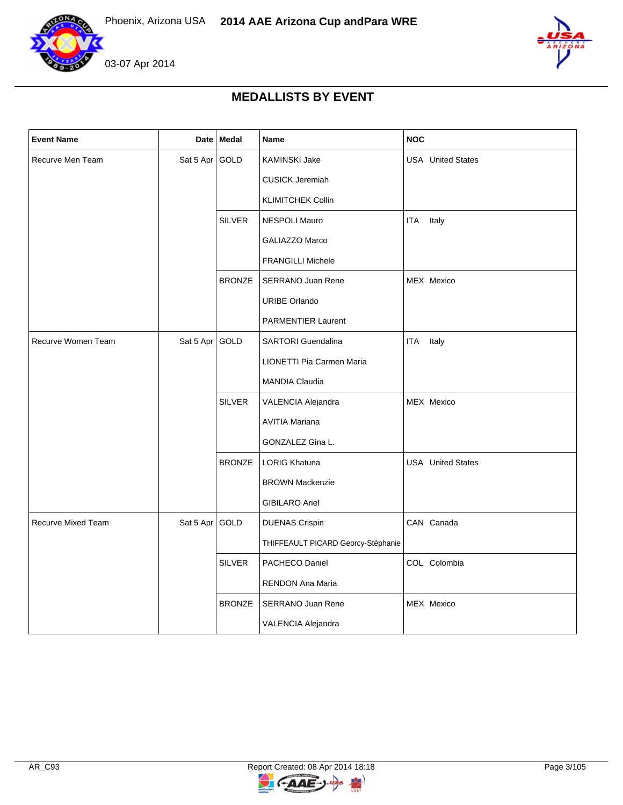



## **MEDALLISTS BY EVENT**

| <b>Event Name</b>         |                | Date Medal    | Name                               | <b>NOC</b>               |
|---------------------------|----------------|---------------|------------------------------------|--------------------------|
| Recurve Men Team          | Sat 5 Apr GOLD |               | KAMINSKI Jake                      | <b>USA</b> United States |
|                           |                |               | <b>CUSICK Jeremiah</b>             |                          |
|                           |                |               | <b>KLIMITCHEK Collin</b>           |                          |
|                           |                | <b>SILVER</b> | NESPOLI Mauro                      | <b>ITA</b><br>Italy      |
|                           |                |               | <b>GALIAZZO Marco</b>              |                          |
|                           |                |               | <b>FRANGILLI Michele</b>           |                          |
|                           |                | <b>BRONZE</b> | SERRANO Juan Rene                  | MEX Mexico               |
|                           |                |               | <b>URIBE Orlando</b>               |                          |
|                           |                |               | <b>PARMENTIER Laurent</b>          |                          |
| Recurve Women Team        | Sat 5 Apr      | GOLD          | <b>SARTORI</b> Guendalina          | <b>ITA</b><br>Italy      |
|                           |                |               | LIONETTI Pia Carmen Maria          |                          |
|                           |                |               | MANDIA Claudia                     |                          |
|                           |                | <b>SILVER</b> | VALENCIA Alejandra                 | MEX Mexico               |
|                           |                |               | <b>AVITIA Mariana</b>              |                          |
|                           |                |               | GONZALEZ Gina L.                   |                          |
|                           |                | <b>BRONZE</b> | <b>LORIG Khatuna</b>               | <b>USA</b> United States |
|                           |                |               | <b>BROWN Mackenzie</b>             |                          |
|                           |                |               | <b>GIBILARO Ariel</b>              |                          |
| <b>Recurve Mixed Team</b> | Sat 5 Apr GOLD |               | <b>DUENAS Crispin</b>              | CAN Canada               |
|                           |                |               | THIFFEAULT PICARD Georcy-Stéphanie |                          |
|                           |                | <b>SILVER</b> | PACHECO Daniel                     | COL Colombia             |
|                           |                |               | RENDON Ana Maria                   |                          |
|                           |                | <b>BRONZE</b> | <b>SERRANO Juan Rene</b>           | MEX Mexico               |
|                           |                |               | VALENCIA Alejandra                 |                          |

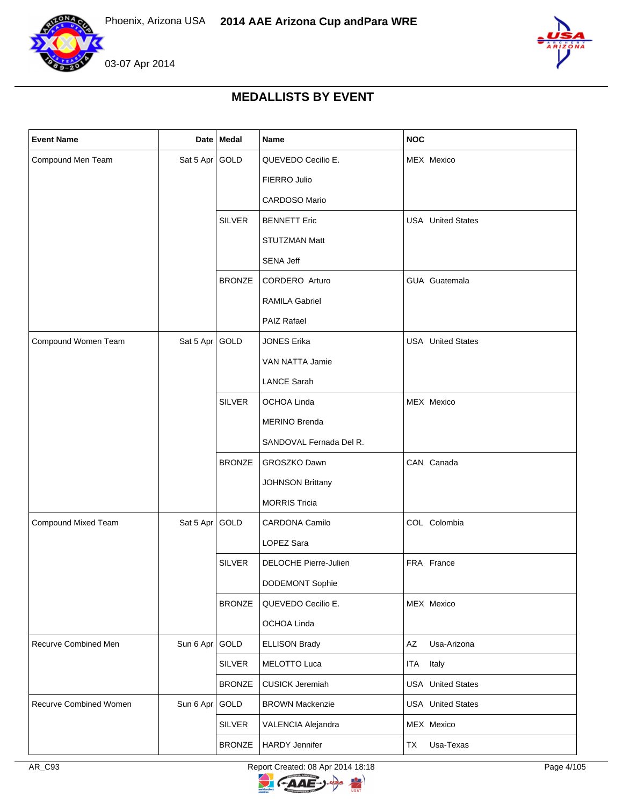



## **MEDALLISTS BY EVENT**

| <b>Event Name</b>      |                | Date Medal    | Name                    | <b>NOC</b>               |
|------------------------|----------------|---------------|-------------------------|--------------------------|
| Compound Men Team      | Sat 5 Apr GOLD |               | QUEVEDO Cecilio E.      | MEX Mexico               |
|                        |                |               | FIERRO Julio            |                          |
|                        |                |               | CARDOSO Mario           |                          |
|                        |                | <b>SILVER</b> | <b>BENNETT Eric</b>     | <b>USA</b> United States |
|                        |                |               | <b>STUTZMAN Matt</b>    |                          |
|                        |                |               | SENA Jeff               |                          |
|                        |                | <b>BRONZE</b> | CORDERO Arturo          | GUA Guatemala            |
|                        |                |               | <b>RAMILA Gabriel</b>   |                          |
|                        |                |               | PAIZ Rafael             |                          |
| Compound Women Team    | Sat 5 Apr GOLD |               | <b>JONES Erika</b>      | <b>USA</b> United States |
|                        |                |               | <b>VAN NATTA Jamie</b>  |                          |
|                        |                |               | <b>LANCE Sarah</b>      |                          |
|                        |                | <b>SILVER</b> | OCHOA Linda             | MEX Mexico               |
|                        |                |               | <b>MERINO Brenda</b>    |                          |
|                        |                |               | SANDOVAL Fernada Del R. |                          |
|                        |                | <b>BRONZE</b> | GROSZKO Dawn            | CAN Canada               |
|                        |                |               | <b>JOHNSON Brittany</b> |                          |
|                        |                |               | <b>MORRIS Tricia</b>    |                          |
| Compound Mixed Team    | Sat 5 Apr GOLD |               | CARDONA Camilo          | COL Colombia             |
|                        |                |               | LOPEZ Sara              |                          |
|                        |                | <b>SILVER</b> | DELOCHE Pierre-Julien   | FRA France               |
|                        |                |               | DODEMONT Sophie         |                          |
|                        |                | <b>BRONZE</b> | QUEVEDO Cecilio E.      | MEX Mexico               |
|                        |                |               | OCHOA Linda             |                          |
| Recurve Combined Men   | Sun 6 Apr      | GOLD          | <b>ELLISON Brady</b>    | Usa-Arizona<br>AZ        |
|                        |                | <b>SILVER</b> | <b>MELOTTO Luca</b>     | <b>ITA</b><br>Italy      |
|                        |                | <b>BRONZE</b> | <b>CUSICK Jeremiah</b>  | <b>USA</b> United States |
| Recurve Combined Women | Sun 6 Apr GOLD |               | <b>BROWN Mackenzie</b>  | <b>USA</b> United States |
|                        |                | <b>SILVER</b> | VALENCIA Alejandra      | MEX Mexico               |
|                        |                | <b>BRONZE</b> | <b>HARDY Jennifer</b>   | Usa-Texas<br>TX          |

AR\_C93 Report Created: 08 Apr 2014 18:18 Report Created: 08 Apr 2014 18:18

 $\overline{z}$ 

**CAAE** 

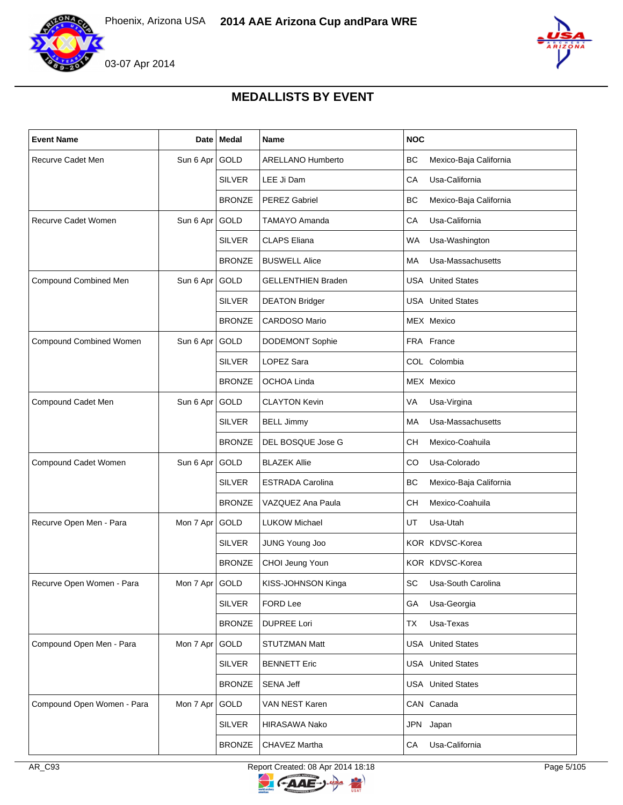

03-07 Apr 2014



## **MEDALLISTS BY EVENT**

| <b>Event Name</b>          | <b>Date</b>    | Medal         | <b>Name</b>               | <b>NOC</b>                          |
|----------------------------|----------------|---------------|---------------------------|-------------------------------------|
| Recurve Cadet Men          | Sun 6 Apr GOLD |               | ARELLANO Humberto         | ВC<br>Mexico-Baja California        |
|                            |                | <b>SILVER</b> | LEE Ji Dam                | CA<br>Usa-California                |
|                            |                | <b>BRONZE</b> | <b>PEREZ Gabriel</b>      | <b>BC</b><br>Mexico-Baja California |
| Recurve Cadet Women        | Sun 6 Apr GOLD |               | <b>TAMAYO Amanda</b>      | CA<br>Usa-California                |
|                            |                | <b>SILVER</b> | <b>CLAPS Eliana</b>       | WA<br>Usa-Washington                |
|                            |                | <b>BRONZE</b> | <b>BUSWELL Alice</b>      | Usa-Massachusetts<br>МA             |
| Compound Combined Men      | Sun 6 Apr      | GOLD          | <b>GELLENTHIEN Braden</b> | <b>USA</b> United States            |
|                            |                | <b>SILVER</b> | <b>DEATON Bridger</b>     | <b>USA</b> United States            |
|                            |                | <b>BRONZE</b> | <b>CARDOSO Mario</b>      | MEX Mexico                          |
| Compound Combined Women    | Sun 6 Apr      | GOLD          | <b>DODEMONT Sophie</b>    | FRA France                          |
|                            |                | <b>SILVER</b> | LOPEZ Sara                | COL Colombia                        |
|                            |                | <b>BRONZE</b> | OCHOA Linda               | MEX Mexico                          |
| Compound Cadet Men         | Sun 6 Apr      | GOLD          | <b>CLAYTON Kevin</b>      | VA<br>Usa-Virgina                   |
|                            |                | <b>SILVER</b> | <b>BELL Jimmy</b>         | Usa-Massachusetts<br>МA             |
|                            |                | <b>BRONZE</b> | DEL BOSQUE Jose G         | Mexico-Coahuila<br>СH               |
| Compound Cadet Women       | Sun 6 Apr GOLD |               | <b>BLAZEK Allie</b>       | CO<br>Usa-Colorado                  |
|                            |                | <b>SILVER</b> | <b>ESTRADA Carolina</b>   | ВC<br>Mexico-Baja California        |
|                            |                | <b>BRONZE</b> | VAZQUEZ Ana Paula         | Mexico-Coahuila<br>CН               |
| Recurve Open Men - Para    | Mon 7 Apr      | GOLD          | <b>LUKOW Michael</b>      | UT<br>Usa-Utah                      |
|                            |                | <b>SILVER</b> | JUNG Young Joo            | KOR KDVSC-Korea                     |
|                            |                | <b>BRONZE</b> | CHOI Jeung Youn           | KOR KDVSC-Korea                     |
| Recurve Open Women - Para  | Mon 7 Apr GOLD |               | KISS-JOHNSON Kinga        | SC Usa-South Carolina               |
|                            |                | <b>SILVER</b> | FORD Lee                  | GA<br>Usa-Georgia                   |
|                            |                | <b>BRONZE</b> | <b>DUPREE Lori</b>        | Usa-Texas<br>TX                     |
| Compound Open Men - Para   | Mon 7 Apr GOLD |               | STUTZMAN Matt             | <b>USA</b> United States            |
|                            |                | <b>SILVER</b> | <b>BENNETT Eric</b>       | <b>USA</b> United States            |
|                            |                | <b>BRONZE</b> | <b>SENA Jeff</b>          | <b>USA</b> United States            |
| Compound Open Women - Para | Mon 7 Apr      | GOLD          | VAN NEST Karen            | CAN Canada                          |
|                            |                | <b>SILVER</b> | HIRASAWA Nako             | JPN Japan                           |
|                            |                | <b>BRONZE</b> | CHAVEZ Martha             | Usa-California<br>CA                |

AR\_C93 Report Created: 08 Apr 2014 18:18 Report Created: 08 Apr 2014 18:18

 $\overline{z}$ 

**CAAE** 

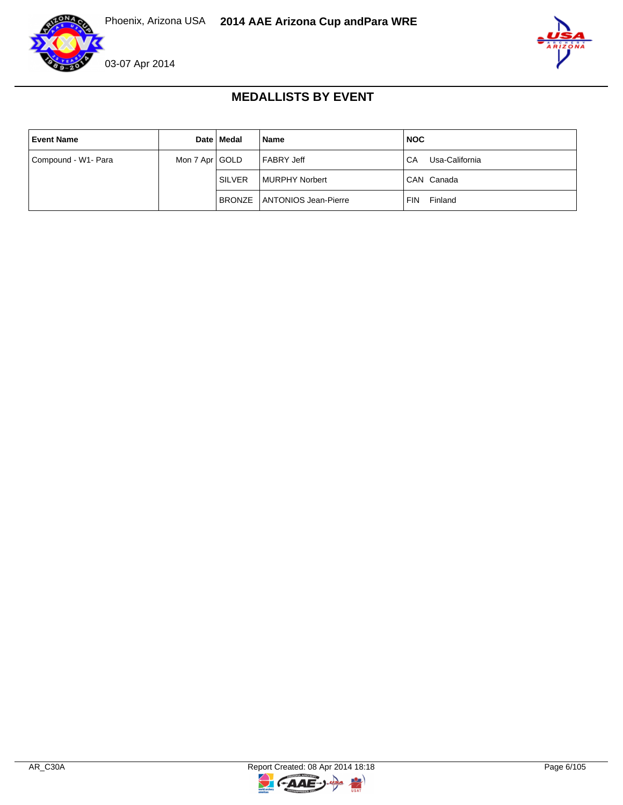





#### **MEDALLISTS BY EVENT**

| <b>Event Name</b>   |                | Date   Medal  | <b>Name</b>                   | <b>NOC</b>            |
|---------------------|----------------|---------------|-------------------------------|-----------------------|
| Compound - W1- Para | Mon 7 Apr GOLD |               | l FABRY Jeff                  | Usa-California<br>CA  |
|                     |                | <b>SILVER</b> | l MURPHY Norbert              | CAN Canada            |
|                     |                |               | BRONZE   ANTONIOS Jean-Pierre | Finland<br><b>FIN</b> |

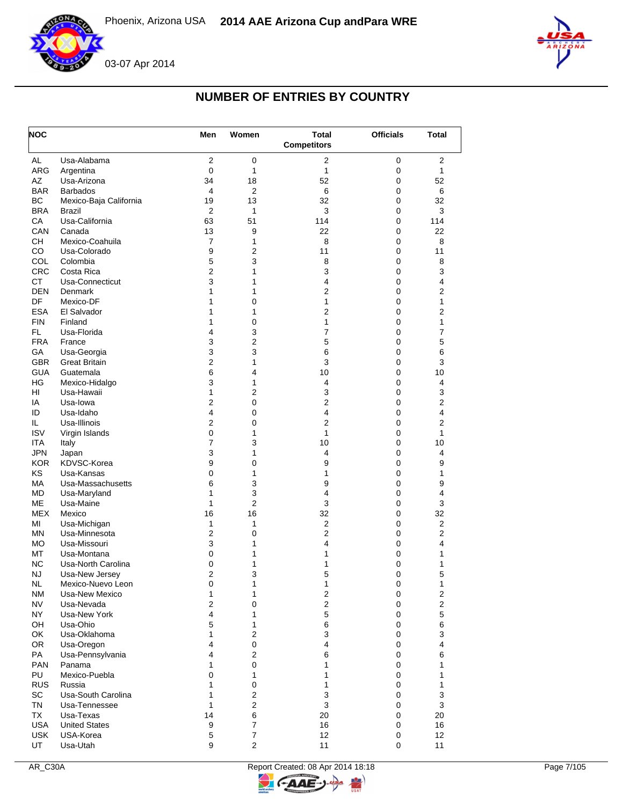



# **NUMBER OF ENTRIES BY COUNTRY**

| <b>NOC</b>      |                                | Men                 | Women                       | <b>Total</b>       | <b>Officials</b> | Total                   |
|-----------------|--------------------------------|---------------------|-----------------------------|--------------------|------------------|-------------------------|
|                 |                                |                     |                             | <b>Competitors</b> |                  |                         |
| AL              | Usa-Alabama                    | $\overline{2}$      | 0                           | 2                  | 0                | 2                       |
| ARG             | Argentina                      | $\mathbf 0$         | 1                           | 1                  | $\pmb{0}$        | $\mathbf{1}$            |
| AZ              | Usa-Arizona                    | 34                  | 18                          | 52                 | $\pmb{0}$        | 52                      |
| <b>BAR</b>      | <b>Barbados</b>                | 4                   | 2                           | 6                  | 0                | 6                       |
| BC              | Mexico-Baja California         | 19                  | 13                          | 32                 | 0                | 32                      |
| <b>BRA</b>      | <b>Brazil</b>                  | $\overline{2}$      | 1                           | 3                  | 0                | 3                       |
| CA              | Usa-California                 | 63                  | 51                          | 114                | 0                | 114                     |
| CAN             | Canada                         | 13                  | 9                           | 22                 | 0                | 22                      |
| <b>CH</b><br>CO | Mexico-Coahuila                | 7                   | 1                           | 8<br>11            | 0<br>$\mathbf 0$ | 8<br>11                 |
| <b>COL</b>      | Usa-Colorado                   | 9                   | 2                           |                    | 0                |                         |
| <b>CRC</b>      | Colombia<br>Costa Rica         | 5<br>$\overline{c}$ | 3<br>1                      | 8<br>3             | 0                | 8<br>3                  |
| <b>CT</b>       | Usa-Connecticut                | 3                   | 1                           | 4                  | 0                | 4                       |
| <b>DEN</b>      | Denmark                        | 1                   | 1                           | $\overline{2}$     | 0                | 2                       |
| DF              | Mexico-DF                      | 1                   | 0                           | 1                  | 0                | 1                       |
| <b>ESA</b>      | El Salvador                    | 1                   | 1                           | 2                  | 0                | $\overline{2}$          |
| <b>FIN</b>      | Finland                        | 1                   | 0                           | 1                  | $\mathbf 0$      | 1                       |
| FL.             | Usa-Florida                    | 4                   | 3                           | 7                  | 0                | $\overline{7}$          |
| <b>FRA</b>      | France                         | 3                   | 2                           | 5                  | 0                | 5                       |
| GA              | Usa-Georgia                    | 3                   | 3                           | 6                  | $\mathbf 0$      | 6                       |
| <b>GBR</b>      | Great Britain                  | 2                   | 1                           | 3                  | 0                | 3                       |
| <b>GUA</b>      | Guatemala                      | 6                   | 4                           | 10                 | 0                | 10                      |
| HG              | Mexico-Hidalgo                 | 3                   | 1                           | 4                  | $\mathbf 0$      | $\overline{4}$          |
| HI              | Usa-Hawaii                     | 1                   | 2                           | 3                  | 0                | 3                       |
| ΙA              | Usa-lowa                       | $\overline{2}$      | 0                           | $\overline{2}$     | $\pmb{0}$        | 2                       |
| ID              | Usa-Idaho                      | 4                   | 0                           | 4                  | $\pmb{0}$        | 4                       |
| IL.             | Usa-Illinois                   | $\overline{2}$      | 0                           | $\overline{c}$     | 0                | 2                       |
| <b>ISV</b>      | Virgin Islands                 | 0                   | 1                           | 1                  | 0                | $\mathbf{1}$            |
| <b>ITA</b>      | Italy                          | 7                   | 3                           | 10                 | $\pmb{0}$        | 10                      |
| <b>JPN</b>      | Japan                          | 3                   | 1                           | 4                  | 0                | 4                       |
| <b>KOR</b>      | KDVSC-Korea                    | 9                   | 0                           | 9                  | 0                | 9                       |
| KS              | Usa-Kansas                     | 0                   | 1                           | 1                  | 0                | 1                       |
| MA              | Usa-Massachusetts              | 6                   | 3                           | 9                  | 0                | 9                       |
| <b>MD</b>       | Usa-Maryland                   | 1                   | 3                           | 4                  | 0                | 4                       |
| <b>ME</b>       | Usa-Maine                      | 1                   | $\overline{2}$              | 3                  | 0                | 3                       |
| <b>MEX</b>      | Mexico                         | 16                  | 16                          | 32                 | 0                | 32                      |
| MI              | Usa-Michigan                   | 1                   | 1                           | $\overline{2}$     | 0                | 2                       |
| <b>MN</b>       | Usa-Minnesota                  | $\overline{c}$      | 0                           | $\overline{c}$     | 0                | 2                       |
| <b>MO</b>       | Usa-Missouri                   | 3                   | 1                           | 4                  | $\pmb{0}$        | 4                       |
| МT              | Usa-Montana                    | 0                   | 1                           | 1                  | 0                | 1                       |
| <b>NC</b>       | Usa-North Carolina             | 0                   | 1                           | 1                  | 0                | 1                       |
| NJ              | Usa-New Jersey                 | $\overline{2}$      | 3                           | 5                  | 0                | 5                       |
| NL.             | Mexico-Nuevo Leon              | 0                   | 1                           | 1                  | 0                | 1                       |
| <b>NM</b>       | Usa-New Mexico                 | 1                   | 1                           | 2                  | $\pmb{0}$        | $\overline{\mathbf{c}}$ |
| <b>NV</b>       | Usa-Nevada                     | $\mathbf{2}$        | $\pmb{0}$                   | $\overline{2}$     | 0                | $\overline{c}$          |
| NY              | Usa-New York                   | 4                   | 1                           | 5                  | 0                | 5                       |
| OH              | Usa-Ohio                       | 5                   | 1                           | 6                  | 0                | 6                       |
| OK<br>OR        | Usa-Oklahoma                   | 1<br>4              | $\mathbf{2}$<br>$\mathbf 0$ | 3<br>4             | 0                | 3<br>4                  |
| PA              | Usa-Oregon<br>Usa-Pennsylvania | 4                   | $\mathbf{2}$                | 6                  | 0<br>0           | 6                       |
| PAN             | Panama                         | 1                   | $\mathbf 0$                 | 1                  | 0                | 1                       |
| PU              | Mexico-Puebla                  | 0                   | $\mathbf{1}$                | 1                  | 0                | 1                       |
| <b>RUS</b>      | Russia                         | 1                   | $\mathbf 0$                 | 1                  | 0                | 1                       |
| SC              | Usa-South Carolina             | 1                   | $\overline{2}$              | 3                  | 0                | 3                       |
| <b>TN</b>       | Usa-Tennessee                  | $\mathbf{1}$        | $\overline{2}$              | 3                  | 0                | 3                       |
| TX              | Usa-Texas                      | 14                  | 6                           | 20                 | 0                | 20                      |
| <b>USA</b>      | <b>United States</b>           | 9                   | $\overline{7}$              | 16                 | 0                | 16                      |
| <b>USK</b>      | USA-Korea                      | 5                   | $\overline{7}$              | 12                 | 0                | 12                      |
| UT              | Usa-Utah                       | 9                   | $\overline{2}$              | 11                 | 0                | 11                      |
|                 |                                |                     |                             |                    |                  |                         |

 $\overline{z}$ 

C-AAE-J-

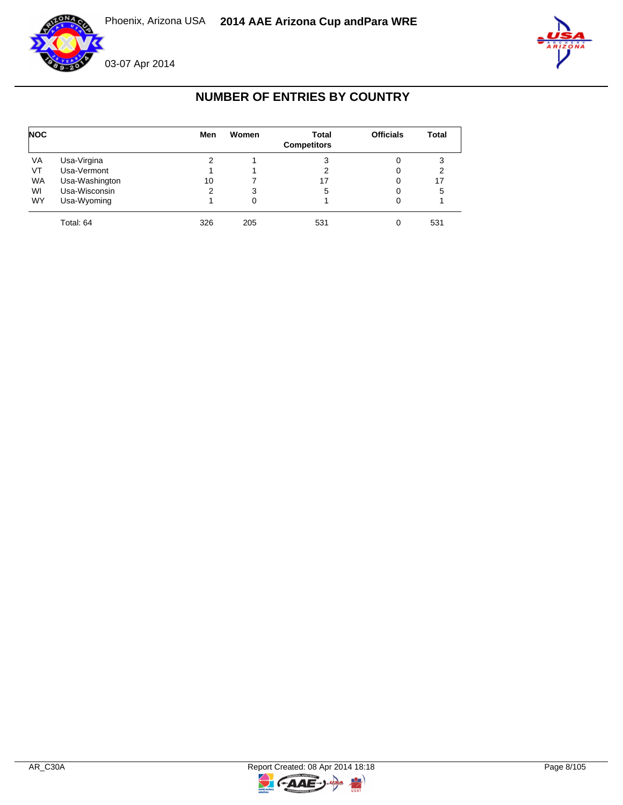



# **NUMBER OF ENTRIES BY COUNTRY**

| <b>NOC</b> |                | Men | Women | <b>Total</b><br><b>Competitors</b> | <b>Officials</b> | <b>Total</b> |
|------------|----------------|-----|-------|------------------------------------|------------------|--------------|
| VA         | Usa-Virgina    | 2   |       | 3                                  | 0                | 3            |
| VT         | Usa-Vermont    |     |       |                                    | 0                |              |
| <b>WA</b>  | Usa-Washington | 10  |       | 17                                 | 0                | 17           |
| WI         | Usa-Wisconsin  | 2   | 3     | 5                                  | 0                | 5            |
| <b>WY</b>  | Usa-Wyoming    |     | 0     |                                    | 0                |              |
|            | Total: 64      | 326 | 205   | 531                                | 0                | 531          |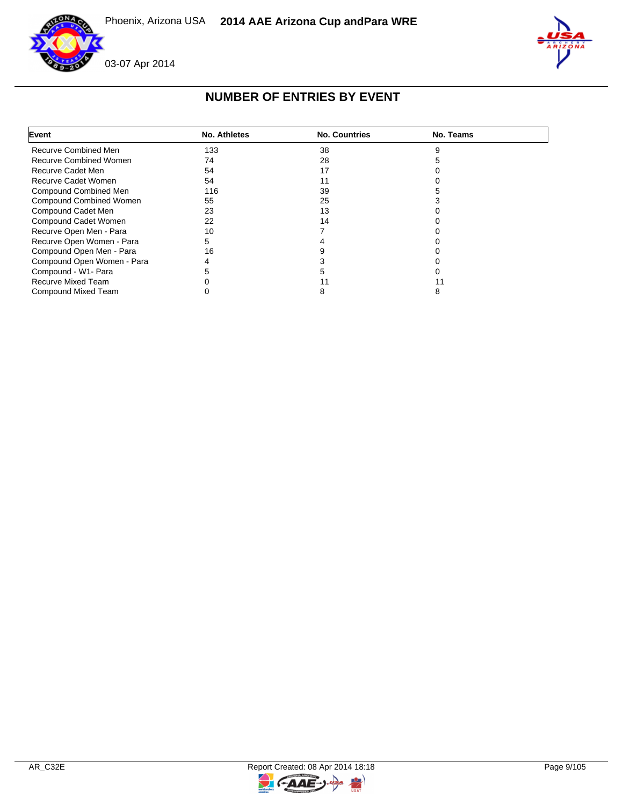



 $\mathbb{I}$ 

## **NUMBER OF ENTRIES BY EVENT**

| Event                          | <b>No. Athletes</b> | <b>No. Countries</b> | No. Teams |  |
|--------------------------------|---------------------|----------------------|-----------|--|
| Recurve Combined Men           | 133                 | 38                   |           |  |
| <b>Recurve Combined Women</b>  | 74                  | 28                   |           |  |
| Recurve Cadet Men              | 54                  | 17                   |           |  |
| Recurve Cadet Women            | 54                  |                      |           |  |
| Compound Combined Men          | 116                 | 39                   |           |  |
| <b>Compound Combined Women</b> | 55                  | 25                   |           |  |
| Compound Cadet Men             | 23                  | 13                   |           |  |
| Compound Cadet Women           | 22                  | 14                   |           |  |
| Recurve Open Men - Para        | 10                  |                      |           |  |
| Recurve Open Women - Para      | 5                   |                      |           |  |
| Compound Open Men - Para       | 16                  |                      |           |  |
| Compound Open Women - Para     | 4                   |                      |           |  |
| Compound - W1- Para            |                     |                      |           |  |
| Recurve Mixed Team             |                     |                      |           |  |
| Compound Mixed Team            |                     | o                    |           |  |

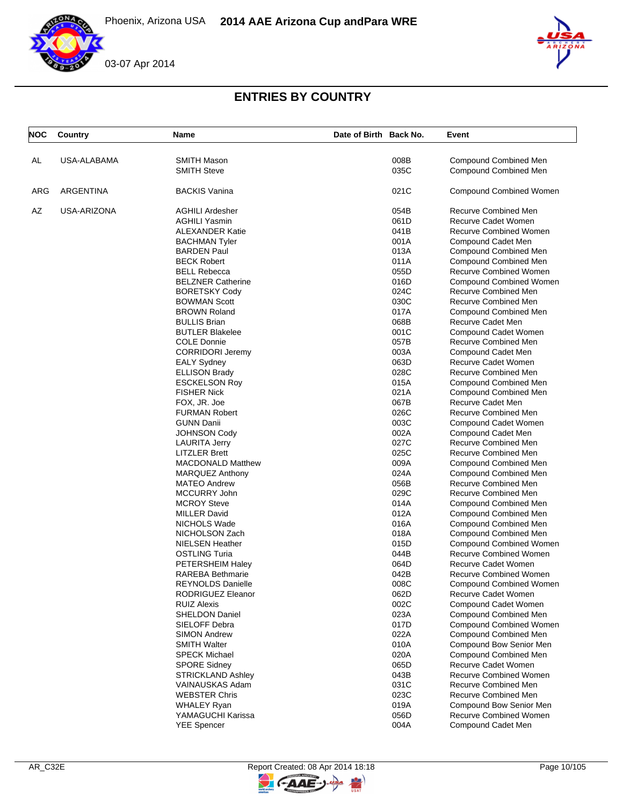





# **ENTRIES BY COUNTRY**

| <b>NOC</b> | Country          | Name                     | Date of Birth Back No. |      | Event                          |
|------------|------------------|--------------------------|------------------------|------|--------------------------------|
|            | USA-ALABAMA      | <b>SMITH Mason</b>       |                        | 008B | <b>Compound Combined Men</b>   |
| AL         |                  | <b>SMITH Steve</b>       |                        | 035C | Compound Combined Men          |
| ARG        | <b>ARGENTINA</b> | <b>BACKIS Vanina</b>     |                        | 021C | <b>Compound Combined Women</b> |
| AZ         | USA-ARIZONA      | <b>AGHILI Ardesher</b>   |                        | 054B | Recurve Combined Men           |
|            |                  | <b>AGHILI Yasmin</b>     |                        | 061D | Recurve Cadet Women            |
|            |                  | <b>ALEXANDER Katie</b>   |                        | 041B | <b>Recurve Combined Women</b>  |
|            |                  | <b>BACHMAN Tyler</b>     |                        | 001A | Compound Cadet Men             |
|            |                  | <b>BARDEN Paul</b>       |                        | 013A | Compound Combined Men          |
|            |                  | <b>BECK Robert</b>       |                        | 011A | <b>Compound Combined Men</b>   |
|            |                  | <b>BELL Rebecca</b>      |                        | 055D | <b>Recurve Combined Women</b>  |
|            |                  | <b>BELZNER Catherine</b> |                        | 016D | <b>Compound Combined Women</b> |
|            |                  | <b>BORETSKY Cody</b>     |                        | 024C | Recurve Combined Men           |
|            |                  | <b>BOWMAN Scott</b>      |                        | 030C | Recurve Combined Men           |
|            |                  | <b>BROWN Roland</b>      |                        | 017A | Compound Combined Men          |
|            |                  | <b>BULLIS Brian</b>      |                        | 068B | Recurve Cadet Men              |
|            |                  | <b>BUTLER Blakelee</b>   |                        | 001C | Compound Cadet Women           |
|            |                  | <b>COLE Donnie</b>       |                        | 057B | Recurve Combined Men           |
|            |                  | <b>CORRIDORI Jeremy</b>  |                        | 003A | Compound Cadet Men             |
|            |                  | <b>EALY Sydney</b>       |                        | 063D | Recurve Cadet Women            |
|            |                  | <b>ELLISON Brady</b>     |                        | 028C | Recurve Combined Men           |
|            |                  | <b>ESCKELSON Roy</b>     |                        | 015A | Compound Combined Men          |
|            |                  | <b>FISHER Nick</b>       |                        | 021A | Compound Combined Men          |
|            |                  | FOX, JR. Joe             |                        | 067B | Recurve Cadet Men              |
|            |                  | <b>FURMAN Robert</b>     |                        | 026C | Recurve Combined Men           |
|            |                  | <b>GUNN Danii</b>        |                        | 003C | Compound Cadet Women           |
|            |                  | <b>JOHNSON Cody</b>      |                        | 002A | Compound Cadet Men             |
|            |                  | <b>LAURITA Jerry</b>     |                        | 027C | Recurve Combined Men           |
|            |                  | <b>LITZLER Brett</b>     |                        | 025C | Recurve Combined Men           |
|            |                  | <b>MACDONALD Matthew</b> |                        | 009A | <b>Compound Combined Men</b>   |
|            |                  | <b>MARQUEZ Anthony</b>   |                        | 024A | <b>Compound Combined Men</b>   |
|            |                  | <b>MATEO Andrew</b>      |                        | 056B | Recurve Combined Men           |
|            |                  | MCCURRY John             |                        | 029C | Recurve Combined Men           |
|            |                  | <b>MCROY Steve</b>       |                        | 014A | Compound Combined Men          |
|            |                  | <b>MILLER David</b>      |                        | 012A | Compound Combined Men          |
|            |                  | NICHOLS Wade             |                        | 016A | Compound Combined Men          |
|            |                  | NICHOLSON Zach           |                        | 018A | <b>Compound Combined Men</b>   |
|            |                  | <b>NIELSEN Heather</b>   |                        | 015D | <b>Compound Combined Women</b> |
|            |                  | <b>OSTLING Turia</b>     |                        | 044B | <b>Recurve Combined Women</b>  |
|            |                  | PETERSHEIM Haley         |                        | 064D | Recurve Cadet Women            |
|            |                  | <b>RAREBA Bethmarie</b>  |                        | 042B | <b>Recurve Combined Women</b>  |
|            |                  | REYNOLDS Danielle        |                        | 008C | <b>Compound Combined Women</b> |
|            |                  | RODRIGUEZ Eleanor        |                        | 062D | Recurve Cadet Women            |
|            |                  | <b>RUIZ Alexis</b>       |                        | 002C | Compound Cadet Women           |
|            |                  | <b>SHELDON Daniel</b>    |                        | 023A | <b>Compound Combined Men</b>   |
|            |                  | SIELOFF Debra            |                        | 017D | <b>Compound Combined Women</b> |
|            |                  | <b>SIMON Andrew</b>      |                        | 022A | <b>Compound Combined Men</b>   |
|            |                  | <b>SMITH Walter</b>      |                        | 010A | Compound Bow Senior Men        |
|            |                  | <b>SPECK Michael</b>     |                        | 020A | <b>Compound Combined Men</b>   |
|            |                  | <b>SPORE Sidney</b>      |                        | 065D | Recurve Cadet Women            |
|            |                  | <b>STRICKLAND Ashley</b> |                        | 043B | <b>Recurve Combined Women</b>  |
|            |                  | VAINAUSKAS Adam          |                        | 031C | <b>Recurve Combined Men</b>    |
|            |                  | <b>WEBSTER Chris</b>     |                        | 023C | Recurve Combined Men           |
|            |                  | <b>WHALEY Ryan</b>       |                        | 019A | Compound Bow Senior Men        |
|            |                  | YAMAGUCHI Karissa        |                        | 056D | Recurve Combined Women         |
|            |                  | <b>YEE Spencer</b>       |                        | 004A | Compound Cadet Men             |

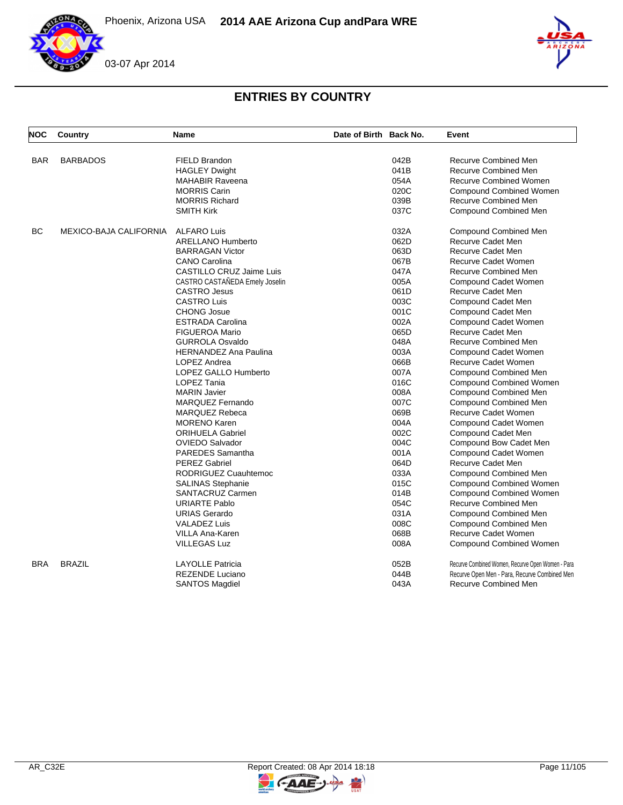Phoenix, Arizona USA **2014 AAE Arizona Cup and Para WRE**





# **ENTRIES BY COUNTRY**

| <b>NOC</b> | Country                | Name                           | Date of Birth Back No. |      | Event                                             |
|------------|------------------------|--------------------------------|------------------------|------|---------------------------------------------------|
|            |                        |                                |                        |      |                                                   |
| <b>BAR</b> | <b>BARBADOS</b>        | FIELD Brandon                  |                        | 042B | Recurve Combined Men                              |
|            |                        | <b>HAGLEY Dwight</b>           |                        | 041B | Recurve Combined Men                              |
|            |                        | <b>MAHABIR Raveena</b>         |                        | 054A | <b>Recurve Combined Women</b>                     |
|            |                        | <b>MORRIS Carin</b>            |                        | 020C | <b>Compound Combined Women</b>                    |
|            |                        | <b>MORRIS Richard</b>          |                        | 039B | Recurve Combined Men                              |
|            |                        | <b>SMITH Kirk</b>              |                        | 037C | Compound Combined Men                             |
| <b>BC</b>  | MEXICO-BAJA CALIFORNIA | <b>ALFARO Luis</b>             |                        | 032A | Compound Combined Men                             |
|            |                        | <b>ARELLANO Humberto</b>       |                        | 062D | Recurve Cadet Men                                 |
|            |                        | <b>BARRAGAN Victor</b>         |                        | 063D | Recurve Cadet Men                                 |
|            |                        | <b>CANO Carolina</b>           |                        | 067B | Recurve Cadet Women                               |
|            |                        | CASTILLO CRUZ Jaime Luis       |                        | 047A | Recurve Combined Men                              |
|            |                        | CASTRO CASTAÑEDA Emely Joselin |                        | 005A | Compound Cadet Women                              |
|            |                        | <b>CASTRO Jesus</b>            |                        | 061D | <b>Recurve Cadet Men</b>                          |
|            |                        | <b>CASTRO Luis</b>             |                        | 003C | Compound Cadet Men                                |
|            |                        | <b>CHONG Josue</b>             |                        | 001C | Compound Cadet Men                                |
|            |                        | <b>ESTRADA Carolina</b>        |                        | 002A | Compound Cadet Women                              |
|            |                        | <b>FIGUEROA Mario</b>          |                        | 065D | Recurve Cadet Men                                 |
|            |                        | <b>GURROLA Osvaldo</b>         |                        | 048A | Recurve Combined Men                              |
|            |                        | <b>HERNANDEZ Ana Paulina</b>   |                        | 003A | Compound Cadet Women                              |
|            |                        | LOPEZ Andrea                   |                        | 066B | <b>Recurve Cadet Women</b>                        |
|            |                        | <b>LOPEZ GALLO Humberto</b>    |                        | 007A | <b>Compound Combined Men</b>                      |
|            |                        | LOPEZ Tania                    |                        | 016C | <b>Compound Combined Women</b>                    |
|            |                        | <b>MARIN Javier</b>            |                        | 008A | Compound Combined Men                             |
|            |                        | <b>MARQUEZ Fernando</b>        |                        | 007C | <b>Compound Combined Men</b>                      |
|            |                        | <b>MARQUEZ Rebeca</b>          |                        | 069B | <b>Recurve Cadet Women</b>                        |
|            |                        | <b>MORENO Karen</b>            |                        | 004A | Compound Cadet Women                              |
|            |                        | <b>ORIHUELA Gabriel</b>        |                        | 002C | Compound Cadet Men                                |
|            |                        | <b>OVIEDO Salvador</b>         |                        | 004C | Compound Bow Cadet Men                            |
|            |                        | <b>PAREDES Samantha</b>        |                        | 001A | Compound Cadet Women                              |
|            |                        | <b>PEREZ Gabriel</b>           |                        | 064D | Recurve Cadet Men                                 |
|            |                        | RODRIGUEZ Cuauhtemoc           |                        | 033A | Compound Combined Men                             |
|            |                        | <b>SALINAS Stephanie</b>       |                        | 015C | Compound Combined Women                           |
|            |                        | SANTACRUZ Carmen               |                        | 014B | <b>Compound Combined Women</b>                    |
|            |                        | <b>URIARTE Pablo</b>           |                        | 054C | Recurve Combined Men                              |
|            |                        | <b>URIAS Gerardo</b>           |                        | 031A | Compound Combined Men                             |
|            |                        | <b>VALADEZ Luis</b>            |                        | 008C | Compound Combined Men                             |
|            |                        | VILLA Ana-Karen                |                        | 068B | Recurve Cadet Women                               |
|            |                        | <b>VILLEGAS Luz</b>            |                        | 008A | Compound Combined Women                           |
| <b>BRA</b> | <b>BRAZIL</b>          | <b>LAYOLLE Patricia</b>        |                        | 052B | Recurve Combined Women, Recurve Open Women - Para |
|            |                        | <b>REZENDE Luciano</b>         |                        | 044B | Recurve Open Men - Para, Recurve Combined Men     |
|            |                        | <b>SANTOS Magdiel</b>          |                        | 043A | <b>Recurve Combined Men</b>                       |

 $\rightarrow$ 

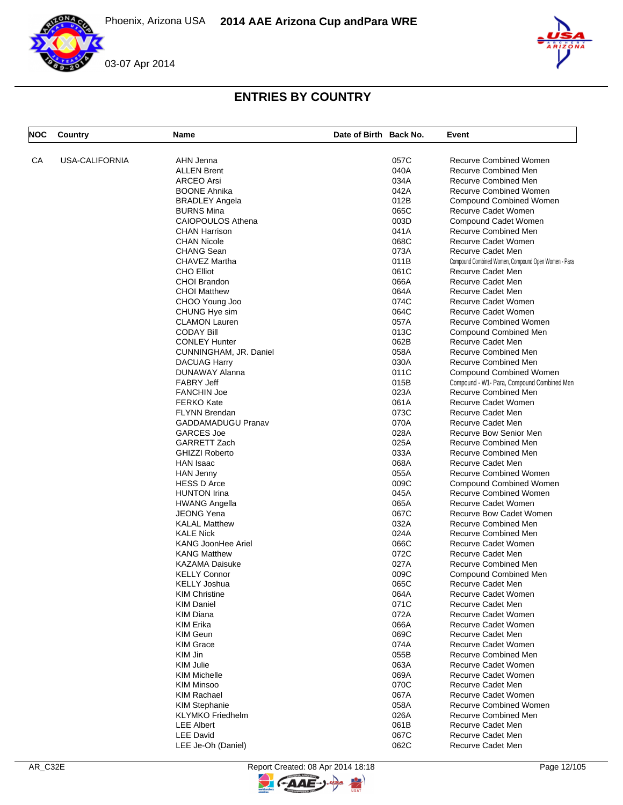



## **ENTRIES BY COUNTRY**

| <b>NOC</b> | Country               | Name                      | Date of Birth Back No. |      | Event                                               |
|------------|-----------------------|---------------------------|------------------------|------|-----------------------------------------------------|
| СA         | <b>USA-CALIFORNIA</b> | AHN Jenna                 |                        | 057C | <b>Recurve Combined Women</b>                       |
|            |                       | <b>ALLEN Brent</b>        |                        | 040A | Recurve Combined Men                                |
|            |                       | <b>ARCEO</b> Arsi         |                        | 034A | <b>Recurve Combined Men</b>                         |
|            |                       | <b>BOONE Ahnika</b>       |                        | 042A | <b>Recurve Combined Women</b>                       |
|            |                       |                           |                        |      |                                                     |
|            |                       | <b>BRADLEY Angela</b>     |                        | 012B | Compound Combined Women                             |
|            |                       | <b>BURNS Mina</b>         |                        | 065C | Recurve Cadet Women                                 |
|            |                       | <b>CAIOPOULOS Athena</b>  |                        | 003D | Compound Cadet Women                                |
|            |                       | <b>CHAN Harrison</b>      |                        | 041A | Recurve Combined Men                                |
|            |                       | <b>CHAN Nicole</b>        |                        | 068C | Recurve Cadet Women                                 |
|            |                       | <b>CHANG Sean</b>         |                        | 073A | Recurve Cadet Men                                   |
|            |                       | CHAVEZ Martha             |                        | 011B | Compound Combined Women, Compound Open Women - Para |
|            |                       | <b>CHO Elliot</b>         |                        | 061C | Recurve Cadet Men                                   |
|            |                       | CHOI Brandon              |                        | 066A | Recurve Cadet Men                                   |
|            |                       | <b>CHOI Matthew</b>       |                        | 064A | Recurve Cadet Men                                   |
|            |                       | CHOO Young Joo            |                        | 074C | Recurve Cadet Women                                 |
|            |                       | CHUNG Hye sim             |                        | 064C | Recurve Cadet Women                                 |
|            |                       | <b>CLAMON Lauren</b>      |                        | 057A | <b>Recurve Combined Women</b>                       |
|            |                       | <b>CODAY Bill</b>         |                        | 013C | Compound Combined Men                               |
|            |                       | <b>CONLEY Hunter</b>      |                        | 062B | Recurve Cadet Men                                   |
|            |                       | CUNNINGHAM, JR. Daniel    |                        | 058A | Recurve Combined Men                                |
|            |                       | <b>DACUAG Harry</b>       |                        | 030A | Recurve Combined Men                                |
|            |                       | DUNAWAY Alanna            |                        | 011C | Compound Combined Women                             |
|            |                       | <b>FABRY Jeff</b>         |                        | 015B | Compound - W1- Para, Compound Combined Men          |
|            |                       | <b>FANCHIN Joe</b>        |                        | 023A | Recurve Combined Men                                |
|            |                       | <b>FERKO Kate</b>         |                        | 061A | Recurve Cadet Women                                 |
|            |                       |                           |                        | 073C | Recurve Cadet Men                                   |
|            |                       | <b>FLYNN Brendan</b>      |                        |      |                                                     |
|            |                       | <b>GADDAMADUGU Pranav</b> |                        | 070A | Recurve Cadet Men                                   |
|            |                       | <b>GARCES Joe</b>         |                        | 028A | Recurve Bow Senior Men                              |
|            |                       | GARRETT Zach              |                        | 025A | Recurve Combined Men                                |
|            |                       | <b>GHIZZI Roberto</b>     |                        | 033A | <b>Recurve Combined Men</b>                         |
|            |                       | <b>HAN Isaac</b>          |                        | 068A | Recurve Cadet Men                                   |
|            |                       | <b>HAN Jenny</b>          |                        | 055A | <b>Recurve Combined Women</b>                       |
|            |                       | <b>HESS D Arce</b>        |                        | 009C | Compound Combined Women                             |
|            |                       | <b>HUNTON Irina</b>       |                        | 045A | <b>Recurve Combined Women</b>                       |
|            |                       | <b>HWANG Angella</b>      |                        | 065A | Recurve Cadet Women                                 |
|            |                       | <b>JEONG Yena</b>         |                        | 067C | <b>Recurve Bow Cadet Women</b>                      |
|            |                       | <b>KALAL Matthew</b>      |                        | 032A | Recurve Combined Men                                |
|            |                       | <b>KALE Nick</b>          |                        | 024A | Recurve Combined Men                                |
|            |                       | <b>KANG JoonHee Ariel</b> |                        | 066C | <b>Recurve Cadet Women</b>                          |
|            |                       | <b>KANG Matthew</b>       |                        | 072C | Recurve Cadet Men                                   |
|            |                       | <b>KAZAMA Daisuke</b>     |                        | 027A | Recurve Combined Men                                |
|            |                       | <b>KELLY Connor</b>       |                        | 009C | Compound Combined Men                               |
|            |                       | KELLY Joshua              |                        | 065C | Recurve Cadet Men                                   |
|            |                       | <b>KIM Christine</b>      |                        | 064A | Recurve Cadet Women                                 |
|            |                       | <b>KIM Daniel</b>         |                        | 071C | Recurve Cadet Men                                   |
|            |                       | <b>KIM Diana</b>          |                        | 072A | <b>Recurve Cadet Women</b>                          |
|            |                       | KIM Erika                 |                        | 066A | Recurve Cadet Women                                 |
|            |                       | <b>KIM Geun</b>           |                        | 069C | Recurve Cadet Men                                   |
|            |                       | <b>KIM Grace</b>          |                        | 074A | Recurve Cadet Women                                 |
|            |                       | KIM Jin                   |                        | 055B | Recurve Combined Men                                |
|            |                       | <b>KIM Julie</b>          |                        | 063A | Recurve Cadet Women                                 |
|            |                       | <b>KIM Michelle</b>       |                        | 069A | Recurve Cadet Women                                 |
|            |                       |                           |                        |      |                                                     |
|            |                       | <b>KIM Minsoo</b>         |                        | 070C | Recurve Cadet Men                                   |
|            |                       | <b>KIM Rachael</b>        |                        | 067A | Recurve Cadet Women                                 |
|            |                       | <b>KIM Stephanie</b>      |                        | 058A | <b>Recurve Combined Women</b>                       |
|            |                       | <b>KLYMKO</b> Friedhelm   |                        | 026A | Recurve Combined Men                                |
|            |                       | <b>LEE Albert</b>         |                        | 061B | Recurve Cadet Men                                   |
|            |                       | <b>LEE David</b>          |                        | 067C | Recurve Cadet Men                                   |
|            |                       | LEE Je-Oh (Daniel)        |                        | 062C | Recurve Cadet Men                                   |

 $\overline{z}$ 

G-AAE-J-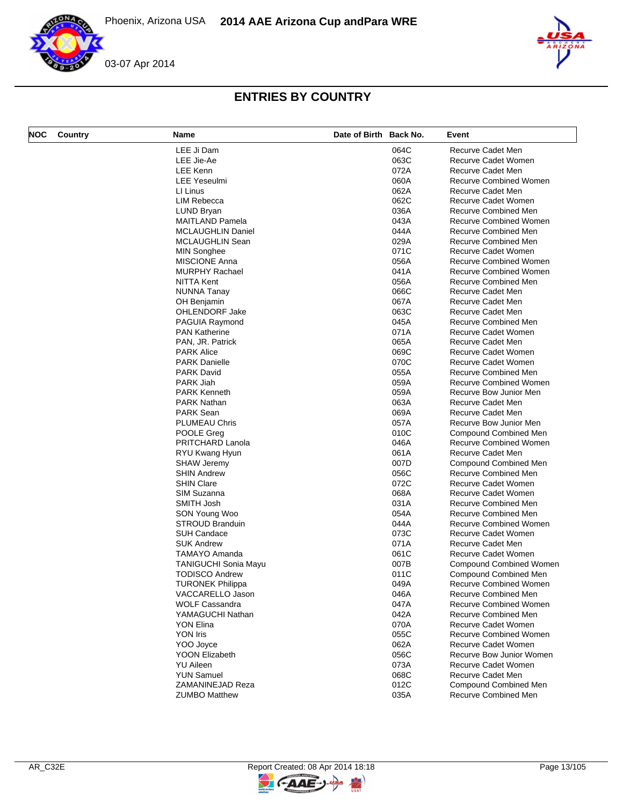



# **ENTRIES BY COUNTRY**

| <b>NOC</b> | Country | Name                                  | Date of Birth Back No. |              | Event                                             |
|------------|---------|---------------------------------------|------------------------|--------------|---------------------------------------------------|
|            |         | LEE Ji Dam                            |                        | 064C         | Recurve Cadet Men                                 |
|            |         | LEE Jie-Ae                            |                        | 063C         | Recurve Cadet Women                               |
|            |         | LEE Kenn                              |                        | 072A         | Recurve Cadet Men                                 |
|            |         | <b>LEE Yeseulmi</b>                   |                        | 060A         | Recurve Combined Women                            |
|            |         | LI Linus                              |                        | 062A         | Recurve Cadet Men                                 |
|            |         | <b>LIM Rebecca</b>                    |                        | 062C         | Recurve Cadet Women                               |
|            |         | LUND Bryan                            |                        | 036A         | Recurve Combined Men                              |
|            |         | <b>MAITLAND Pamela</b>                |                        | 043A         | <b>Recurve Combined Women</b>                     |
|            |         | <b>MCLAUGHLIN Daniel</b>              |                        | 044A         | Recurve Combined Men                              |
|            |         | MCLAUGHLIN Sean                       |                        | 029A         | Recurve Combined Men                              |
|            |         | <b>MIN Songhee</b>                    |                        | 071C         | Recurve Cadet Women                               |
|            |         | <b>MISCIONE Anna</b>                  |                        | 056A         | <b>Recurve Combined Women</b>                     |
|            |         | <b>MURPHY Rachael</b>                 |                        | 041A         | <b>Recurve Combined Women</b>                     |
|            |         | <b>NITTA Kent</b>                     |                        | 056A         | Recurve Combined Men                              |
|            |         | NUNNA Tanay                           |                        | 066C         | Recurve Cadet Men                                 |
|            |         | OH Benjamin                           |                        | 067A         | Recurve Cadet Men                                 |
|            |         | OHLENDORF Jake                        |                        | 063C         | Recurve Cadet Men                                 |
|            |         | PAGUIA Raymond                        |                        | 045A         | Recurve Combined Men                              |
|            |         | <b>PAN Katherine</b>                  |                        | 071A         | Recurve Cadet Women                               |
|            |         | PAN, JR. Patrick                      |                        | 065A         | Recurve Cadet Men                                 |
|            |         | <b>PARK Alice</b>                     |                        | 069C         | Recurve Cadet Women                               |
|            |         | <b>PARK Danielle</b>                  |                        | 070C         | Recurve Cadet Women                               |
|            |         | <b>PARK David</b>                     |                        | 055A         | Recurve Combined Men                              |
|            |         | PARK Jiah                             |                        | 059A         | <b>Recurve Combined Women</b>                     |
|            |         | <b>PARK Kenneth</b>                   |                        | 059A         | Recurve Bow Junior Men                            |
|            |         | PARK Nathan                           |                        | 063A         | Recurve Cadet Men                                 |
|            |         | <b>PARK Sean</b>                      |                        | 069A         | Recurve Cadet Men                                 |
|            |         |                                       |                        | 057A         |                                                   |
|            |         | PLUMEAU Chris                         |                        | 010C         | Recurve Bow Junior Men                            |
|            |         | POOLE Greg                            |                        |              | Compound Combined Men                             |
|            |         | PRITCHARD Lanola                      |                        | 046A         | <b>Recurve Combined Women</b>                     |
|            |         | RYU Kwang Hyun                        |                        | 061A         | Recurve Cadet Men                                 |
|            |         | <b>SHAW Jeremy</b>                    |                        | 007D         | Compound Combined Men                             |
|            |         | <b>SHIN Andrew</b>                    |                        | 056C         | Recurve Combined Men                              |
|            |         | <b>SHIN Clare</b>                     |                        | 072C         | Recurve Cadet Women                               |
|            |         | SIM Suzanna                           |                        | 068A         | Recurve Cadet Women                               |
|            |         | SMITH Josh                            |                        | 031A         | Recurve Combined Men                              |
|            |         | SON Young Woo                         |                        | 054A         | Recurve Combined Men                              |
|            |         | <b>STROUD Branduin</b>                |                        | 044A         | <b>Recurve Combined Women</b>                     |
|            |         | <b>SUH Candace</b>                    |                        | 073C         | Recurve Cadet Women                               |
|            |         | <b>SUK Andrew</b>                     |                        | 071A         | Recurve Cadet Men                                 |
|            |         | <b>TAMAYO Amanda</b>                  |                        | 061C         | Recurve Cadet Women                               |
|            |         | <b>TANIGUCHI Sonia Mayu</b>           |                        | 007B         | Compound Combined Women                           |
|            |         | <b>TODISCO Andrew</b>                 |                        | 011C         | Compound Combined Men                             |
|            |         | <b>TURONEK Philippa</b>               |                        | 049A         | Recurve Combined Women                            |
|            |         | VACCARELLO Jason                      |                        | 046A         | Recurve Combined Men                              |
|            |         | <b>WOLF Cassandra</b>                 |                        | 047A         | <b>Recurve Combined Women</b>                     |
|            |         | YAMAGUCHI Nathan                      |                        | 042A         | Recurve Combined Men                              |
|            |         |                                       |                        |              |                                                   |
|            |         | YON Elina                             |                        | 070A         | Recurve Cadet Women                               |
|            |         | <b>YON Iris</b>                       |                        | 055C         | <b>Recurve Combined Women</b>                     |
|            |         | YOO Joyce                             |                        | 062A         | Recurve Cadet Women                               |
|            |         | <b>YOON Elizabeth</b>                 |                        | 056C         | Recurve Bow Junior Women                          |
|            |         | <b>YU Aileen</b>                      |                        |              | Recurve Cadet Women                               |
|            |         |                                       |                        | 073A         |                                                   |
|            |         | <b>YUN Samuel</b><br>ZAMANINEJAD Reza |                        | 068C<br>012C | Recurve Cadet Men<br><b>Compound Combined Men</b> |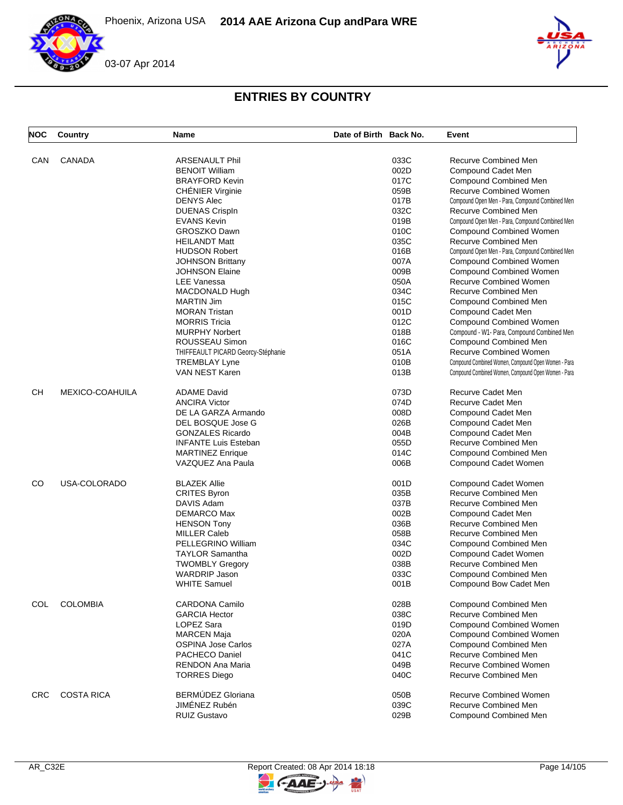Phoenix, Arizona USA **2014 AAE Arizona Cup and Para WRE**



# **ENTRIES BY COUNTRY**

| <b>NOC</b> | Country           | <b>Name</b>                        | Date of Birth Back No. |      | Event                                               |
|------------|-------------------|------------------------------------|------------------------|------|-----------------------------------------------------|
| CAN        | <b>CANADA</b>     | <b>ARSENAULT Phil</b>              |                        | 033C | Recurve Combined Men                                |
|            |                   | <b>BENOIT William</b>              |                        | 002D | Compound Cadet Men                                  |
|            |                   | <b>BRAYFORD Kevin</b>              |                        | 017C | <b>Compound Combined Men</b>                        |
|            |                   |                                    |                        |      |                                                     |
|            |                   | <b>CHÉNIER Virginie</b>            |                        | 059B | <b>Recurve Combined Women</b>                       |
|            |                   | <b>DENYS Alec</b>                  |                        | 017B | Compound Open Men - Para, Compound Combined Men     |
|            |                   | <b>DUENAS CrispIn</b>              |                        | 032C | Recurve Combined Men                                |
|            |                   | <b>EVANS Kevin</b>                 |                        | 019B | Compound Open Men - Para, Compound Combined Men     |
|            |                   | GROSZKO Dawn                       |                        | 010C | <b>Compound Combined Women</b>                      |
|            |                   | <b>HEILANDT Matt</b>               |                        | 035C | Recurve Combined Men                                |
|            |                   | <b>HUDSON Robert</b>               |                        | 016B | Compound Open Men - Para, Compound Combined Men     |
|            |                   | <b>JOHNSON Brittany</b>            |                        | 007A | <b>Compound Combined Women</b>                      |
|            |                   | <b>JOHNSON Elaine</b>              |                        | 009B | <b>Compound Combined Women</b>                      |
|            |                   | <b>LEE Vanessa</b>                 |                        | 050A | <b>Recurve Combined Women</b>                       |
|            |                   | MACDONALD Hugh                     |                        | 034C | Recurve Combined Men                                |
|            |                   | <b>MARTIN Jim</b>                  |                        | 015C | Compound Combined Men                               |
|            |                   | <b>MORAN Tristan</b>               |                        | 001D |                                                     |
|            |                   |                                    |                        |      | Compound Cadet Men                                  |
|            |                   | <b>MORRIS Tricia</b>               |                        | 012C | <b>Compound Combined Women</b>                      |
|            |                   | <b>MURPHY Norbert</b>              |                        | 018B | Compound - W1- Para, Compound Combined Men          |
|            |                   | ROUSSEAU Simon                     |                        | 016C | <b>Compound Combined Men</b>                        |
|            |                   | THIFFEAULT PICARD Georcy-Stéphanie |                        | 051A | <b>Recurve Combined Women</b>                       |
|            |                   | <b>TREMBLAY Lyne</b>               |                        | 010B | Compound Combined Women, Compound Open Women - Para |
|            |                   | <b>VAN NEST Karen</b>              |                        | 013B | Compound Combined Women, Compound Open Women - Para |
| <b>CH</b>  | MEXICO-COAHUILA   | <b>ADAME David</b>                 |                        | 073D | Recurve Cadet Men                                   |
|            |                   | <b>ANCIRA Victor</b>               |                        | 074D | Recurve Cadet Men                                   |
|            |                   | DE LA GARZA Armando                |                        | 008D | Compound Cadet Men                                  |
|            |                   | DEL BOSQUE Jose G                  |                        | 026B | Compound Cadet Men                                  |
|            |                   | <b>GONZALES Ricardo</b>            |                        | 004B | Compound Cadet Men                                  |
|            |                   | <b>INFANTE Luis Esteban</b>        |                        | 055D | Recurve Combined Men                                |
|            |                   | <b>MARTINEZ Enrique</b>            |                        | 014C | Compound Combined Men                               |
|            |                   | VAZQUEZ Ana Paula                  |                        | 006B | Compound Cadet Women                                |
| CO         | USA-COLORADO      | <b>BLAZEK Allie</b>                |                        | 001D | Compound Cadet Women                                |
|            |                   | <b>CRITES Byron</b>                |                        | 035B | Recurve Combined Men                                |
|            |                   | DAVIS Adam                         |                        | 037B | Recurve Combined Men                                |
|            |                   | DEMARCO Max                        |                        | 002B | Compound Cadet Men                                  |
|            |                   |                                    |                        | 036B | Recurve Combined Men                                |
|            |                   | <b>HENSON Tony</b>                 |                        |      |                                                     |
|            |                   | <b>MILLER Caleb</b>                |                        | 058B | <b>Recurve Combined Men</b>                         |
|            |                   | PELLEGRINO William                 |                        | 034C | Compound Combined Men                               |
|            |                   | <b>TAYLOR Samantha</b>             |                        | 002D | Compound Cadet Women                                |
|            |                   | <b>TWOMBLY Gregory</b>             |                        | 038B | Recurve Combined Men                                |
|            |                   | <b>WARDRIP Jason</b>               |                        | 033C | Compound Combined Men                               |
|            |                   | <b>WHITE Samuel</b>                |                        | 001B | Compound Bow Cadet Men                              |
| COL        | <b>COLOMBIA</b>   | <b>CARDONA Camilo</b>              |                        | 028B | Compound Combined Men                               |
|            |                   | <b>GARCIA Hector</b>               |                        | 038C | <b>Recurve Combined Men</b>                         |
|            |                   | LOPEZ Sara                         |                        | 019D | <b>Compound Combined Women</b>                      |
|            |                   | <b>MARCEN Maja</b>                 |                        | 020A | <b>Compound Combined Women</b>                      |
|            |                   | <b>OSPINA Jose Carlos</b>          |                        | 027A | <b>Compound Combined Men</b>                        |
|            |                   | <b>PACHECO Daniel</b>              |                        | 041C | <b>Recurve Combined Men</b>                         |
|            |                   | <b>RENDON Ana Maria</b>            |                        | 049B | <b>Recurve Combined Women</b>                       |
|            |                   | <b>TORRES Diego</b>                |                        | 040C | Recurve Combined Men                                |
| <b>CRC</b> | <b>COSTA RICA</b> | BERMÚDEZ Gloriana                  |                        | 050B | <b>Recurve Combined Women</b>                       |
|            |                   | JIMÉNEZ Rubén                      |                        |      | <b>Recurve Combined Men</b>                         |
|            |                   |                                    |                        | 039C |                                                     |
|            |                   | <b>RUIZ Gustavo</b>                |                        | 029B | Compound Combined Men                               |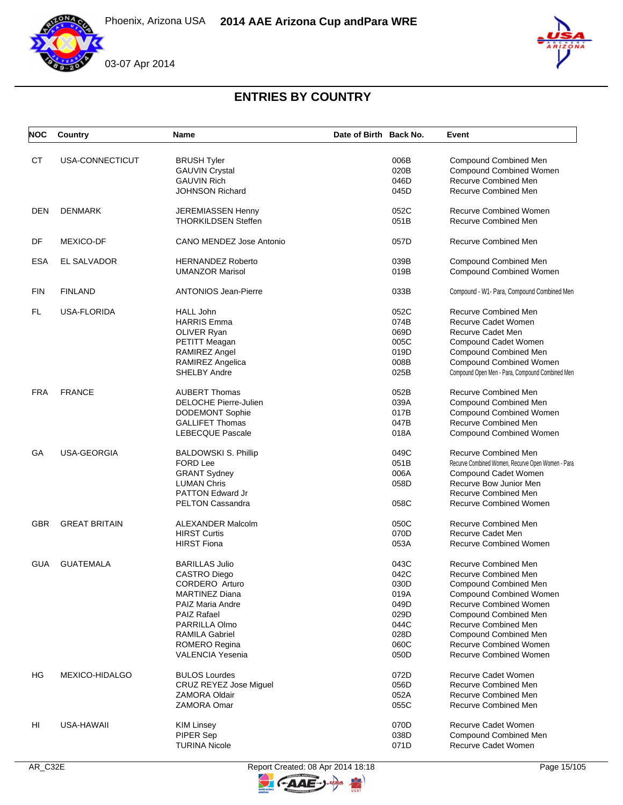





# **ENTRIES BY COUNTRY**

| <b>NOC</b> | Country              | <b>Name</b>                  | Date of Birth Back No. |      | Event                                             |
|------------|----------------------|------------------------------|------------------------|------|---------------------------------------------------|
| СT         | USA-CONNECTICUT      | <b>BRUSH Tyler</b>           |                        | 006B | Compound Combined Men                             |
|            |                      | <b>GAUVIN Crystal</b>        |                        | 020B | Compound Combined Women                           |
|            |                      | <b>GAUVIN Rich</b>           |                        |      | Recurve Combined Men                              |
|            |                      |                              |                        | 046D |                                                   |
|            |                      | <b>JOHNSON Richard</b>       |                        | 045D | Recurve Combined Men                              |
| <b>DEN</b> | <b>DENMARK</b>       | JEREMIASSEN Henny            |                        | 052C | <b>Recurve Combined Women</b>                     |
|            |                      | <b>THORKILDSEN Steffen</b>   |                        | 051B | Recurve Combined Men                              |
| DF         | <b>MEXICO-DF</b>     | CANO MENDEZ Jose Antonio     |                        | 057D | Recurve Combined Men                              |
| <b>ESA</b> | EL SALVADOR          | <b>HERNANDEZ Roberto</b>     |                        | 039B | Compound Combined Men                             |
|            |                      | <b>UMANZOR Marisol</b>       |                        | 019B | Compound Combined Women                           |
| <b>FIN</b> | <b>FINLAND</b>       | <b>ANTONIOS Jean-Pierre</b>  |                        | 033B | Compound - W1- Para, Compound Combined Men        |
| FL.        | USA-FLORIDA          | <b>HALL John</b>             |                        | 052C | Recurve Combined Men                              |
|            |                      | <b>HARRIS Emma</b>           |                        | 074B | Recurve Cadet Women                               |
|            |                      | OLIVER Ryan                  |                        | 069D | Recurve Cadet Men                                 |
|            |                      | PETITT Meagan                |                        | 005C | Compound Cadet Women                              |
|            |                      | RAMIREZ Angel                |                        | 019D | Compound Combined Men                             |
|            |                      | <b>RAMIREZ Angelica</b>      |                        | 008B | <b>Compound Combined Women</b>                    |
|            |                      | <b>SHELBY Andre</b>          |                        | 025B | Compound Open Men - Para, Compound Combined Men   |
| <b>FRA</b> | <b>FRANCE</b>        | <b>AUBERT Thomas</b>         |                        | 052B | Recurve Combined Men                              |
|            |                      | <b>DELOCHE Pierre-Julien</b> |                        | 039A | Compound Combined Men                             |
|            |                      | <b>DODEMONT Sophie</b>       |                        | 017B | <b>Compound Combined Women</b>                    |
|            |                      | <b>GALLIFET Thomas</b>       |                        | 047B | Recurve Combined Men                              |
|            |                      | <b>LEBECQUE Pascale</b>      |                        | 018A | Compound Combined Women                           |
| GА         | USA-GEORGIA          | <b>BALDOWSKI S. Phillip</b>  |                        | 049C | Recurve Combined Men                              |
|            |                      | <b>FORD Lee</b>              |                        | 051B | Recurve Combined Women, Recurve Open Women - Para |
|            |                      | <b>GRANT Sydney</b>          |                        | 006A | Compound Cadet Women                              |
|            |                      | <b>LUMAN Chris</b>           |                        | 058D | Recurve Bow Junior Men                            |
|            |                      | <b>PATTON Edward Jr</b>      |                        |      | Recurve Combined Men                              |
|            |                      | <b>PELTON Cassandra</b>      |                        | 058C | <b>Recurve Combined Women</b>                     |
| <b>GBR</b> | <b>GREAT BRITAIN</b> |                              |                        | 050C | Recurve Combined Men                              |
|            |                      | <b>ALEXANDER Malcolm</b>     |                        |      |                                                   |
|            |                      | <b>HIRST Curtis</b>          |                        | 070D | Recurve Cadet Men                                 |
|            |                      | <b>HIRST Fiona</b>           |                        | 053A | <b>Recurve Combined Women</b>                     |
| <b>GUA</b> | <b>GUATEMALA</b>     | <b>BARILLAS Julio</b>        |                        | 043C | Recurve Combined Men                              |
|            |                      | <b>CASTRO Diego</b>          |                        | 042C | Recurve Combined Men                              |
|            |                      | CORDERO Arturo               |                        | 030D | Compound Combined Men                             |
|            |                      | <b>MARTINEZ Diana</b>        |                        | 019A | <b>Compound Combined Women</b>                    |
|            |                      | PAIZ Maria Andre             |                        | 049D | Recurve Combined Women                            |
|            |                      | <b>PAIZ Rafael</b>           |                        | 029D | <b>Compound Combined Men</b>                      |
|            |                      | PARRILLA Olmo                |                        | 044C | Recurve Combined Men                              |
|            |                      | <b>RAMILA Gabriel</b>        |                        | 028D | Compound Combined Men                             |
|            |                      | <b>ROMERO Regina</b>         |                        | 060C | <b>Recurve Combined Women</b>                     |
|            |                      | <b>VALENCIA Yesenia</b>      |                        | 050D | <b>Recurve Combined Women</b>                     |
| HG         | MEXICO-HIDALGO       | <b>BULOS Lourdes</b>         |                        | 072D | Recurve Cadet Women                               |
|            |                      | CRUZ REYEZ Jose Miguel       |                        | 056D | Recurve Combined Men                              |
|            |                      | <b>ZAMORA Oldair</b>         |                        | 052A | Recurve Combined Men                              |
|            |                      | <b>ZAMORA Omar</b>           |                        | 055C | Recurve Combined Men                              |
| HI         | USA-HAWAII           | <b>KIM Linsey</b>            |                        | 070D | Recurve Cadet Women                               |
|            |                      | PIPER Sep                    |                        | 038D | Compound Combined Men                             |
|            |                      | <b>TURINA Nicole</b>         |                        | 071D | Recurve Cadet Women                               |
|            |                      |                              |                        |      |                                                   |



**FAAE** 

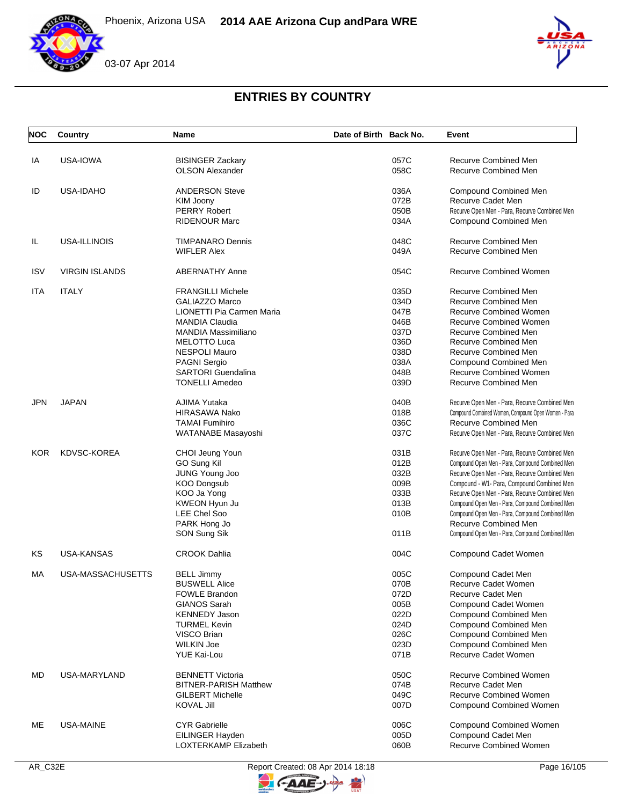





# **ENTRIES BY COUNTRY**

| <b>NOC</b> | Country               | Name                         | Date of Birth Back No. |      | Event                                               |
|------------|-----------------------|------------------------------|------------------------|------|-----------------------------------------------------|
| IA         | USA-IOWA              | <b>BISINGER Zackary</b>      |                        | 057C | Recurve Combined Men                                |
|            |                       | <b>OLSON Alexander</b>       |                        | 058C | <b>Recurve Combined Men</b>                         |
| ID         | <b>USA-IDAHO</b>      | <b>ANDERSON Steve</b>        |                        | 036A | Compound Combined Men                               |
|            |                       | KIM Joony                    |                        | 072B | Recurve Cadet Men                                   |
|            |                       | <b>PERRY Robert</b>          |                        | 050B | Recurve Open Men - Para, Recurve Combined Men       |
|            |                       | <b>RIDENOUR Marc</b>         |                        | 034A | <b>Compound Combined Men</b>                        |
| IL         | USA-ILLINOIS          | <b>TIMPANARO Dennis</b>      |                        | 048C | <b>Recurve Combined Men</b>                         |
|            |                       | <b>WIFLER Alex</b>           |                        | 049A | <b>Recurve Combined Men</b>                         |
| <b>ISV</b> | <b>VIRGIN ISLANDS</b> | <b>ABERNATHY Anne</b>        |                        | 054C | <b>Recurve Combined Women</b>                       |
| ITA        | <b>ITALY</b>          | <b>FRANGILLI Michele</b>     |                        | 035D | Recurve Combined Men                                |
|            |                       | <b>GALIAZZO Marco</b>        |                        | 034D | <b>Recurve Combined Men</b>                         |
|            |                       | LIONETTI Pia Carmen Maria    |                        | 047B | <b>Recurve Combined Women</b>                       |
|            |                       | <b>MANDIA Claudia</b>        |                        | 046B | <b>Recurve Combined Women</b>                       |
|            |                       | <b>MANDIA Massimiliano</b>   |                        | 037D | <b>Recurve Combined Men</b>                         |
|            |                       | <b>MELOTTO Luca</b>          |                        | 036D | Recurve Combined Men                                |
|            |                       | <b>NESPOLI Mauro</b>         |                        | 038D | Recurve Combined Men                                |
|            |                       | <b>PAGNI Sergio</b>          |                        | 038A | Compound Combined Men                               |
|            |                       | <b>SARTORI Guendalina</b>    |                        | 048B | <b>Recurve Combined Women</b>                       |
|            |                       | <b>TONELLI Amedeo</b>        |                        | 039D | <b>Recurve Combined Men</b>                         |
| <b>JPN</b> | <b>JAPAN</b>          | AJIMA Yutaka                 |                        | 040B | Recurve Open Men - Para, Recurve Combined Men       |
|            |                       | <b>HIRASAWA Nako</b>         |                        | 018B | Compound Combined Women, Compound Open Women - Para |
|            |                       | <b>TAMAI Fumihiro</b>        |                        | 036C | Recurve Combined Men                                |
|            |                       | WATANABE Masayoshi           |                        | 037C | Recurve Open Men - Para, Recurve Combined Men       |
| <b>KOR</b> | <b>KDVSC-KOREA</b>    | CHOI Jeung Youn              |                        | 031B | Recurve Open Men - Para, Recurve Combined Men       |
|            |                       | GO Sung Kil                  |                        | 012B | Compound Open Men - Para, Compound Combined Men     |
|            |                       | JUNG Young Joo               |                        | 032B | Recurve Open Men - Para, Recurve Combined Men       |
|            |                       | <b>KOO Dongsub</b>           |                        | 009B | Compound - W1- Para, Compound Combined Men          |
|            |                       | KOO Ja Yong                  |                        | 033B | Recurve Open Men - Para, Recurve Combined Men       |
|            |                       | KWEON Hyun Ju                |                        | 013B | Compound Open Men - Para, Compound Combined Men     |
|            |                       | <b>LEE Chel Soo</b>          |                        | 010B | Compound Open Men - Para, Compound Combined Men     |
|            |                       | PARK Hong Jo                 |                        |      | Recurve Combined Men                                |
|            |                       | SON Sung Sik                 |                        | 011B | Compound Open Men - Para, Compound Combined Men     |
| KS         | USA-KANSAS            | <b>CROOK Dahlia</b>          |                        | 004C | Compound Cadet Women                                |
| MA         | USA-MASSACHUSETTS     | <b>BELL Jimmy</b>            |                        | 005C | Compound Cadet Men                                  |
|            |                       | <b>BUSWELL Alice</b>         |                        | 070B | Recurve Cadet Women                                 |
|            |                       | FOWLE Brandon                |                        | 072D | Recurve Cadet Men                                   |
|            |                       | <b>GIANOS Sarah</b>          |                        | 005B | Compound Cadet Women                                |
|            |                       | <b>KENNEDY Jason</b>         |                        | 022D | <b>Compound Combined Men</b>                        |
|            |                       | <b>TURMEL Kevin</b>          |                        | 024D | <b>Compound Combined Men</b>                        |
|            |                       | VISCO Brian                  |                        | 026C | Compound Combined Men                               |
|            |                       | <b>WILKIN Joe</b>            |                        | 023D | <b>Compound Combined Men</b>                        |
|            |                       | <b>YUE Kai-Lou</b>           |                        | 071B | Recurve Cadet Women                                 |
| MD         | <b>USA-MARYLAND</b>   | <b>BENNETT Victoria</b>      |                        | 050C | <b>Recurve Combined Women</b>                       |
|            |                       | <b>BITNER-PARISH Matthew</b> |                        | 074B | Recurve Cadet Men                                   |
|            |                       | <b>GILBERT Michelle</b>      |                        | 049C | <b>Recurve Combined Women</b>                       |
|            |                       | <b>KOVAL Jill</b>            |                        | 007D | <b>Compound Combined Women</b>                      |
| ME         | USA-MAINE             | <b>CYR Gabrielle</b>         |                        | 006C | <b>Compound Combined Women</b>                      |
|            |                       | EILINGER Hayden              |                        | 005D | Compound Cadet Men                                  |
|            |                       | LOXTERKAMP Elizabeth         |                        | 060B | <b>Recurve Combined Women</b>                       |



 $-AAE$ 

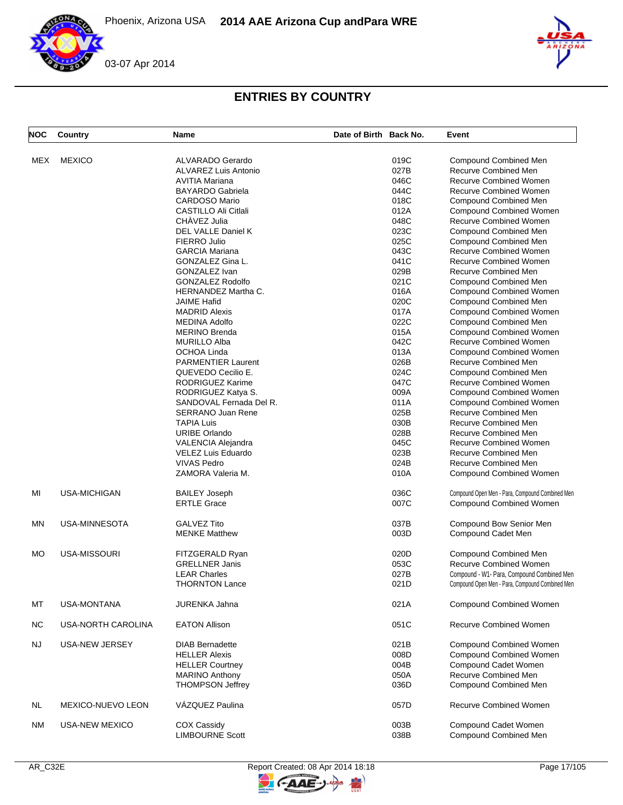Phoenix, Arizona USA **2014 AAE Arizona Cup and Para WRE**





# **ENTRIES BY COUNTRY**

| <b>NOC</b> | Country             | <b>Name</b>                 | Date of Birth Back No. |      | Event                                           |
|------------|---------------------|-----------------------------|------------------------|------|-------------------------------------------------|
| <b>MEX</b> | <b>MEXICO</b>       | <b>ALVARADO Gerardo</b>     |                        | 019C |                                                 |
|            |                     |                             |                        |      | <b>Compound Combined Men</b>                    |
|            |                     | <b>ALVAREZ Luis Antonio</b> |                        | 027B | Recurve Combined Men                            |
|            |                     | <b>AVITIA Mariana</b>       |                        | 046C | <b>Recurve Combined Women</b>                   |
|            |                     | <b>BAYARDO Gabriela</b>     |                        | 044C | <b>Recurve Combined Women</b>                   |
|            |                     | <b>CARDOSO Mario</b>        |                        | 018C | <b>Compound Combined Men</b>                    |
|            |                     | CASTILLO Ali Citlali        |                        | 012A | Compound Combined Women                         |
|            |                     | CHÀVEZ Julia                |                        | 048C | <b>Recurve Combined Women</b>                   |
|            |                     | <b>DEL VALLE Daniel K</b>   |                        | 023C | <b>Compound Combined Men</b>                    |
|            |                     |                             |                        | 025C |                                                 |
|            |                     | FIERRO Julio                |                        |      | Compound Combined Men                           |
|            |                     | <b>GARCIA Mariana</b>       |                        | 043C | Recurve Combined Women                          |
|            |                     | GONZALEZ Gina L.            |                        | 041C | <b>Recurve Combined Women</b>                   |
|            |                     | GONZALEZ Ivan               |                        | 029B | <b>Recurve Combined Men</b>                     |
|            |                     | <b>GONZALEZ Rodolfo</b>     |                        | 021C | <b>Compound Combined Men</b>                    |
|            |                     | <b>HERNANDEZ Martha C.</b>  |                        | 016A | Compound Combined Women                         |
|            |                     | <b>JAIME Hafid</b>          |                        | 020C | Compound Combined Men                           |
|            |                     | <b>MADRID Alexis</b>        |                        | 017A | <b>Compound Combined Women</b>                  |
|            |                     |                             |                        |      |                                                 |
|            |                     | <b>MEDINA Adolfo</b>        |                        | 022C | Compound Combined Men                           |
|            |                     | <b>MERINO Brenda</b>        |                        | 015A | <b>Compound Combined Women</b>                  |
|            |                     | <b>MURILLO Alba</b>         |                        | 042C | Recurve Combined Women                          |
|            |                     | OCHOA Linda                 |                        | 013A | <b>Compound Combined Women</b>                  |
|            |                     | <b>PARMENTIER Laurent</b>   |                        | 026B | <b>Recurve Combined Men</b>                     |
|            |                     | QUEVEDO Cecilio E.          |                        | 024C | <b>Compound Combined Men</b>                    |
|            |                     | RODRIGUEZ Karime            |                        | 047C | <b>Recurve Combined Women</b>                   |
|            |                     | RODRIGUEZ Katya S.          |                        | 009A | <b>Compound Combined Women</b>                  |
|            |                     |                             |                        |      | <b>Compound Combined Women</b>                  |
|            |                     | SANDOVAL Fernada Del R.     |                        | 011A |                                                 |
|            |                     | <b>SERRANO Juan Rene</b>    |                        | 025B | Recurve Combined Men                            |
|            |                     | <b>TAPIA Luis</b>           |                        | 030B | <b>Recurve Combined Men</b>                     |
|            |                     | <b>URIBE Orlando</b>        |                        | 028B | Recurve Combined Men                            |
|            |                     | <b>VALENCIA Alejandra</b>   |                        | 045C | <b>Recurve Combined Women</b>                   |
|            |                     | VELEZ Luis Eduardo          |                        | 023B | <b>Recurve Combined Men</b>                     |
|            |                     | <b>VIVAS Pedro</b>          |                        | 024B | Recurve Combined Men                            |
|            |                     | ZAMORA Valeria M.           |                        | 010A | Compound Combined Women                         |
| MI         | <b>USA-MICHIGAN</b> | <b>BAILEY Joseph</b>        |                        | 036C | Compound Open Men - Para, Compound Combined Men |
|            |                     | <b>ERTLE Grace</b>          |                        | 007C | <b>Compound Combined Women</b>                  |
| MN         | USA-MINNESOTA       | <b>GALVEZ Tito</b>          |                        | 037B | Compound Bow Senior Men                         |
|            |                     | <b>MENKE Matthew</b>        |                        | 003D | Compound Cadet Men                              |
|            |                     |                             |                        |      |                                                 |
|            |                     |                             |                        |      |                                                 |
| MO         | USA-MISSOURI        | FITZGERALD Ryan             |                        | 020D | Compound Combined Men                           |
|            |                     | <b>GRELLNER Janis</b>       |                        | 053C | <b>Recurve Combined Women</b>                   |
|            |                     | <b>LEAR Charles</b>         |                        | 027B | Compound - W1- Para, Compound Combined Men      |
|            |                     | <b>THORNTON Lance</b>       |                        | 021D | Compound Open Men - Para, Compound Combined Men |
| MT         | <b>USA-MONTANA</b>  | <b>JURENKA Jahna</b>        |                        | 021A | <b>Compound Combined Women</b>                  |
| <b>NC</b>  | USA-NORTH CAROLINA  | <b>EATON Allison</b>        |                        | 051C | <b>Recurve Combined Women</b>                   |
| <b>NJ</b>  | USA-NEW JERSEY      | <b>DIAB Bernadette</b>      |                        | 021B | Compound Combined Women                         |
|            |                     | <b>HELLER Alexis</b>        |                        | 008D | Compound Combined Women                         |
|            |                     |                             |                        |      |                                                 |
|            |                     | <b>HELLER Courtney</b>      |                        | 004B | Compound Cadet Women                            |
|            |                     | <b>MARINO Anthony</b>       |                        | 050A | Recurve Combined Men                            |
|            |                     | <b>THOMPSON Jeffrey</b>     |                        | 036D | Compound Combined Men                           |
| NL         | MEXICO-NUEVO LEON   | VÁZQUEZ Paulina             |                        | 057D | Recurve Combined Women                          |
| ΝM         | USA-NEW MEXICO      | COX Cassidy                 |                        | 003B | Compound Cadet Women                            |
|            |                     | <b>LIMBOURNE Scott</b>      |                        | 038B | Compound Combined Men                           |

 $\blacktriangleright$ 

GAAE-J.

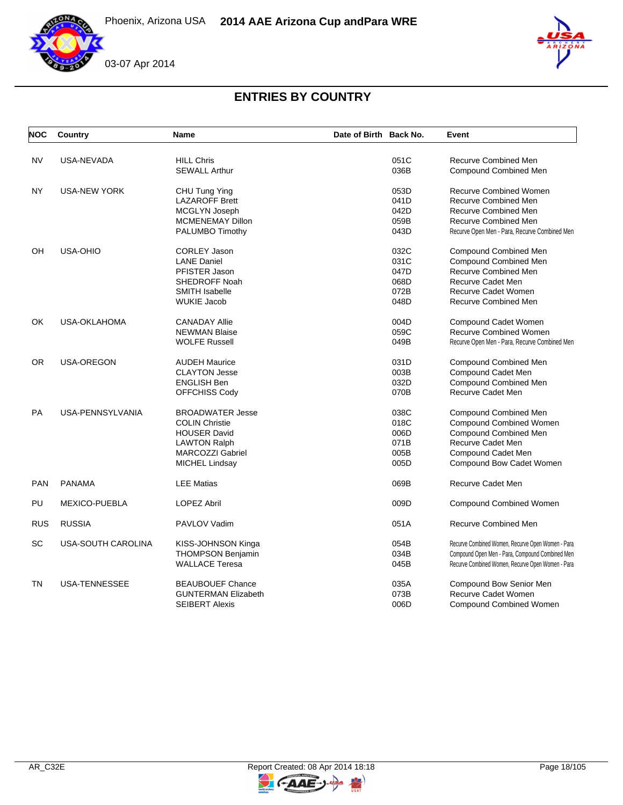





# **ENTRIES BY COUNTRY**

| <b>NOC</b> | Country              | <b>Name</b>                | Date of Birth Back No. | Event                                             |
|------------|----------------------|----------------------------|------------------------|---------------------------------------------------|
| <b>NV</b>  | USA-NEVADA           | <b>HILL Chris</b>          | 051C                   | <b>Recurve Combined Men</b>                       |
|            |                      | <b>SEWALL Arthur</b>       | 036B                   | Compound Combined Men                             |
| <b>NY</b>  | <b>USA-NEW YORK</b>  | CHU Tung Ying              | 053D                   | <b>Recurve Combined Women</b>                     |
|            |                      | <b>LAZAROFF Brett</b>      | 041D                   | Recurve Combined Men                              |
|            |                      | MCGLYN Joseph              | 042D                   | <b>Recurve Combined Men</b>                       |
|            |                      | <b>MCMENEMAY Dillon</b>    | 059B                   | <b>Recurve Combined Men</b>                       |
|            |                      | PALUMBO Timothy            | 043D                   | Recurve Open Men - Para, Recurve Combined Men     |
| OH         | USA-OHIO             | <b>CORLEY Jason</b>        | 032C                   | Compound Combined Men                             |
|            |                      | <b>LANE Daniel</b>         | 031C                   | <b>Compound Combined Men</b>                      |
|            |                      | PFISTER Jason              | 047D                   | Recurve Combined Men                              |
|            |                      | SHEDROFF Noah              | 068D                   | Recurve Cadet Men                                 |
|            |                      | <b>SMITH Isabelle</b>      | 072B                   | Recurve Cadet Women                               |
|            |                      | <b>WUKIE Jacob</b>         | 048D                   | <b>Recurve Combined Men</b>                       |
| OK         | <b>USA-OKLAHOMA</b>  | <b>CANADAY Allie</b>       | 004D                   | Compound Cadet Women                              |
|            |                      | <b>NEWMAN Blaise</b>       | 059C                   | <b>Recurve Combined Women</b>                     |
|            |                      | <b>WOLFE Russell</b>       | 049B                   | Recurve Open Men - Para, Recurve Combined Men     |
| 0R         | USA-OREGON           | <b>AUDEH Maurice</b>       | 031D                   | Compound Combined Men                             |
|            |                      | <b>CLAYTON Jesse</b>       | 003B                   | Compound Cadet Men                                |
|            |                      | <b>ENGLISH Ben</b>         | 032D                   | Compound Combined Men                             |
|            |                      | OFFCHISS Cody              | 070B                   | Recurve Cadet Men                                 |
| <b>PA</b>  | USA-PENNSYLVANIA     | <b>BROADWATER Jesse</b>    | 038C                   | Compound Combined Men                             |
|            |                      | <b>COLIN Christie</b>      | 018C                   | Compound Combined Women                           |
|            |                      | <b>HOUSER David</b>        | 006D                   | Compound Combined Men                             |
|            |                      | <b>LAWTON Ralph</b>        | 071B                   | <b>Recurve Cadet Men</b>                          |
|            |                      | <b>MARCOZZI Gabriel</b>    | 005B                   | Compound Cadet Men                                |
|            |                      | <b>MICHEL Lindsay</b>      | 005D                   | Compound Bow Cadet Women                          |
| <b>PAN</b> | <b>PANAMA</b>        | <b>LEE Matias</b>          | 069B                   | <b>Recurve Cadet Men</b>                          |
| PU         | <b>MEXICO-PUEBLA</b> | <b>LOPEZ Abril</b>         | 009D                   | <b>Compound Combined Women</b>                    |
| <b>RUS</b> | <b>RUSSIA</b>        | PAVLOV Vadim               | 051A                   | <b>Recurve Combined Men</b>                       |
| SC         | USA-SOUTH CAROLINA   | KISS-JOHNSON Kinga         | 054B                   | Recurve Combined Women, Recurve Open Women - Para |
|            |                      | <b>THOMPSON Benjamin</b>   | 034B                   | Compound Open Men - Para, Compound Combined Men   |
|            |                      | <b>WALLACE Teresa</b>      | 045B                   | Recurve Combined Women, Recurve Open Women - Para |
| <b>TN</b>  | <b>USA-TENNESSEE</b> | <b>BEAUBOUEF Chance</b>    | 035A                   | Compound Bow Senior Men                           |
|            |                      | <b>GUNTERMAN Elizabeth</b> | 073B                   | Recurve Cadet Women                               |
|            |                      | <b>SEIBERT Alexis</b>      | 006D                   | <b>Compound Combined Women</b>                    |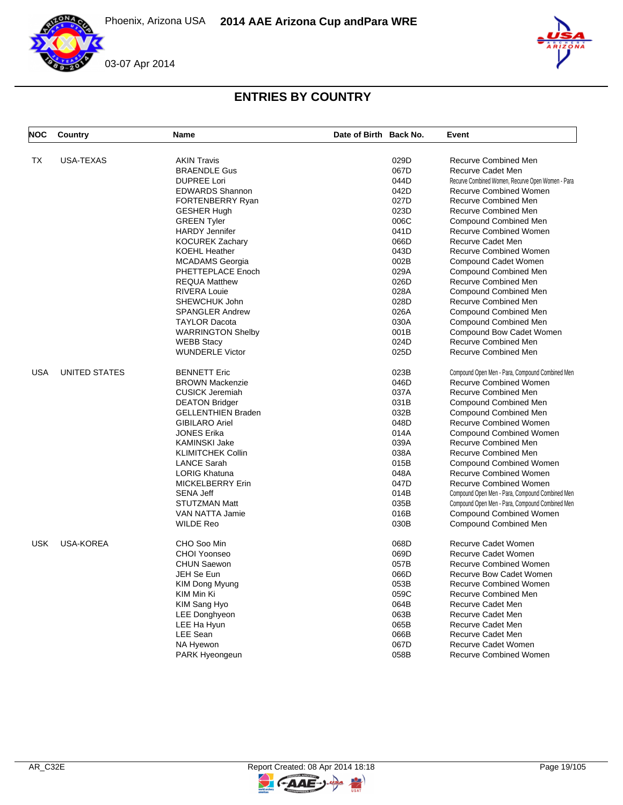Phoenix, Arizona USA **2014 AAE Arizona Cup and Para WRE**





# **ENTRIES BY COUNTRY**

| <b>NOC</b> | Country              | <b>Name</b>               | Date of Birth Back No. |      | Event                                             |
|------------|----------------------|---------------------------|------------------------|------|---------------------------------------------------|
| <b>TX</b>  | <b>USA-TEXAS</b>     | <b>AKIN Travis</b>        |                        | 029D | <b>Recurve Combined Men</b>                       |
|            |                      |                           |                        |      |                                                   |
|            |                      | <b>BRAENDLE Gus</b>       |                        | 067D | Recurve Cadet Men                                 |
|            |                      | <b>DUPREE Lori</b>        |                        | 044D | Recurve Combined Women, Recurve Open Women - Para |
|            |                      | <b>EDWARDS Shannon</b>    |                        | 042D | <b>Recurve Combined Women</b>                     |
|            |                      | FORTENBERRY Ryan          |                        | 027D | Recurve Combined Men                              |
|            |                      | <b>GESHER Hugh</b>        |                        | 023D | Recurve Combined Men                              |
|            |                      | <b>GREEN Tyler</b>        |                        | 006C | <b>Compound Combined Men</b>                      |
|            |                      | <b>HARDY Jennifer</b>     |                        | 041D | <b>Recurve Combined Women</b>                     |
|            |                      | <b>KOCUREK Zachary</b>    |                        | 066D | <b>Recurve Cadet Men</b>                          |
|            |                      | <b>KOEHL Heather</b>      |                        | 043D | <b>Recurve Combined Women</b>                     |
|            |                      | <b>MCADAMS</b> Georgia    |                        | 002B | Compound Cadet Women                              |
|            |                      | PHETTEPLACE Enoch         |                        | 029A | Compound Combined Men                             |
|            |                      | <b>REQUA Matthew</b>      |                        | 026D | Recurve Combined Men                              |
|            |                      | <b>RIVERA Louie</b>       |                        | 028A | <b>Compound Combined Men</b>                      |
|            |                      | SHEWCHUK John             |                        | 028D | Recurve Combined Men                              |
|            |                      | <b>SPANGLER Andrew</b>    |                        | 026A | <b>Compound Combined Men</b>                      |
|            |                      | <b>TAYLOR Dacota</b>      |                        | 030A | Compound Combined Men                             |
|            |                      | <b>WARRINGTON Shelby</b>  |                        | 001B | Compound Bow Cadet Women                          |
|            |                      | <b>WEBB Stacy</b>         |                        | 024D | <b>Recurve Combined Men</b>                       |
|            |                      | <b>WUNDERLE Victor</b>    |                        | 025D | <b>Recurve Combined Men</b>                       |
| <b>USA</b> | <b>UNITED STATES</b> | <b>BENNETT Eric</b>       |                        | 023B | Compound Open Men - Para, Compound Combined Men   |
|            |                      | <b>BROWN Mackenzie</b>    |                        | 046D | <b>Recurve Combined Women</b>                     |
|            |                      | <b>CUSICK Jeremiah</b>    |                        | 037A | Recurve Combined Men                              |
|            |                      | <b>DEATON Bridger</b>     |                        | 031B | Compound Combined Men                             |
|            |                      | <b>GELLENTHIEN Braden</b> |                        | 032B | <b>Compound Combined Men</b>                      |
|            |                      | <b>GIBILARO Ariel</b>     |                        | 048D | Recurve Combined Women                            |
|            |                      | <b>JONES Erika</b>        |                        | 014A | <b>Compound Combined Women</b>                    |
|            |                      | <b>KAMINSKI Jake</b>      |                        | 039A | Recurve Combined Men                              |
|            |                      | <b>KLIMITCHEK Collin</b>  |                        | 038A | Recurve Combined Men                              |
|            |                      | <b>LANCE Sarah</b>        |                        | 015B | <b>Compound Combined Women</b>                    |
|            |                      | <b>LORIG Khatuna</b>      |                        | 048A | <b>Recurve Combined Women</b>                     |
|            |                      | <b>MICKELBERRY Erin</b>   |                        | 047D | <b>Recurve Combined Women</b>                     |
|            |                      | <b>SENA Jeff</b>          |                        | 014B | Compound Open Men - Para, Compound Combined Men   |
|            |                      | STUTZMAN Matt             |                        | 035B | Compound Open Men - Para, Compound Combined Men   |
|            |                      | VAN NATTA Jamie           |                        | 016B | <b>Compound Combined Women</b>                    |
|            |                      | <b>WILDE Reo</b>          |                        | 030B | <b>Compound Combined Men</b>                      |
| <b>USK</b> | <b>USA-KOREA</b>     | CHO Soo Min               |                        | 068D | <b>Recurve Cadet Women</b>                        |
|            |                      | CHOI Yoonseo              |                        | 069D | Recurve Cadet Women                               |
|            |                      | <b>CHUN Saewon</b>        |                        | 057B | <b>Recurve Combined Women</b>                     |
|            |                      | JEH Se Eun                |                        | 066D | <b>Recurve Bow Cadet Women</b>                    |
|            |                      | <b>KIM Dong Myung</b>     |                        | 053B | <b>Recurve Combined Women</b>                     |
|            |                      | KIM Min Ki                |                        | 059C | Recurve Combined Men                              |
|            |                      | KIM Sang Hyo              |                        | 064B | <b>Recurve Cadet Men</b>                          |
|            |                      | <b>LEE Donghyeon</b>      |                        | 063B | Recurve Cadet Men                                 |
|            |                      | LEE Ha Hyun               |                        | 065B | Recurve Cadet Men                                 |
|            |                      | LEE Sean                  |                        | 066B | <b>Recurve Cadet Men</b>                          |
|            |                      |                           |                        |      |                                                   |
|            |                      | NA Hyewon                 |                        | 067D | <b>Recurve Cadet Women</b>                        |
|            |                      | <b>PARK Hyeongeun</b>     |                        | 058B | Recurve Combined Women                            |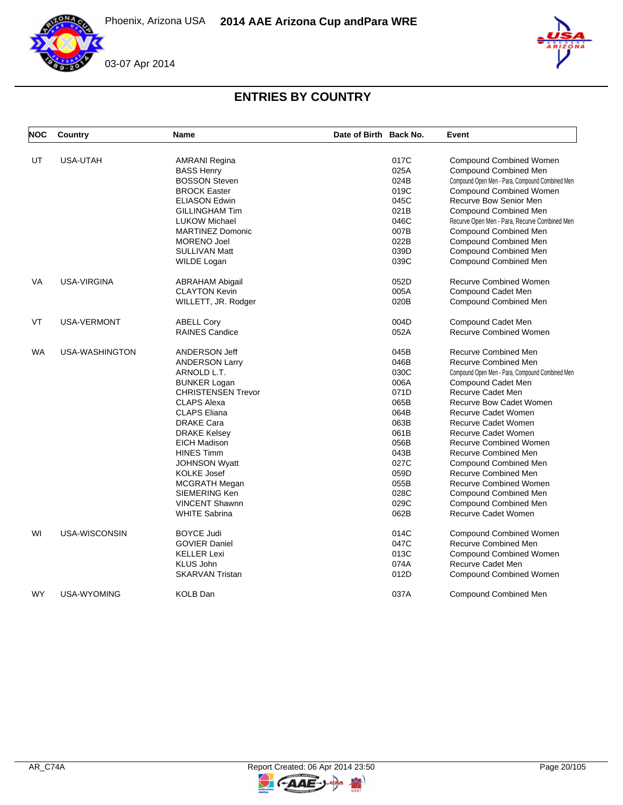Phoenix, Arizona USA **2014 AAE Arizona Cup and Para WRE**





# **ENTRIES BY COUNTRY**

| <b>NOC</b> | Country            | Name                               | Date of Birth Back No. |      | Event                                           |
|------------|--------------------|------------------------------------|------------------------|------|-------------------------------------------------|
| UT         | USA-UTAH           |                                    |                        | 017C | <b>Compound Combined Women</b>                  |
|            |                    | AMRANI Regina<br><b>BASS Henry</b> |                        | 025A | <b>Compound Combined Men</b>                    |
|            |                    | <b>BOSSON Steven</b>               |                        | 024B | Compound Open Men - Para, Compound Combined Men |
|            |                    | <b>BROCK Easter</b>                |                        | 019C | Compound Combined Women                         |
|            |                    | <b>ELIASON Edwin</b>               |                        | 045C | Recurve Bow Senior Men                          |
|            |                    | <b>GILLINGHAM Tim</b>              |                        | 021B | <b>Compound Combined Men</b>                    |
|            |                    | <b>LUKOW Michael</b>               |                        | 046C |                                                 |
|            |                    | <b>MARTINEZ Domonic</b>            |                        | 007B | Recurve Open Men - Para, Recurve Combined Men   |
|            |                    |                                    |                        | 022B | Compound Combined Men                           |
|            |                    | <b>MORENO Joel</b>                 |                        |      | <b>Compound Combined Men</b>                    |
|            |                    | <b>SULLIVAN Matt</b>               |                        | 039D | Compound Combined Men                           |
|            |                    | <b>WILDE Logan</b>                 |                        | 039C | <b>Compound Combined Men</b>                    |
| <b>VA</b>  | <b>USA-VIRGINA</b> | <b>ABRAHAM Abigail</b>             |                        | 052D | <b>Recurve Combined Women</b>                   |
|            |                    | <b>CLAYTON Kevin</b>               |                        | 005A | Compound Cadet Men                              |
|            |                    | WILLETT, JR. Rodger                |                        | 020B | Compound Combined Men                           |
| <b>VT</b>  | <b>USA-VERMONT</b> | <b>ABELL Corv</b>                  |                        | 004D | Compound Cadet Men                              |
|            |                    | <b>RAINES Candice</b>              |                        | 052A | <b>Recurve Combined Women</b>                   |
| <b>WA</b>  | USA-WASHINGTON     | <b>ANDERSON Jeff</b>               |                        | 045B | <b>Recurve Combined Men</b>                     |
|            |                    | <b>ANDERSON Larry</b>              |                        | 046B | <b>Recurve Combined Men</b>                     |
|            |                    | ARNOLD L.T.                        |                        | 030C | Compound Open Men - Para, Compound Combined Men |
|            |                    | <b>BUNKER Logan</b>                |                        | 006A | Compound Cadet Men                              |
|            |                    | <b>CHRISTENSEN Trevor</b>          |                        | 071D | Recurve Cadet Men                               |
|            |                    | <b>CLAPS Alexa</b>                 |                        | 065B | <b>Recurve Bow Cadet Women</b>                  |
|            |                    | <b>CLAPS Eliana</b>                |                        | 064B | Recurve Cadet Women                             |
|            |                    | <b>DRAKE Cara</b>                  |                        | 063B | <b>Recurve Cadet Women</b>                      |
|            |                    | <b>DRAKE Kelsey</b>                |                        | 061B | Recurve Cadet Women                             |
|            |                    | <b>EICH Madison</b>                |                        | 056B | <b>Recurve Combined Women</b>                   |
|            |                    | <b>HINES Timm</b>                  |                        | 043B | Recurve Combined Men                            |
|            |                    | <b>JOHNSON Wyatt</b>               |                        | 027C | <b>Compound Combined Men</b>                    |
|            |                    | <b>KOLKE Josef</b>                 |                        | 059D | Recurve Combined Men                            |
|            |                    | <b>MCGRATH Megan</b>               |                        | 055B | <b>Recurve Combined Women</b>                   |
|            |                    | SIEMERING Ken                      |                        | 028C | <b>Compound Combined Men</b>                    |
|            |                    | <b>VINCENT Shawnn</b>              |                        | 029C | <b>Compound Combined Men</b>                    |
|            |                    | <b>WHITE Sabrina</b>               |                        | 062B | <b>Recurve Cadet Women</b>                      |
|            |                    |                                    |                        |      |                                                 |
| WI         | USA-WISCONSIN      | <b>BOYCE Judi</b>                  |                        | 014C | Compound Combined Women                         |
|            |                    | <b>GOVIER Daniel</b>               |                        | 047C | <b>Recurve Combined Men</b>                     |
|            |                    | <b>KELLER Lexi</b>                 |                        | 013C | Compound Combined Women                         |
|            |                    | <b>KLUS John</b>                   |                        | 074A | Recurve Cadet Men                               |
|            |                    | <b>SKARVAN Tristan</b>             |                        | 012D | <b>Compound Combined Women</b>                  |
| <b>WY</b>  | USA-WYOMING        | <b>KOLB Dan</b>                    |                        | 037A | Compound Combined Men                           |

 $\blacktriangleright$ 

GAAE-J.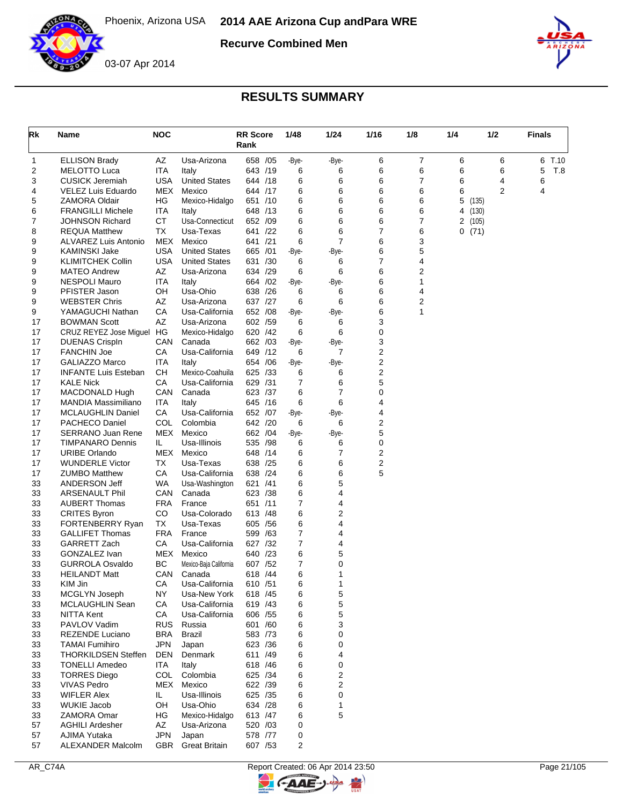

**Recurve Combined Men**



### 03-07 Apr 2014

| Rk       | Name                                           | <b>NOC</b>       |                                | <b>RR Score</b><br>Rank | 1/48  | 1/24                | 1/16   | 1/8    | 1/4            | 1/2            | <b>Finals</b> |
|----------|------------------------------------------------|------------------|--------------------------------|-------------------------|-------|---------------------|--------|--------|----------------|----------------|---------------|
| 1        | <b>ELLISON Brady</b>                           | AΖ               | Usa-Arizona                    | 658 / 05                |       | -Bye-<br>-Bye-      | 6      | 7      | 6              | 6              | 6<br>T.10     |
| 2        | <b>MELOTTO Luca</b>                            | ITA              | Italy                          | 643 /19                 |       | 6<br>6              | 6      | 6      | 6              | 6              | 5<br>T.8      |
| 3        | <b>CUSICK Jeremiah</b>                         | USA              | <b>United States</b>           | 644 /18                 |       | 6<br>6              | 6      | 7      | 6              | 4              | 6             |
| 4        | <b>VELEZ Luis Eduardo</b>                      | MEX              | Mexico                         | 644 /17                 |       | 6<br>6              | 6      | 6      | 6              | 2              | 4             |
| 5        | <b>ZAMORA Oldair</b>                           | ΗG               | Mexico-Hidalgo                 | 651 /10                 |       | 6<br>6              | 6      | 6      | 5              | (135)          |               |
| 6<br>7   | <b>FRANGILLI Michele</b>                       | ITA<br><b>CT</b> | Italy<br>Usa-Connecticut       | 648 /13<br>652 /09      |       | 6<br>6<br>6         | 6<br>6 | 6<br>7 | 4              | (130)          |               |
| 8        | <b>JOHNSON Richard</b><br><b>REQUA Matthew</b> | ТX               | Usa-Texas                      | 641 /22                 |       | 6<br>6<br>6         | 7      | 6      | $\overline{2}$ | (105)<br>0(71) |               |
| 9        | ALVAREZ Luis Antonio                           | MEX              | Mexico                         | 641 /21                 |       | $\overline{7}$<br>6 | 6      | 3      |                |                |               |
| 9        | <b>KAMINSKI Jake</b>                           | <b>USA</b>       | <b>United States</b>           | 665 /01                 |       | -Bye-<br>-Bye-      | 6      | 5      |                |                |               |
| 9        | <b>KLIMITCHEK Collin</b>                       | <b>USA</b>       | <b>United States</b>           | 631 /30                 |       | 6<br>6              | 7      | 4      |                |                |               |
| 9        | <b>MATEO Andrew</b>                            | AΖ               | Usa-Arizona                    | 634 /29                 |       | 6<br>6              | 6      | 2      |                |                |               |
| 9        | <b>NESPOLI Mauro</b>                           | ITA              | Italy                          | 664 / 02                | -Bye- | -Bye-               | 6      | 1      |                |                |               |
| 9        | PFISTER Jason                                  | OН               | Usa-Ohio                       | 638 /26                 |       | 6<br>6              | 6      | 4      |                |                |               |
| 9        | <b>WEBSTER Chris</b>                           | AΖ               | Usa-Arizona                    | 637 /27                 |       | 6<br>6              | 6      | 2      |                |                |               |
| 9        | YAMAGUCHI Nathan                               | СA               | Usa-California                 | 652 /08                 | -Bye- | -Bye-               | 6      | 1      |                |                |               |
| 17       | <b>BOWMAN Scott</b>                            | AZ               | Usa-Arizona                    | 602 /59                 |       | 6<br>6              | 3      |        |                |                |               |
| 17<br>17 | CRUZ REYEZ Jose Miguel HG                      | CAN              | Mexico-Hidalgo<br>Canada       | 620<br>/42<br>662 /03   |       | 6<br>6              | 0<br>3 |        |                |                |               |
| 17       | <b>DUENAS Crispln</b><br><b>FANCHIN Joe</b>    | CA               | Usa-California                 | 649 /12                 | -Bye- | -Bye-<br>6<br>7     | 2      |        |                |                |               |
| 17       | <b>GALIAZZO Marco</b>                          | ITA              | Italy                          | 654 / 06                | -Bye- | -Bye-               | 2      |        |                |                |               |
| 17       | <b>INFANTE Luis Esteban</b>                    | CН               | Mexico-Coahuila                | 625 /33                 |       | 6<br>6              | 2      |        |                |                |               |
| 17       | <b>KALE Nick</b>                               | CA               | Usa-California                 | 629 /31                 |       | 7<br>6              | 5      |        |                |                |               |
| 17       | MACDONALD Hugh                                 | CAN              | Canada                         | 623 /37                 |       | $\overline{7}$<br>6 | 0      |        |                |                |               |
| 17       | <b>MANDIA Massimiliano</b>                     | ITA              | Italy                          | 645 /16                 |       | 6<br>6              | 4      |        |                |                |               |
| 17       | <b>MCLAUGHLIN Daniel</b>                       | СA               | Usa-California                 | 652 /07                 | -Bye- | -Bye-               | 4      |        |                |                |               |
| 17       | PACHECO Daniel                                 | COL              | Colombia                       | 642 /20                 |       | 6<br>6              | 2      |        |                |                |               |
| 17       | <b>SERRANO Juan Rene</b>                       | MEX              | Mexico                         | 662 /04                 |       | -Bye-<br>-Bye-      | 5      |        |                |                |               |
| 17       | TIMPANARO Dennis                               | IL.              | Usa-Illinois                   | 535<br>/98              |       | 6<br>6              | 0      |        |                |                |               |
| 17<br>17 | <b>URIBE Orlando</b><br><b>WUNDERLE Victor</b> | MEX<br>ТX        | Mexico<br>Usa-Texas            | 648 / 14<br>638 /25     |       | 6<br>7<br>6<br>6    | 2<br>2 |        |                |                |               |
| 17       | <b>ZUMBO Matthew</b>                           | СA               | Usa-California                 | /24<br>638              |       | 6<br>6              | 5      |        |                |                |               |
| 33       | ANDERSON Jeff                                  | WA               | Usa-Washington                 | 621 /41                 |       | 5<br>6              |        |        |                |                |               |
| 33       | <b>ARSENAULT Phil</b>                          | CAN              | Canada                         | 623 /38                 |       | 6<br>4              |        |        |                |                |               |
| 33       | <b>AUBERT Thomas</b>                           | FRA              | France                         | 651 /11                 |       | $\overline{7}$<br>4 |        |        |                |                |               |
| 33       | <b>CRITES Byron</b>                            | CO               | Usa-Colorado                   | 613<br>/48              |       | 6<br>2              |        |        |                |                |               |
| 33       | FORTENBERRY Ryan                               | ТX               | Usa-Texas                      | 605 / 56                |       | 6<br>4              |        |        |                |                |               |
| 33       | <b>GALLIFET Thomas</b>                         | <b>FRA</b>       | France                         | 599 /63                 |       | $\overline{7}$<br>4 |        |        |                |                |               |
| 33       | <b>GARRETT Zach</b>                            | СA               | Usa-California                 | 627 /32                 |       | 7<br>4              |        |        |                |                |               |
| 33       | GONZALEZ Ivan                                  | MEX              | Mexico                         | 640 /23                 |       | 6<br>5              |        |        |                |                |               |
| 33       | <b>GURROLA Osvaldo</b>                         | BC               | Mexico-Baja California         | 607 / 52                |       | 7<br>0              |        |        |                |                |               |
| 33<br>33 | <b>HEILANDT Matt</b><br>KIM Jin                | CAN<br>CА        | Canada                         | 618 / 44                |       | 6<br>1<br>6<br>1    |        |        |                |                |               |
| 33       | MCGLYN Joseph                                  | ΝY               | Usa-California<br>Usa-New York | 610 / 51<br>618 / 45    |       | 5<br>6              |        |        |                |                |               |
| 33       | MCLAUGHLIN Sean                                | CA               | Usa-California                 | 619 /43                 |       | 5<br>6              |        |        |                |                |               |
| 33       | <b>NITTA Kent</b>                              | CA               | Usa-California                 | 606 / 55                |       | 5<br>6              |        |        |                |                |               |
| 33       | PAVLOV Vadim                                   | <b>RUS</b>       | Russia                         | 601 /60                 |       | 3<br>6              |        |        |                |                |               |
| 33       | <b>REZENDE Luciano</b>                         | BRA              | <b>Brazil</b>                  | 583 /73                 |       | 6<br>0              |        |        |                |                |               |
| 33       | <b>TAMAI Fumihiro</b>                          | <b>JPN</b>       | Japan                          | 623 / 36                |       | 6<br>0              |        |        |                |                |               |
| 33       | <b>THORKILDSEN Steffen</b>                     | DEN              | Denmark                        | 611 /49                 |       | 6<br>4              |        |        |                |                |               |
| 33       | <b>TONELLI Amedeo</b>                          | <b>ITA</b>       | Italy                          | 618 / 46                |       | 6<br>0              |        |        |                |                |               |
| 33       | <b>TORRES Diego</b>                            | <b>COL</b>       | Colombia                       | 625 /34                 |       | 2<br>6              |        |        |                |                |               |
| 33       | <b>VIVAS Pedro</b>                             |                  | MEX Mexico                     | 622 /39                 |       | 2<br>6              |        |        |                |                |               |
| 33<br>33 | <b>WIFLER Alex</b><br><b>WUKIE Jacob</b>       | IL.<br>OH        | Usa-Illinois<br>Usa-Ohio       | 625 /35<br>634 /28      |       | 0<br>6<br>6<br>1    |        |        |                |                |               |
| 33       | ZAMORA Omar                                    | HG               | Mexico-Hidalgo                 | 613 /47                 |       | 5<br>6              |        |        |                |                |               |
| 57       | <b>AGHILI Ardesher</b>                         | AZ               | Usa-Arizona                    | 520 /03                 |       | 0                   |        |        |                |                |               |
| 57       | AJIMA Yutaka                                   | <b>JPN</b>       | Japan                          | 578 /77                 |       | 0                   |        |        |                |                |               |
| 57       | ALEXANDER Malcolm                              | GBR              | <b>Great Britain</b>           | 607 / 53                |       | 2                   |        |        |                |                |               |



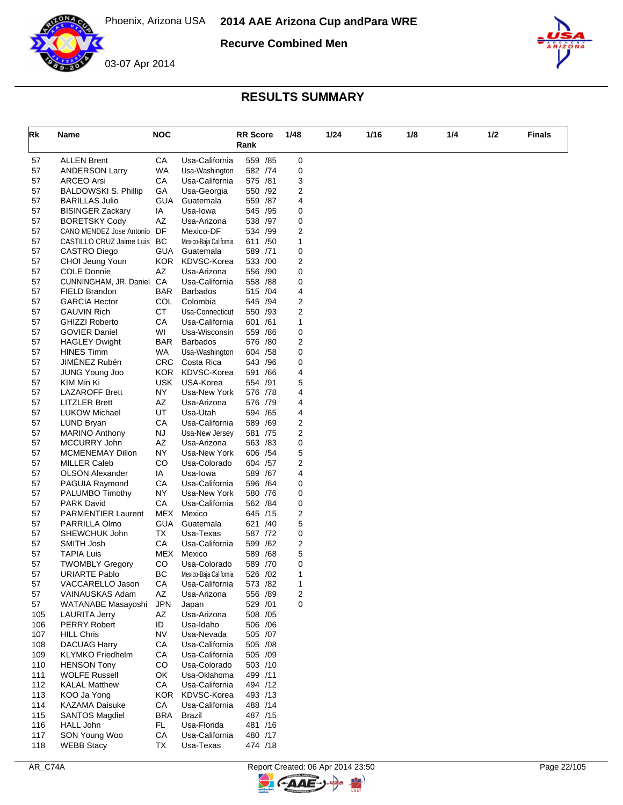

**Recurve Combined Men**



## **RESULTS SUMMARY**

| Rk         | Name                                                    | <b>NOC</b>              |                                   | <b>RR</b> Score<br>Rank |     | 1/48   | 1/24 | 1/16 | 1/8 | 1/4 | 1/2 | <b>Finals</b> |
|------------|---------------------------------------------------------|-------------------------|-----------------------------------|-------------------------|-----|--------|------|------|-----|-----|-----|---------------|
| 57         | <b>ALLEN Brent</b>                                      | CA                      | Usa-California                    | 559 /85                 |     | 0      |      |      |     |     |     |               |
| 57         | <b>ANDERSON Larry</b>                                   | WA                      | Usa-Washington                    | 582 /74                 |     | 0      |      |      |     |     |     |               |
| 57         | <b>ARCEO Arsi</b>                                       | СA                      | Usa-California                    | 575 /81                 |     | 3      |      |      |     |     |     |               |
| 57         | <b>BALDOWSKI S. Phillip</b>                             | GA                      | Usa-Georgia                       | 550 /92                 |     | 2      |      |      |     |     |     |               |
| 57         | <b>BARILLAS Julio</b>                                   | GUA                     | Guatemala                         | 559 /87                 |     | 4      |      |      |     |     |     |               |
| 57         | <b>BISINGER Zackary</b>                                 | ΙA                      | Usa-lowa                          | 545 /95                 |     | 0      |      |      |     |     |     |               |
| 57         | <b>BORETSKY Cody</b>                                    | AZ<br>DF                | Usa-Arizona<br>Mexico-DF          | 538 /97<br>534 /99      |     | 0<br>2 |      |      |     |     |     |               |
| 57<br>57   | CANO MENDEZ Jose Antonio<br>CASTILLO CRUZ Jaime Luis BC |                         | Mexico-Baja California            | 611 /50                 |     | 1      |      |      |     |     |     |               |
| 57         | CASTRO Diego                                            | <b>GUA</b>              | Guatemala                         | 589 /71                 |     | 0      |      |      |     |     |     |               |
| 57         | CHOI Jeung Youn                                         | KOR.                    | KDVSC-Korea                       | 533 /00                 |     | 2      |      |      |     |     |     |               |
| 57         | <b>COLE Donnie</b>                                      | AZ                      | Usa-Arizona                       | 556 /90                 |     | 0      |      |      |     |     |     |               |
| 57         | CUNNINGHAM, JR. Daniel                                  | CA                      | Usa-California                    | 558 /88                 |     | 0      |      |      |     |     |     |               |
| 57         | FIELD Brandon                                           | <b>BAR</b>              | <b>Barbados</b>                   | 515 /04                 |     | 4      |      |      |     |     |     |               |
| 57         | <b>GARCIA Hector</b>                                    | COL                     | Colombia                          | 545 /94                 |     | 2      |      |      |     |     |     |               |
| 57         | <b>GAUVIN Rich</b>                                      | CT                      | Usa-Connecticut                   | 550 /93                 |     | 2      |      |      |     |     |     |               |
| 57         | <b>GHIZZI Roberto</b>                                   | CA                      | Usa-California                    | 601 /61                 |     | 1      |      |      |     |     |     |               |
| 57         | <b>GOVIER Daniel</b>                                    | WI                      | Usa-Wisconsin                     | 559 /86                 |     | 0      |      |      |     |     |     |               |
| 57<br>57   | <b>HAGLEY Dwight</b><br><b>HINES Timm</b>               | <b>BAR</b><br><b>WA</b> | <b>Barbados</b>                   | 576 /80<br>604 / 58     |     | 2<br>0 |      |      |     |     |     |               |
| 57         | JIMÉNEZ Rubén                                           | <b>CRC</b>              | Usa-Washington<br>Costa Rica      | 543                     | /96 | 0      |      |      |     |     |     |               |
| 57         | <b>JUNG Young Joo</b>                                   | KOR.                    | KDVSC-Korea                       | 591 /66                 |     | 4      |      |      |     |     |     |               |
| 57         | KIM Min Ki                                              | <b>USK</b>              | USA-Korea                         | 554 /91                 |     | 5      |      |      |     |     |     |               |
| 57         | <b>LAZAROFF Brett</b>                                   | NY                      | Usa-New York                      | 576 /78                 |     | 4      |      |      |     |     |     |               |
| 57         | <b>LITZLER Brett</b>                                    | AZ                      | Usa-Arizona                       | 576 /79                 |     | 4      |      |      |     |     |     |               |
| 57         | <b>LUKOW Michael</b>                                    | UT                      | Usa-Utah                          | 594 /65                 |     | 4      |      |      |     |     |     |               |
| 57         | LUND Bryan                                              | СA                      | Usa-California                    | 589 /69                 |     | 2      |      |      |     |     |     |               |
| 57         | <b>MARINO Anthony</b>                                   | <b>NJ</b>               | Usa-New Jersey                    | 581 /75                 |     | 2      |      |      |     |     |     |               |
| 57         | MCCURRY John                                            | AZ                      | Usa-Arizona                       | 563 /83                 |     | 0      |      |      |     |     |     |               |
| 57         | MCMENEMAY Dillon                                        | NY                      | Usa-New York                      | 606 / 54                |     | 5      |      |      |     |     |     |               |
| 57<br>57   | <b>MILLER Caleb</b><br><b>OLSON Alexander</b>           | CO<br>IA                | Usa-Colorado<br>Usa-lowa          | 604 /57<br>589 /67      |     | 2<br>4 |      |      |     |     |     |               |
| 57         | PAGUIA Raymond                                          | CA                      | Usa-California                    | 596 /64                 |     | 0      |      |      |     |     |     |               |
| 57         | PALUMBO Timothy                                         | <b>NY</b>               | Usa-New York                      | 580 /76                 |     | 0      |      |      |     |     |     |               |
| 57         | <b>PARK David</b>                                       | CA                      | Usa-California                    | 562 / 84                |     | 0      |      |      |     |     |     |               |
| 57         | <b>PARMENTIER Laurent</b>                               | MEX                     | Mexico                            | 645 /15                 |     | 2      |      |      |     |     |     |               |
| 57         | PARRILLA Olmo                                           | GUA                     | Guatemala                         | 621 /40                 |     | 5      |      |      |     |     |     |               |
| 57         | SHEWCHUK John                                           | TX                      | Usa-Texas                         | 587 /72                 |     | 0      |      |      |     |     |     |               |
| 57         | SMITH Josh                                              | CA                      | Usa-California                    | 599 /62                 |     | 2      |      |      |     |     |     |               |
| 57         | <b>TAPIA Luis</b>                                       | MEX                     | Mexico                            | 589 /68                 |     | 5      |      |      |     |     |     |               |
| 57         | <b>TWOMBLY Gregory</b>                                  | CO                      | Usa-Colorado                      | 589 /70                 |     | 0      |      |      |     |     |     |               |
| 57         | <b>URIARTE Pablo</b>                                    | ВC                      | Mexico-Baja California            | 526 /02                 |     | 1      |      |      |     |     |     |               |
| 57<br>57   | VACCARELLO Jason<br>VAINAUSKAS Adam                     | CА<br>AZ                | Usa-California<br>Usa-Arizona     | 573 / 82<br>556 /89     |     | 1<br>2 |      |      |     |     |     |               |
| 57         | WATANABE Masayoshi                                      | <b>JPN</b>              | Japan                             | 529 /01                 |     | 0      |      |      |     |     |     |               |
| 105        | <b>LAURITA Jerry</b>                                    | AZ                      | Usa-Arizona                       | 508 /05                 |     |        |      |      |     |     |     |               |
| 106        | <b>PERRY Robert</b>                                     | ID                      | Usa-Idaho                         | 506 /06                 |     |        |      |      |     |     |     |               |
| 107        | <b>HILL Chris</b>                                       | <b>NV</b>               | Usa-Nevada                        | 505 /07                 |     |        |      |      |     |     |     |               |
| 108        | <b>DACUAG Harry</b>                                     | CA                      | Usa-California                    | 505 /08                 |     |        |      |      |     |     |     |               |
| 109        | <b>KLYMKO Friedhelm</b>                                 | CA                      | Usa-California                    | 505 /09                 |     |        |      |      |     |     |     |               |
| 110        | <b>HENSON Tony</b>                                      | CO                      | Usa-Colorado                      | 503 /10                 |     |        |      |      |     |     |     |               |
| 111        | <b>WOLFE Russell</b>                                    | OK                      | Usa-Oklahoma                      | 499 /11                 |     |        |      |      |     |     |     |               |
| 112        | <b>KALAL Matthew</b>                                    | СA                      | Usa-California                    | 494 /12                 |     |        |      |      |     |     |     |               |
| 113<br>114 | KOO Ja Yong<br><b>KAZAMA Daisuke</b>                    | CA                      | KOR KDVSC-Korea<br>Usa-California | 493 /13<br>488 /14      |     |        |      |      |     |     |     |               |
| 115        | <b>SANTOS Magdiel</b>                                   | BRA                     | Brazil                            | 487 /15                 |     |        |      |      |     |     |     |               |
| 116        | HALL John                                               | FL.                     | Usa-Florida                       | 481 /16                 |     |        |      |      |     |     |     |               |
| 117        | SON Young Woo                                           | CA                      | Usa-California                    | 480 /17                 |     |        |      |      |     |     |     |               |
| 118        | <b>WEBB Stacy</b>                                       | ТX                      | Usa-Texas                         | 474 /18                 |     |        |      |      |     |     |     |               |

 $\blacktriangleright$ 

GAAE-J.

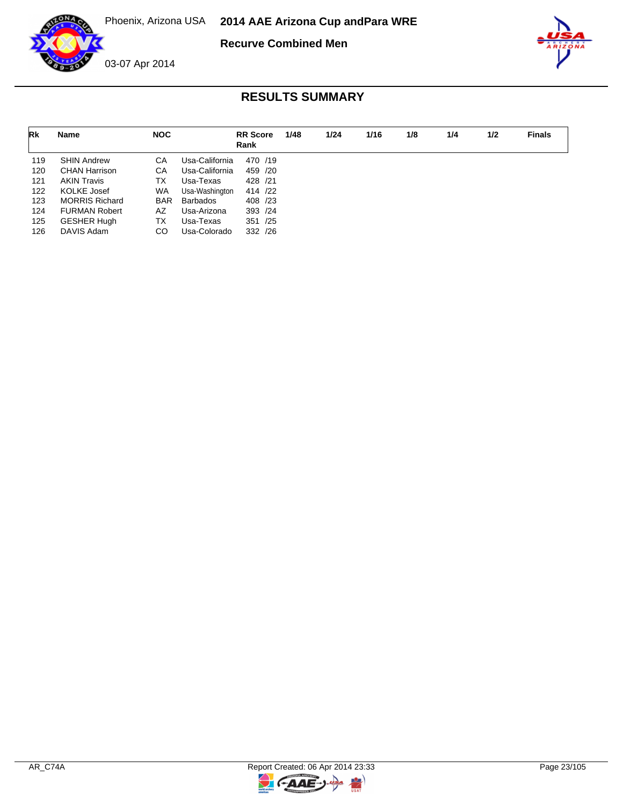

**Recurve Combined Men**



| Rk  | Name                  | <b>NOC</b> |                 | <b>RR</b> Score<br>Rank | 1/48 | 1/24 | 1/16 | 1/8 | 1/4 | 1/2 | <b>Finals</b> |
|-----|-----------------------|------------|-----------------|-------------------------|------|------|------|-----|-----|-----|---------------|
| 119 | <b>SHIN Andrew</b>    | СA         | Usa-California  | 470 /19                 |      |      |      |     |     |     |               |
| 120 | <b>CHAN Harrison</b>  | CA         | Usa-California  | 459 /20                 |      |      |      |     |     |     |               |
| 121 | AKIN Travis           | ТX         | Usa-Texas       | 428 /21                 |      |      |      |     |     |     |               |
| 122 | KOLKE Josef           | <b>WA</b>  | Usa-Washington  | 414 /22                 |      |      |      |     |     |     |               |
| 123 | <b>MORRIS Richard</b> | <b>BAR</b> | <b>Barbados</b> | 408 /23                 |      |      |      |     |     |     |               |
| 124 | <b>FURMAN Robert</b>  | AZ         | Usa-Arizona     | 393 /24                 |      |      |      |     |     |     |               |
| 125 | <b>GESHER Hugh</b>    | TX         | Usa-Texas       | 351 /25                 |      |      |      |     |     |     |               |
| 126 | DAVIS Adam            | CO         | Usa-Colorado    | 332 /26                 |      |      |      |     |     |     |               |

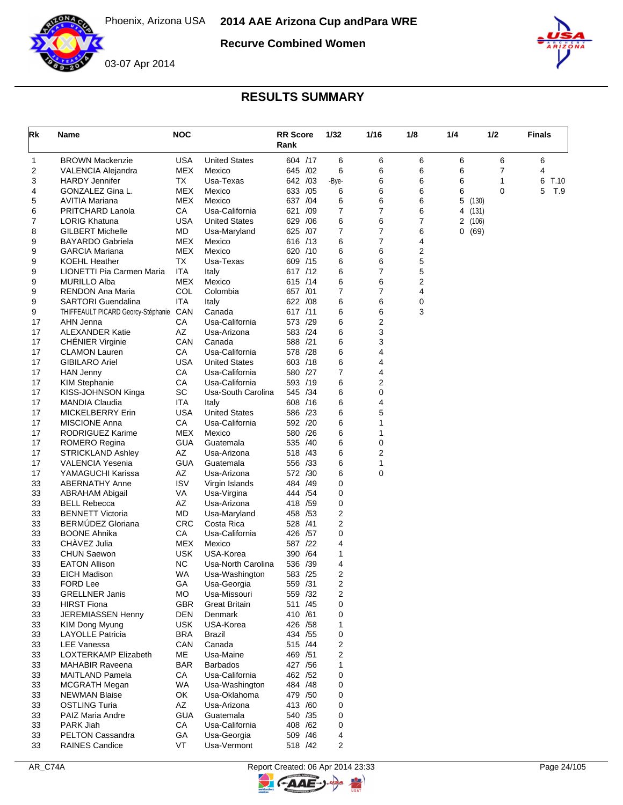

**Recurve Combined Women**





| Rk       | Name                                             | <b>NOC</b> |                             | <b>RR Score</b><br>Rank | 1/32                    | 1/16   | 1/8    | 1/4     | 1/2   | Finals    |
|----------|--------------------------------------------------|------------|-----------------------------|-------------------------|-------------------------|--------|--------|---------|-------|-----------|
| 1        | <b>BROWN Mackenzie</b>                           | USA        | <b>United States</b>        | 604 /17                 | 6                       | 6      | 6      | 6       | 6     | 6         |
| 2        | VALENCIA Alejandra                               | MEX        | Mexico                      | 645 / 02                | 6                       | 6      | 6      | 6       | 7     | 4         |
| 3        | <b>HARDY Jennifer</b>                            | ТX         | Usa-Texas                   | 642 /03                 | -Bye-                   | 6      | 6      | 6       | 1     | 6<br>T.10 |
| 4        | GONZALEZ Gina L.                                 | MEX        | Mexico                      | 633 /05                 | 6                       | 6      | 6      | 6       | 0     | 5<br>T.9  |
| 5        | AVITIA Mariana                                   | MEX        | Mexico                      | 637 / 04                | 6                       | 6      | 6      | 5       | (130) |           |
| 6        | PRITCHARD Lanola                                 | СA         | Usa-California              | 621<br>/09              | 7                       | 7      | 6      | 4 (131) |       |           |
| 7        | <b>LORIG Khatuna</b>                             | <b>USA</b> | <b>United States</b>        | 629<br>/06              | 6                       | 6      | 7      | 2(106)  |       |           |
| 8        | <b>GILBERT Michelle</b>                          | МD         | Usa-Maryland                | 625 /07                 | $\overline{7}$          | 7<br>7 | 6      | 0(69)   |       |           |
| 9<br>9   | <b>BAYARDO Gabriela</b><br><b>GARCIA Mariana</b> | MEX<br>MEX | Mexico<br>Mexico            | 616 /13<br>620 /10      | 6<br>6                  | 6      | 4<br>2 |         |       |           |
| 9        | <b>KOEHL Heather</b>                             | ТX         | Usa-Texas                   | 609 /15                 | 6                       | 6      | 5      |         |       |           |
| 9        | LIONETTI Pia Carmen Maria                        | ITA        | Italy                       | 617 /12                 | 6                       | 7      | 5      |         |       |           |
| 9        | <b>MURILLO Alba</b>                              | MEX        | Mexico                      | 615 /14                 | 6                       | 6      | 2      |         |       |           |
| 9        | RENDON Ana Maria                                 | COL        | Colombia                    | 657 /01                 | 7                       | 7      | 4      |         |       |           |
| 9        | <b>SARTORI Guendalina</b>                        | ITA        | Italy                       | 622 / 08                | 6                       | 6      | 0      |         |       |           |
| 9        | THIFFEAULT PICARD Georcy-Stéphanie               | CAN        | Canada                      | 617 /11                 | 6                       | 6      | 3      |         |       |           |
| 17       | AHN Jenna                                        | СA         | Usa-California              | 573 /29                 | 6                       | 2      |        |         |       |           |
| 17       | <b>ALEXANDER Katie</b>                           | AZ         | Usa-Arizona                 | 583 /24                 | 6                       | 3      |        |         |       |           |
| 17       | <b>CHENIER Virginie</b>                          | CAN        | Canada                      | 588 /21                 | 6                       | 3      |        |         |       |           |
| 17       | <b>CLAMON Lauren</b>                             | СA         | Usa-California              | 578 /28                 | 6                       | 4      |        |         |       |           |
| 17       | <b>GIBILARO Ariel</b>                            | <b>USA</b> | <b>United States</b>        | 603 /18                 | 6                       | 4      |        |         |       |           |
| 17       | <b>HAN Jenny</b>                                 | СA         | Usa-California              | 580 /27                 | 7                       | 4      |        |         |       |           |
| 17       | <b>KIM Stephanie</b>                             | СA         | Usa-California              | 593 /19                 | 6                       | 2      |        |         |       |           |
| 17       | KISS-JOHNSON Kinga                               | <b>SC</b>  | Usa-South Carolina          | 545 /34                 | 6                       | 0      |        |         |       |           |
| 17       | <b>MANDIA Claudia</b>                            | ITA        | Italy                       | 608 /16                 | 6                       | 4      |        |         |       |           |
| 17       | MICKELBERRY Erin                                 | <b>USA</b> | <b>United States</b>        | 586 /23                 | 6                       | 5      |        |         |       |           |
| 17       | <b>MISCIONE Anna</b>                             | CA         | Usa-California              | 592 /20                 | 6                       | 1      |        |         |       |           |
| 17       | RODRIGUEZ Karime                                 | MEX        | Mexico                      | 580 /26                 | 6                       | 1      |        |         |       |           |
| 17       | ROMERO Regina                                    | GUA        | Guatemala                   | 535<br>/40              | 6                       | 0      |        |         |       |           |
| 17       | <b>STRICKLAND Ashley</b>                         | AZ         | Usa-Arizona                 | 518 /43                 | 6                       | 2      |        |         |       |           |
| 17       | <b>VALENCIA Yesenia</b>                          | GUA        | Guatemala                   | 556 /33                 | 6                       | 1      |        |         |       |           |
| 17       | YAMAGUCHI Karissa                                | AΖ         | Usa-Arizona                 | 572 /30                 | 6                       | 0      |        |         |       |           |
| 33       | <b>ABERNATHY Anne</b>                            | <b>ISV</b> | Virgin Islands              | 484 /49                 | 0                       |        |        |         |       |           |
| 33       | ABRAHAM Abigail                                  | VA<br>AZ   | Usa-Virgina                 | 444 /54                 | 0                       |        |        |         |       |           |
| 33<br>33 | <b>BELL Rebecca</b><br><b>BENNETT Victoria</b>   | MD         | Usa-Arizona<br>Usa-Maryland | 418<br>/59<br>458 / 53  | 0<br>2                  |        |        |         |       |           |
| 33       | <b>BERMUDEZ Gloriana</b>                         | CRC        | Costa Rica                  | 528 /41                 | 2                       |        |        |         |       |           |
| 33       | <b>BOONE Ahnika</b>                              | СA         | Usa-California              | 426 /57                 | 0                       |        |        |         |       |           |
| 33       | CHÀVEZ Julia                                     | MEX        | Mexico                      | 587 /22                 | 4                       |        |        |         |       |           |
| 33       | <b>CHUN Saewon</b>                               | <b>USK</b> | USA-Korea                   | 390<br>/64              | 1                       |        |        |         |       |           |
| 33       | <b>EATON Allison</b>                             | ΝC         | Usa-North Carolina          | 536 /39                 | 4                       |        |        |         |       |           |
| 33       | <b>EICH Madison</b>                              | WA         | Usa-Washington              | 583 /25                 | 2                       |        |        |         |       |           |
| 33       | FORD Lee                                         | GА         | Usa-Georgia                 | 559 /31                 | 2                       |        |        |         |       |           |
| 33       | <b>GRELLNER Janis</b>                            | МO         | Usa-Missouri                | 559 /32                 | $\overline{\mathbf{c}}$ |        |        |         |       |           |
| 33       | <b>HIRST Fiona</b>                               | <b>GBR</b> | <b>Great Britain</b>        | 511 /45                 | 0                       |        |        |         |       |           |
| 33       | <b>JEREMIASSEN Henny</b>                         | DEN        | Denmark                     | 410 /61                 | 0                       |        |        |         |       |           |
| 33       | KIM Dong Myung                                   | <b>USK</b> | USA-Korea                   | 426 / 58                | 1                       |        |        |         |       |           |
| 33       | <b>LAYOLLE Patricia</b>                          | <b>BRA</b> | <b>Brazil</b>               | 434 / 55                | 0                       |        |        |         |       |           |
| 33       | LEE Vanessa                                      | CAN        | Canada                      | 515 /44                 | $\overline{\mathbf{c}}$ |        |        |         |       |           |
| 33       | LOXTERKAMP Elizabeth                             | МE         | Usa-Maine                   | 469 / 51                | 2                       |        |        |         |       |           |
| 33       | <b>MAHABIR Raveena</b>                           | BAR        | <b>Barbados</b>             | 427 / 56                | 1                       |        |        |         |       |           |
| 33       | MAITLAND Pamela                                  | CA         | Usa-California              | 462 /52                 | 0                       |        |        |         |       |           |
| 33       | <b>MCGRATH Megan</b>                             | WA         | Usa-Washington              | 484 / 48                | 0                       |        |        |         |       |           |
| 33       | <b>NEWMAN Blaise</b>                             | OK         | Usa-Oklahoma                | 479 / 50                | 0                       |        |        |         |       |           |
| 33       | <b>OSTLING Turia</b>                             | AZ         | Usa-Arizona                 | 413 /60                 | 0                       |        |        |         |       |           |
| 33       | PAIZ Maria Andre                                 | <b>GUA</b> | Guatemala                   | 540 /35                 | 0                       |        |        |         |       |           |
| 33       | PARK Jiah                                        | CA         | Usa-California              | 408 / 62                | 0                       |        |        |         |       |           |
| 33       | PELTON Cassandra                                 | GA         | Usa-Georgia                 | 509 /46                 | 4                       |        |        |         |       |           |
| 33       | <b>RAINES Candice</b>                            | <b>VT</b>  | Usa-Vermont                 | 518 /42                 | $\overline{2}$          |        |        |         |       |           |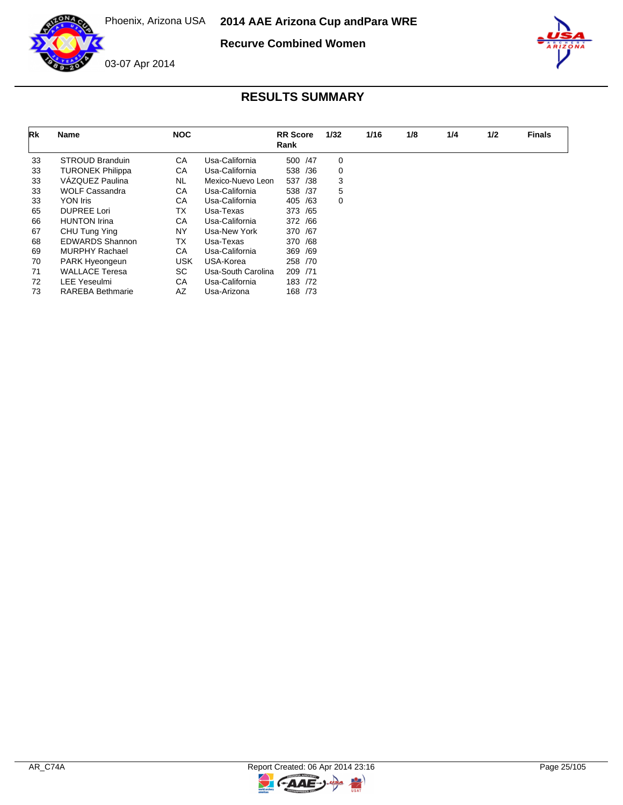

**Recurve Combined Women**



| Rk | Name                    | <b>NOC</b> |                    | <b>RR</b> Score<br>Rank | 1/32 | 1/16 | 1/8 | 1/4 | 1/2 | <b>Finals</b> |
|----|-------------------------|------------|--------------------|-------------------------|------|------|-----|-----|-----|---------------|
| 33 | <b>STROUD Branduin</b>  | СA         | Usa-California     | 500 / 47                | 0    |      |     |     |     |               |
| 33 | <b>TURONEK Philippa</b> | СA         | Usa-California     | 538<br>/36              | 0    |      |     |     |     |               |
| 33 | VÁZQUEZ Paulina         | <b>NL</b>  | Mexico-Nuevo Leon  | 537<br>/38              | 3    |      |     |     |     |               |
| 33 | <b>WOLF Cassandra</b>   | СA         | Usa-California     | 538 /37                 | 5    |      |     |     |     |               |
| 33 | YON Iris                | СA         | Usa-California     | 405<br>/63              | 0    |      |     |     |     |               |
| 65 | <b>DUPREE Lori</b>      | ТX         | Usa-Texas          | 373 / 65                |      |      |     |     |     |               |
| 66 | <b>HUNTON Irina</b>     | СA         | Usa-California     | 372 /66                 |      |      |     |     |     |               |
| 67 | CHU Tung Ying           | NY         | Usa-New York       | 370 /67                 |      |      |     |     |     |               |
| 68 | <b>EDWARDS Shannon</b>  | ТX         | Usa-Texas          | 370 /68                 |      |      |     |     |     |               |
| 69 | MURPHY Rachael          | СA         | Usa-California     | 369 /69                 |      |      |     |     |     |               |
| 70 | PARK Hyeongeun          | <b>USK</b> | USA-Korea          | 258 /70                 |      |      |     |     |     |               |
| 71 | <b>WALLACE Teresa</b>   | SC.        | Usa-South Carolina | 209 /71                 |      |      |     |     |     |               |
| 72 | <b>LEE Yeseulmi</b>     | СA         | Usa-California     | 183 /72                 |      |      |     |     |     |               |
| 73 | <b>RAREBA Bethmarie</b> | AZ         | Usa-Arizona        | 168 / 73                |      |      |     |     |     |               |

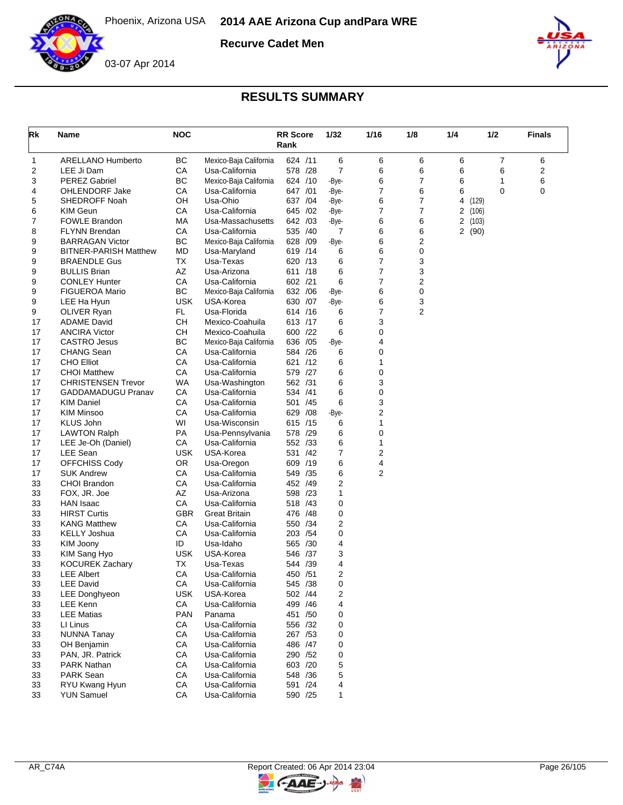

**Recurve Cadet Men**



## 03-07 Apr 2014

| Rk | Name                         | <b>NOC</b> |                        | <b>RR Score</b><br>Rank |          | 1/32  | 1/16             | 1/8 | 1/4            | 1/2            | <b>Finals</b> |
|----|------------------------------|------------|------------------------|-------------------------|----------|-------|------------------|-----|----------------|----------------|---------------|
| 1  | <b>ARELLANO Humberto</b>     | <b>BC</b>  | Mexico-Baja California | 624 /11                 |          | 6     | 6                | 6   | 6              | $\overline{7}$ | 6             |
| 2  | LEE Ji Dam                   | CA         | Usa-California         | 578 /28                 |          | 7     | 6                | 6   | 6              | 6              | 2             |
| 3  | <b>PEREZ Gabriel</b>         | ВC         | Mexico-Baja California | 624 /10                 |          | -Bye- | 6                | 7   | 6              | 1              | 6             |
| 4  | OHLENDORF Jake               | CA         | Usa-California         | 647 /01                 |          | -Bye- | 7                | 6   | 6              | $\mathbf 0$    | 0             |
| 5  | SHEDROFF Noah                | OН         | Usa-Ohio               |                         | 637 /04  | -Bye- | 6                | 7   | 4              | (129)          |               |
| 6  | <b>KIM Geun</b>              | СA         | Usa-California         | 645 /02                 |          | -Bye- | 7                | 7   | 2<br>(106)     |                |               |
| 7  | <b>FOWLE Brandon</b>         | МA         | Usa-Massachusetts      | 642 /03                 |          | -Bye- | 6                | 6   | $\overline{a}$ | (103)          |               |
| 8  | <b>FLYNN Brendan</b>         | СA         | Usa-California         |                         | 535 /40  | 7     | 6                | 6   | 2(90)          |                |               |
| 9  | <b>BARRAGAN Victor</b>       | BC         | Mexico-Baja California | 628 /09                 |          | -Bye- | 6                | 2   |                |                |               |
| 9  | <b>BITNER-PARISH Matthew</b> | MD         | Usa-Maryland           |                         | 619 /14  | 6     | 6                | 0   |                |                |               |
| 9  | <b>BRAENDLE Gus</b>          | ТX         | Usa-Texas              |                         | 620 /13  | 6     | 7                | 3   |                |                |               |
| 9  | <b>BULLIS Brian</b>          | AZ         | Usa-Arizona            | 611 /18                 |          | 6     | 7                | 3   |                |                |               |
| 9  | <b>CONLEY Hunter</b>         | CA         | Usa-California         | 602 /21                 |          | 6     | 7                | 2   |                |                |               |
| 9  | <b>FIGUEROA Mario</b>        | <b>BC</b>  | Mexico-Baja California | 632 /06                 |          | -Bye- | 6                | 0   |                |                |               |
| 9  | LEE Ha Hyun                  | <b>USK</b> | USA-Korea              | 630 /07                 |          | -Bye- | 6                | 3   |                |                |               |
| 9  | OLIVER Ryan                  | FL.        | Usa-Florida            |                         | 614 /16  | 6     | 7                | 2   |                |                |               |
| 17 | <b>ADAME David</b>           | <b>CH</b>  | Mexico-Coahuila        |                         | 613 /17  | 6     | 3                |     |                |                |               |
| 17 | <b>ANCIRA Victor</b>         | <b>CH</b>  | Mexico-Coahuila        | 600 /22                 |          | 6     | 0                |     |                |                |               |
| 17 | <b>CASTRO Jesus</b>          | BC         | Mexico-Baja California | 636 /05                 |          | -Bye- | 4                |     |                |                |               |
| 17 | <b>CHANG Sean</b>            | CA         | Usa-California         | 584 /26                 |          | 6     | 0                |     |                |                |               |
| 17 | <b>CHO Elliot</b>            | CA         | Usa-California         |                         | 621 /12  | 6     | 1                |     |                |                |               |
| 17 | <b>CHOI Matthew</b>          | CA         | Usa-California         | 579 /27                 |          | 6     | 0                |     |                |                |               |
| 17 | <b>CHRISTENSEN Trevor</b>    | WA         | Usa-Washington         | 562 /31                 |          | 6     | 3                |     |                |                |               |
| 17 | <b>GADDAMADUGU Pranav</b>    | СA         | Usa-California         | 534 /41                 |          | 6     | 0                |     |                |                |               |
| 17 | <b>KIM Daniel</b>            | CA         | Usa-California         | 501 /45                 |          | 6     | 3                |     |                |                |               |
| 17 | <b>KIM Minsoo</b>            | СA         | Usa-California         | 629 /08                 |          | -Bye- | $\boldsymbol{2}$ |     |                |                |               |
| 17 | <b>KLUS John</b>             | WI         | Usa-Wisconsin          | 615 /15                 |          | 6     | 1                |     |                |                |               |
| 17 | <b>LAWTON Ralph</b>          | <b>PA</b>  | Usa-Pennsylvania       | 578 /29                 |          | 6     | 0                |     |                |                |               |
| 17 | LEE Je-Oh (Daniel)           | СA         | Usa-California         |                         | 552 /33  | 6     | 1                |     |                |                |               |
| 17 | LEE Sean                     | <b>USK</b> | USA-Korea              |                         | 531 /42  | 7     | $\overline{2}$   |     |                |                |               |
| 17 | <b>OFFCHISS Cody</b>         | OR.        | Usa-Oregon             | 609 /19                 |          | 6     | 4                |     |                |                |               |
| 17 | <b>SUK Andrew</b>            | СA         | Usa-California         | 549 /35                 |          | 6     | 2                |     |                |                |               |
| 33 | <b>CHOI Brandon</b>          | CA         | Usa-California         | 452 /49                 |          | 2     |                  |     |                |                |               |
| 33 | FOX, JR. Joe                 | AZ         | Usa-Arizona            | 598 /23                 |          | 1     |                  |     |                |                |               |
| 33 | <b>HAN</b> Isaac             | CA         | Usa-California         | 518 /43                 |          | 0     |                  |     |                |                |               |
| 33 | <b>HIRST Curtis</b>          | <b>GBR</b> | <b>Great Britain</b>   | 476 / 48                |          | 0     |                  |     |                |                |               |
| 33 | <b>KANG Matthew</b>          | СA         | Usa-California         |                         | 550 /34  | 2     |                  |     |                |                |               |
| 33 | <b>KELLY Joshua</b>          | CA         | Usa-California         |                         | 203 / 54 | 0     |                  |     |                |                |               |
| 33 | KIM Joony                    | ID         | Usa-Idaho              | 565 /30                 |          | 4     |                  |     |                |                |               |
| 33 | KIM Sang Hyo                 | <b>USK</b> | USA-Korea              |                         | 546 /37  | 3     |                  |     |                |                |               |
| 33 | <b>KOCUREK Zachary</b>       | TX         | Usa-Texas              | 544 /39                 |          | 4     |                  |     |                |                |               |
| 33 | <b>LEE Albert</b>            | СA         | Usa-California         | 450 /51                 |          | 2     |                  |     |                |                |               |
| 33 | LEE David                    | CA.        | Usa-California         |                         | 545 /38  | 0     |                  |     |                |                |               |
| 33 | <b>LEE Donghyeon</b>         | <b>USK</b> | USA-Korea              |                         | 502 /44  | 2     |                  |     |                |                |               |
| 33 | <b>LEE Kenn</b>              | CA         | Usa-California         |                         | 499 / 46 | 4     |                  |     |                |                |               |
| 33 | <b>LEE Matias</b>            | <b>PAN</b> | Panama                 |                         | 451 /50  | 0     |                  |     |                |                |               |
| 33 | LI Linus                     | CA         | Usa-California         |                         | 556 /32  | 0     |                  |     |                |                |               |
| 33 | <b>NUNNA Tanay</b>           | CA         | Usa-California         |                         | 267 / 53 | 0     |                  |     |                |                |               |
| 33 | OH Benjamin                  | CA         | Usa-California         |                         | 486 / 47 | 0     |                  |     |                |                |               |
| 33 | PAN, JR. Patrick             | CA         | Usa-California         |                         | 290 /52  | 0     |                  |     |                |                |               |
| 33 | <b>PARK Nathan</b>           | CA         | Usa-California         |                         | 603 /20  | 5     |                  |     |                |                |               |
| 33 | <b>PARK Sean</b>             | CA         | Usa-California         |                         | 548 / 36 | 5     |                  |     |                |                |               |
| 33 | RYU Kwang Hyun               | CA         | Usa-California         |                         | 591 /24  | 4     |                  |     |                |                |               |
| 33 | <b>YUN Samuel</b>            | CA         | Usa-California         |                         | 590 /25  | 1     |                  |     |                |                |               |

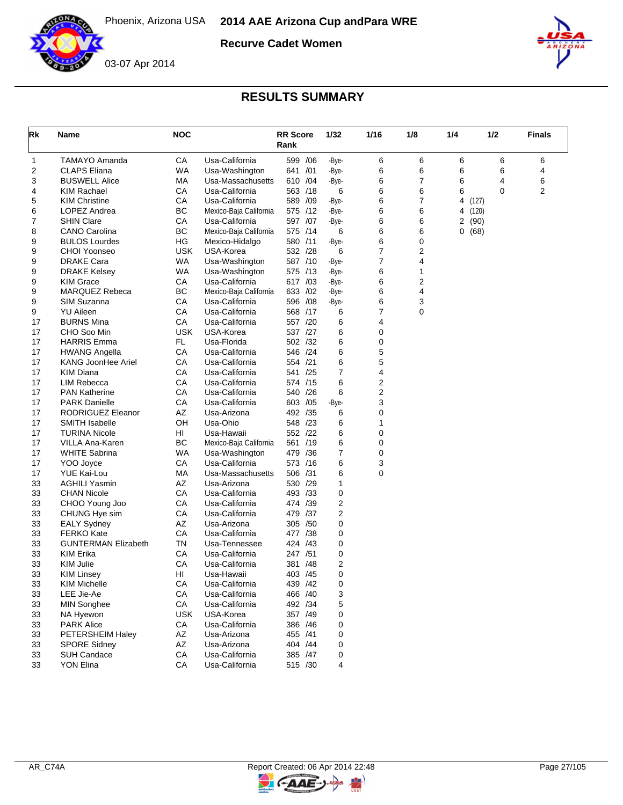

**Recurve Cadet Women**



## **RESULTS SUMMARY**

| Rk | Name                       | <b>NOC</b> |                        | <b>RR</b> Score<br>Rank |          | 1/32           | 1/16 | 1/8 | 1/4 | 1/2   | <b>Finals</b> |
|----|----------------------------|------------|------------------------|-------------------------|----------|----------------|------|-----|-----|-------|---------------|
| 1  | TAMAYO Amanda              | CA         | Usa-California         | 599 /06                 |          | -Bye-          | 6    | 6   | 6   | 6     | 6             |
| 2  | <b>CLAPS Eliana</b>        | WA         | Usa-Washington         | 641 /01                 |          | -Bye-          | 6    | 6   | 6   | 6     | 4             |
| 3  | <b>BUSWELL Alice</b>       | МA         | Usa-Massachusetts      | 610 /04                 |          | -Bye-          | 6    | 7   | 6   | 4     | 6             |
| 4  | KIM Rachael                | СA         | Usa-California         | 563 /18                 |          | 6              | 6    | 6   | 6   | 0     | 2             |
| 5  | <b>KIM Christine</b>       | СA         | Usa-California         | 589 /09                 |          | -Bye-          | 6    | 7   | 4   | (127) |               |
| 6  | LOPEZ Andrea               | BC         | Mexico-Baja California | 575 /12                 |          | -Bye-          | 6    | 6   | 4   | (120) |               |
| 7  | <b>SHIN Clare</b>          | CA         | Usa-California         | 597 /07                 |          | -Bye-          | 6    | 6   | 2   | (90)  |               |
| 8  | <b>CANO Carolina</b>       | ВC         | Mexico-Baja California | 575 /14                 |          | 6              | 6    | 6   | 0   | (68)  |               |
| 9  | <b>BULOS Lourdes</b>       | HG         | Mexico-Hidalgo         | 580 /11                 |          | -Bye-          | 6    | 0   |     |       |               |
| 9  | CHOI Yoonseo               | <b>USK</b> | USA-Korea              | 532 /28                 |          | 6              | 7    | 2   |     |       |               |
| 9  | DRAKE Cara                 | WA         | Usa-Washington         | 587 /10                 |          | -Bye-          | 7    | 4   |     |       |               |
| 9  | <b>DRAKE Kelsey</b>        | WA         | Usa-Washington         | 575 /13                 |          | -Bye-          | 6    | 1   |     |       |               |
| 9  | <b>KIM Grace</b>           | СA         | Usa-California         | 617 /03                 |          | -Bye-          | 6    | 2   |     |       |               |
| 9  | MARQUEZ Rebeca             | BC         | Mexico-Baja California | 633 /02                 |          | -Bye-          | 6    | 4   |     |       |               |
| 9  | SIM Suzanna                | CA         | Usa-California         |                         | 596 /08  | -Bye-          | 6    | 3   |     |       |               |
| 9  | <b>YU Aileen</b>           | СA         | Usa-California         |                         | 568 /17  | 6              | 7    | 0   |     |       |               |
| 17 | <b>BURNS Mina</b>          | СA         | Usa-California         | 557 /20                 |          | 6              | 4    |     |     |       |               |
| 17 | CHO Soo Min                | <b>USK</b> | USA-Korea              | 537 /27                 |          | 6              | 0    |     |     |       |               |
| 17 | <b>HARRIS Emma</b>         | FL.        | Usa-Florida            | 502 /32                 |          | 6              | 0    |     |     |       |               |
| 17 | <b>HWANG Angella</b>       | CA         | Usa-California         | 546 /24                 |          | 6              | 5    |     |     |       |               |
| 17 | KANG JoonHee Ariel         | СA         | Usa-California         | 554 /21                 |          | 6              | 5    |     |     |       |               |
| 17 | <b>KIM Diana</b>           | СA         | Usa-California         | 541 /25                 |          | 7              | 4    |     |     |       |               |
| 17 | LIM Rebecca                | СA         | Usa-California         | 574 /15                 |          | 6              | 2    |     |     |       |               |
| 17 | <b>PAN Katherine</b>       | CA         | Usa-California         | 540 /26                 |          | 6              | 2    |     |     |       |               |
| 17 | <b>PARK Danielle</b>       | СA         | Usa-California         | 603 / 05                |          | -Bye-          | 3    |     |     |       |               |
| 17 | RODRIGUEZ Eleanor          | AZ         | Usa-Arizona            | 492 /35                 |          | 6              | 0    |     |     |       |               |
| 17 | <b>SMITH Isabelle</b>      | OH         | Usa-Ohio               | 548 /23                 |          | 6              | 1    |     |     |       |               |
| 17 | <b>TURINA Nicole</b>       | HI         | Usa-Hawaii             |                         | 552 /22  | 6              | 0    |     |     |       |               |
| 17 | VILLA Ana-Karen            | BC         | Mexico-Baja California | 561 /19                 |          | 6              | 0    |     |     |       |               |
| 17 | <b>WHITE Sabrina</b>       | WA         | Usa-Washington         | 479 /36                 |          | 7              | 0    |     |     |       |               |
| 17 | YOO Joyce                  | СA         | Usa-California         | 573 /16                 |          | 6              | 3    |     |     |       |               |
| 17 | YUE Kai-Lou                | МA         | Usa-Massachusetts      | 506 /31                 |          | 6              | 0    |     |     |       |               |
| 33 | <b>AGHILI Yasmin</b>       | AZ         | Usa-Arizona            | 530 /29                 |          | 1              |      |     |     |       |               |
| 33 | <b>CHAN Nicole</b>         | СA         | Usa-California         | 493 /33                 |          | 0              |      |     |     |       |               |
| 33 | CHOO Young Joo             | CA         | Usa-California         | 474 /39                 |          | $\overline{2}$ |      |     |     |       |               |
| 33 | CHUNG Hye sim              | СA         | Usa-California         | 479 /37                 |          | 2              |      |     |     |       |               |
| 33 | <b>EALY Sydney</b>         | AZ         | Usa-Arizona            | 305 /50                 |          | 0              |      |     |     |       |               |
| 33 | <b>FERKO Kate</b>          | CA         | Usa-California         | 477 /38                 |          | 0              |      |     |     |       |               |
| 33 | <b>GUNTERMAN Elizabeth</b> | TN         | Usa-Tennessee          | 424 /43                 |          | 0              |      |     |     |       |               |
| 33 | <b>KIM Erika</b>           | СA         | Usa-California         | 247 /51                 |          | 0              |      |     |     |       |               |
| 33 | KIM Julie                  | СA         | Usa-California         | 381                     | /48      | 2              |      |     |     |       |               |
| 33 | <b>KIM Linsey</b>          | HI         | Usa-Hawaii             | 403 / 45                |          | 0              |      |     |     |       |               |
| 33 | KIM Michelle               | CA         | Usa-California         |                         | 439 / 42 | 0              |      |     |     |       |               |
| 33 | LEE Jie-Ae                 | CA         | Usa-California         |                         | 466 /40  | 3              |      |     |     |       |               |
| 33 | <b>MIN Songhee</b>         | CA         | Usa-California         |                         | 492 /34  | 5              |      |     |     |       |               |
| 33 | NA Hyewon                  | <b>USK</b> | USA-Korea              |                         | 357 /49  | 0              |      |     |     |       |               |
| 33 | <b>PARK Alice</b>          | CA         | Usa-California         |                         | 386 /46  | 0              |      |     |     |       |               |
| 33 | PETERSHEIM Haley           | AZ         | Usa-Arizona            | 455 /41                 |          | 0              |      |     |     |       |               |
| 33 | <b>SPORE Sidney</b>        | AZ         | Usa-Arizona            |                         | 404 / 44 | 0              |      |     |     |       |               |
| 33 | <b>SUH Candace</b>         | CA         | Usa-California         |                         | 385 /47  | 0              |      |     |     |       |               |
| 33 | YON Elina                  | CA         | Usa-California         |                         | 515 /30  | 4              |      |     |     |       |               |

 $\blacktriangleright$ 

C-AAE-J-

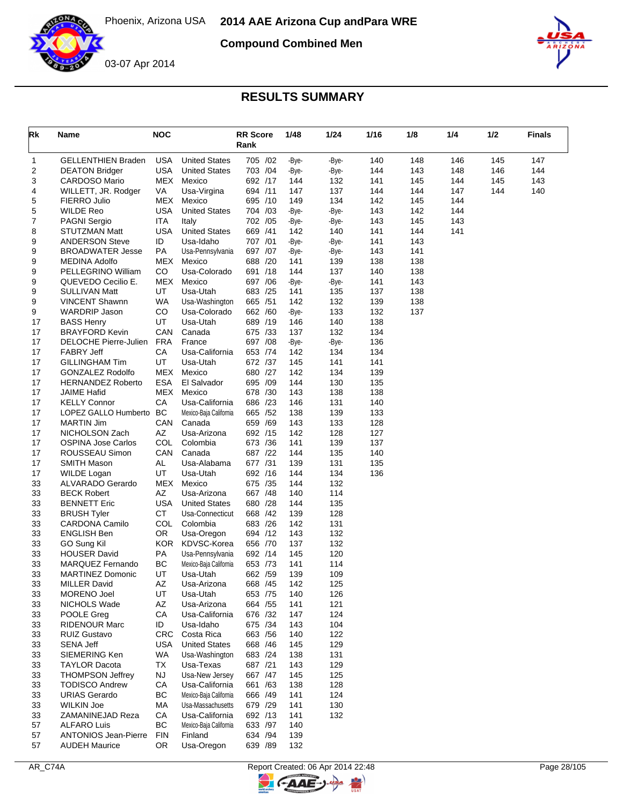

**Compound Combined Men**



| Rk       | Name                                          | <b>NOC</b>       |                                    | <b>RR Score</b><br>Rank | 1/48         | 1/24       | 1/16       | 1/8        | 1/4 | 1/2 | <b>Finals</b> |
|----------|-----------------------------------------------|------------------|------------------------------------|-------------------------|--------------|------------|------------|------------|-----|-----|---------------|
| 1        | <b>GELLENTHIEN Braden</b>                     | <b>USA</b>       | <b>United States</b>               | 705 /02                 | -Bye-        | -Bye-      | 140        | 148        | 146 | 145 | 147           |
| 2        | <b>DEATON Bridger</b>                         | <b>USA</b>       | <b>United States</b>               | 703 /04                 | -Bye-        | -Bye-      | 144        | 143        | 148 | 146 | 144           |
| 3        | <b>CARDOSO Mario</b>                          | MEX              | Mexico                             | 692 /17                 | 144          | 132        | 141        | 145        | 144 | 145 | 143           |
| 4        | WILLETT, JR. Rodger                           | VA               | Usa-Virgina                        | 694 /11                 | 147          | 137        | 144        | 144        | 147 | 144 | 140           |
| 5        | FIERRO Julio                                  | MEX              | Mexico                             | 695 /10                 | 149          | 134        | 142        | 145        | 144 |     |               |
| 5        | <b>WILDE Reo</b>                              | <b>USA</b>       | <b>United States</b>               | 704 /03                 | -Bye-        | -Bye-      | 143        | 142        | 144 |     |               |
| 7        | <b>PAGNI Sergio</b>                           | ITA              | Italy                              | 702 /05                 | -Bye-        | -Bye-      | 143        | 145        | 143 |     |               |
| 8        | <b>STUTZMAN Matt</b>                          | <b>USA</b>       | <b>United States</b>               | 669 /41                 | 142          | 140        | 141        | 144        | 141 |     |               |
| 9        | <b>ANDERSON Steve</b>                         | ID               | Usa-Idaho                          | 707 /01                 | -Bye-        | -Bye-      | 141        | 143        |     |     |               |
| 9        | <b>BROADWATER Jesse</b>                       | PA               | Usa-Pennsylvania                   | 697 /07                 | -Bye-        | -Bye-      | 143        | 141        |     |     |               |
| 9        | <b>MEDINA Adolfo</b>                          | MEX              | Mexico                             | 688 /20                 | 141          | 139        | 138        | 138        |     |     |               |
| 9        | PELLEGRINO William                            | CO               | Usa-Colorado                       | 691<br>/18              | 144          | 137        | 140        | 138        |     |     |               |
| 9        | QUEVEDO Cecilio E.                            | <b>MEX</b>       | Mexico                             | 697 /06                 | -Bye-        | -Bye-      | 141        | 143        |     |     |               |
| 9        | <b>SULLIVAN Matt</b><br><b>VINCENT Shawnn</b> | UT<br><b>WA</b>  | Usa-Utah                           | 683 /25<br>/51          | 141<br>142   | 135<br>132 | 137        | 138<br>138 |     |     |               |
| 9<br>9   | <b>WARDRIP Jason</b>                          | CO               | Usa-Washington<br>Usa-Colorado     | 665<br>662 /60          |              | 133        | 139<br>132 | 137        |     |     |               |
| 17       | <b>BASS Henry</b>                             | UT               | Usa-Utah                           | 689 /19                 | -Bye-<br>146 | 140        | 138        |            |     |     |               |
| 17       | <b>BRAYFORD Kevin</b>                         | CAN              | Canada                             | 675 /33                 | 137          | 132        | 134        |            |     |     |               |
| 17       | DELOCHE Pierre-Julien                         | <b>FRA</b>       | France                             | 697 /08                 | -Bye-        | -Bye-      | 136        |            |     |     |               |
| 17       | <b>FABRY Jeff</b>                             | СA               | Usa-California                     | 653 /74                 | 142          | 134        | 134        |            |     |     |               |
| 17       | <b>GILLINGHAM Tim</b>                         | UT               | Usa-Utah                           | 672 /37                 | 145          | 141        | 141        |            |     |     |               |
| 17       | <b>GONZALEZ Rodolfo</b>                       | <b>MEX</b>       | Mexico                             | 680 /27                 | 142          | 134        | 139        |            |     |     |               |
| 17       | <b>HERNANDEZ Roberto</b>                      | <b>ESA</b>       | El Salvador                        | 695 /09                 | 144          | 130        | 135        |            |     |     |               |
| 17       | <b>JAIME Hafid</b>                            | MEX              | Mexico                             | 678 /30                 | 143          | 138        | 138        |            |     |     |               |
| 17       | <b>KELLY Connor</b>                           | СA               | Usa-California                     | 686 /23                 | 146          | 131        | 140        |            |     |     |               |
| 17       | LOPEZ GALLO Humberto                          | BC               | Mexico-Baja California             | 665 /52                 | 138          | 139        | 133        |            |     |     |               |
| 17       | <b>MARTIN Jim</b>                             | CAN              | Canada                             | 659 /69                 | 143          | 133        | 128        |            |     |     |               |
| 17       | NICHOLSON Zach                                | AZ               | Usa-Arizona                        | 692 /15                 | 142          | 128        | 127        |            |     |     |               |
| 17       | <b>OSPINA Jose Carlos</b>                     | COL              | Colombia                           | 673 /36                 | 141          | 139        | 137        |            |     |     |               |
| 17       | ROUSSEAU Simon                                | CAN              | Canada                             | 687 /22                 | 144          | 135        | 140        |            |     |     |               |
| 17       | <b>SMITH Mason</b>                            | AL               | Usa-Alabama                        | 677 /31                 | 139          | 131        | 135        |            |     |     |               |
| 17       | WILDE Logan                                   | UT               | Usa-Utah                           | 692 /16                 | 144          | 134        | 136        |            |     |     |               |
| 33       | ALVARADO Gerardo                              | MEX              | Mexico                             | 675 /35                 | 144          | 132        |            |            |     |     |               |
| 33       | <b>BECK Robert</b>                            | AZ               | Usa-Arizona                        | 667 / 48                | 140          | 114        |            |            |     |     |               |
| 33       | <b>BENNETT Eric</b>                           | <b>USA</b>       | <b>United States</b>               | 680 /28                 | 144          | 135        |            |            |     |     |               |
| 33       | <b>BRUSH Tyler</b>                            | <b>CT</b>        | Usa-Connecticut                    | 668 /42                 | 139          | 128        |            |            |     |     |               |
| 33       | <b>CARDONA Camilo</b>                         | <b>COL</b>       | Colombia                           | 683 /26                 | 142          | 131        |            |            |     |     |               |
| 33       | <b>ENGLISH Ben</b>                            | OR.              | Usa-Oregon                         | 694 /12                 | 143          | 132        |            |            |     |     |               |
| 33       | GO Sung Kil                                   | <b>KOR</b>       | KDVSC-Korea                        | 656 /70                 | 137          | 132        |            |            |     |     |               |
| 33       | <b>HOUSER David</b>                           | PA               | Usa-Pennsylvania                   | 692 /14                 | 145          | 120        |            |            |     |     |               |
| 33       | MARQUEZ Fernando                              | BC               | Mexico-Baja California             | 653 /73                 | 141          | 114        |            |            |     |     |               |
| 33       | <b>MARTINEZ Domonic</b>                       | UT               | Usa-Utah                           | 662 / 59                | 139          | 109        |            |            |     |     |               |
| 33       | <b>MILLER David</b>                           | AZ               | Usa-Arizona                        | 668 / 45                | 142          | 125        |            |            |     |     |               |
| 33       | MORENO Joel                                   | UT               | Usa-Utah                           | 653 /75                 | 140          | 126        |            |            |     |     |               |
| 33       | NICHOLS Wade                                  | AZ               | Usa-Arizona                        | 664 / 55                | 141          | 121        |            |            |     |     |               |
| 33       | POOLE Greg                                    | CA               | Usa-California                     | 676 /32                 | 147          | 124        |            |            |     |     |               |
| 33       | <b>RIDENOUR Marc</b>                          | ID               | Usa-Idaho                          | 675 /34<br>663 / 56     | 143          | 104        |            |            |     |     |               |
| 33       | <b>RUIZ Gustavo</b><br><b>SENA Jeff</b>       | <b>CRC</b>       | Costa Rica<br><b>United States</b> | 668 / 46                | 140<br>145   | 122<br>129 |            |            |     |     |               |
| 33<br>33 | SIEMERING Ken                                 | USA<br><b>WA</b> | Usa-Washington                     | 683 /24                 | 138          | 131        |            |            |     |     |               |
| 33       | <b>TAYLOR Dacota</b>                          | TX               | Usa-Texas                          | 687 /21                 | 143          | 129        |            |            |     |     |               |
| 33       | <b>THOMPSON Jeffrey</b>                       | <b>NJ</b>        | Usa-New Jersey                     | 667 / 47                | 145          | 125        |            |            |     |     |               |
| 33       | <b>TODISCO Andrew</b>                         | CA               | Usa-California                     | 661 /63                 | 138          | 128        |            |            |     |     |               |
| 33       | <b>URIAS Gerardo</b>                          | BC               | Mexico-Baja California             | 666 /49                 | 141          | 124        |            |            |     |     |               |
| 33       | <b>WILKIN Joe</b>                             | MA               | Usa-Massachusetts                  | 679 /29                 | 141          | 130        |            |            |     |     |               |
| 33       | ZAMANINEJAD Reza                              | CA               | Usa-California                     | 692 /13                 | 141          | 132        |            |            |     |     |               |
| 57       | <b>ALFARO Luis</b>                            | <b>BC</b>        | Mexico-Baja California             | 633 /97                 | 140          |            |            |            |     |     |               |
| 57       | <b>ANTONIOS Jean-Pierre</b>                   | <b>FIN</b>       | Finland                            | 634 /94                 | 139          |            |            |            |     |     |               |
| 57       | <b>AUDEH Maurice</b>                          | OR               | Usa-Oregon                         | 639 /89                 | 132          |            |            |            |     |     |               |

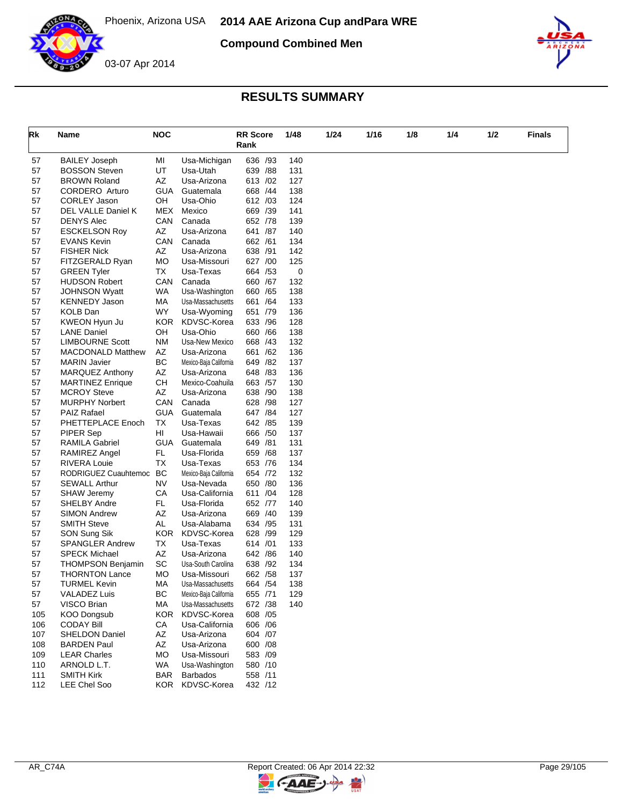

**Compound Combined Men**



## **RESULTS SUMMARY**

| Rk       | Name                                        | <b>NOC</b> |                        | <b>RR Score</b><br>Rank | 1/48       | 1/24 | 1/16 | 1/8 | 1/4 | 1/2 | Finals |
|----------|---------------------------------------------|------------|------------------------|-------------------------|------------|------|------|-----|-----|-----|--------|
| 57       | <b>BAILEY Joseph</b>                        | MI         | Usa-Michigan           | 636 /93                 | 140        |      |      |     |     |     |        |
| 57       | <b>BOSSON Steven</b>                        | UT         | Usa-Utah               | 639 / 88                | 131        |      |      |     |     |     |        |
| 57       | <b>BROWN Roland</b>                         | AZ         | Usa-Arizona            | 613 /02                 | 127        |      |      |     |     |     |        |
| 57       | CORDERO Arturo                              | GUA        | Guatemala              | 668 /44                 | 138        |      |      |     |     |     |        |
| 57       | <b>CORLEY Jason</b>                         | OH         | Usa-Ohio               | 612 /03                 | 124        |      |      |     |     |     |        |
| 57       | DEL VALLE Daniel K                          | MEX        | Mexico                 | 669 /39                 | 141        |      |      |     |     |     |        |
| 57       | <b>DENYS Alec</b>                           | CAN        | Canada                 | 652 /78                 | 139        |      |      |     |     |     |        |
| 57       | <b>ESCKELSON Roy</b>                        | AZ         | Usa-Arizona            | 641 /87                 | 140        |      |      |     |     |     |        |
| 57       | <b>EVANS Kevin</b>                          | CAN        | Canada                 | 662 /61                 | 134        |      |      |     |     |     |        |
| 57       | <b>FISHER Nick</b>                          | AZ         | Usa-Arizona            | 638 /91                 | 142        |      |      |     |     |     |        |
| 57       | FITZGERALD Ryan                             | <b>MO</b>  | Usa-Missouri           | 627 /00                 | 125        |      |      |     |     |     |        |
| 57       | <b>GREEN Tyler</b>                          | ТX         | Usa-Texas              | 664 / 53                | 0          |      |      |     |     |     |        |
| 57       | <b>HUDSON Robert</b>                        | CAN        | Canada                 | 660 / 67                | 132        |      |      |     |     |     |        |
| 57       | <b>JOHNSON Wyatt</b>                        | <b>WA</b>  | Usa-Washington         | 660 / 65                | 138        |      |      |     |     |     |        |
| 57       | <b>KENNEDY Jason</b>                        | МA         | Usa-Massachusetts      | 661 / 64                | 133        |      |      |     |     |     |        |
| 57       | KOLB Dan                                    | <b>WY</b>  | Usa-Wyoming            | 651 /79                 | 136        |      |      |     |     |     |        |
| 57       | KWEON Hyun Ju                               | KOR.       | KDVSC-Korea            | 633 / 96                | 128        |      |      |     |     |     |        |
| 57       | <b>LANE Daniel</b>                          | OH         | Usa-Ohio               | 660 / 66                | 138        |      |      |     |     |     |        |
| 57       | <b>LIMBOURNE Scott</b>                      | ΝM         | Usa-New Mexico         | 668 /43                 | 132        |      |      |     |     |     |        |
| 57       | <b>MACDONALD Matthew</b>                    | AZ         | Usa-Arizona            | 661 /62                 | 136        |      |      |     |     |     |        |
| 57       | <b>MARIN Javier</b>                         | BC         | Mexico-Baja California | 649 / 82                | 137        |      |      |     |     |     |        |
| 57       | <b>MARQUEZ Anthony</b>                      | AZ         | Usa-Arizona            | 648 / 83                | 136        |      |      |     |     |     |        |
| 57       | <b>MARTINEZ Enrique</b>                     | CН         | Mexico-Coahuila        | 663 /57                 | 130        |      |      |     |     |     |        |
| 57       | <b>MCROY Steve</b>                          | AZ<br>CAN  | Usa-Arizona            | 638 /90                 | 138        |      |      |     |     |     |        |
| 57       | <b>MURPHY Norbert</b><br><b>PAIZ Rafael</b> | <b>GUA</b> | Canada                 | 628 / 98<br>647 / 84    | 127<br>127 |      |      |     |     |     |        |
| 57<br>57 | PHETTEPLACE Enoch                           | ТX         | Guatemala<br>Usa-Texas | 642 / 85                | 139        |      |      |     |     |     |        |
| 57       | PIPER Sep                                   | HI         | Usa-Hawaii             | 666 /50                 | 137        |      |      |     |     |     |        |
| 57       | <b>RAMILA Gabriel</b>                       | GUA        | Guatemala              | 649 /81                 | 131        |      |      |     |     |     |        |
| 57       | RAMIREZ Angel                               | FL.        | Usa-Florida            | 659 / 68                | 137        |      |      |     |     |     |        |
| 57       | <b>RIVERA Louie</b>                         | TX         | Usa-Texas              | 653 /76                 | 134        |      |      |     |     |     |        |
| 57       | RODRIGUEZ Cuauhtemoc                        | BC         | Mexico-Baja California | 654 /72                 | 132        |      |      |     |     |     |        |
| 57       | <b>SEWALL Arthur</b>                        | NV         | Usa-Nevada             | 650 /80                 | 136        |      |      |     |     |     |        |
| 57       | <b>SHAW Jeremy</b>                          | CA         | Usa-California         | 611 /04                 | 128        |      |      |     |     |     |        |
| 57       | <b>SHELBY Andre</b>                         | FL         | Usa-Florida            | 652 /77                 | 140        |      |      |     |     |     |        |
| 57       | <b>SIMON Andrew</b>                         | AZ         | Usa-Arizona            | 669 / 40                | 139        |      |      |     |     |     |        |
| 57       | <b>SMITH Steve</b>                          | AL         | Usa-Alabama            | 634 /95                 | 131        |      |      |     |     |     |        |
| 57       | SON Sung Sik                                | KOR.       | KDVSC-Korea            | 628 /99                 | 129        |      |      |     |     |     |        |
| 57       | <b>SPANGLER Andrew</b>                      | ТX         | Usa-Texas              | 614 /01                 | 133        |      |      |     |     |     |        |
| 57       | <b>SPECK Michael</b>                        | AZ         | Usa-Arizona            | 642 / 86                | 140        |      |      |     |     |     |        |
| 57       | <b>THOMPSON Benjamin</b>                    | SC         | Usa-South Carolina     | 638 /92                 | 134        |      |      |     |     |     |        |
| 57       | <b>THORNTON Lance</b>                       | МO         | Usa-Missouri           | 662 / 58                | 137        |      |      |     |     |     |        |
| 57       | <b>TURMEL Kevin</b>                         | MA         | Usa-Massachusetts      | 664 / 54                | 138        |      |      |     |     |     |        |
| 57       | <b>VALADEZ Luis</b>                         | BC         | Mexico-Baja California | 655 /71                 | 129        |      |      |     |     |     |        |
| 57       | VISCO Brian                                 | МA         | Usa-Massachusetts      | 672 /38                 | 140        |      |      |     |     |     |        |
| 105      | KOO Dongsub                                 | <b>KOR</b> | KDVSC-Korea            | 608 / 05                |            |      |      |     |     |     |        |
| 106      | <b>CODAY Bill</b>                           | CA         | Usa-California         | 606 / 06                |            |      |      |     |     |     |        |
| 107      | <b>SHELDON Daniel</b>                       | AZ         | Usa-Arizona            | 604 /07                 |            |      |      |     |     |     |        |
| 108      | <b>BARDEN Paul</b>                          | AZ         | Usa-Arizona            | 600 / 08                |            |      |      |     |     |     |        |
| 109      | <b>LEAR Charles</b>                         | <b>MO</b>  | Usa-Missouri           | 583 /09                 |            |      |      |     |     |     |        |
| 110      | ARNOLD L.T.                                 | WA         | Usa-Washington         | 580 /10                 |            |      |      |     |     |     |        |
| 111      | <b>SMITH Kirk</b>                           | <b>BAR</b> | <b>Barbados</b>        | 558 /11                 |            |      |      |     |     |     |        |
| 112      | LEE Chel Soo                                | KOR        | KDVSC-Korea            | 432 /12                 |            |      |      |     |     |     |        |

 $\blacktriangleright$ 

GAAE-J.

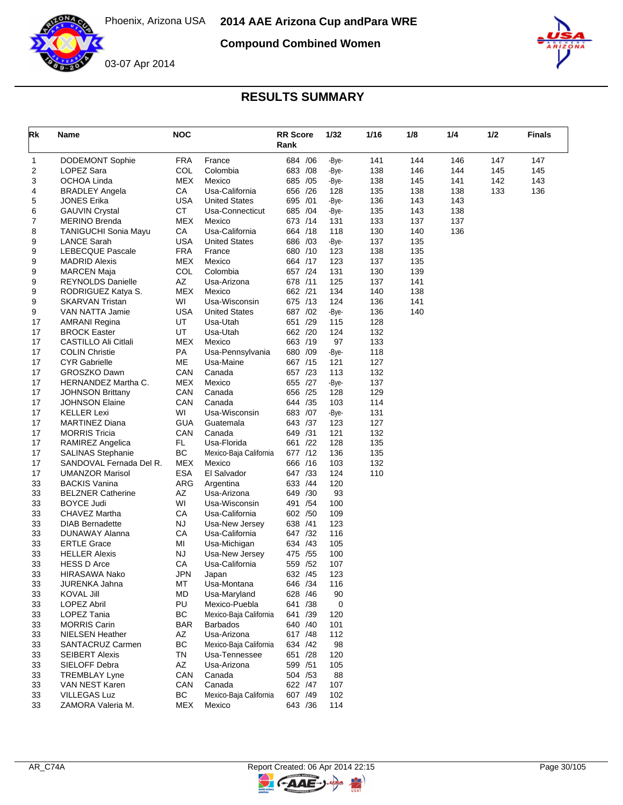

**Compound Combined Women**





| Rk | Name                        | <b>NOC</b> |                        | <b>RR Score</b><br>Rank |     | 1/32  | 1/16 | 1/8 | 1/4 | 1/2 | <b>Finals</b> |
|----|-----------------------------|------------|------------------------|-------------------------|-----|-------|------|-----|-----|-----|---------------|
| 1  | <b>DODEMONT Sophie</b>      | <b>FRA</b> | France                 | 684 / 06                |     | -Bye- | 141  | 144 | 146 | 147 | 147           |
| 2  | LOPEZ Sara                  | COL        | Colombia               | 683 / 08                |     | -Bye- | 138  | 146 | 144 | 145 | 145           |
| 3  | OCHOA Linda                 | <b>MEX</b> | Mexico                 | 685 /05                 |     | -Bye- | 138  | 145 | 141 | 142 | 143           |
| 4  | <b>BRADLEY Angela</b>       | CA         | Usa-California         | 656 /26                 |     | 128   | 135  | 138 | 138 | 133 | 136           |
| 5  | <b>JONES Erika</b>          | <b>USA</b> | <b>United States</b>   | 695 /01                 |     | -Bye- | 136  | 143 | 143 |     |               |
| 6  | <b>GAUVIN Crystal</b>       | <b>CT</b>  | Usa-Connecticut        | 685 /04                 |     | -Bye- | 135  | 143 | 138 |     |               |
| 7  | <b>MERINO Brenda</b>        | <b>MEX</b> | Mexico                 | 673 /14                 |     | 131   | 133  | 137 | 137 |     |               |
| 8  | <b>TANIGUCHI Sonia Mayu</b> | СA         | Usa-California         | 664 /18                 |     | 118   | 130  | 140 | 136 |     |               |
| 9  | <b>LANCE Sarah</b>          | <b>USA</b> | <b>United States</b>   | 686 /03                 |     | -Bye- | 137  | 135 |     |     |               |
| 9  | LEBECQUE Pascale            | <b>FRA</b> | France                 | 680 /10                 |     | 123   | 138  | 135 |     |     |               |
| 9  | <b>MADRID Alexis</b>        | <b>MEX</b> | Mexico                 | 664 /17                 |     | 123   | 137  | 135 |     |     |               |
| 9  | <b>MARCEN Maja</b>          | COL        | Colombia               | 657 /24                 |     | 131   | 130  | 139 |     |     |               |
| 9  | <b>REYNOLDS Danielle</b>    | AZ         | Usa-Arizona            | 678 /11                 |     | 125   | 137  | 141 |     |     |               |
| 9  | RODRIGUEZ Katya S.          | <b>MEX</b> | Mexico                 | 662 /21                 |     | 134   | 140  | 138 |     |     |               |
| 9  | <b>SKARVAN Tristan</b>      | WI         | Usa-Wisconsin          | 675 /13                 |     | 124   | 136  | 141 |     |     |               |
| 9  | VAN NATTA Jamie             | <b>USA</b> | <b>United States</b>   | 687 /02                 |     | -Bye- | 136  | 140 |     |     |               |
| 17 | <b>AMRANI Regina</b>        | UT         | Usa-Utah               | 651 /29                 |     | 115   | 128  |     |     |     |               |
| 17 | <b>BROCK Easter</b>         | UT.        | Usa-Utah               | 662 /20                 |     | 124   | 132  |     |     |     |               |
| 17 | CASTILLO Ali Citlali        | MEX        | Mexico                 | 663 /19                 |     | 97    | 133  |     |     |     |               |
| 17 | <b>COLIN Christie</b>       | PA         | Usa-Pennsylvania       | 680 /09                 |     | -Bye- | 118  |     |     |     |               |
| 17 | <b>CYR Gabrielle</b>        | ME         | Usa-Maine              | 667 /15                 |     | 121   | 127  |     |     |     |               |
| 17 | GROSZKO Dawn                | CAN        | Canada                 | 657 /23                 |     | 113   | 132  |     |     |     |               |
| 17 | HERNANDEZ Martha C.         | <b>MEX</b> | Mexico                 | 655 /27                 |     | -Bye- | 137  |     |     |     |               |
| 17 | <b>JOHNSON Brittany</b>     | CAN        | Canada                 | 656 /25                 |     | 128   | 129  |     |     |     |               |
| 17 | <b>JOHNSON Elaine</b>       | CAN        | Canada                 | 644 / 35                |     | 103   | 114  |     |     |     |               |
| 17 | <b>KELLER Lexi</b>          | WI         | Usa-Wisconsin          | 683 /07                 |     | -Bye- | 131  |     |     |     |               |
| 17 | <b>MARTINEZ Diana</b>       | <b>GUA</b> | Guatemala              | 643 /37                 |     | 123   | 127  |     |     |     |               |
| 17 | <b>MORRIS Tricia</b>        | CAN        | Canada                 | 649 /31                 |     | 121   | 132  |     |     |     |               |
| 17 | <b>RAMIREZ Angelica</b>     | FL         | Usa-Florida            | 661 /22                 |     | 128   | 135  |     |     |     |               |
| 17 | <b>SALINAS Stephanie</b>    | <b>BC</b>  | Mexico-Baja California | 677 /12                 |     | 136   | 135  |     |     |     |               |
| 17 | SANDOVAL Fernada Del R.     | <b>MEX</b> | Mexico                 | 666 /16                 |     | 103   | 132  |     |     |     |               |
| 17 | <b>UMANZOR Marisol</b>      | <b>ESA</b> | El Salvador            | 647 /33                 |     | 124   | 110  |     |     |     |               |
| 33 | <b>BACKIS Vanina</b>        | <b>ARG</b> | Argentina              | 633 /44                 |     | 120   |      |     |     |     |               |
| 33 | <b>BELZNER Catherine</b>    | AZ         | Usa-Arizona            | 649 /30                 |     | 93    |      |     |     |     |               |
| 33 | <b>BOYCE Judi</b>           | WI         | Usa-Wisconsin          | 491 / 54                |     | 100   |      |     |     |     |               |
| 33 | CHAVEZ Martha               | СA         | Usa-California         | 602 /50                 |     | 109   |      |     |     |     |               |
| 33 | <b>DIAB Bernadette</b>      | NJ         | Usa-New Jersey         | 638 /41                 |     | 123   |      |     |     |     |               |
| 33 | DUNAWAY Alanna              | CA         | Usa-California         | 647 /32                 |     | 116   |      |     |     |     |               |
| 33 | <b>ERTLE Grace</b>          | MI         | Usa-Michigan           | 634 /43                 |     | 105   |      |     |     |     |               |
| 33 | <b>HELLER Alexis</b>        | <b>NJ</b>  | Usa-New Jersey         | 475 / 55                |     | 100   |      |     |     |     |               |
| 33 | <b>HESS D Arce</b>          | СA         | Usa-California         | 559                     | /52 | 107   |      |     |     |     |               |
| 33 | HIRASAWA Nako               | JPN        | Japan                  | 632 /45                 |     | 123   |      |     |     |     |               |
| 33 | JURENKA Jahna               | МT         | Usa-Montana            | 646 / 34                |     | 116   |      |     |     |     |               |
| 33 | KOVAL Jill                  | MD         | Usa-Maryland           | 628 /46                 |     | 90    |      |     |     |     |               |
| 33 | <b>LOPEZ Abril</b>          | PU         | Mexico-Puebla          | 641 /38                 |     | 0     |      |     |     |     |               |
| 33 | LOPEZ Tania                 | <b>BC</b>  | Mexico-Baja California | 641 /39                 |     | 120   |      |     |     |     |               |
| 33 | <b>MORRIS Carin</b>         | <b>BAR</b> | <b>Barbados</b>        | 640 /40                 |     | 101   |      |     |     |     |               |
| 33 | <b>NIELSEN Heather</b>      | AZ         | Usa-Arizona            | 617 / 48                |     | 112   |      |     |     |     |               |
| 33 | SANTACRUZ Carmen            | <b>BC</b>  | Mexico-Baja California | 634 /42                 |     | 98    |      |     |     |     |               |
| 33 | <b>SEIBERT Alexis</b>       | TN         | Usa-Tennessee          | 651 /28                 |     | 120   |      |     |     |     |               |
| 33 | SIELOFF Debra               | AZ         | Usa-Arizona            | 599 /51                 |     | 105   |      |     |     |     |               |
| 33 | <b>TREMBLAY Lyne</b>        | CAN        | Canada                 | 504 / 53                |     | 88    |      |     |     |     |               |
| 33 | VAN NEST Karen              | CAN        | Canada                 | 622 /47                 |     | 107   |      |     |     |     |               |
| 33 | <b>VILLEGAS Luz</b>         | BC         | Mexico-Baja California | 607 /49                 |     | 102   |      |     |     |     |               |
| 33 | ZAMORA Valeria M.           | MEX        | Mexico                 | 643 / 36                |     | 114   |      |     |     |     |               |



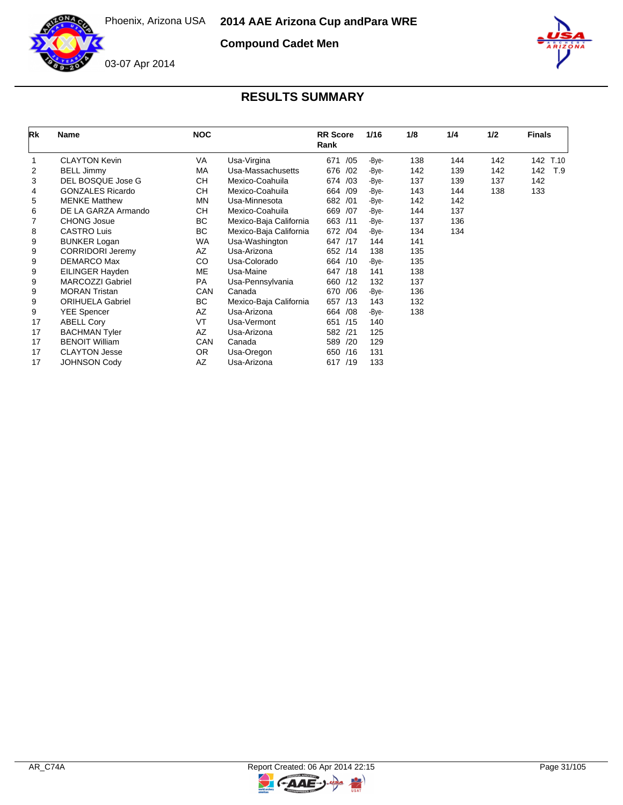

**Compound Cadet Men**



## **RESULTS SUMMARY**

| Rk | <b>Name</b>             | <b>NOC</b> |                        | <b>RR</b> Score<br>Rank | 1/16  | 1/8 | 1/4 | 1/2 | <b>Finals</b> |
|----|-------------------------|------------|------------------------|-------------------------|-------|-----|-----|-----|---------------|
|    | <b>CLAYTON Kevin</b>    | VA         | Usa-Virgina            | 671<br>/05              | -Bye- | 138 | 144 | 142 | 142<br>T.10   |
| 2  | <b>BELL Jimmy</b>       | <b>MA</b>  | Usa-Massachusetts      | 676 /02                 | -Bye- | 142 | 139 | 142 | 142<br>T.9    |
| 3  | DEL BOSQUE Jose G       | CН         | Mexico-Coahuila        | 674 /03                 | -Bye- | 137 | 139 | 137 | 142           |
| 4  | <b>GONZALES Ricardo</b> | CН         | Mexico-Coahuila        | 664 /09                 | -Bye- | 143 | 144 | 138 | 133           |
| 5  | <b>MENKE Matthew</b>    | <b>MN</b>  | Usa-Minnesota          | 682 /01                 | -Bye- | 142 | 142 |     |               |
| 6  | DE LA GARZA Armando     | CН         | Mexico-Coahuila        | 669 /07                 | -Bye- | 144 | 137 |     |               |
| 7  | <b>CHONG Josue</b>      | BC         | Mexico-Baja California | 663 /11                 | -Bye- | 137 | 136 |     |               |
| 8  | <b>CASTRO Luis</b>      | BC         | Mexico-Baja California | 672 /04                 | -Bye- | 134 | 134 |     |               |
| 9  | <b>BUNKER Logan</b>     | WA         | Usa-Washington         | 647 /17                 | 144   | 141 |     |     |               |
| 9  | <b>CORRIDORI Jeremy</b> | AZ         | Usa-Arizona            | 652 /14                 | 138   | 135 |     |     |               |
| 9  | DEMARCO Max             | CO         | Usa-Colorado           | 664 /10                 | -Bye- | 135 |     |     |               |
| 9  | EILINGER Hayden         | ME         | Usa-Maine              | 647 /18                 | 141   | 138 |     |     |               |
| 9  | <b>MARCOZZI Gabriel</b> | <b>PA</b>  | Usa-Pennsylvania       | 660 /12                 | 132   | 137 |     |     |               |
| 9  | <b>MORAN Tristan</b>    | CAN        | Canada                 | 670 / 06                | -Bye- | 136 |     |     |               |
| 9  | <b>ORIHUELA Gabriel</b> | BC         | Mexico-Baja California | 657 /13                 | 143   | 132 |     |     |               |
| 9  | <b>YEE Spencer</b>      | AZ         | Usa-Arizona            | 664 / 08                | -Bye- | 138 |     |     |               |
| 17 | <b>ABELL Cory</b>       | VT         | Usa-Vermont            | 651 /15                 | 140   |     |     |     |               |
| 17 | <b>BACHMAN Tyler</b>    | AZ         | Usa-Arizona            | 582 /21                 | 125   |     |     |     |               |
| 17 | <b>BENOIT William</b>   | CAN        | Canada                 | /20<br>589              | 129   |     |     |     |               |
| 17 | <b>CLAYTON Jesse</b>    | OR.        | Usa-Oregon             | 650 /16                 | 131   |     |     |     |               |
| 17 | <b>JOHNSON Cody</b>     | AZ         | Usa-Arizona            | 617 /19                 | 133   |     |     |     |               |



 $\overline{z}$ 

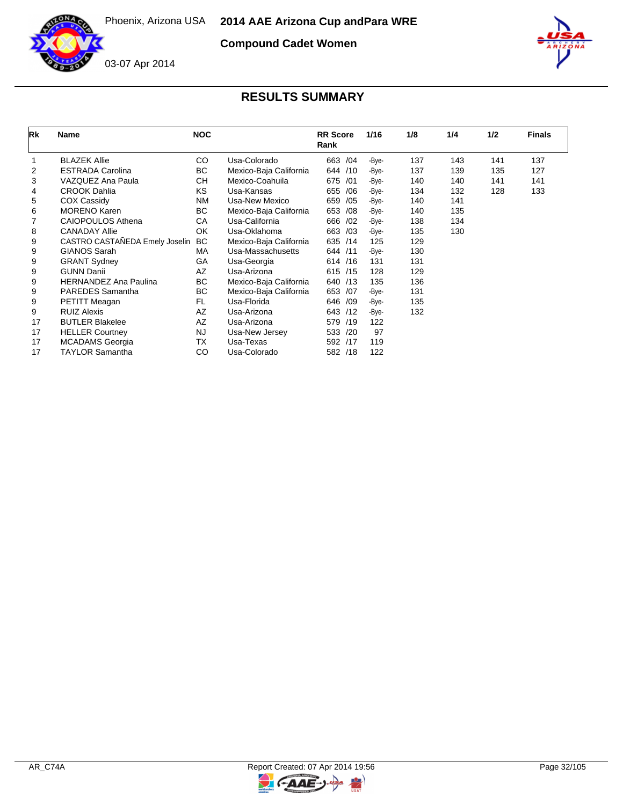

**Compound Cadet Women**



| Rk | Name                           | <b>NOC</b> |                        | <b>RR</b> Score<br>Rank | 1/16  | 1/8 | 1/4 | 1/2 | <b>Finals</b> |
|----|--------------------------------|------------|------------------------|-------------------------|-------|-----|-----|-----|---------------|
|    | <b>BLAZEK Allie</b>            | CO.        | Usa-Colorado           | /04<br>663              | -Bye- | 137 | 143 | 141 | 137           |
| 2  | <b>ESTRADA Carolina</b>        | ВC         | Mexico-Baja California | /10<br>644              | -Bye- | 137 | 139 | 135 | 127           |
| 3  | VAZQUEZ Ana Paula              | CН         | Mexico-Coahuila        | 675<br>/01              | -Bye- | 140 | 140 | 141 | 141           |
| 4  | <b>CROOK Dahlia</b>            | KS         | Usa-Kansas             | /06<br>655              | -Bye- | 134 | 132 | 128 | 133           |
| 5  | <b>COX Cassidy</b>             | <b>NM</b>  | Usa-New Mexico         | /05<br>659              | -Bye- | 140 | 141 |     |               |
| 6  | <b>MORENO Karen</b>            | BC         | Mexico-Baja California | 653<br>/08              | -Bye- | 140 | 135 |     |               |
|    | <b>CAIOPOULOS Athena</b>       | СA         | Usa-California         | 666<br>/02              | -Bye- | 138 | 134 |     |               |
| 8  | <b>CANADAY Allie</b>           | <b>OK</b>  | Usa-Oklahoma           | 663<br>/03              | -Bye- | 135 | 130 |     |               |
| 9  | CASTRO CASTAÑEDA Emely Joselin | <b>BC</b>  | Mexico-Baja California | 635<br>/14              | 125   | 129 |     |     |               |
| 9  | <b>GIANOS Sarah</b>            | МA         | Usa-Massachusetts      | 644<br>/11              | -Bye- | 130 |     |     |               |
| 9  | <b>GRANT Sydney</b>            | GA         | Usa-Georgia            | 614 /16                 | 131   | 131 |     |     |               |
| 9  | <b>GUNN Danii</b>              | AZ         | Usa-Arizona            | 615 /15                 | 128   | 129 |     |     |               |
| 9  | <b>HERNANDEZ Ana Paulina</b>   | ВC         | Mexico-Baja California | /13<br>640              | 135   | 136 |     |     |               |
| 9  | PAREDES Samantha               | BC         | Mexico-Baja California | 653<br>/07              | -Bye- | 131 |     |     |               |
| 9  | PETITT Meagan                  | FL         | Usa-Florida            | 646<br>/09              | -Bye- | 135 |     |     |               |
| 9  | <b>RUIZ Alexis</b>             | <b>AZ</b>  | Usa-Arizona            | 643<br>/12              | -Bye- | 132 |     |     |               |
| 17 | <b>BUTLER Blakelee</b>         | AZ         | Usa-Arizona            | 579<br>/19              | 122   |     |     |     |               |
| 17 | <b>HELLER Courtney</b>         | <b>NJ</b>  | Usa-New Jersey         | 533<br>/20              | 97    |     |     |     |               |
| 17 | <b>MCADAMS</b> Georgia         | ТX         | Usa-Texas              | 592<br>/17              | 119   |     |     |     |               |
| 17 | <b>TAYLOR Samantha</b>         | CO         | Usa-Colorado           | 582 /18                 | 122   |     |     |     |               |

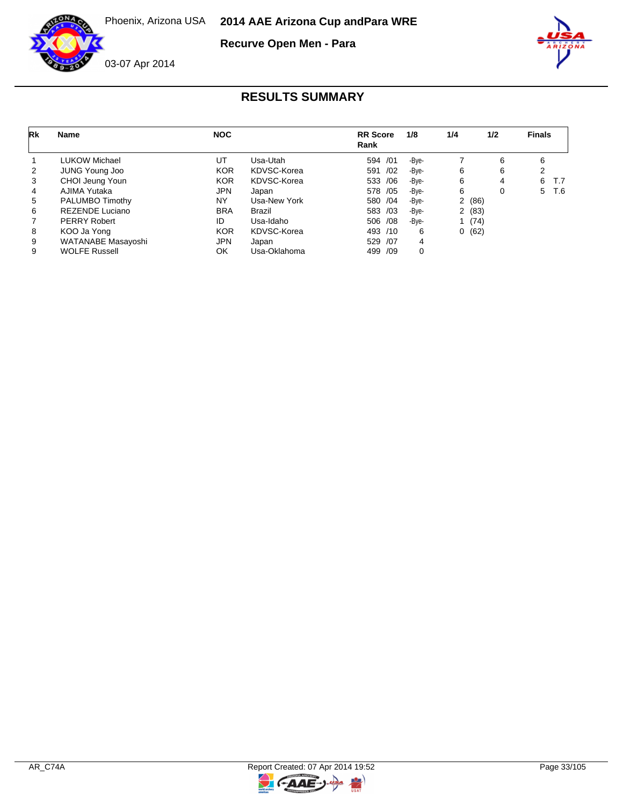

**Recurve Open Men - Para**



| Rk | <b>Name</b>            | <b>NOC</b> |              | <b>RR</b> Score<br>Rank | 1/8   | 1/4 | 1/2   | <b>Finals</b> |     |
|----|------------------------|------------|--------------|-------------------------|-------|-----|-------|---------------|-----|
|    | LUKOW Michael          | UT         | Usa-Utah     | 594 /01                 | -Bve- |     | 6     | 6             |     |
| 2  | <b>JUNG Young Joo</b>  | <b>KOR</b> | KDVSC-Korea  | 591<br>/02              | -Bve- | 6   | 6     |               |     |
| 3  | CHOI Jeung Youn        | <b>KOR</b> | KDVSC-Korea  | 533 /06                 | -Bve- | 6   | 4     | 6             | T.7 |
| 4  | AJIMA Yutaka           | <b>JPN</b> | Japan        | 578 / 05                | -Bye- | 6   | 0     | 5             | T.6 |
| 5  | PALUMBO Timothy        | NY         | Usa-New York | 580 /04                 | -Bve- |     | 2(86) |               |     |
| 6  | <b>REZENDE Luciano</b> | <b>BRA</b> | Brazil       | 583 /03                 | -Bve- |     | 2(83) |               |     |
|    | <b>PERRY Robert</b>    | ID         | Usa-Idaho    | 506 /08                 | -Bve- |     | 1(74) |               |     |
| 8  | KOO Ja Yong            | <b>KOR</b> | KDVSC-Korea  | 493 /10                 | 6     | 0   | (62)  |               |     |
| 9  | WATANABE Masayoshi     | <b>JPN</b> | Japan        | 529 /07                 | 4     |     |       |               |     |
| 9  | <b>WOLFE Russell</b>   | OK         | Usa-Oklahoma | 499 /09                 | 0     |     |       |               |     |

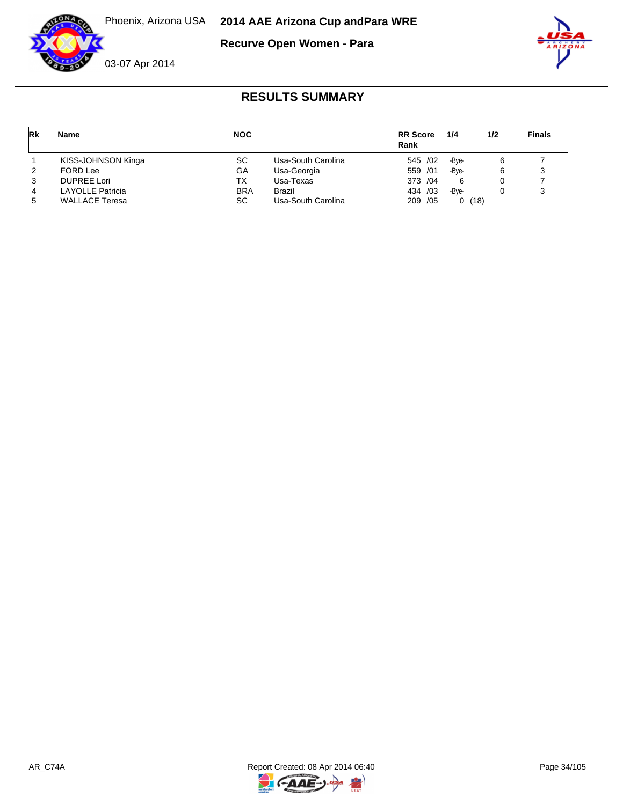

**Recurve Open Women - Para**



| Rk | <b>Name</b>             | <b>NOC</b> |                    | <b>RR</b> Score<br>Rank | 1/4   | 1/2 | <b>Finals</b> |
|----|-------------------------|------------|--------------------|-------------------------|-------|-----|---------------|
|    | KISS-JOHNSON Kinga      | SC         | Usa-South Carolina | 545 /02                 | -Bve- | 6   |               |
| 2  | FORD Lee                | GA         | Usa-Georgia        | 559 /01                 | -Bve- | 6   |               |
| 3  | <b>DUPREE Lori</b>      | ТX         | Usa-Texas          | 373 / 04                | 6     |     |               |
| 4  | <b>LAYOLLE Patricia</b> | <b>BRA</b> | Brazil             | 434 /03                 | -Bve- |     |               |
| 5  | <b>WALLACE Teresa</b>   | SC         | Usa-South Carolina | 209 / 05                | 0(18) |     |               |



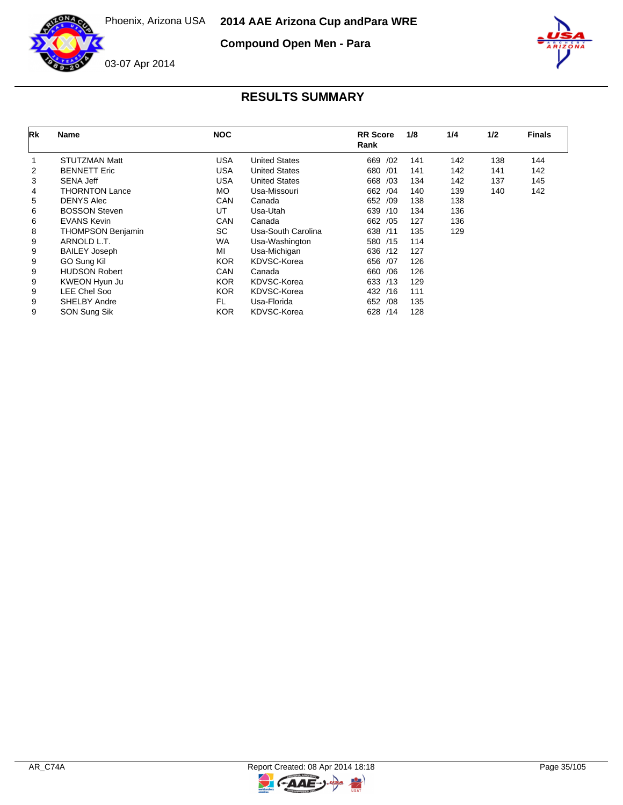

**Compound Open Men - Para**



| Rk | Name                     | <b>NOC</b> |                      | <b>RR</b> Score<br>Rank | 1/8 | 1/4 | 1/2 | <b>Finals</b> |
|----|--------------------------|------------|----------------------|-------------------------|-----|-----|-----|---------------|
|    | <b>STUTZMAN Matt</b>     | USA        | <b>United States</b> | 669<br>/02              | 141 | 142 | 138 | 144           |
| 2  | <b>BENNETT Eric</b>      | USA        | <b>United States</b> | 680 / 01                | 141 | 142 | 141 | 142           |
| 3  | <b>SENA Jeff</b>         | USA        | <b>United States</b> | 668 /03                 | 134 | 142 | 137 | 145           |
| 4  | <b>THORNTON Lance</b>    | MO.        | Usa-Missouri         | 662 /04                 | 140 | 139 | 140 | 142           |
| 5  | <b>DENYS Alec</b>        | <b>CAN</b> | Canada               | 652 /09                 | 138 | 138 |     |               |
| 6  | <b>BOSSON Steven</b>     | UT         | Usa-Utah             | 639 /10                 | 134 | 136 |     |               |
| 6  | <b>EVANS Kevin</b>       | <b>CAN</b> | Canada               | 662 / 05                | 127 | 136 |     |               |
| 8  | <b>THOMPSON Benjamin</b> | <b>SC</b>  | Usa-South Carolina   | 638 /11                 | 135 | 129 |     |               |
| 9  | ARNOLD L.T.              | <b>WA</b>  | Usa-Washington       | 580 /15                 | 114 |     |     |               |
| 9  | <b>BAILEY Joseph</b>     | MI         | Usa-Michigan         | 636 /12                 | 127 |     |     |               |
| 9  | GO Sung Kil              | <b>KOR</b> | KDVSC-Korea          | 656 /07                 | 126 |     |     |               |
| 9  | <b>HUDSON Robert</b>     | CAN        | Canada               | /06<br>660              | 126 |     |     |               |
| 9  | KWEON Hyun Ju            | <b>KOR</b> | KDVSC-Korea          | 633 /13                 | 129 |     |     |               |
| 9  | LEE Chel Soo             | <b>KOR</b> | KDVSC-Korea          | 432 /16                 | 111 |     |     |               |
| 9  | <b>SHELBY Andre</b>      | FL.        | Usa-Florida          | 652 /08                 | 135 |     |     |               |
| 9  | SON Sung Sik             | <b>KOR</b> | KDVSC-Korea          | 628<br>/14              | 128 |     |     |               |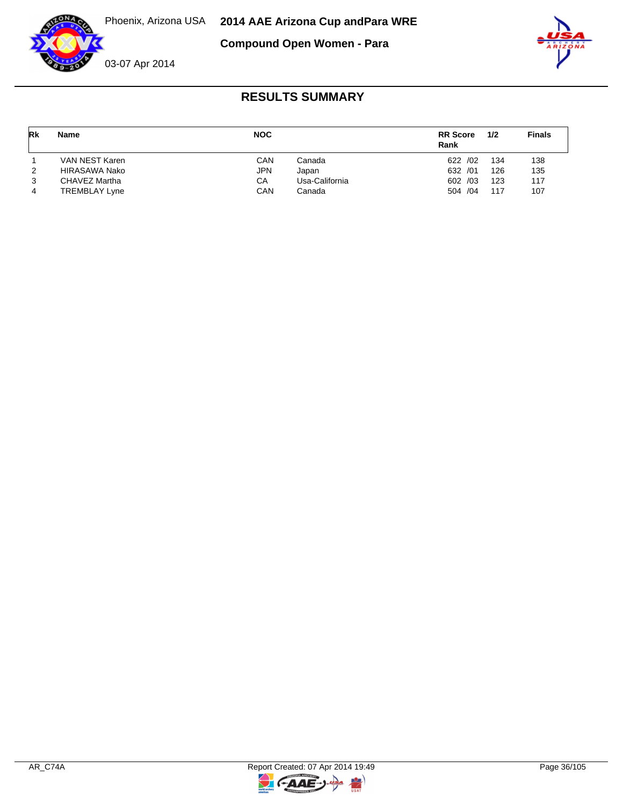

**Compound Open Women - Para**



| Rk | <b>Name</b>          | <b>NOC</b> |                | <b>RR</b> Score<br>Rank | 1/2 | <b>Finals</b> |
|----|----------------------|------------|----------------|-------------------------|-----|---------------|
|    | VAN NEST Karen       | CAN        | Canada         | 622 /02                 | 134 | 138           |
| 2  | HIRASAWA Nako        | <b>JPN</b> | Japan          | 632 /01                 | 126 | 135           |
| 3  | CHAVEZ Martha        | CA         | Usa-California | 602 /03                 | 123 | 117           |
| 4  | <b>TREMBLAY Lyne</b> | CAN        | Canada         | 504 /04                 | 117 | 107           |

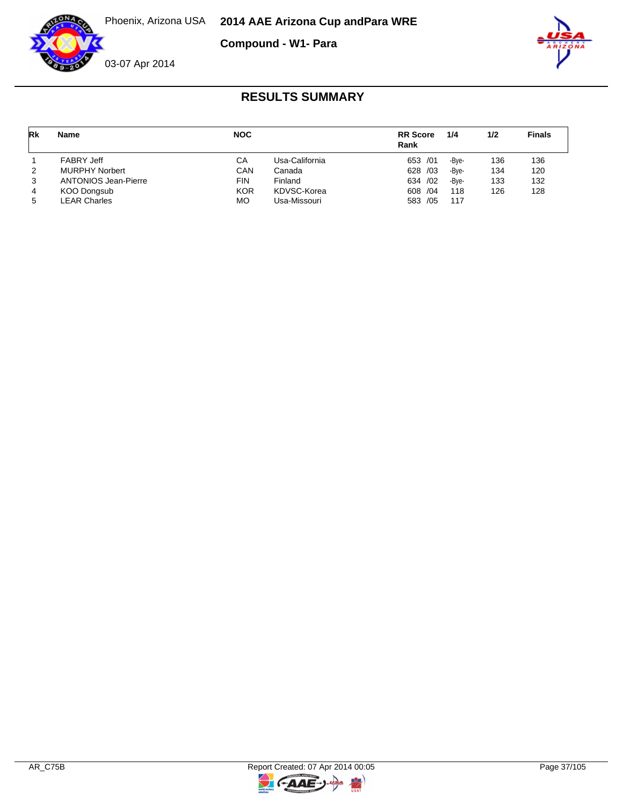**Compound - W1- Para**





# **RESULTS SUMMARY**

| Rk | <b>Name</b>                 | <b>NOC</b> |                | <b>RR</b> Score<br>Rank | 1/4   | 1/2 | <b>Finals</b> |
|----|-----------------------------|------------|----------------|-------------------------|-------|-----|---------------|
|    | <b>FABRY Jeff</b>           | CА         | Usa-California | 653 /01                 | -Bve- | 136 | 136           |
| 2  | <b>MURPHY Norbert</b>       | CAN        | Canada         | 628 /03                 | -Bve- | 134 | 120           |
| 3  | <b>ANTONIOS Jean-Pierre</b> | FIN        | Finland        | 634 / 02                | -Bve- | 133 | 132           |
|    | KOO Dongsub                 | <b>KOR</b> | KDVSC-Korea    | 608 / 04                | 118   | 126 | 128           |
| 5  | <b>LEAR Charles</b>         | <b>MO</b>  | Usa-Missouri   | 583 /05                 | 117   |     |               |

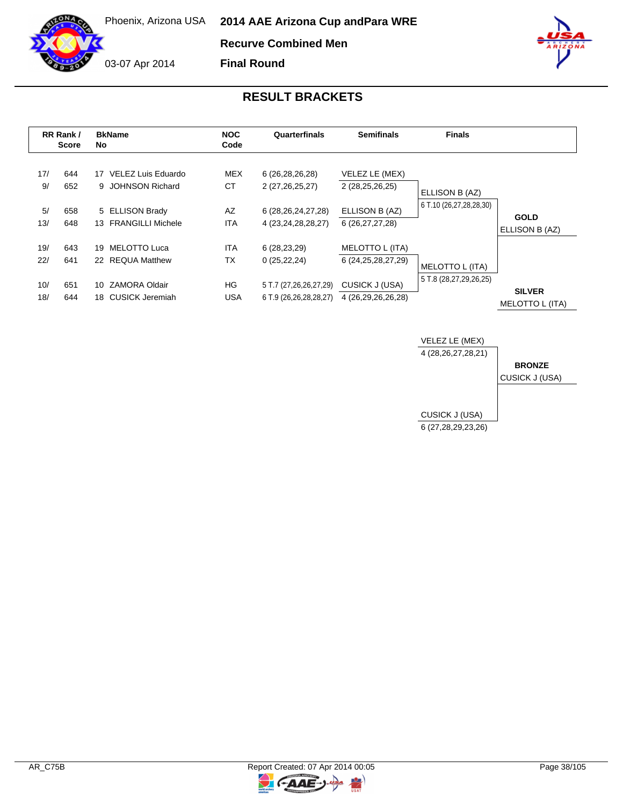**Recurve Combined Men**

**Final Round**

03-07 Apr 2014



|            | RR Rank /<br><b>Score</b> | <b>BkName</b><br>No.                       | <b>NOC</b><br>Code      | Quarterfinals                                    | <b>Semifinals</b>                         | <b>Finals</b>           |                                  |
|------------|---------------------------|--------------------------------------------|-------------------------|--------------------------------------------------|-------------------------------------------|-------------------------|----------------------------------|
| 17/<br>9/  | 644<br>652                | 17 VELEZ Luis Eduardo<br>9 JOHNSON Richard | <b>MEX</b><br><b>CT</b> | 6 (26,28,26,28)<br>2 (27,26,25,27)               | VELEZ LE (MEX)<br>2 (28,25,26,25)         | ELLISON B (AZ)          |                                  |
| 5/<br>13/  | 658<br>648                | 5 ELLISON Brady<br>13 FRANGILLI Michele    | AZ<br><b>ITA</b>        | 6 (28, 26, 24, 27, 28)<br>4 (23, 24, 28, 28, 27) | ELLISON B (AZ)<br>6 (26, 27, 27, 28)      | 6 T.10 (26,27,28,28,30) | <b>GOLD</b><br>ELLISON B (AZ)    |
| 19/<br>22/ | 643<br>641                | 19 MELOTTO Luca<br>22 REQUA Matthew        | <b>ITA</b><br>TX        | 6(28, 23, 29)<br>0(25, 22, 24)                   | MELOTTO L (ITA)<br>6 (24, 25, 28, 27, 29) | MELOTTO L (ITA)         |                                  |
| 10/<br>18/ | 651<br>644                | 10 ZAMORA Oldair<br>18 CUSICK Jeremiah     | HG<br><b>USA</b>        | 5 T.7 (27,26,26,27,29)<br>6 T.9 (26,26,28,28,27) | CUSICK J (USA)<br>4 (26,29,26,26,28)      | 5 T.8 (28,27,29,26,25)  | <b>SILVER</b><br>MELOTTO L (ITA) |



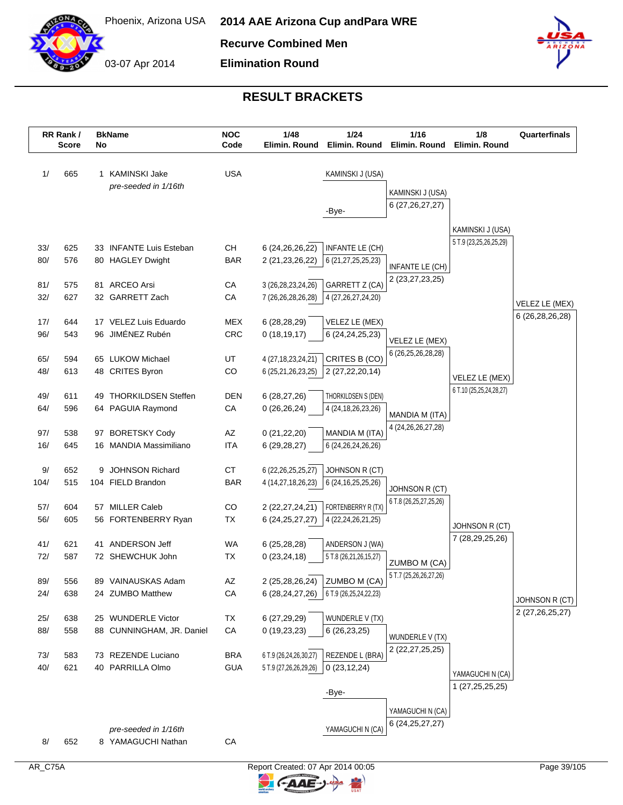

**Recurve Combined Men**

03-07 Apr 2014 **Elimination Round**



#### **RESULT BRACKETS**

|            | RR Rank /<br><b>Score</b> | No | <b>BkName</b>                                   | <b>NOC</b><br>Code | 1/48<br>Elimin. Round        | 1/24<br>Elimin. Round                         | 1/16<br>Elimin. Round                  | 1/8<br>Elimin. Round    | Quarterfinals      |
|------------|---------------------------|----|-------------------------------------------------|--------------------|------------------------------|-----------------------------------------------|----------------------------------------|-------------------------|--------------------|
| 1/         | 665                       |    | 1 KAMINSKI Jake                                 | <b>USA</b>         |                              | KAMINSKI J (USA)                              |                                        |                         |                    |
|            |                           |    | pre-seeded in 1/16th                            |                    |                              | -Bye-                                         | KAMINSKI J (USA)<br>6 (27, 26, 27, 27) |                         |                    |
|            |                           |    |                                                 |                    |                              |                                               |                                        | KAMINSKI J (USA)        |                    |
| 33/        | 625                       |    | 33 INFANTE Luis Esteban                         | CН                 | 6 (24, 26, 26, 22)           | <b>INFANTE LE (CH)</b>                        |                                        | 5 T.9 (23,25,26,25,29)  |                    |
| 80/        | 576                       |    | 80 HAGLEY Dwight                                | <b>BAR</b>         | 2 (21, 23, 26, 22)           | 6 (21,27,25,25,23)                            |                                        |                         |                    |
|            |                           |    |                                                 |                    |                              |                                               | INFANTE LE (CH)                        |                         |                    |
| 81/        | 575                       | 81 | <b>ARCEO Arsi</b>                               | CA                 | 3 (26, 28, 23, 24, 26)       | GARRETT Z (CA)                                | 2 (23,27,23,25)                        |                         |                    |
| 32/        | 627                       |    | 32 GARRETT Zach                                 | CA                 | 7 (26,26,28,26,28)           | 4 (27, 26, 27, 24, 20)                        |                                        |                         | VELEZ LE (MEX)     |
| 17/        | 644                       |    | 17 VELEZ Luis Eduardo                           | <b>MEX</b>         | 6(28, 28, 29)                | VELEZ LE (MEX)                                |                                        |                         | 6 (26,28,26,28)    |
| 96/        | 543                       |    | 96 JIMÉNEZ Rubén                                | CRC                | 0(18, 19, 17)                | 6 (24, 24, 25, 23)                            |                                        |                         |                    |
|            |                           |    |                                                 |                    |                              |                                               | VELEZ LE (MEX)                         |                         |                    |
| 65/        | 594                       |    | 65 LUKOW Michael                                | UT                 | 4 (27, 18, 23, 24, 21)       | CRITES B (CO)                                 | 6 (26,25,26,28,28)                     |                         |                    |
| 48/        | 613                       |    | 48 CRITES Byron                                 | CO                 | 6 (25,21,26,23,25)           | 2 (27, 22, 20, 14)                            |                                        | VELEZ LE (MEX)          |                    |
|            |                           |    |                                                 |                    |                              |                                               |                                        | 6 T.10 (25,25,24,28,27) |                    |
| 49/<br>64/ | 611<br>596                | 49 | <b>THORKILDSEN Steffen</b><br>64 PAGUIA Raymond | <b>DEN</b><br>CA   | 6(28, 27, 26)<br>0(26,26,24) | THORKILDSEN S (DEN)<br>4 (24, 18, 26, 23, 26) |                                        |                         |                    |
|            |                           |    |                                                 |                    |                              |                                               | MANDIA M (ITA)                         |                         |                    |
| 97/        | 538                       | 97 | <b>BORETSKY Cody</b>                            | AZ                 | 0(21,22,20)                  | MANDIA M (ITA)                                | 4 (24, 26, 26, 27, 28)                 |                         |                    |
| 16/        | 645                       |    | 16 MANDIA Massimiliano                          | <b>ITA</b>         | 6(29, 28, 27)                | 6 (24, 26, 24, 26, 26)                        |                                        |                         |                    |
| 9/         | 652                       | 9  | <b>JOHNSON Richard</b>                          | <b>CT</b>          | 6 (22, 26, 25, 25, 27)       | JOHNSON R (CT)                                |                                        |                         |                    |
| 104/       | 515                       |    | 104 FIELD Brandon                               | <b>BAR</b>         | 4 (14,27,18,26,23)           | 6 (24, 16, 25, 25, 26)                        | JOHNSON R (CT)                         |                         |                    |
|            |                           |    |                                                 |                    |                              |                                               | 6 T.8 (26,25,27,25,26)                 |                         |                    |
| 57/        | 604                       |    | 57 MILLER Caleb                                 | CO                 | 2 (22,27,24,21)              | FORTENBERRY R (TX)                            |                                        |                         |                    |
| 56/        | 605                       |    | 56 FORTENBERRY Ryan                             | ТX                 | 6 (24, 25, 27, 27)           | 4 (22, 24, 26, 21, 25)                        |                                        | JOHNSON R (CT)          |                    |
| 41/        | 621                       | 41 | ANDERSON Jeff                                   | <b>WA</b>          | 6(25, 28, 28)                | ANDERSON J (WA)                               |                                        | 7 (28,29,25,26)         |                    |
| 72/        | 587                       |    | 72 SHEWCHUK John                                | <b>TX</b>          | 0(23, 24, 18)                | 5 T.8 (26,21,26,15,27)                        |                                        |                         |                    |
|            |                           |    |                                                 |                    |                              |                                               | ZUMBO M (CA)<br>5 T.7 (25,26,26,27,26) |                         |                    |
| 89/        | 556                       | 89 | VAINAUSKAS Adam                                 | AZ                 |                              | 2 (25,28,26,24) ZUMBO M (CA)                  |                                        |                         |                    |
| 24/        | 638                       |    | 24 ZUMBO Matthew                                | CA                 | 6 (28,24,27,26)              | 6 T.9 (26,25,24,22,23)                        |                                        |                         | JOHNSON R (CT)     |
| 25/        | 638                       |    | 25 WUNDERLE Victor                              | <b>TX</b>          | 6 (27,29,29)                 | WUNDERLE V (TX)                               |                                        |                         | 2 (27, 26, 25, 27) |
| 88/        | 558                       |    | 88 CUNNINGHAM, JR. Daniel                       | CA                 | 0(19,23,23)                  | 6(26, 23, 25)                                 |                                        |                         |                    |
|            |                           |    |                                                 |                    |                              |                                               | WUNDERLE V (TX)                        |                         |                    |
| 73/        | 583                       |    | 73 REZENDE Luciano                              | <b>BRA</b>         | 6 T.9 (26,24,26,30,27)       | REZENDE L (BRA)                               | 2 (22, 27, 25, 25)                     |                         |                    |
| 40/        | 621                       |    | 40 PARRILLA Olmo                                | <b>GUA</b>         | 5 T.9 (27,26,26,29,26)       | 0(23, 12, 24)                                 |                                        | YAMAGUCHI N (CA)        |                    |
|            |                           |    |                                                 |                    |                              |                                               |                                        | 1 (27,25,25,25)         |                    |
|            |                           |    |                                                 |                    |                              | -Bye-                                         |                                        |                         |                    |
|            |                           |    |                                                 |                    |                              |                                               | YAMAGUCHI N (CA)                       |                         |                    |
|            |                           |    | pre-seeded in 1/16th                            |                    |                              | YAMAGUCHI N (CA)                              | 6 (24, 25, 27, 27)                     |                         |                    |
| 8/         | 652                       |    | 8 YAMAGUCHI Nathan                              | CA                 |                              |                                               |                                        |                         |                    |

 $\mathbb{F}$ 

**CAAE-**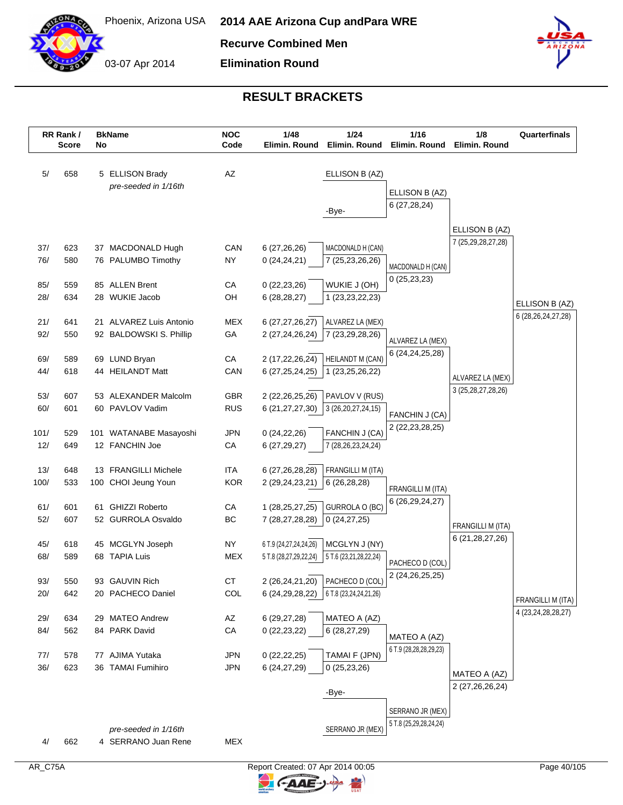

**Recurve Combined Men**

**Elimination Round**



|      | RR Rank /<br><b>Score</b> | No | <b>BkName</b>                               | <b>NOC</b><br>Code | 1/48<br>Elimin. Round  | 1/24<br>Elimin, Round                         | 1/16<br>Elimin. Round               | 1/8<br>Elimin. Round                    | Quarterfinals          |
|------|---------------------------|----|---------------------------------------------|--------------------|------------------------|-----------------------------------------------|-------------------------------------|-----------------------------------------|------------------------|
| 5/   | 658                       |    | 5 ELLISON Brady                             | AZ                 |                        | ELLISON B (AZ)                                |                                     |                                         |                        |
|      |                           |    | pre-seeded in 1/16th                        |                    |                        |                                               | ELLISON B (AZ)                      |                                         |                        |
|      |                           |    |                                             |                    |                        | -Bye-                                         | 6(27, 28, 24)                       |                                         |                        |
|      |                           |    |                                             |                    |                        |                                               |                                     | ELLISON B (AZ)<br>7 (25,29,28,27,28)    |                        |
| 37/  | 623                       |    | 37 MACDONALD Hugh                           | CAN                | 6 (27,26,26)           | MACDONALD H (CAN)                             |                                     |                                         |                        |
| 76/  | 580                       |    | 76 PALUMBO Timothy                          | <b>NY</b>          | 0(24, 24, 21)          | 7 (25,23,26,26)                               | MACDONALD H (CAN)<br>0(25, 23, 23)  |                                         |                        |
| 85/  | 559                       |    | 85 ALLEN Brent                              | CA                 | 0(22, 23, 26)          | WUKIE J (OH)                                  |                                     |                                         |                        |
| 28/  | 634                       |    | 28 WUKIE Jacob                              | OH                 | 6(28, 28, 27)          | 1 (23, 23, 22, 23)                            |                                     |                                         | ELLISON B (AZ)         |
| 21/  | 641                       |    | 21 ALVAREZ Luis Antonio                     | <b>MEX</b>         | 6 (27,27,26,27)        | ALVAREZ LA (MEX)                              |                                     |                                         | 6 (28, 26, 24, 27, 28) |
| 92/  | 550                       |    | 92 BALDOWSKI S. Phillip                     | GA                 | 2 (27,24,26,24)        | 7 (23,29,28,26)                               |                                     |                                         |                        |
|      |                           |    |                                             |                    |                        |                                               | ALVAREZ LA (MEX)<br>6 (24,24,25,28) |                                         |                        |
| 69/  | 589                       |    | 69 LUND Bryan                               | СA                 | 2 (17,22,26,24)        | HEILANDT M (CAN)                              |                                     |                                         |                        |
| 44/  | 618                       |    | 44 HEILANDT Matt                            | CAN                | 6 (27, 25, 24, 25)     | 1 (23,25,26,22)                               |                                     | ALVAREZ LA (MEX)                        |                        |
| 53/  | 607                       |    | 53 ALEXANDER Malcolm                        | GBR                | 2 (22, 26, 25, 26)     | PAVLOV V (RUS)                                |                                     | 3 (25, 28, 27, 28, 26)                  |                        |
| 60/  | 601                       |    | 60 PAVLOV Vadim                             | <b>RUS</b>         | 6 (21,27,27,30)        | 3 (26, 20, 27, 24, 15)                        | FANCHIN J (CA)                      |                                         |                        |
| 101/ | 529                       |    | 101 WATANABE Masayoshi                      | <b>JPN</b>         | 0(24,22,26)            | FANCHIN J (CA)                                | 2 (22, 23, 28, 25)                  |                                         |                        |
| 12/  | 649                       |    | 12 FANCHIN Joe                              | CA                 | 6(27, 29, 27)          | 7 (28, 26, 23, 24, 24)                        |                                     |                                         |                        |
| 13/  | 648                       |    | 13 FRANGILLI Michele                        | <b>ITA</b>         | 6 (27,26,28,28)        | FRANGILLI M (ITA)                             |                                     |                                         |                        |
| 100/ | 533                       |    | 100 CHOI Jeung Youn                         | <b>KOR</b>         | 2 (29,24,23,21)        | 6(26, 28, 28)                                 | FRANGILLI M (ITA)                   |                                         |                        |
| 61/  | 601                       |    | 61 GHIZZI Roberto                           | CA                 | 1 (28, 25, 27, 25)     | <b>GURROLA O (BC)</b>                         | 6 (26,29,24,27)                     |                                         |                        |
| 52/  | 607                       |    | 52 GURROLA Osvaldo                          | BC                 | 7 (28,27,28,28)        | 0(24, 27, 25)                                 |                                     |                                         |                        |
|      |                           |    |                                             |                    |                        |                                               |                                     | FRANGILLI M (ITA)<br>6 (21, 28, 27, 26) |                        |
| 45/  | 618                       |    | 45 MCGLYN Joseph                            | <b>NY</b>          | 6 T.9 (24,27,24,24,26) | MCGLYN J (NY)                                 |                                     |                                         |                        |
| 68/  | 589                       |    | 68 TAPIA Luis                               | <b>MEX</b>         | 5 T.8 (28,27,29,22,24) | 5 T.6 (23,21,28,22,24)                        | PACHECO D (COL)                     |                                         |                        |
| 93/  | 550                       |    | 93 GAUVIN Rich                              | СT                 |                        | 2 (26,24,21,20)   PACHECO D (COL)             | 2 (24, 26, 25, 25)                  |                                         |                        |
| 20/  | 642                       |    | 20 PACHECO Daniel                           | COL                |                        | 6 (24, 29, 28, 22) 6 T.8 (23, 24, 24, 21, 26) |                                     |                                         | FRANGILLI M (ITA)      |
| 29/  | 634                       |    | 29 MATEO Andrew                             | AZ                 | 6 (29,27,28)           | MATEO A (AZ)                                  |                                     |                                         | 4 (23, 24, 28, 28, 27) |
| 84/  | 562                       |    | 84 PARK David                               | CA                 | 0(22, 23, 22)          | 6 (28,27,29)                                  |                                     |                                         |                        |
|      |                           |    |                                             |                    |                        |                                               | MATEO A (AZ)                        |                                         |                        |
| 77/  | 578                       |    | 77 AJIMA Yutaka                             | <b>JPN</b>         | 0(22, 22, 25)          | TAMAI F (JPN)                                 | 6 T.9 (28,28,28,29,23)              |                                         |                        |
| 36/  | 623                       |    | 36 TAMAI Fumihiro                           | <b>JPN</b>         | 6 (24, 27, 29)         | 0(25, 23, 26)                                 |                                     | MATEO A (AZ)                            |                        |
|      |                           |    |                                             |                    |                        |                                               |                                     | 2 (27,26,26,24)                         |                        |
|      |                           |    |                                             |                    |                        | -Bye-                                         |                                     |                                         |                        |
|      |                           |    |                                             |                    |                        |                                               | SERRANO JR (MEX)                    |                                         |                        |
|      |                           |    |                                             |                    |                        | SERRANO JR (MEX)                              | 5 T.8 (25,29,28,24,24)              |                                         |                        |
| 4/   | 662                       |    | pre-seeded in 1/16th<br>4 SERRANO Juan Rene | <b>MEX</b>         |                        |                                               |                                     |                                         |                        |
|      |                           |    |                                             |                    |                        |                                               |                                     |                                         |                        |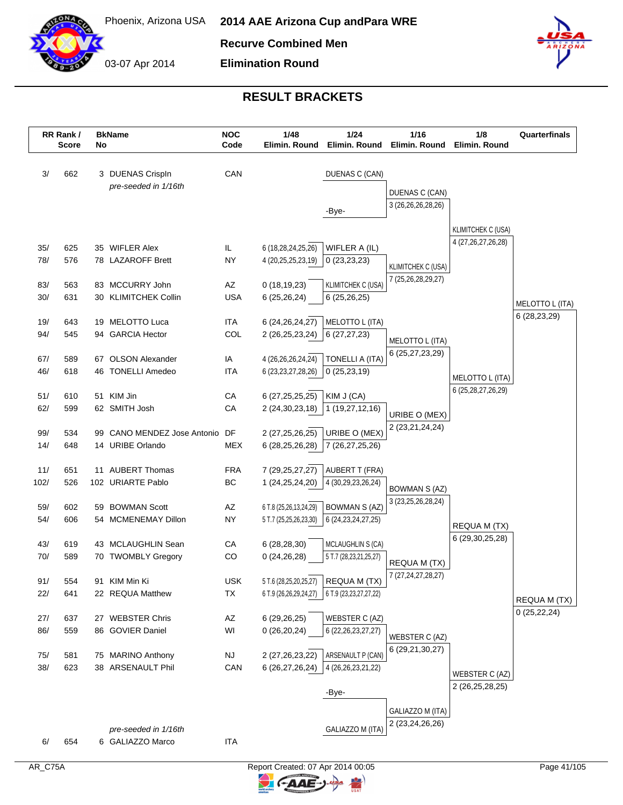

**Recurve Combined Men**

**Elimination Round**



|      | RR Rank /<br><b>Score</b> | No | <b>BkName</b>                            | <b>NOC</b><br>Code | 1/48<br>Elimin, Round  | $1/24$<br>Elimin, Round                       | 1/16<br>Elimin. Round                           | 1/8<br>Elimin. Round                      | Quarterfinals                   |
|------|---------------------------|----|------------------------------------------|--------------------|------------------------|-----------------------------------------------|-------------------------------------------------|-------------------------------------------|---------------------------------|
| 3/   | 662                       |    | 3 DUENAS Crispln<br>pre-seeded in 1/16th | CAN                |                        | DUENAS C (CAN)                                | DUENAS C (CAN)                                  |                                           |                                 |
|      |                           |    |                                          |                    |                        | -Bye-                                         | 3 (26,26,26,28,26)                              | KLIMITCHEK C (USA)                        |                                 |
| 35/  | 625                       |    | 35 WIFLER Alex                           | IL                 | 6 (18,28,24,25,26)     | WIFLER A (IL)                                 |                                                 | 4 (27, 26, 27, 26, 28)                    |                                 |
| 78/  | 576                       |    | 78 LAZAROFF Brett                        | <b>NY</b>          | 4 (20,25,25,23,19)     | 0(23,23,23)                                   | <b>KLIMITCHEK C (USA)</b><br>7 (25,26,28,29,27) |                                           |                                 |
| 83/  | 563                       |    | 83 MCCURRY John                          | AZ                 | 0(18, 19, 23)          | <b>KLIMITCHEK C (USA)</b>                     |                                                 |                                           |                                 |
| 30/  | 631                       |    | 30 KLIMITCHEK Collin                     | <b>USA</b>         | 6(25,26,24)            | 6(25, 26, 25)                                 |                                                 |                                           | MELOTTO L (ITA)<br>6 (28,23,29) |
| 19/  | 643                       |    | 19 MELOTTO Luca                          | <b>ITA</b>         | 6 (24, 26, 24, 27)     | MELOTTO L (ITA)                               |                                                 |                                           |                                 |
| 94/  | 545                       |    | 94 GARCIA Hector                         | COL                | 2 (26,25,23,24)        | 6(27, 27, 23)                                 | MELOTTO L (ITA)<br>6 (25,27,23,29)              |                                           |                                 |
| 67/  | 589                       |    | 67 OLSON Alexander                       | IA                 | 4 (26,26,26,24,24)     | <b>TONELLI A (ITA)</b>                        |                                                 |                                           |                                 |
| 46/  | 618                       |    | 46 TONELLI Amedeo                        | <b>ITA</b>         | 6 (23, 23, 27, 28, 26) | 0(25, 23, 19)                                 |                                                 | MELOTTO L (ITA)<br>6 (25, 28, 27, 26, 29) |                                 |
| 51/  | 610                       |    | 51 KIM Jin                               | CA                 | 6 (27, 25, 25, 25)     | KIM J (CA)                                    |                                                 |                                           |                                 |
| 62/  | 599                       |    | 62 SMITH Josh                            | CA                 | 2 (24, 30, 23, 18)     | 1 (19,27,12,16)                               | URIBE O (MEX)<br>2 (23,21,24,24)                |                                           |                                 |
| 99/  | 534                       |    | 99 CANO MENDEZ Jose Antonio              | DF                 | 2 (27,25,26,25)        | URIBE O (MEX)                                 |                                                 |                                           |                                 |
| 14/  | 648                       |    | 14 URIBE Orlando                         | <b>MEX</b>         | 6 (28, 25, 26, 28)     | 7 (26,27,25,26)                               |                                                 |                                           |                                 |
| 11/  | 651                       |    | 11 AUBERT Thomas                         | <b>FRA</b>         | 7 (29, 25, 27, 27)     | <b>AUBERT T (FRA)</b>                         |                                                 |                                           |                                 |
| 102/ | 526                       |    | 102 URIARTE Pablo                        | BC                 | 1 (24, 25, 24, 20)     | 4 (30,29,23,26,24)                            | <b>BOWMAN S (AZ)</b><br>3 (23,25,26,28,24)      |                                           |                                 |
| 59/  | 602                       |    | 59 BOWMAN Scott                          | AZ                 | 6 T.8 (25,26,13,24,29) | <b>BOWMAN S (AZ)</b>                          |                                                 |                                           |                                 |
| 54/  | 606                       |    | 54 MCMENEMAY Dillon                      | <b>NY</b>          | 5 T.7 (25,25,26,23,30) | 6 (24, 23, 24, 27, 25)                        |                                                 | REQUA M (TX)<br>6 (29, 30, 25, 28)        |                                 |
| 43/  | 619                       |    | 43 MCLAUGHLIN Sean                       | CA                 | 6(28, 28, 30)          | <b>MCLAUGHLIN S (CA)</b>                      |                                                 |                                           |                                 |
| 70/  | 589                       |    | 70 TWOMBLY Gregory                       | CO                 | 0(24,26,28)            | 5 T.7 (28,23,21,25,27)                        | REQUA M (TX)<br>7 (27, 24, 27, 28, 27)          |                                           |                                 |
| 91/  | 554                       |    | 91 KIM Min Ki                            | <b>USK</b>         |                        | 5 T.6 (28,25,20,25,27) REQUA M (TX)           |                                                 |                                           |                                 |
| 22/  | 641                       |    | 22 REQUA Matthew                         | TX                 |                        | 6 T.9 (26,26,29,24,27) 6 T.9 (23,23,27,27,22) |                                                 |                                           | REQUA M (TX)<br>0(25, 22, 24)   |
| 27/  | 637                       |    | 27 WEBSTER Chris                         | AZ                 | 6(29,26,25)            | WEBSTER C (AZ)                                |                                                 |                                           |                                 |
| 86/  | 559                       |    | 86 GOVIER Daniel                         | WI                 | 0(26,20,24)            | 6 (22, 26, 23, 27, 27)                        | <b>WEBSTER C (AZ)</b><br>6 (29,21,30,27)        |                                           |                                 |
| 75/  | 581                       |    | 75 MARINO Anthony                        | <b>NJ</b>          | 2 (27, 26, 23, 22)     | ARSENAULT P (CAN)                             |                                                 |                                           |                                 |
| 38/  | 623                       |    | 38 ARSENAULT Phil                        | CAN                | 6 (26,27,26,24)        | 4 (26, 26, 23, 21, 22)                        |                                                 | WEBSTER C (AZ)<br>2 (26,25,28,25)         |                                 |
|      |                           |    |                                          |                    |                        | -Bye-                                         | GALIAZZO M (ITA)                                |                                           |                                 |
|      |                           |    |                                          |                    |                        |                                               | 2 (23, 24, 26, 26)                              |                                           |                                 |
|      |                           |    | pre-seeded in 1/16th                     |                    |                        | GALIAZZO M (ITA)                              |                                                 |                                           |                                 |
| 6/   | 654                       |    | 6 GALIAZZO Marco                         | <b>ITA</b>         |                        |                                               |                                                 |                                           |                                 |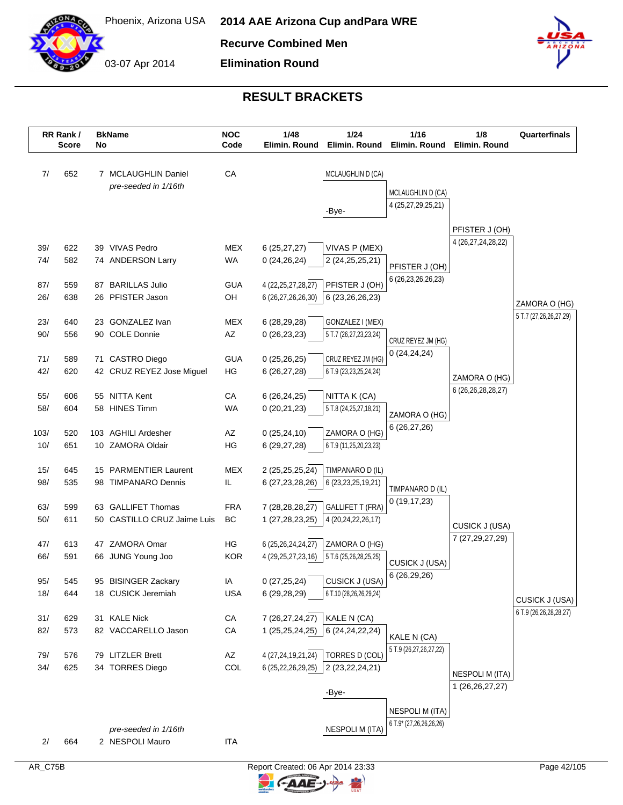

**Recurve Combined Men**

**Elimination Round**



|            | RR Rank /<br><b>Score</b> | No | <b>BkName</b>                                | <b>NOC</b><br>Code | 1/48<br>Elimin, Round                        | 1/24<br>Elimin. Round                      | 1/16<br>Elimin. Round   | 1/8<br>Elimin. Round                 | Quarterfinals          |
|------------|---------------------------|----|----------------------------------------------|--------------------|----------------------------------------------|--------------------------------------------|-------------------------|--------------------------------------|------------------------|
| 7/         | 652                       |    | 7 MCLAUGHLIN Daniel                          | CA                 |                                              | MCLAUGHLIN D (CA)                          |                         |                                      |                        |
|            |                           |    | pre-seeded in 1/16th                         |                    |                                              |                                            | MCLAUGHLIN D (CA)       |                                      |                        |
|            |                           |    |                                              |                    |                                              | -Bye-                                      | 4 (25,27,29,25,21)      |                                      |                        |
|            |                           |    |                                              |                    |                                              |                                            |                         |                                      |                        |
|            |                           |    |                                              |                    |                                              |                                            |                         | PFISTER J (OH)<br>4 (26,27,24,28,22) |                        |
| 39/        | 622                       |    | 39 VIVAS Pedro                               | <b>MEX</b>         | 6(25, 27, 27)                                | VIVAS P (MEX)                              |                         |                                      |                        |
| 74/        | 582                       |    | 74 ANDERSON Larry                            | WA                 | 0(24,26,24)                                  | 2 (24, 25, 25, 21)                         | PFISTER J (OH)          |                                      |                        |
| 87/        | 559                       |    | 87 BARILLAS Julio                            | <b>GUA</b>         | 4 (22, 25, 27, 28, 27)                       | PFISTER J (OH)                             | 6 (26, 23, 26, 26, 23)  |                                      |                        |
| 26/        | 638                       |    | 26 PFISTER Jason                             | OH                 | 6 (26,27,26,26,30)                           | 6 (23, 26, 26, 23)                         |                         |                                      | ZAMORA O (HG)          |
|            |                           |    |                                              |                    |                                              |                                            |                         |                                      | 5 T.7 (27,26,26,27,29) |
| 23/<br>90/ | 640<br>556                |    | 23 GONZALEZ Ivan<br>90 COLE Donnie           | <b>MEX</b><br>AZ   | 6 (28,29,28)                                 | GONZALEZ I (MEX)                           |                         |                                      |                        |
|            |                           |    |                                              |                    | 0(26, 23, 23)                                | 5 T.7 (26,27,23,23,24)                     | CRUZ REYEZ JM (HG)      |                                      |                        |
| 71/        | 589                       |    | 71 CASTRO Diego                              | <b>GUA</b>         | 0(25,26,25)                                  | CRUZ REYEZ JM (HG)                         | 0(24,24,24)             |                                      |                        |
| 42/        | 620                       |    | 42 CRUZ REYEZ Jose Miguel                    | HG                 | 6(26, 27, 28)                                | 6 T.9 (23,23,25,24,24)                     |                         | ZAMORA O (HG)                        |                        |
|            |                           |    |                                              |                    |                                              |                                            |                         | 6 (26, 26, 28, 28, 27)               |                        |
| 55/<br>58/ | 606<br>604                |    | 55 NITTA Kent<br>58 HINES Timm               | CA<br><b>WA</b>    | 6(26, 24, 25)<br>0(20,21,23)                 | NITTA K (CA)<br>5 T.8 (24, 25, 27, 18, 21) |                         |                                      |                        |
|            |                           |    |                                              |                    |                                              |                                            | ZAMORA O (HG)           |                                      |                        |
| 103/       | 520                       |    | 103 AGHILI Ardesher                          | AZ                 | 0(25, 24, 10)                                | ZAMORA O (HG)                              | 6(26, 27, 26)           |                                      |                        |
| 10/        | 651                       |    | 10 ZAMORA Oldair                             | HG                 | 6 (29,27,28)                                 | 6 T.9 (11,25,20,23,23)                     |                         |                                      |                        |
|            |                           |    |                                              |                    |                                              |                                            |                         |                                      |                        |
| 15/<br>98/ | 645<br>535                |    | 15 PARMENTIER Laurent<br>98 TIMPANARO Dennis | <b>MEX</b><br>IL   | 2 (25,25,25,24)<br>6 (27, 23, 28, 26)        | TIMPANARO D (IL)<br>6 (23, 23, 25, 19, 21) |                         |                                      |                        |
|            |                           |    |                                              |                    |                                              |                                            | TIMPANARO D (IL)        |                                      |                        |
| 63/        | 599                       |    | 63 GALLIFET Thomas                           | <b>FRA</b>         | 7 (28, 28, 28, 27)                           | <b>GALLIFET T (FRA)</b>                    | 0(19, 17, 23)           |                                      |                        |
| 50/        | 611                       |    | 50 CASTILLO CRUZ Jaime Luis                  | BC                 | 1 (27,28,23,25)                              | 4 (20,24,22,26,17)                         |                         | CUSICK J (USA)                       |                        |
|            |                           |    |                                              |                    |                                              |                                            |                         | 7 (27,29,27,29)                      |                        |
| 47/<br>66/ | 613<br>591                |    | 47 ZAMORA Omar<br>66 JUNG Young Joo          | HG<br><b>KOR</b>   | 6 (25,26,24,24,27)<br>4 (29, 25, 27, 23, 16) | ZAMORA O (HG)<br>5 T.6 (25,26,28,25,25)    |                         |                                      |                        |
|            |                           |    |                                              |                    |                                              |                                            | CUSICK J (USA)          |                                      |                        |
| 95/        | 545                       |    | 95 BISINGER Zackary                          | IA                 | 0(27, 25, 24)                                | CUSICK J (USA)                             | 6(26, 29, 26)           |                                      |                        |
| 18/        | 644                       |    | 18 CUSICK Jeremiah                           | <b>USA</b>         | 6 (29,28,29)                                 | 6 T.10 (28,26,26,29,24)                    |                         |                                      | CUSICK J (USA)         |
| 31/        | 629                       |    | 31 KALE Nick                                 | CA                 | 7 (26,27,24,27)                              | KALE N (CA)                                |                         |                                      | 6 T.9 (26,26,28,28,27) |
| 82/        | 573                       |    | 82 VACCARELLO Jason                          | ${\sf CA}$         | 1 (25,25,24,25)                              | 6 (24, 24, 22, 24)                         |                         |                                      |                        |
|            |                           |    |                                              |                    |                                              |                                            | KALE N (CA)             |                                      |                        |
| 79/        | 576                       |    | 79 LITZLER Brett                             | AZ                 | 4 (27,24,19,21,24)                           | <b>TORRES D (COL)</b>                      | 5 T.9 (26,27,26,27,22)  |                                      |                        |
| 34/        | 625                       |    | 34 TORRES Diego                              | COL                | 6 (25,22,26,29,25)                           | 2 (23, 22, 24, 21)                         |                         | NESPOLI M (ITA)                      |                        |
|            |                           |    |                                              |                    |                                              |                                            |                         | 1 (26,26,27,27)                      |                        |
|            |                           |    |                                              |                    |                                              | -Bye-                                      |                         |                                      |                        |
|            |                           |    |                                              |                    |                                              |                                            | <b>NESPOLI M (ITA)</b>  |                                      |                        |
|            |                           |    | pre-seeded in 1/16th                         |                    |                                              | <b>NESPOLI M (ITA)</b>                     | 6 T.9* (27,26,26,26,26) |                                      |                        |
| 2/         | 664                       |    | 2 NESPOLI Mauro                              | <b>ITA</b>         |                                              |                                            |                         |                                      |                        |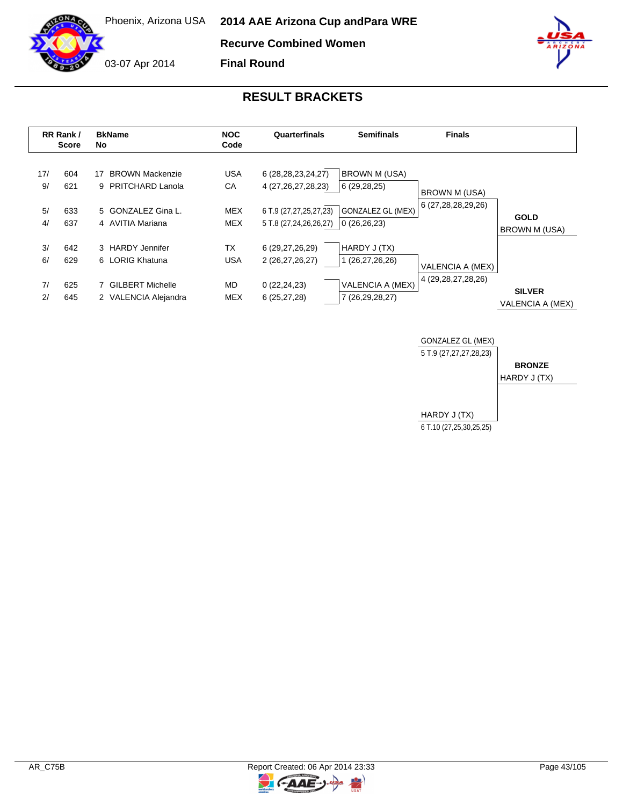Phoenix, Arizona USA **2014 AAE Arizona Cup and Para WRE**

**Recurve Combined Women**

**Final Round**

# **RESULT BRACKETS**

|           | RR Rank /<br><b>Score</b> | <b>BkName</b><br>No                                | <b>NOC</b><br>Code      | Quarterfinals                                    | <b>Semifinals</b>                       | <b>Finals</b>          |                                   |
|-----------|---------------------------|----------------------------------------------------|-------------------------|--------------------------------------------------|-----------------------------------------|------------------------|-----------------------------------|
| 17/<br>9/ | 604<br>621                | <b>BROWN Mackenzie</b><br>17<br>9 PRITCHARD Lanola | <b>USA</b><br>СA        | 6 (28, 28, 23, 24, 27)<br>4 (27, 26, 27, 28, 23) | BROWN M (USA)<br>6 (29,28,25)           | <b>BROWN M (USA)</b>   |                                   |
| 5/<br>4/  | 633<br>637                | 5 GONZALEZ Gina L.<br>4 AVITIA Mariana             | <b>MEX</b><br>MEX       | 6 T.9 (27,27,25,27,23)<br>5 T.8 (27,24,26,26,27) | <b>GONZALEZ GL (MEX)</b><br>0(26,26,23) | 6 (27,28,28,29,26)     | <b>GOLD</b><br>BROWN M (USA)      |
| 3/<br>6/  | 642<br>629                | 3 HARDY Jennifer<br>6 LORIG Khatuna                | <b>TX</b><br><b>USA</b> | 6 (29,27,26,29)<br>2 (26,27,26,27)               | HARDY J (TX)<br>1 (26,27,26,26)         | VALENCIA A (MEX)       |                                   |
| 7/<br>2/  | 625<br>645                | 7 GILBERT Michelle<br>2 VALENCIA Alejandra         | MD.<br><b>MEX</b>       | 0(22, 24, 23)<br>6(25, 27, 28)                   | VALENCIA A (MEX)<br>7 (26,29,28,27)     | 4 (29, 28, 27, 28, 26) | <b>SILVER</b><br>VALENCIA A (MEX) |



C-AAE-J-

 $\overline{\mathbf{z}}$ 





03-07 Apr 2014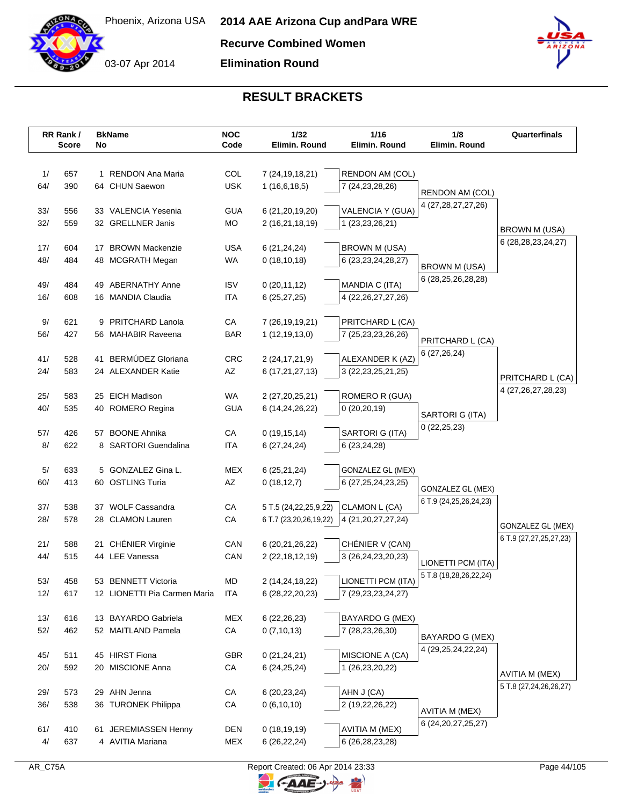

**Recurve Combined Women**

**Elimination Round**



|            | RR Rank /<br>Score | No | <b>BkName</b>                              | <b>NOC</b><br>Code | 1/32<br>Elimin. Round              | 1/16<br>Elimin. Round                       | 1/8<br>Elimin. Round       | Quarterfinals                               |
|------------|--------------------|----|--------------------------------------------|--------------------|------------------------------------|---------------------------------------------|----------------------------|---------------------------------------------|
|            |                    |    |                                            |                    |                                    |                                             |                            |                                             |
| 1/         | 657                |    | 1 RENDON Ana Maria                         | COL                | 7 (24, 19, 18, 21)                 | RENDON AM (COL)                             |                            |                                             |
| 64/        | 390                |    | 64 CHUN Saewon                             | <b>USK</b>         | 1(16,6,18,5)                       | 7 (24, 23, 28, 26)                          |                            |                                             |
|            |                    |    |                                            |                    |                                    |                                             | RENDON AM (COL)            |                                             |
| 33/        | 556                |    | 33 VALENCIA Yesenia                        | <b>GUA</b>         | 6 (21, 20, 19, 20)                 | VALENCIA Y (GUA)                            | 4 (27, 28, 27, 27, 26)     |                                             |
| 32/        | 559                |    | 32 GRELLNER Janis                          | MO                 | 2 (16,21,18,19)                    | 1 (23,23,26,21)                             |                            | BROWN M (USA)                               |
|            |                    |    |                                            |                    |                                    |                                             |                            | 6 (28, 28, 23, 24, 27)                      |
| 17/        | 604                |    | 17 BROWN Mackenzie                         | <b>USA</b>         | 6(21, 24, 24)                      | <b>BROWN M (USA)</b>                        |                            |                                             |
| 48/        | 484                |    | 48 MCGRATH Megan                           | WA                 | 0(18, 10, 18)                      | 6 (23, 23, 24, 28, 27)                      | <b>BROWN M (USA)</b>       |                                             |
| 49/        | 484                |    | 49 ABERNATHY Anne                          | <b>ISV</b>         | 0(20, 11, 12)                      | MANDIA C (ITA)                              | 6 (28,25,26,28,28)         |                                             |
| 16/        | 608                |    | 16 MANDIA Claudia                          | <b>ITA</b>         | 6(25, 27, 25)                      | 4 (22, 26, 27, 27, 26)                      |                            |                                             |
|            |                    |    |                                            |                    |                                    |                                             |                            |                                             |
| 9/         | 621                |    | 9 PRITCHARD Lanola                         | CA                 | 7 (26, 19, 19, 21)                 | PRITCHARD L (CA)                            |                            |                                             |
| 56/        | 427                |    | 56 MAHABIR Raveena                         | <b>BAR</b>         | 1(12, 19, 13, 0)                   | 7 (25,23,23,26,26)                          | PRITCHARD L (CA)           |                                             |
|            |                    |    |                                            |                    |                                    |                                             | 6 (27,26,24)               |                                             |
| 41/<br>24/ | 528<br>583         |    | 41 BERMÚDEZ Gloriana<br>24 ALEXANDER Katie | CRC<br>AZ          | 2 (24, 17, 21, 9)                  | ALEXANDER K (AZ)                            |                            |                                             |
|            |                    |    |                                            |                    | 6 (17,21,27,13)                    | 3 (22, 23, 25, 21, 25)                      |                            | PRITCHARD L (CA)                            |
| 25/        | 583                |    | 25 EICH Madison                            | WA                 | 2 (27,20,25,21)                    | ROMERO R (GUA)                              |                            | 4 (27, 26, 27, 28, 23)                      |
| 40/        | 535                |    | 40 ROMERO Regina                           | <b>GUA</b>         | 6 (14,24,26,22)                    | 0(20, 20, 19)                               |                            |                                             |
|            |                    |    |                                            |                    |                                    |                                             | SARTORI G (ITA)            |                                             |
| 57/        | 426                |    | 57 BOONE Ahnika                            | CA                 | 0(19, 15, 14)                      | SARTORI G (ITA)                             | 0(22,25,23)                |                                             |
| 8/         | 622                |    | 8 SARTORI Guendalina                       | ITA                | 6(27, 24, 24)                      | 6 (23,24,28)                                |                            |                                             |
|            |                    |    |                                            |                    |                                    |                                             |                            |                                             |
| 5/<br>60/  | 633<br>413         |    | 5 GONZALEZ Gina L.<br>60 OSTLING Turia     | <b>MEX</b><br>AZ   | 6(25,21,24)<br>0(18, 12, 7)        | GONZALEZ GL (MEX)<br>6 (27, 25, 24, 23, 25) |                            |                                             |
|            |                    |    |                                            |                    |                                    |                                             | GONZALEZ GL (MEX)          |                                             |
| 37/        | 538                |    | 37 WOLF Cassandra                          | CA                 | 5 T.5 (24, 22, 25, 9, 22)          | CLAMON L (CA)                               | 6 T.9 (24, 25, 26, 24, 23) |                                             |
| 28/        | 578                |    | 28 CLAMON Lauren                           | CA                 | 6 T.7 (23,20,26,19,22)             | 4 (21, 20, 27, 27, 24)                      |                            |                                             |
|            |                    |    |                                            |                    |                                    |                                             |                            | GONZALEZ GL (MEX)<br>6 T.9 (27,27,25,27,23) |
| 21/        | 588                |    | 21 CHÉNIER Virginie                        | CAN                | 6 (20,21,26,22)                    | CHÉNIER V (CAN)                             |                            |                                             |
| 44/        | 515                |    | 44 LEE Vanessa                             | CAN                | 2 (22, 18, 12, 19)                 | 3 (26,24,23,20,23)                          | LIONETTI PCM (ITA)         |                                             |
| 53/        | 458                |    | 53 BENNETT Victoria                        | MD                 |                                    | LIONETTI PCM (ITA)                          | 5 T.8 (18,28,26,22,24)     |                                             |
| 12/        | 617                |    | 12 LIONETTI Pia Carmen Maria               | ITA                | 2 (14,24,18,22)<br>6 (28,22,20,23) | 7 (29, 23, 23, 24, 27)                      |                            |                                             |
|            |                    |    |                                            |                    |                                    |                                             |                            |                                             |
| 13/        | 616                |    | 13 BAYARDO Gabriela                        | MEX                | 6(22, 26, 23)                      | BAYARDO G (MEX)                             |                            |                                             |
| 52/        | 462                |    | 52 MAITLAND Pamela                         | ${\sf CA}$         | 0(7,10,13)                         | 7 (28,23,26,30)                             | BAYARDO G (MEX)            |                                             |
|            |                    |    |                                            |                    |                                    |                                             | 4 (29, 25, 24, 22, 24)     |                                             |
| 45/        | 511                |    | 45 HIRST Fiona                             | <b>GBR</b>         | 0(21, 24, 21)                      | MISCIONE A (CA)                             |                            |                                             |
| 20/        | 592                |    | 20 MISCIONE Anna                           | CA                 | 6(24, 25, 24)                      | 1 (26,23,20,22)                             |                            | AVITIA M (MEX)                              |
| 29/        | 573                |    | 29 AHN Jenna                               | СA                 | 6 (20, 23, 24)                     | AHN J (CA)                                  |                            | 5 T.8 (27,24,26,26,27)                      |
| 36/        | 538                |    | 36 TURONEK Philippa                        | CA                 | 0(6,10,10)                         | 2 (19,22,26,22)                             |                            |                                             |
|            |                    |    |                                            |                    |                                    |                                             | AVITIA M (MEX)             |                                             |
| 61/        | 410                |    | 61 JEREMIASSEN Henny                       | <b>DEN</b>         | 0(18, 19, 19)                      | <b>AVITIA M (MEX)</b>                       | 6 (24, 20, 27, 25, 27)     |                                             |
| 4/         | 637                |    | 4 AVITIA Mariana                           | MEX                | 6(26, 22, 24)                      | 6 (26, 28, 23, 28)                          |                            |                                             |

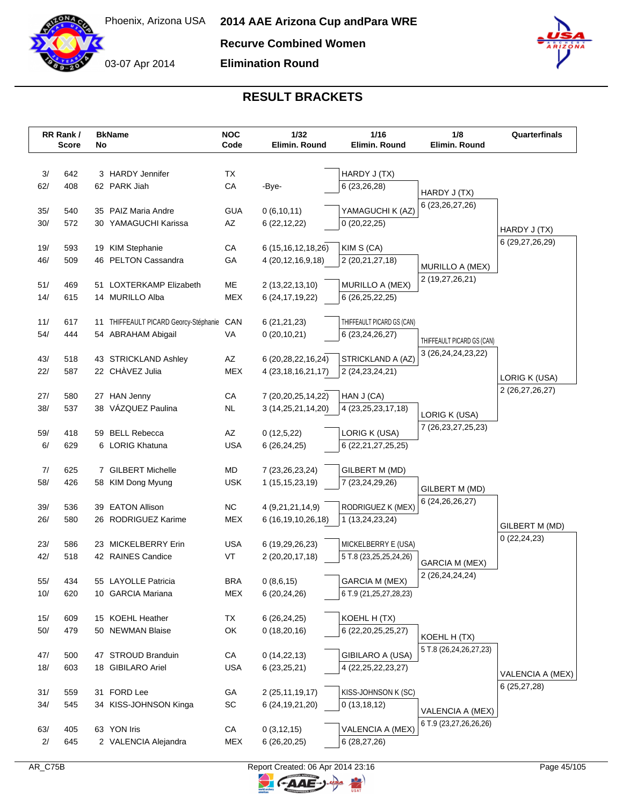



**Recurve Combined Women**

**Elimination Round**



# **RESULT BRACKETS**

|            | RR Rank /<br>Score | No | <b>BkName</b>                         | <b>NOC</b><br>Code | 1/32<br>Elimin. Round                    | 1/16<br>Elimin. Round                | 1/8<br>Elimin. Round                             | Quarterfinals      |
|------------|--------------------|----|---------------------------------------|--------------------|------------------------------------------|--------------------------------------|--------------------------------------------------|--------------------|
| 3/         | 642                |    | 3 HARDY Jennifer                      | <b>TX</b>          |                                          | HARDY J (TX)                         |                                                  |                    |
| 62/        | 408                |    | 62 PARK Jiah                          | CA                 | -Bye-                                    | 6 (23,26,28)                         |                                                  |                    |
|            |                    |    |                                       |                    |                                          |                                      | HARDY J (TX)                                     |                    |
| 35/        | 540                |    | 35 PAIZ Maria Andre                   | <b>GUA</b>         | 0(6,10,11)                               | YAMAGUCHI K (AZ)                     | 6 (23, 26, 27, 26)                               |                    |
| 30/        | 572                |    | 30 YAMAGUCHI Karissa                  | AZ                 | 6(22, 12, 22)                            | 0(20, 22, 25)                        |                                                  |                    |
|            |                    |    |                                       |                    |                                          |                                      |                                                  | HARDY J (TX)       |
| 19/        | 593                |    | 19 KIM Stephanie                      | СA                 | 6 (15, 16, 12, 18, 26)                   | KIM S (CA)                           |                                                  | 6 (29, 27, 26, 29) |
| 46/        | 509                |    | 46 PELTON Cassandra                   | GA                 | 4 (20, 12, 16, 9, 18)                    | 2 (20,21,27,18)                      | MURILLO A (MEX)                                  |                    |
|            |                    |    |                                       |                    |                                          |                                      | 2 (19,27,26,21)                                  |                    |
| 51/        | 469                |    | 51 LOXTERKAMP Elizabeth               | ME                 | 2 (13,22,13,10)                          | MURILLO A (MEX)                      |                                                  |                    |
| 14/        | 615                |    | 14 MURILLO Alba                       | <b>MEX</b>         | 6 (24, 17, 19, 22)                       | 6 (26,25,22,25)                      |                                                  |                    |
| 11/        | 617                |    | 11 THIFFEAULT PICARD Georcy-Stéphanie | CAN                | 6 (21,21,23)                             | THIFFEAULT PICARD GS (CAN)           |                                                  |                    |
| 54/        | 444                |    | 54 ABRAHAM Abigail                    | VA                 | 0(20,10,21)                              | 6 (23, 24, 26, 27)                   |                                                  |                    |
|            |                    |    |                                       |                    |                                          |                                      | THIFFEAULT PICARD GS (CAN)<br>3 (26,24,24,23,22) |                    |
| 43/        | 518                |    | 43 STRICKLAND Ashley                  | AZ                 | 6 (20,28,22,16,24)                       | STRICKLAND A (AZ)                    |                                                  |                    |
| 22/        | 587                |    | 22 CHÀVEZ Julia                       | <b>MEX</b>         | 4 (23, 18, 16, 21, 17)                   | 2 (24, 23, 24, 21)                   |                                                  | LORIG K (USA)      |
|            |                    |    |                                       |                    |                                          |                                      |                                                  | 2 (26,27,26,27)    |
| 27/<br>38/ | 580<br>537         |    | 27 HAN Jenny<br>38 VÁZQUEZ Paulina    | CA<br><b>NL</b>    | 7 (20,20,25,14,22)<br>3 (14,25,21,14,20) | HAN J (CA)<br>4 (23, 25, 23, 17, 18) |                                                  |                    |
|            |                    |    |                                       |                    |                                          |                                      | LORIG K (USA)                                    |                    |
| 59/        | 418                |    | 59 BELL Rebecca                       | AZ                 | 0(12,5,22)                               | LORIG K (USA)                        | 7 (26, 23, 27, 25, 23)                           |                    |
| 6/         | 629                |    | 6 LORIG Khatuna                       | <b>USA</b>         | 6(26, 24, 25)                            | 6 (22, 21, 27, 25, 25)               |                                                  |                    |
|            |                    |    |                                       |                    |                                          |                                      |                                                  |                    |
| 7/         | 625                |    | 7 GILBERT Michelle                    | MD                 | 7 (23, 26, 23, 24)                       | GILBERT M (MD)                       |                                                  |                    |
| 58/        | 426                |    | 58 KIM Dong Myung                     | <b>USK</b>         | 1 (15, 15, 23, 19)                       | 7 (23,24,29,26)                      | GILBERT M (MD)                                   |                    |
| 39/        | 536                |    | 39 EATON Allison                      | <b>NC</b>          | 4 (9,21,21,14,9)                         | RODRIGUEZ K (MEX)                    | 6 (24, 26, 26, 27)                               |                    |
| 26/        | 580                |    | 26 RODRIGUEZ Karime                   | <b>MEX</b>         | 6 (16, 19, 10, 26, 18)                   | 1 (13,24,23,24)                      |                                                  |                    |
|            |                    |    |                                       |                    |                                          |                                      |                                                  | GILBERT M (MD)     |
| 23/        | 586                |    | 23 MICKELBERRY Erin                   | USA                | 6 (19,29,26,23)                          | MICKELBERRY E (USA)                  |                                                  | 0(22, 24, 23)      |
| 42/        | 518                |    | 42 RAINES Candice                     | VT                 | 2 (20, 20, 17, 18)                       | 5 T.8 (23,25,25,24,26)               | <b>GARCIA M (MEX)</b>                            |                    |
|            |                    |    |                                       |                    |                                          |                                      | 2 (26,24,24,24)                                  |                    |
| 55/        | 434                |    | 55 LAYOLLE Patricia                   | <b>BRA</b>         | 0(8,6,15)                                | GARCIA M (MEX)                       |                                                  |                    |
| 10/        | 620                |    | 10 GARCIA Mariana                     | <b>MEX</b>         | 6(20, 24, 26)                            | 6 T.9 (21, 25, 27, 28, 23)           |                                                  |                    |
| 15/        | 609                |    | 15 KOEHL Heather                      | ТX                 | 6(26, 24, 25)                            | KOEHL H (TX)                         |                                                  |                    |
| 50/        | 479                |    | 50 NEWMAN Blaise                      | OK                 | 0(18,20,16)                              | 6 (22, 20, 25, 25, 27)               |                                                  |                    |
|            |                    |    |                                       |                    |                                          |                                      | KOEHL H (TX)                                     |                    |
| 47/        | 500                |    | 47 STROUD Branduin                    | СA                 | 0(14, 22, 13)                            | GIBILARO A (USA)                     | 5 T.8 (26,24,26,27,23)                           |                    |
| 18/        | 603                |    | 18 GIBILARO Ariel                     | <b>USA</b>         | 6(23,25,21)                              | 4 (22, 25, 22, 23, 27)               |                                                  | VALENCIA A (MEX)   |
|            |                    |    |                                       |                    |                                          |                                      |                                                  | 6(25, 27, 28)      |
| 31/        | 559                |    | 31 FORD Lee                           | GА                 | 2 (25,11,19,17)                          | KISS-JOHNSON K (SC)                  |                                                  |                    |
| 34/        | 545                |    | 34 KISS-JOHNSON Kinga                 | SC                 | 6 (24, 19, 21, 20)                       | 0(13, 18, 12)                        | VALENCIA A (MEX)                                 |                    |
| 63/        | 405                |    | 63 YON Iris                           | СA                 | 0(3, 12, 15)                             | VALENCIA A (MEX)                     | 6 T.9 (23,27,26,26,26)                           |                    |
| 2/         | 645                |    | 2 VALENCIA Alejandra                  | <b>MEX</b>         | 6(26,20,25)                              | 6 (28,27,26)                         |                                                  |                    |
|            |                    |    |                                       |                    |                                          |                                      |                                                  |                    |

뮈

C-AAE-J-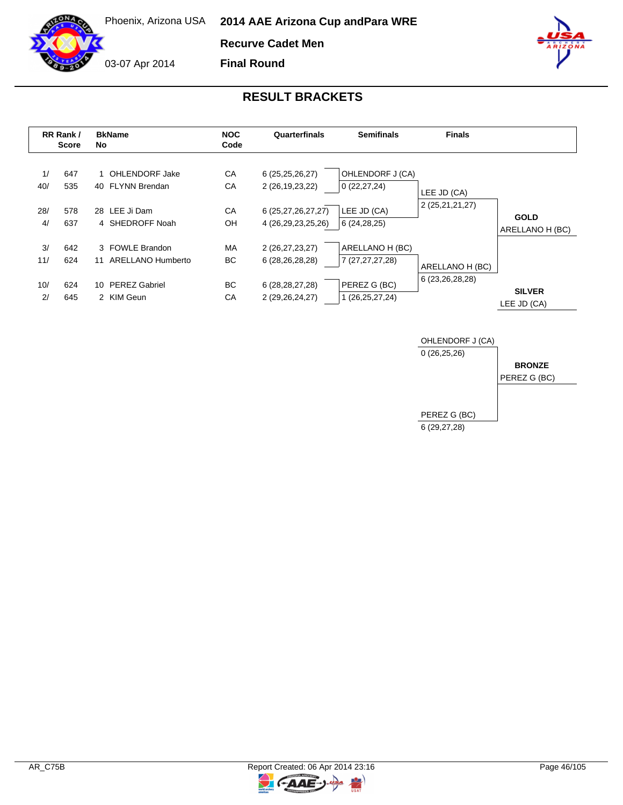

Phoenix, Arizona USA **2014 AAE Arizona Cup and Para WRE**

**Recurve Cadet Men**

**Final Round**

03-07 Apr 2014





#### **RESULT BRACKETS**

|           | RR Rank /<br><b>Score</b> | <b>BkName</b><br>No.                       | <b>NOC</b><br>Code | Quarterfinals                            | <b>Semifinals</b>                  | <b>Finals</b>   |                                |
|-----------|---------------------------|--------------------------------------------|--------------------|------------------------------------------|------------------------------------|-----------------|--------------------------------|
| 1/<br>40/ | 647<br>535                | 1 OHLENDORF Jake<br>40 FLYNN Brendan       | CA<br>CA           | 6 (25,25,26,27)<br>2 (26,19,23,22)       | OHLENDORF J (CA)<br>0(22, 27, 24)  | LEE JD (CA)     |                                |
| 28/<br>4/ | 578<br>637                | 28 LEE Ji Dam<br>4 SHEDROFF Noah           | CA<br>OH           | 6 (25,27,26,27,27)<br>4 (26,29,23,25,26) | LEE JD (CA)<br>6(24, 28, 25)       | 2 (25,21,21,27) | <b>GOLD</b><br>ARELLANO H (BC) |
| 3/<br>11/ | 642<br>624                | 3 FOWLE Brandon<br>ARELLANO Humberto<br>11 | <b>MA</b><br>ВC    | 2 (26,27,23,27)<br>6 (28,26,28,28)       | ARELLANO H (BC)<br>7 (27,27,27,28) | ARELLANO H (BC) |                                |
| 10/<br>2/ | 624<br>645                | 10 PEREZ Gabriel<br>2 KIM Geun             | BC.<br>СA          | 6 (28, 28, 27, 28)<br>2 (29,26,24,27)    | PEREZ G (BC)<br>1 (26,25,27,24)    | 6 (23,26,28,28) | <b>SILVER</b><br>LEE JD (CA)   |



 $\overline{z}$ 

C-AAE-J-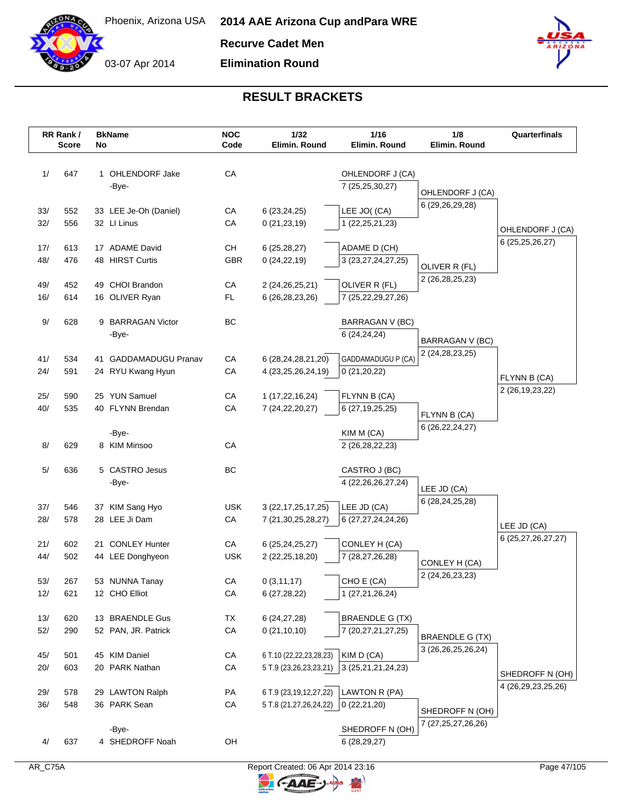

**Recurve Cadet Men**

**Elimination Round**



|            | RR Rank /<br><b>Score</b> | No | <b>BkName</b>                          | <b>NOC</b><br>Code | 1/32<br>Elimin. Round                    | 1/16<br>Elimin. Round                        | 1/8<br>Elimin. Round           | Quarterfinals                             |
|------------|---------------------------|----|----------------------------------------|--------------------|------------------------------------------|----------------------------------------------|--------------------------------|-------------------------------------------|
|            |                           |    |                                        |                    |                                          |                                              |                                |                                           |
| 1/         | 647                       |    | 1 OHLENDORF Jake                       | CA                 |                                          | OHLENDORF J (CA)                             |                                |                                           |
|            |                           |    | -Bye-                                  |                    |                                          | 7 (25,25,30,27)                              | OHLENDORF J (CA)               |                                           |
| 33/        | 552                       |    | 33 LEE Je-Oh (Daniel)                  | CA                 | 6(23, 24, 25)                            | LEE JO((CA)                                  | 6 (29,26,29,28)                |                                           |
| 32/        | 556                       |    | 32 LI Linus                            | CA                 | 0(21, 23, 19)                            | 1 (22, 25, 21, 23)                           |                                |                                           |
|            |                           |    |                                        |                    |                                          |                                              |                                | OHLENDORF J (CA)                          |
| 17/        | 613                       |    | 17 ADAME David                         | CН                 | 6(25, 28, 27)                            | ADAME D (CH)                                 |                                | 6 (25, 25, 26, 27)                        |
| 48/        | 476                       |    | 48 HIRST Curtis                        | GBR                | 0(24, 22, 19)                            | 3 (23,27,24,27,25)                           | OLIVER R (FL)                  |                                           |
|            |                           |    |                                        |                    |                                          |                                              | 2 (26, 28, 25, 23)             |                                           |
| 49/        | 452                       |    | 49 CHOI Brandon                        | CA                 | 2 (24, 26, 25, 21)                       | OLIVER R (FL)                                |                                |                                           |
| 16/        | 614                       |    | 16 OLIVER Ryan                         | FL.                | 6 (26, 28, 23, 26)                       | 7 (25,22,29,27,26)                           |                                |                                           |
| 9/         | 628                       |    | 9 BARRAGAN Victor                      | BC                 |                                          | BARRAGAN V (BC)                              |                                |                                           |
|            |                           |    | -Bye-                                  |                    |                                          | 6 (24,24,24)                                 | <b>BARRAGAN V (BC)</b>         |                                           |
|            |                           |    |                                        |                    |                                          |                                              | 2 (24, 28, 23, 25)             |                                           |
| 41/        | 534                       |    | 41 GADDAMADUGU Pranav                  | CA                 | 6 (28,24,28,21,20)                       | GADDAMADUGU P (CA)                           |                                |                                           |
| 24/        | 591                       |    | 24 RYU Kwang Hyun                      | CA                 | 4 (23,25,26,24,19)                       | 0(21,20,22)                                  |                                | FLYNN B (CA)                              |
| 25/        | 590                       |    | 25 YUN Samuel                          | CA                 | 1 (17,22,16,24)                          | FLYNN B (CA)                                 |                                | 2 (26, 19, 23, 22)                        |
| 40/        | 535                       |    | 40 FLYNN Brendan                       | CA                 | 7 (24, 22, 20, 27)                       | 6 (27,19,25,25)                              |                                |                                           |
|            |                           |    |                                        |                    |                                          |                                              | FLYNN B (CA)                   |                                           |
|            |                           |    | -Bye-                                  |                    |                                          | KIM M (CA)                                   | 6 (26, 22, 24, 27)             |                                           |
| 8/         | 629                       |    | 8 KIM Minsoo                           | CA                 |                                          | 2 (26, 28, 22, 23)                           |                                |                                           |
| 5/         | 636                       |    | 5 CASTRO Jesus                         | <b>BC</b>          |                                          | CASTRO J (BC)                                |                                |                                           |
|            |                           |    | -Bye-                                  |                    |                                          | 4 (22, 26, 26, 27, 24)                       |                                |                                           |
|            |                           |    |                                        |                    |                                          |                                              | LEE JD (CA)<br>6 (28,24,25,28) |                                           |
| 37/        | 546                       |    | 37 KIM Sang Hyo                        | <b>USK</b>         | 3 (22, 17, 25, 17, 25)                   | LEE JD (CA)                                  |                                |                                           |
| 28/        | 578                       |    | 28 LEE Ji Dam                          | CA                 | 7 (21, 30, 25, 28, 27)                   | 6 (27,27,24,24,26)                           |                                | LEE JD (CA)                               |
| 21/        | 602                       |    | 21 CONLEY Hunter                       | CA                 |                                          | CONLEY H (CA)                                |                                | 6 (25,27,26,27,27)                        |
| 44/        | 502                       |    | 44 LEE Donghyeon                       | <b>USK</b>         | 6 (25, 24, 25, 27)<br>2 (22, 25, 18, 20) | 7 (28,27,26,28)                              |                                |                                           |
|            |                           |    |                                        |                    |                                          |                                              | CONLEY H (CA)                  |                                           |
| 53/        | 267                       |    | 53 NUNNA Tanay                         | CA                 | 0(3,11,17)                               | CHO E (CA)                                   | 2 (24, 26, 23, 23)             |                                           |
| 12/        | 621                       |    | 12 CHO Elliot                          | CA                 | 6(27, 28, 22)                            | 1 (27,21,26,24)                              |                                |                                           |
|            |                           |    |                                        |                    |                                          |                                              |                                |                                           |
| 13/<br>52/ | 620<br>290                |    | 13 BRAENDLE Gus<br>52 PAN, JR. Patrick | TX<br>CA           | 6(24, 27, 28)<br>0(21, 10, 10)           | <b>BRAENDLE G (TX)</b><br>7 (20,27,21,27,25) |                                |                                           |
|            |                           |    |                                        |                    |                                          |                                              | <b>BRAENDLE G (TX)</b>         |                                           |
| 45/        | 501                       |    | 45 KIM Daniel                          | CA                 | 6 T.10 (22,22,23,28,23)                  | KIM D (CA)                                   | 3 (26, 26, 25, 26, 24)         |                                           |
| 20/        | 603                       |    | 20 PARK Nathan                         | CA                 | 5 T.9 (23,26,23,23,21)                   | 3 (25, 21, 21, 24, 23)                       |                                |                                           |
|            |                           |    |                                        |                    |                                          |                                              |                                | SHEDROFF N (OH)<br>4 (26, 29, 23, 25, 26) |
| 29/        | 578                       |    | 29 LAWTON Ralph                        | PA                 | 6 T.9 (23,19,12,27,22)                   | LAWTON R (PA)                                |                                |                                           |
| 36/        | 548                       |    | 36 PARK Sean                           | CA                 | 5 T.8 (21,27,26,24,22)                   | 0(22,21,20)                                  | SHEDROFF N (OH)                |                                           |
|            |                           |    |                                        |                    |                                          |                                              | 7 (27,25,27,26,26)             |                                           |
|            |                           |    | -Bye-                                  | OH                 |                                          | SHEDROFF N (OH)                              |                                |                                           |
| 4/         | 637                       |    | 4 SHEDROFF Noah                        |                    |                                          | 6(28, 29, 27)                                |                                |                                           |

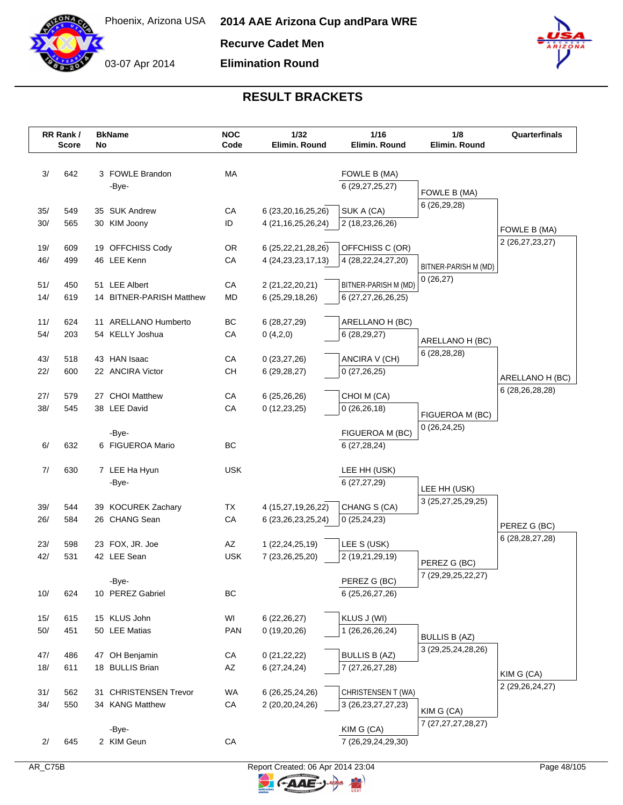

**Recurve Cadet Men**

**Elimination Round**



|       | RR Rank /<br><b>Score</b> | No | <b>BkName</b>            | <b>NOC</b><br>Code | 1/32<br>Elimin. Round  | 1/16<br>Elimin. Round  | 1/8<br>Elimin. Round                           | Quarterfinals      |
|-------|---------------------------|----|--------------------------|--------------------|------------------------|------------------------|------------------------------------------------|--------------------|
|       |                           |    |                          |                    |                        |                        |                                                |                    |
| 3/    | 642                       |    | 3 FOWLE Brandon          | MA                 |                        | FOWLE B (MA)           |                                                |                    |
|       |                           |    | -Bye-                    |                    |                        | 6 (29, 27, 25, 27)     | FOWLE B (MA)                                   |                    |
|       |                           |    |                          |                    |                        |                        | 6 (26,29,28)                                   |                    |
| 35/   | 549                       |    | 35 SUK Andrew            | CA                 | 6 (23, 20, 16, 25, 26) | SUK A (CA)             |                                                |                    |
| 30/   | 565                       |    | 30 KIM Joony             | ID                 | 4 (21, 16, 25, 26, 24) | 2 (18,23,26,26)        |                                                | FOWLE B (MA)       |
| 19/   | 609                       |    | 19 OFFCHISS Cody         | <b>OR</b>          | 6 (25, 22, 21, 28, 26) | OFFCHISS C (OR)        |                                                | 2 (26,27,23,27)    |
| 46/   | 499                       |    | 46 LEE Kenn              | CA                 | 4 (24, 23, 23, 17, 13) | 4 (28, 22, 24, 27, 20) |                                                |                    |
|       |                           |    |                          |                    |                        |                        | BITNER-PARISH M (MD)                           |                    |
| 51/   | 450                       |    | 51 LEE Albert            | CA                 | 2 (21,22,20,21)        | BITNER-PARISH M (MD)   | 0(26,27)                                       |                    |
| 14/   | 619                       |    | 14 BITNER-PARISH Matthew | <b>MD</b>          | 6 (25,29,18,26)        | 6 (27,27,26,26,25)     |                                                |                    |
| 11/   | 624                       |    | 11 ARELLANO Humberto     | BC                 | 6 (28,27,29)           | ARELLANO H (BC)        |                                                |                    |
| $54/$ | 203                       |    | 54 KELLY Joshua          | CA                 | 0(4,2,0)               | 6(28, 29, 27)          | ARELLANO H (BC)                                |                    |
|       |                           |    |                          |                    |                        |                        | 6(28, 28, 28)                                  |                    |
| 43/   | 518                       |    | 43 HAN Isaac             | CA                 | 0(23, 27, 26)          | ANCIRA V (CH)          |                                                |                    |
| 22/   | 600                       |    | 22 ANCIRA Victor         | <b>CH</b>          | 6(29, 28, 27)          | 0(27,26,25)            |                                                | ARELLANO H (BC)    |
| 27/   | 579                       |    | 27 CHOI Matthew          | CA                 | 6(25, 26, 26)          | CHOI M (CA)            |                                                | 6 (28, 26, 28, 28) |
| 38/   | 545                       |    | 38 LEE David             | CA                 | 0(12, 23, 25)          | 0(26, 26, 18)          |                                                |                    |
|       |                           |    |                          |                    |                        |                        | FIGUEROA M (BC)<br>0(26, 24, 25)               |                    |
|       |                           |    | -Bye-                    |                    |                        | FIGUEROA M (BC)        |                                                |                    |
| 6/    | 632                       |    | 6 FIGUEROA Mario         | BC                 |                        | 6(27, 28, 24)          |                                                |                    |
| 7/    | 630                       |    | 7 LEE Ha Hyun            | <b>USK</b>         |                        | LEE HH (USK)           |                                                |                    |
|       |                           |    | -Bye-                    |                    |                        | 6(27, 27, 29)          | LEE HH (USK)                                   |                    |
| 39/   | 544                       |    | 39 KOCUREK Zachary       | <b>TX</b>          | 4 (15,27,19,26,22)     | CHANG S (CA)           | 3 (25,27,25,29,25)                             |                    |
| 26/   | 584                       |    | 26 CHANG Sean            | CA                 | 6 (23, 26, 23, 25, 24) | 0(25,24,23)            |                                                |                    |
|       |                           |    |                          |                    |                        |                        |                                                | PEREZ G (BC)       |
| 23/   | 598                       |    | 23 FOX, JR. Joe          | AZ                 | 1 (22, 24, 25, 19)     | LEE S (USK)            |                                                | 6 (28, 28, 27, 28) |
| 42/   | 531                       |    | 42 LEE Sean              | <b>USK</b>         | 7 (23, 26, 25, 20)     | 2 (19,21,29,19)        | PEREZ G (BC)                                   |                    |
|       |                           |    |                          |                    |                        |                        | 7 (29,29,25,22,27)                             |                    |
|       |                           |    | -Bye-                    |                    |                        | PEREZ G (BC)           |                                                |                    |
| 10/   | 624                       |    | 10 PEREZ Gabriel         | BC                 |                        | 6 (25,26,27,26)        |                                                |                    |
| 15/   | 615                       |    | 15 KLUS John             | WI                 | 6 (22, 26, 27)         | KLUS J (WI)            |                                                |                    |
| $50/$ | 451                       |    | 50 LEE Matias            | <b>PAN</b>         | 0(19,20,26)            | 1 (26,26,26,24)        |                                                |                    |
|       |                           |    |                          |                    |                        |                        | <b>BULLIS B (AZ)</b><br>3 (29, 25, 24, 28, 26) |                    |
| 47/   | 486                       |    | 47 OH Benjamin           | CA                 | 0(21, 22, 22)          | <b>BULLIS B (AZ)</b>   |                                                |                    |
| 18/   | 611                       |    | 18 BULLIS Brian          | AZ                 | 6(27, 24, 24)          | 7 (27, 26, 27, 28)     |                                                | KIM G (CA)         |
| 31/   | 562                       |    | 31 CHRISTENSEN Trevor    | WA                 | 6 (26,25,24,26)        | CHRISTENSEN T (WA)     |                                                | 2 (29, 26, 24, 27) |
| 34/   | 550                       |    | 34 KANG Matthew          | ${\sf CA}$         | 2 (20,20,24,26)        | 3 (26, 23, 27, 27, 23) |                                                |                    |
|       |                           |    |                          |                    |                        |                        | KIM G (CA)                                     |                    |
|       |                           |    | -Bye-                    |                    |                        | KIM G (CA)             | 7 (27,27,27,28,27)                             |                    |
| 2/    | 645                       |    | 2 KIM Geun               | CA                 |                        | 7 (26,29,24,29,30)     |                                                |                    |

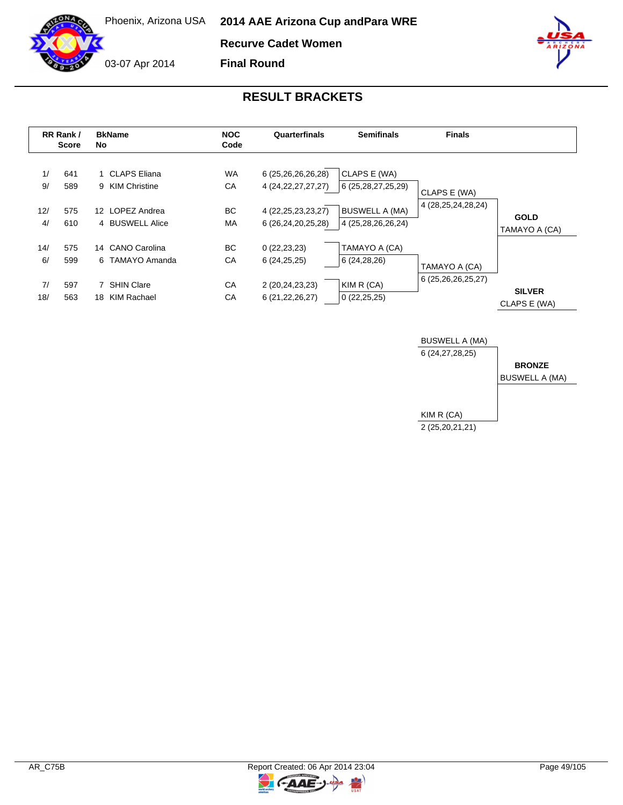

Phoenix, Arizona USA **2014 AAE Arizona Cup and Para WRE**

**Recurve Cadet Women**

03-07 Apr 2014

**Final Round**



|                        | RR Rank /<br><b>Score</b> | <b>NOC</b><br><b>BkName</b><br>Quarterfinals<br>Code<br>No.              |                              |                                                                                              | <b>Semifinals</b>                                                                     | <b>Finals</b>                          |                               |
|------------------------|---------------------------|--------------------------------------------------------------------------|------------------------------|----------------------------------------------------------------------------------------------|---------------------------------------------------------------------------------------|----------------------------------------|-------------------------------|
| 1/<br>9/<br>12/<br>4/  | 641<br>589<br>575<br>610  | 1 CLAPS Eliana<br>9 KIM Christine<br>12 LOPEZ Andrea<br>4 BUSWELL Alice  | <b>WA</b><br>СA<br>BC.<br>MA | 6 (25,26,26,26,28)<br>4 (24, 22, 27, 27, 27)<br>4 (22, 25, 23, 23, 27)<br>6 (26,24,20,25,28) | CLAPS E (WA)<br>6 (25, 28, 27, 25, 29)<br><b>BUSWELL A (MA)</b><br>4 (25,28,26,26,24) | CLAPS E (WA)<br>4 (28, 25, 24, 28, 24) | <b>GOLD</b><br>TAMAYO A (CA)  |
| 14/<br>6/<br>7/<br>18/ | 575<br>599<br>597<br>563  | 14 CANO Carolina<br>6 TAMAYO Amanda<br>7 SHIN Clare<br>KIM Rachael<br>18 | BC.<br>СA<br>СA<br>СA        | 0(22, 23, 23)<br>6(24,25,25)<br>2 (20,24,23,23)<br>6 (21, 22, 26, 27)                        | TAMAYO A (CA)<br>6 (24,28,26)<br>KIM R (CA)<br>0(22,25,25)                            | TAMAYO A (CA)<br>6 (25,26,26,25,27)    | <b>SILVER</b><br>CLAPS E (WA) |



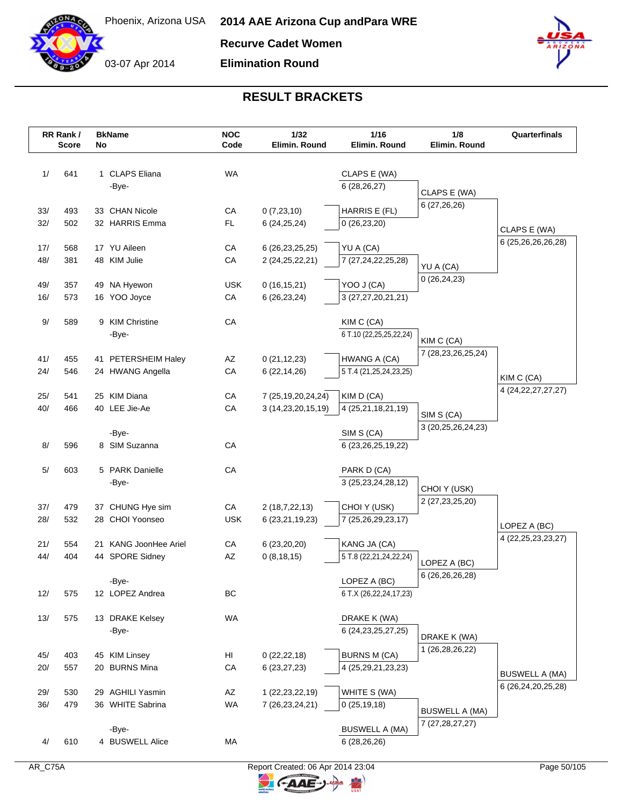

**Recurve Cadet Women**

**Elimination Round**



|            | RR Rank /<br><b>Score</b> | No | <b>BkName</b>                           | <b>NOC</b><br>Code | 1/32<br>Elimin. Round                    | 1/16<br>Elimin. Round                     | 1/8<br>Elimin. Round                 | Quarterfinals          |
|------------|---------------------------|----|-----------------------------------------|--------------------|------------------------------------------|-------------------------------------------|--------------------------------------|------------------------|
|            |                           |    |                                         |                    |                                          |                                           |                                      |                        |
| 1/         | 641                       |    | 1 CLAPS Eliana                          | <b>WA</b>          |                                          | CLAPS E (WA)                              |                                      |                        |
|            |                           |    | -Bye-                                   |                    |                                          | 6(28, 26, 27)                             |                                      |                        |
|            |                           |    |                                         |                    |                                          |                                           | CLAPS E (WA)                         |                        |
| 33/        | 493                       |    | 33 CHAN Nicole                          | CA                 | 0(7,23,10)                               | HARRIS E (FL)                             | 6 (27,26,26)                         |                        |
| 32/        | 502                       |    | 32 HARRIS Emma                          | <b>FL</b>          | 6(24,25,24)                              | 0(26, 23, 20)                             |                                      | CLAPS E (WA)           |
|            |                           |    |                                         |                    |                                          |                                           |                                      | 6 (25,26,26,26,28)     |
| 17/<br>48/ | 568<br>381                |    | 17 YU Aileen<br>48 KIM Julie            | CA<br>CA           | 6 (26, 23, 25, 25)<br>2 (24, 25, 22, 21) | YU A (CA)<br>7 (27, 24, 22, 25, 28)       |                                      |                        |
|            |                           |    |                                         |                    |                                          |                                           | YU A (CA)                            |                        |
| 49/        | 357                       |    | 49 NA Hyewon                            | <b>USK</b>         | 0(16, 15, 21)                            | YOO J (CA)                                | 0(26, 24, 23)                        |                        |
| 16/        | 573                       |    | 16 YOO Joyce                            | CA                 | 6(26, 23, 24)                            | 3 (27,27,20,21,21)                        |                                      |                        |
|            |                           |    |                                         |                    |                                          |                                           |                                      |                        |
| 9/         | 589                       |    | 9 KIM Christine                         | CA                 |                                          | KIM C (CA)                                |                                      |                        |
|            |                           |    | -Bye-                                   |                    |                                          | 6 T.10 (22,25,25,22,24)                   | KIM C (CA)                           |                        |
|            |                           |    |                                         |                    |                                          |                                           | 7 (28, 23, 26, 25, 24)               |                        |
| 41/<br>24/ | 455<br>546                |    | 41 PETERSHEIM Haley<br>24 HWANG Angella | AZ<br>CA           | 0(21, 12, 23)<br>6(22, 14, 26)           | HWANG A (CA)<br>5 T.4 (21,25,24,23,25)    |                                      |                        |
|            |                           |    |                                         |                    |                                          |                                           |                                      | KIM C (CA)             |
| 25/        | 541                       |    | 25 KIM Diana                            | CA                 | 7 (25, 19, 20, 24, 24)                   | KIM D (CA)                                |                                      | 4 (24, 22, 27, 27, 27) |
| 40/        | 466                       |    | 40 LEE Jie-Ae                           | CA                 | 3 (14,23,20,15,19)                       | 4 (25,21,18,21,19)                        |                                      |                        |
|            |                           |    |                                         |                    |                                          |                                           | SIM S (CA)<br>3 (20, 25, 26, 24, 23) |                        |
|            |                           |    | -Bye-                                   |                    |                                          | SIM S (CA)                                |                                      |                        |
| 8/         | 596                       |    | 8 SIM Suzanna                           | CA                 |                                          | 6 (23, 26, 25, 19, 22)                    |                                      |                        |
| 5/         | 603                       |    | 5 PARK Danielle                         | CA                 |                                          | PARK D (CA)                               |                                      |                        |
|            |                           |    | -Bye-                                   |                    |                                          | 3 (25, 23, 24, 28, 12)                    |                                      |                        |
|            |                           |    |                                         |                    |                                          |                                           | CHOI Y (USK)                         |                        |
| 37/        | 479                       |    | 37 CHUNG Hye sim                        | CA                 | 2 (18,7,22,13)                           | CHOI Y (USK)                              | 2 (27, 23, 25, 20)                   |                        |
| 28/        | 532                       |    | 28 CHOI Yoonseo                         | <b>USK</b>         | 6 (23, 21, 19, 23)                       | 7 (25,26,29,23,17)                        |                                      | LOPEZ A (BC)           |
|            |                           |    |                                         |                    |                                          |                                           |                                      | 4 (22, 25, 23, 23, 27) |
| 21/<br>44/ | 554<br>404                |    | 21 KANG JoonHee Ariel                   | ${\sf CA}$<br>AZ   | 6 (23,20,20)                             | KANG JA (CA)                              |                                      |                        |
|            |                           |    | 44 SPORE Sidney                         |                    | 0(8, 18, 15)                             | 5 T.8 (22, 21, 24, 22, 24)                | LOPEZ A (BC)                         |                        |
|            |                           |    | -Bye-                                   |                    |                                          | LOPEZ A (BC)                              | 6 (26,26,26,28)                      |                        |
| 12/        | 575                       |    | 12 LOPEZ Andrea                         | BC                 |                                          | 6 T.X (26,22,24,17,23)                    |                                      |                        |
|            |                           |    |                                         |                    |                                          |                                           |                                      |                        |
| 13/        | 575                       |    | 13 DRAKE Kelsey                         | WA                 |                                          | DRAKE K (WA)                              |                                      |                        |
|            |                           |    | -Bye-                                   |                    |                                          | 6 (24, 23, 25, 27, 25)                    | DRAKE K (WA)                         |                        |
|            |                           |    |                                         |                    |                                          |                                           | 1 (26,28,26,22)                      |                        |
| 45/<br>20/ | 403<br>557                |    | 45 KIM Linsey<br>20 BURNS Mina          | HI<br>CA           | 0(22, 22, 18)<br>6(23, 27, 23)           | <b>BURNS M (CA)</b><br>4 (25,29,21,23,23) |                                      |                        |
|            |                           |    |                                         |                    |                                          |                                           |                                      | <b>BUSWELL A (MA)</b>  |
| 29/        | 530                       |    | 29 AGHILI Yasmin                        | AZ                 | 1 (22, 23, 22, 19)                       | WHITE S (WA)                              |                                      | 6 (26,24,20,25,28)     |
| 36/        | 479                       |    | 36 WHITE Sabrina                        | WA                 | 7 (26, 23, 24, 21)                       | 0(25, 19, 18)                             | <b>BUSWELL A (MA)</b>                |                        |
|            |                           |    |                                         |                    |                                          |                                           | 7 (27, 28, 27, 27)                   |                        |
|            |                           |    | -Bye-                                   |                    |                                          | <b>BUSWELL A (MA)</b>                     |                                      |                        |
| 4/         | 610                       |    | 4 BUSWELL Alice                         | МA                 |                                          | 6 (28,26,26)                              |                                      |                        |
|            |                           |    |                                         |                    |                                          |                                           |                                      |                        |

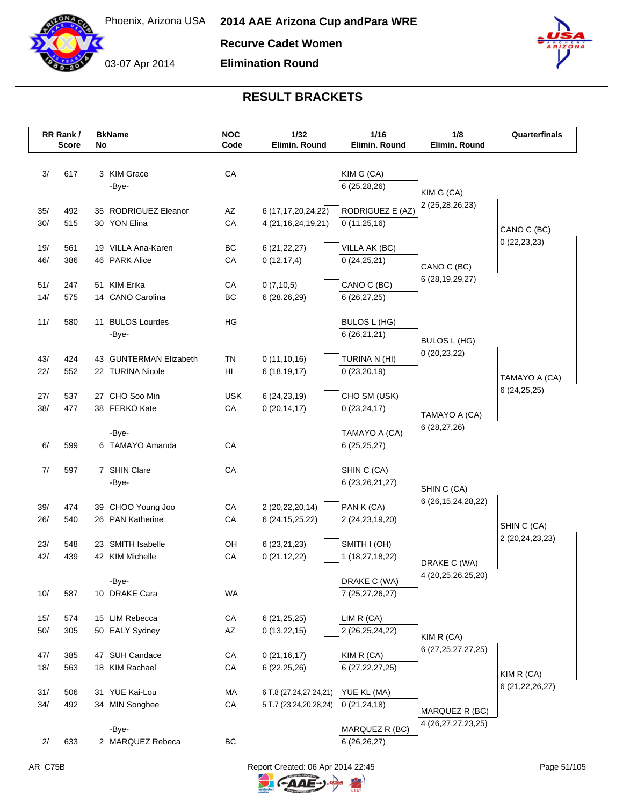

**Recurve Cadet Women**

**Elimination Round**



|            | RR Rank /<br><b>Score</b> | No | <b>BkName</b>                        | <b>NOC</b><br>Code     | 1/32<br>Elimin. Round           | 1/16<br>Elimin. Round           | 1/8<br>Elimin. Round   | Quarterfinals                |
|------------|---------------------------|----|--------------------------------------|------------------------|---------------------------------|---------------------------------|------------------------|------------------------------|
| 3/         | 617                       |    | 3 KIM Grace                          | CA                     |                                 | KIM G (CA)                      |                        |                              |
|            |                           |    | -Bye-                                |                        |                                 | 6 (25,28,26)                    |                        |                              |
|            |                           |    |                                      |                        |                                 |                                 | KIM G (CA)             |                              |
| 35/        | 492                       |    | 35 RODRIGUEZ Eleanor                 | AZ                     | 6 (17, 17, 20, 24, 22)          | RODRIGUEZ E (AZ)                | 2 (25,28,26,23)        |                              |
| 30/        | 515                       |    | 30 YON Elina                         | CA                     | 4 (21, 16, 24, 19, 21)          | 0(11,25,16)                     |                        |                              |
|            |                           |    |                                      |                        |                                 |                                 |                        | CANO C (BC)<br>0(22, 23, 23) |
| 19/        | 561                       |    | 19 VILLA Ana-Karen                   | BC                     | 6(21, 22, 27)                   | VILLA AK (BC)                   |                        |                              |
| 46/        | 386                       |    | 46 PARK Alice                        | CA                     | 0(12, 17, 4)                    | 0(24,25,21)                     | CANO C (BC)            |                              |
|            |                           |    |                                      |                        |                                 |                                 | 6 (28, 19, 29, 27)     |                              |
| 51/<br>14/ | 247<br>575                |    | 51 KIM Erika<br>14 CANO Carolina     | CA<br>BC               | 0(7,10,5)<br>6(28, 26, 29)      | CANO C (BC)<br>6(26, 27, 25)    |                        |                              |
|            |                           |    |                                      |                        |                                 |                                 |                        |                              |
| 11/        | 580                       |    | 11 BULOS Lourdes                     | ΗG                     |                                 | <b>BULOS L (HG)</b>             |                        |                              |
|            |                           |    | -Bye-                                |                        |                                 | 6(26,21,21)                     |                        |                              |
|            |                           |    |                                      |                        |                                 |                                 | BULOS L (HG)           |                              |
| 43/        | 424                       |    | 43 GUNTERMAN Elizabeth               | <b>TN</b>              | 0(11,10,16)                     | TURINA N (HI)                   | 0(20, 23, 22)          |                              |
| 22/        | 552                       |    | 22 TURINA Nicole                     | HI                     | 6(18, 19, 17)                   | 0(23,20,19)                     |                        | TAMAYO A (CA)                |
|            |                           |    |                                      |                        |                                 |                                 |                        | 6(24, 25, 25)                |
| 27/        | 537                       |    | 27 CHO Soo Min                       | <b>USK</b>             | 6(24, 23, 19)                   | CHO SM (USK)                    |                        |                              |
| 38/        | 477                       |    | 38 FERKO Kate                        | CA                     | 0(20, 14, 17)                   | 0(23, 24, 17)                   | TAMAYO A (CA)          |                              |
|            |                           |    | -Bye-                                |                        |                                 | TAMAYO A (CA)                   | 6 (28,27,26)           |                              |
| 6/         | 599                       |    | 6 TAMAYO Amanda                      | CA                     |                                 | 6 (25,25,27)                    |                        |                              |
|            |                           |    |                                      |                        |                                 |                                 |                        |                              |
| 7/         | 597                       |    | 7 SHIN Clare                         | CA                     |                                 | SHIN C (CA)                     |                        |                              |
|            |                           |    | -Bye-                                |                        |                                 | 6 (23, 26, 21, 27)              | SHIN C (CA)            |                              |
|            |                           |    |                                      |                        |                                 |                                 | 6 (26, 15, 24, 28, 22) |                              |
| 39/        | 474                       |    | 39 CHOO Young Joo                    | CA                     | 2 (20,22,20,14)                 | PAN K (CA)                      |                        |                              |
| 26/        | 540                       |    | 26 PAN Katherine                     | CA                     | 6 (24, 15, 25, 22)              | 2 (24, 23, 19, 20)              |                        | SHIN C (CA)                  |
|            |                           |    |                                      |                        |                                 |                                 |                        | 2 (20, 24, 23, 23)           |
| 23/<br>42/ | 548<br>439                |    | 23 SMITH Isabelle<br>42 KIM Michelle | OH<br>CA               | 6 (23, 21, 23)<br>0(21, 12, 22) | SMITH I (OH)<br>1 (18,27,18,22) |                        |                              |
|            |                           |    |                                      |                        |                                 |                                 | DRAKE C (WA)           |                              |
|            |                           |    | -Bye-                                |                        |                                 | DRAKE C (WA)                    | 4 (20,25,26,25,20)     |                              |
| 10/        | 587                       |    | 10 DRAKE Cara                        | <b>WA</b>              |                                 | 7 (25,27,26,27)                 |                        |                              |
|            |                           |    |                                      |                        |                                 |                                 |                        |                              |
| 15/        | 574                       |    | 15 LIM Rebecca                       | CA                     | 6(21, 25, 25)                   | LIM R (CA)                      |                        |                              |
| $50/$      | 305                       |    | 50 EALY Sydney                       | $\mathsf{A}\mathsf{Z}$ | 0(13,22,15)                     | 2 (26,25,24,22)                 | KIM R (CA)             |                              |
|            |                           |    |                                      |                        |                                 |                                 | 6 (27, 25, 27, 27, 25) |                              |
| 47/        | 385                       |    | 47 SUH Candace                       | CA                     | 0(21, 16, 17)                   | KIM R (CA)                      |                        |                              |
| 18/        | 563                       |    | 18 KIM Rachael                       | ${\sf CA}$             | 6(22, 25, 26)                   | 6 (27, 22, 27, 25)              |                        | KIM R (CA)                   |
| 31/        | 506                       |    | 31 YUE Kai-Lou                       | MA                     | 6 T.8 (27,24,27,24,21)          | YUE KL (MA)                     |                        | 6 (21, 22, 26, 27)           |
| 34/        | 492                       |    | 34 MIN Songhee                       | ${\sf CA}$             | 5 T.7 (23,24,20,28,24)          | 0(21, 24, 18)                   |                        |                              |
|            |                           |    |                                      |                        |                                 |                                 | MARQUEZ R (BC)         |                              |
|            |                           |    | -Bye-                                |                        |                                 | MARQUEZ R (BC)                  | 4 (26, 27, 27, 23, 25) |                              |
| 2/         | 633                       |    | 2 MARQUEZ Rebeca                     | BC                     |                                 | 6(26,26,27)                     |                        |                              |
|            |                           |    |                                      |                        |                                 |                                 |                        |                              |

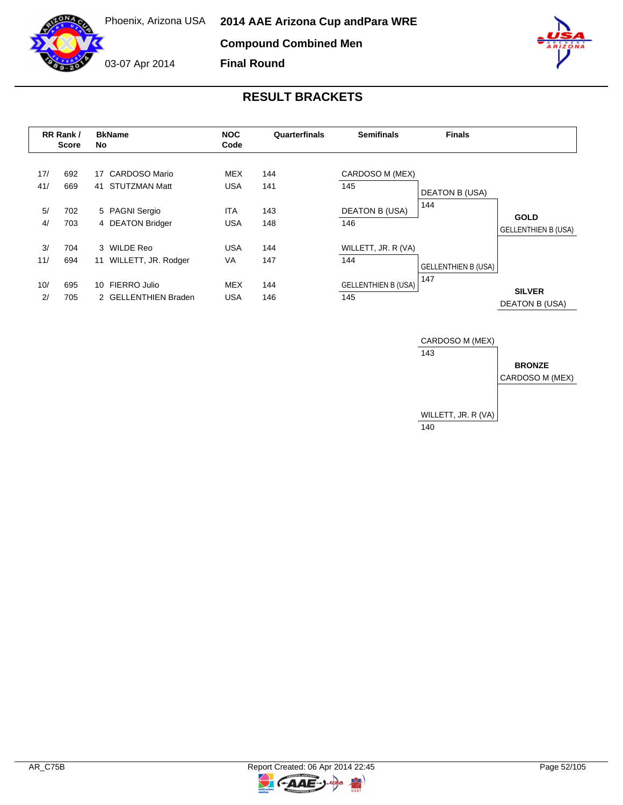**Compound Combined Men**



**Final Round**

|            | <b>BkName</b><br><b>NOC</b><br>RR Rank /<br>Quarterfinals<br>Code<br>No<br>Score |                                                          | <b>Semifinals</b>        | <b>Finals</b> |                            |                              |                            |
|------------|----------------------------------------------------------------------------------|----------------------------------------------------------|--------------------------|---------------|----------------------------|------------------------------|----------------------------|
| 17/<br>41/ | 692<br>669                                                                       | <b>CARDOSO Mario</b><br>17<br><b>STUTZMAN Matt</b><br>41 | <b>MEX</b><br><b>USA</b> | 144<br>141    | CARDOSO M (MEX)<br>145     |                              |                            |
|            |                                                                                  |                                                          |                          |               |                            | <b>DEATON B (USA)</b><br>144 |                            |
| 5/         | 702                                                                              | 5 PAGNI Sergio                                           | <b>ITA</b>               | 143           | <b>DEATON B (USA)</b>      |                              | <b>GOLD</b>                |
| 4/         | 703                                                                              | 4 DEATON Bridger                                         | <b>USA</b>               | 148           | 146                        |                              | <b>GELLENTHIEN B (USA)</b> |
| 3/         | 704                                                                              | 3 WILDE Reo                                              | <b>USA</b>               | 144           | WILLETT, JR. R (VA)        |                              |                            |
| 11/        | 694                                                                              | WILLETT, JR. Rodger<br>11                                | VA                       | 147           | 144                        | <b>GELLENTHIEN B (USA)</b>   |                            |
| 10/        | 695                                                                              | FIERRO Julio<br>10                                       | <b>MEX</b>               | 144           | <b>GELLENTHIEN B (USA)</b> | 147                          | <b>SILVER</b>              |
| 2/         | 705                                                                              | 2 GELLENTHIEN Braden                                     | <b>USA</b>               | 146           | 145                        |                              | DEATON B (USA)             |



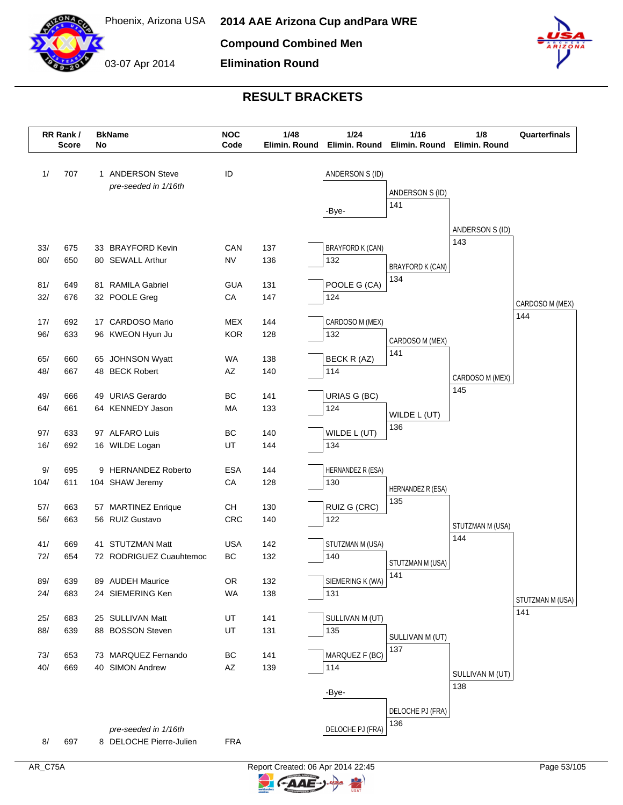

# **RESULT BRACKETS**

**Elimination Round**

|      | RR Rank /<br>Score | No | <b>BkName</b>                            | <b>NOC</b><br>Code | 1/48<br>Elimin. Round | 1/24<br>1/16<br>Elimin. Round<br>Elimin. Round |                         | 1/8<br>Elimin. Round | Quarterfinals    |
|------|--------------------|----|------------------------------------------|--------------------|-----------------------|------------------------------------------------|-------------------------|----------------------|------------------|
| 1/   | 707                |    | 1 ANDERSON Steve<br>pre-seeded in 1/16th | ID                 |                       | ANDERSON S (ID)                                |                         |                      |                  |
|      |                    |    |                                          |                    |                       |                                                | ANDERSON S (ID)<br>141  |                      |                  |
|      |                    |    |                                          |                    |                       | -Bye-                                          |                         |                      |                  |
|      |                    |    |                                          |                    |                       |                                                |                         | ANDERSON S (ID)      |                  |
| 33/  | 675                |    | 33 BRAYFORD Kevin                        | CAN                | 137                   | <b>BRAYFORD K (CAN)</b>                        |                         | 143                  |                  |
| 80/  | 650                |    | 80 SEWALL Arthur                         | <b>NV</b>          | 136                   | 132                                            | BRAYFORD K (CAN)        |                      |                  |
|      |                    |    |                                          |                    |                       |                                                | 134                     |                      |                  |
| 81/  | 649                |    | 81 RAMILA Gabriel                        | <b>GUA</b>         | 131                   | POOLE G (CA)                                   |                         |                      |                  |
| 32/  | 676                |    | 32 POOLE Greg                            | CA                 | 147                   | 124                                            |                         |                      | CARDOSO M (MEX)  |
| 17/  | 692                |    | 17 CARDOSO Mario                         | <b>MEX</b>         | 144                   | CARDOSO M (MEX)                                |                         |                      | 144              |
| 96/  | 633                |    | 96 KWEON Hyun Ju                         | <b>KOR</b>         | 128                   | 132                                            | CARDOSO M (MEX)         |                      |                  |
|      |                    |    |                                          |                    |                       |                                                | 141                     |                      |                  |
| 65/  | 660                |    | 65 JOHNSON Wyatt                         | <b>WA</b>          | 138                   | BECK R (AZ)                                    |                         |                      |                  |
| 48/  | 667                |    | 48 BECK Robert                           | AZ                 | 140                   | 114                                            |                         | CARDOSO M (MEX)      |                  |
| 49/  | 666                |    | 49 URIAS Gerardo                         | BC                 | 141                   | URIAS G (BC)                                   |                         | 145                  |                  |
| 64/  | 661                |    | 64 KENNEDY Jason                         | MA                 | 133                   | 124                                            | WILDE L (UT)            |                      |                  |
|      |                    |    |                                          |                    |                       |                                                | 136                     |                      |                  |
| 97/  | 633                |    | 97 ALFARO Luis                           | BC                 | 140                   | WILDE L (UT)                                   |                         |                      |                  |
| 16/  | 692                |    | 16 WILDE Logan                           | UT                 | 144                   | 134                                            |                         |                      |                  |
| 9/   | 695                |    | 9 HERNANDEZ Roberto                      | <b>ESA</b>         | 144                   | HERNANDEZ R (ESA)                              |                         |                      |                  |
| 104/ | 611                |    | 104 SHAW Jeremy                          | CA                 | 128                   | 130                                            | HERNANDEZ R (ESA)       |                      |                  |
|      |                    |    |                                          |                    |                       |                                                | 135                     |                      |                  |
| 57/  | 663                |    | 57 MARTINEZ Enrique                      | CН                 | 130                   | RUIZ G (CRC)                                   |                         |                      |                  |
| 56/  | 663                |    | 56 RUIZ Gustavo                          | <b>CRC</b>         | 140                   | 122                                            |                         | STUTZMAN M (USA)     |                  |
| 41/  | 669                |    | 41 STUTZMAN Matt                         | <b>USA</b>         | 142                   | STUTZMAN M (USA)                               |                         | 144                  |                  |
| 72/  | 654                |    | 72 RODRIGUEZ Cuauhtemoc                  | BC                 | 132                   | 140                                            | STUTZMAN M (USA)        |                      |                  |
|      |                    |    |                                          |                    |                       |                                                | 141                     |                      |                  |
| 89/  | 639                |    | 89 AUDEH Maurice                         | OR                 | 132                   | SIEMERING K (WA)                               |                         |                      |                  |
| 24/  | 683                |    | 24 SIEMERING Ken                         | <b>WA</b>          | 138                   | 131                                            |                         |                      | STUTZMAN M (USA) |
| 25/  | 683                |    | 25 SULLIVAN Matt                         | UT                 | 141                   | SULLIVAN M (UT)                                |                         |                      | 141              |
| 88/  | 639                |    | 88 BOSSON Steven                         | UT                 | 131                   | 135                                            |                         |                      |                  |
|      |                    |    |                                          |                    |                       |                                                | SULLIVAN M (UT)<br>137  |                      |                  |
| 73/  | 653                |    | 73 MARQUEZ Fernando                      | BC                 | 141                   | MARQUEZ F (BC)                                 |                         |                      |                  |
| 40/  | 669                |    | 40 SIMON Andrew                          | AZ                 | 139                   | 114                                            |                         | SULLIVAN M (UT)      |                  |
|      |                    |    |                                          |                    |                       | -Bye-                                          |                         | 138                  |                  |
|      |                    |    |                                          |                    |                       |                                                |                         |                      |                  |
|      |                    |    |                                          |                    |                       |                                                | DELOCHE PJ (FRA)<br>136 |                      |                  |
|      |                    |    | pre-seeded in 1/16th                     |                    |                       | DELOCHE PJ (FRA)                               |                         |                      |                  |
| 8/   | 697                |    | 8 DELOCHE Pierre-Julien                  | <b>FRA</b>         |                       |                                                |                         |                      |                  |



C-AAE-J-

 $\blacktriangleright$ 

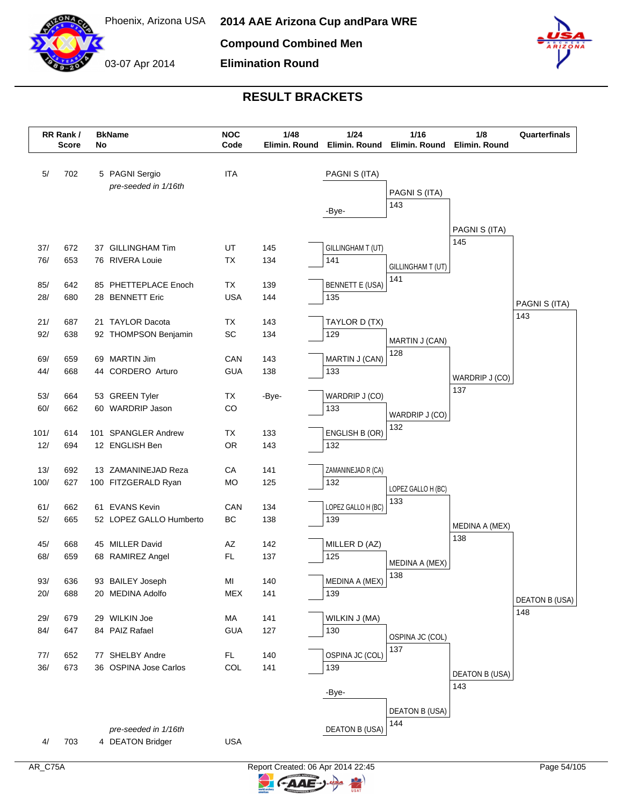



#### **RESULT BRACKETS**

**Elimination Round**

|            | RR Rank /<br><b>Score</b> | No | <b>BkName</b>                            | <b>NOC</b><br>Code | 1/48<br>Elimin. Round | 1/24<br>$1/16$<br>Elimin. Round<br>Elimin. Round |                       | 1/8<br>Elimin. Round  | Quarterfinals                |
|------------|---------------------------|----|------------------------------------------|--------------------|-----------------------|--------------------------------------------------|-----------------------|-----------------------|------------------------------|
|            |                           |    |                                          |                    |                       |                                                  |                       |                       |                              |
| 5/         | 702                       |    | 5 PAGNI Sergio                           | <b>ITA</b>         |                       | PAGNI S (ITA)                                    |                       |                       |                              |
|            |                           |    | pre-seeded in 1/16th                     |                    |                       |                                                  | PAGNI S (ITA)         |                       |                              |
|            |                           |    |                                          |                    |                       | -Bye-                                            | 143                   |                       |                              |
|            |                           |    |                                          |                    |                       |                                                  |                       |                       |                              |
|            |                           |    |                                          |                    |                       |                                                  |                       | PAGNI S (ITA)<br>145  |                              |
| 37/        | 672                       |    | 37 GILLINGHAM Tim                        | UT                 | 145                   | GILLINGHAM T (UT)                                |                       |                       |                              |
| 76/        | 653                       |    | 76 RIVERA Louie                          | <b>TX</b>          | 134                   | 141                                              | GILLINGHAM T (UT)     |                       |                              |
| 85/        | 642                       |    | 85 PHETTEPLACE Enoch                     | TX                 | 139                   | <b>BENNETT E (USA)</b>                           | 141                   |                       |                              |
| 28/        | 680                       |    | 28 BENNETT Eric                          | <b>USA</b>         | 144                   | 135                                              |                       |                       |                              |
|            |                           |    |                                          |                    |                       |                                                  |                       |                       | PAGNI S (ITA)                |
| 21/        | 687                       |    | 21 TAYLOR Dacota                         | ТX                 | 143                   | TAYLOR D (TX)                                    |                       |                       | 143                          |
| 92/        | 638                       |    | 92 THOMPSON Benjamin                     | SC                 | 134                   | 129                                              | MARTIN J (CAN)        |                       |                              |
|            |                           |    |                                          |                    |                       |                                                  | 128                   |                       |                              |
| 69/<br>44/ | 659                       |    | 69 MARTIN Jim                            | CAN                | 143                   | MARTIN J (CAN)                                   |                       |                       |                              |
|            | 668                       |    | 44 CORDERO Arturo                        | <b>GUA</b>         | 138                   | 133                                              |                       | WARDRIP J (CO)        |                              |
| 53/        | 664                       |    | 53 GREEN Tyler                           | TX                 | -Bye-                 | WARDRIP J (CO)                                   |                       | 137                   |                              |
| 60/        | 662                       |    | 60 WARDRIP Jason                         | CO                 |                       | 133                                              |                       |                       |                              |
|            |                           |    |                                          |                    |                       |                                                  | WARDRIP J (CO)<br>132 |                       |                              |
| 101/       | 614                       |    | 101 SPANGLER Andrew                      | TX                 | 133                   | ENGLISH B (OR)                                   |                       |                       |                              |
| 12/        | 694                       |    | 12 ENGLISH Ben                           | OR                 | 143                   | 132                                              |                       |                       |                              |
| 13/        | 692                       |    | 13 ZAMANINEJAD Reza                      | CA                 | 141                   | ZAMANINEJAD R (CA)                               |                       |                       |                              |
| 100/       | 627                       |    | 100 FITZGERALD Ryan                      | <b>MO</b>          | 125                   | 132                                              |                       |                       |                              |
|            |                           |    |                                          |                    |                       |                                                  | LOPEZ GALLO H (BC)    |                       |                              |
| 61/        | 662                       |    | 61 EVANS Kevin                           | CAN                | 134                   | LOPEZ GALLO H (BC)                               | 133                   |                       |                              |
| 52/        | 665                       |    | 52 LOPEZ GALLO Humberto                  | BC                 | 138                   | 139                                              |                       | MEDINA A (MEX)        |                              |
|            |                           |    |                                          |                    |                       |                                                  |                       | 138                   |                              |
| 45/<br>68/ | 668<br>659                |    | 45 MILLER David<br>68 RAMIREZ Angel      | AZ<br><b>FL</b>    | 142<br>137            | MILLER D (AZ)<br>125                             |                       |                       |                              |
|            |                           |    |                                          |                    |                       |                                                  | MEDINA A (MEX)        |                       |                              |
| 93/        | 636                       |    | 93 BAILEY Joseph                         | MI                 | 140                   | MEDINA A (MEX)                                   | 138                   |                       |                              |
| 20/        | 688                       |    | 20 MEDINA Adolfo                         | <b>MEX</b>         | 141                   | 139                                              |                       |                       |                              |
|            |                           |    |                                          |                    |                       |                                                  |                       |                       | <b>DEATON B (USA)</b><br>148 |
| 29/        | 679                       |    | 29 WILKIN Joe                            | МA                 | 141                   | WILKIN J (MA)                                    |                       |                       |                              |
| 84/        | 647                       |    | 84 PAIZ Rafael                           | <b>GUA</b>         | 127                   | 130                                              | OSPINA JC (COL)       |                       |                              |
|            |                           |    |                                          |                    |                       | OSPINA JC (COL)                                  | 137                   |                       |                              |
| 77/<br>36/ | 652<br>673                |    | 77 SHELBY Andre<br>36 OSPINA Jose Carlos | FL.<br>COL         | 140<br>141            | 139                                              |                       |                       |                              |
|            |                           |    |                                          |                    |                       |                                                  |                       | <b>DEATON B (USA)</b> |                              |
|            |                           |    |                                          |                    |                       | -Bye-                                            |                       | 143                   |                              |
|            |                           |    |                                          |                    |                       |                                                  | <b>DEATON B (USA)</b> |                       |                              |
|            |                           |    |                                          |                    |                       |                                                  | 144                   |                       |                              |
|            |                           |    | pre-seeded in 1/16th                     |                    |                       | <b>DEATON B (USA)</b>                            |                       |                       |                              |
| 4/         | 703                       |    | 4 DEATON Bridger                         | <b>USA</b>         |                       |                                                  |                       |                       |                              |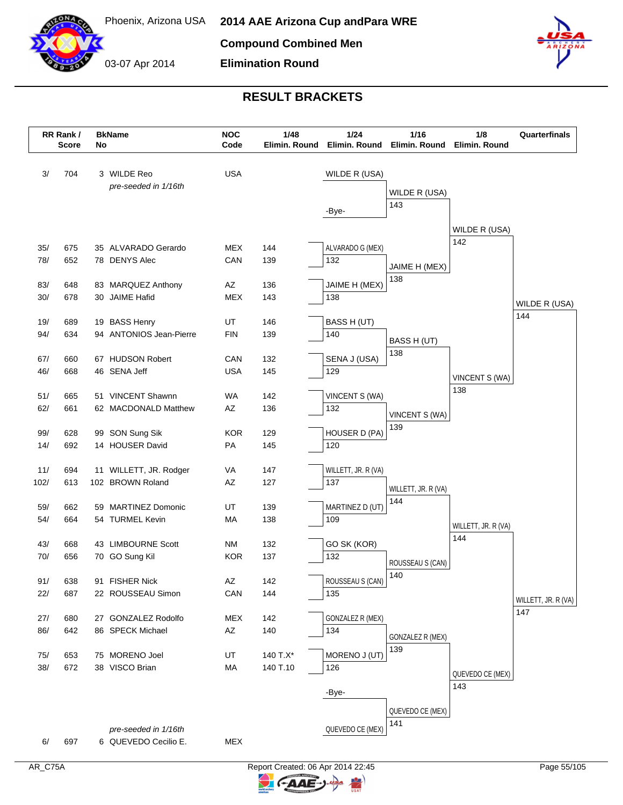



# **RESULT BRACKETS**

**Elimination Round**

| 3 WILDE Reo<br><b>USA</b><br>3/<br>704<br>WILDE R (USA)<br>pre-seeded in 1/16th<br>WILDE R (USA)<br>143<br>-Bye-<br>WILDE R (USA)<br>142<br>35/<br>675<br>35 ALVARADO Gerardo<br>MEX<br>144<br>ALVARADO G (MEX)<br>78/<br>652<br>78 DENYS Alec<br>CAN<br>139<br>132<br>JAIME H (MEX)<br>138<br>83/<br>648<br>83 MARQUEZ Anthony<br>AZ<br>136<br>JAIME H (MEX)<br>30/<br>678<br>30 JAIME Hafid<br><b>MEX</b><br>138<br>143<br>WILDE R (USA)<br>144<br>19 BASS Henry<br>19/<br>689<br>UT<br>146<br>BASS H (UT)<br>94/<br>634<br>94 ANTONIOS Jean-Pierre<br><b>FIN</b><br>139<br>140<br>BASS H (UT)<br>138<br>67/<br>67 HUDSON Robert<br>660<br>CAN<br>132<br>SENA J (USA)<br>46/<br>46 SENA Jeff<br><b>USA</b><br>129<br>668<br>145<br>VINCENT S (WA)<br>138<br>51/<br>51 VINCENT Shawnn<br><b>WA</b><br>665<br>142<br>VINCENT S (WA)<br>62/<br>AZ<br>661<br>62 MACDONALD Matthew<br>136<br>132<br>VINCENT S (WA)<br>139<br>HOUSER D (PA)<br>99/<br>99 SON Sung Sik<br><b>KOR</b><br>129<br>628<br>692<br>14 HOUSER David<br>14/<br>PA<br>145<br>120<br>11/<br>WILLETT, JR. R (VA)<br>694<br>11 WILLETT, JR. Rodger<br>VA<br>147<br>102/<br>613<br>102 BROWN Roland<br>AZ<br>127<br>137<br>WILLETT, JR. R (VA)<br>144<br>MARTINEZ D (UT)<br>59 MARTINEZ Domonic<br>UT<br>139<br>59/<br>662<br>54/<br>54 TURMEL Kevin<br>109<br>664<br>MA<br>138<br>WILLETT, JR. R (VA)<br>144<br>43/<br>43 LIMBOURNE Scott<br><b>NM</b><br>132<br>GO SK (KOR)<br>668<br>70/<br>70 GO Sung Kil<br><b>KOR</b><br>132<br>656<br>137<br>ROUSSEAU S (CAN)<br>140<br>ROUSSEAU S (CAN)<br>142<br>91/<br>638<br>91 FISHER Nick<br>AZ<br>22/<br>687<br>22 ROUSSEAU Simon<br>CAN<br>144<br>135<br>WILLETT, JR. R (VA)<br>147<br><b>MEX</b><br><b>GONZALEZ R (MEX)</b><br>27/<br>680<br>27 GONZALEZ Rodolfo<br>142<br>86/<br>642<br>86 SPECK Michael<br>AZ<br>134<br>140<br>GONZALEZ R (MEX)<br>139<br>75 MORENO Joel<br>140 T.X*<br>MORENO J (UT)<br>75/<br>653<br>UT<br>38/<br>672<br>38 VISCO Brian<br>140 T.10<br>MA<br>126<br>QUEVEDO CE (MEX)<br>143<br>-Bye-<br>QUEVEDO CE (MEX)<br>141<br>QUEVEDO CE (MEX)<br>pre-seeded in 1/16th<br><b>MEX</b><br>697<br>6 QUEVEDO Cecilio E.<br>6/ | RR Rank /<br><b>Score</b> | No | <b>BkName</b> | <b>NOC</b><br>Code | 1/48<br>Elimin. Round | 1/24<br>1/16<br>Elimin. Round<br>Elimin. Round |  | 1/8<br>Elimin. Round | Quarterfinals |
|------------------------------------------------------------------------------------------------------------------------------------------------------------------------------------------------------------------------------------------------------------------------------------------------------------------------------------------------------------------------------------------------------------------------------------------------------------------------------------------------------------------------------------------------------------------------------------------------------------------------------------------------------------------------------------------------------------------------------------------------------------------------------------------------------------------------------------------------------------------------------------------------------------------------------------------------------------------------------------------------------------------------------------------------------------------------------------------------------------------------------------------------------------------------------------------------------------------------------------------------------------------------------------------------------------------------------------------------------------------------------------------------------------------------------------------------------------------------------------------------------------------------------------------------------------------------------------------------------------------------------------------------------------------------------------------------------------------------------------------------------------------------------------------------------------------------------------------------------------------------------------------------------------------------------------------------------------------------------------------------------------------------------------------------------------------------------------------------------------------------------------------------------------------|---------------------------|----|---------------|--------------------|-----------------------|------------------------------------------------|--|----------------------|---------------|
|                                                                                                                                                                                                                                                                                                                                                                                                                                                                                                                                                                                                                                                                                                                                                                                                                                                                                                                                                                                                                                                                                                                                                                                                                                                                                                                                                                                                                                                                                                                                                                                                                                                                                                                                                                                                                                                                                                                                                                                                                                                                                                                                                                  |                           |    |               |                    |                       |                                                |  |                      |               |
|                                                                                                                                                                                                                                                                                                                                                                                                                                                                                                                                                                                                                                                                                                                                                                                                                                                                                                                                                                                                                                                                                                                                                                                                                                                                                                                                                                                                                                                                                                                                                                                                                                                                                                                                                                                                                                                                                                                                                                                                                                                                                                                                                                  |                           |    |               |                    |                       |                                                |  |                      |               |
|                                                                                                                                                                                                                                                                                                                                                                                                                                                                                                                                                                                                                                                                                                                                                                                                                                                                                                                                                                                                                                                                                                                                                                                                                                                                                                                                                                                                                                                                                                                                                                                                                                                                                                                                                                                                                                                                                                                                                                                                                                                                                                                                                                  |                           |    |               |                    |                       |                                                |  |                      |               |
|                                                                                                                                                                                                                                                                                                                                                                                                                                                                                                                                                                                                                                                                                                                                                                                                                                                                                                                                                                                                                                                                                                                                                                                                                                                                                                                                                                                                                                                                                                                                                                                                                                                                                                                                                                                                                                                                                                                                                                                                                                                                                                                                                                  |                           |    |               |                    |                       |                                                |  |                      |               |
|                                                                                                                                                                                                                                                                                                                                                                                                                                                                                                                                                                                                                                                                                                                                                                                                                                                                                                                                                                                                                                                                                                                                                                                                                                                                                                                                                                                                                                                                                                                                                                                                                                                                                                                                                                                                                                                                                                                                                                                                                                                                                                                                                                  |                           |    |               |                    |                       |                                                |  |                      |               |
|                                                                                                                                                                                                                                                                                                                                                                                                                                                                                                                                                                                                                                                                                                                                                                                                                                                                                                                                                                                                                                                                                                                                                                                                                                                                                                                                                                                                                                                                                                                                                                                                                                                                                                                                                                                                                                                                                                                                                                                                                                                                                                                                                                  |                           |    |               |                    |                       |                                                |  |                      |               |
|                                                                                                                                                                                                                                                                                                                                                                                                                                                                                                                                                                                                                                                                                                                                                                                                                                                                                                                                                                                                                                                                                                                                                                                                                                                                                                                                                                                                                                                                                                                                                                                                                                                                                                                                                                                                                                                                                                                                                                                                                                                                                                                                                                  |                           |    |               |                    |                       |                                                |  |                      |               |
|                                                                                                                                                                                                                                                                                                                                                                                                                                                                                                                                                                                                                                                                                                                                                                                                                                                                                                                                                                                                                                                                                                                                                                                                                                                                                                                                                                                                                                                                                                                                                                                                                                                                                                                                                                                                                                                                                                                                                                                                                                                                                                                                                                  |                           |    |               |                    |                       |                                                |  |                      |               |
|                                                                                                                                                                                                                                                                                                                                                                                                                                                                                                                                                                                                                                                                                                                                                                                                                                                                                                                                                                                                                                                                                                                                                                                                                                                                                                                                                                                                                                                                                                                                                                                                                                                                                                                                                                                                                                                                                                                                                                                                                                                                                                                                                                  |                           |    |               |                    |                       |                                                |  |                      |               |
|                                                                                                                                                                                                                                                                                                                                                                                                                                                                                                                                                                                                                                                                                                                                                                                                                                                                                                                                                                                                                                                                                                                                                                                                                                                                                                                                                                                                                                                                                                                                                                                                                                                                                                                                                                                                                                                                                                                                                                                                                                                                                                                                                                  |                           |    |               |                    |                       |                                                |  |                      |               |
|                                                                                                                                                                                                                                                                                                                                                                                                                                                                                                                                                                                                                                                                                                                                                                                                                                                                                                                                                                                                                                                                                                                                                                                                                                                                                                                                                                                                                                                                                                                                                                                                                                                                                                                                                                                                                                                                                                                                                                                                                                                                                                                                                                  |                           |    |               |                    |                       |                                                |  |                      |               |
|                                                                                                                                                                                                                                                                                                                                                                                                                                                                                                                                                                                                                                                                                                                                                                                                                                                                                                                                                                                                                                                                                                                                                                                                                                                                                                                                                                                                                                                                                                                                                                                                                                                                                                                                                                                                                                                                                                                                                                                                                                                                                                                                                                  |                           |    |               |                    |                       |                                                |  |                      |               |
|                                                                                                                                                                                                                                                                                                                                                                                                                                                                                                                                                                                                                                                                                                                                                                                                                                                                                                                                                                                                                                                                                                                                                                                                                                                                                                                                                                                                                                                                                                                                                                                                                                                                                                                                                                                                                                                                                                                                                                                                                                                                                                                                                                  |                           |    |               |                    |                       |                                                |  |                      |               |
|                                                                                                                                                                                                                                                                                                                                                                                                                                                                                                                                                                                                                                                                                                                                                                                                                                                                                                                                                                                                                                                                                                                                                                                                                                                                                                                                                                                                                                                                                                                                                                                                                                                                                                                                                                                                                                                                                                                                                                                                                                                                                                                                                                  |                           |    |               |                    |                       |                                                |  |                      |               |
|                                                                                                                                                                                                                                                                                                                                                                                                                                                                                                                                                                                                                                                                                                                                                                                                                                                                                                                                                                                                                                                                                                                                                                                                                                                                                                                                                                                                                                                                                                                                                                                                                                                                                                                                                                                                                                                                                                                                                                                                                                                                                                                                                                  |                           |    |               |                    |                       |                                                |  |                      |               |
|                                                                                                                                                                                                                                                                                                                                                                                                                                                                                                                                                                                                                                                                                                                                                                                                                                                                                                                                                                                                                                                                                                                                                                                                                                                                                                                                                                                                                                                                                                                                                                                                                                                                                                                                                                                                                                                                                                                                                                                                                                                                                                                                                                  |                           |    |               |                    |                       |                                                |  |                      |               |
|                                                                                                                                                                                                                                                                                                                                                                                                                                                                                                                                                                                                                                                                                                                                                                                                                                                                                                                                                                                                                                                                                                                                                                                                                                                                                                                                                                                                                                                                                                                                                                                                                                                                                                                                                                                                                                                                                                                                                                                                                                                                                                                                                                  |                           |    |               |                    |                       |                                                |  |                      |               |
|                                                                                                                                                                                                                                                                                                                                                                                                                                                                                                                                                                                                                                                                                                                                                                                                                                                                                                                                                                                                                                                                                                                                                                                                                                                                                                                                                                                                                                                                                                                                                                                                                                                                                                                                                                                                                                                                                                                                                                                                                                                                                                                                                                  |                           |    |               |                    |                       |                                                |  |                      |               |
|                                                                                                                                                                                                                                                                                                                                                                                                                                                                                                                                                                                                                                                                                                                                                                                                                                                                                                                                                                                                                                                                                                                                                                                                                                                                                                                                                                                                                                                                                                                                                                                                                                                                                                                                                                                                                                                                                                                                                                                                                                                                                                                                                                  |                           |    |               |                    |                       |                                                |  |                      |               |
|                                                                                                                                                                                                                                                                                                                                                                                                                                                                                                                                                                                                                                                                                                                                                                                                                                                                                                                                                                                                                                                                                                                                                                                                                                                                                                                                                                                                                                                                                                                                                                                                                                                                                                                                                                                                                                                                                                                                                                                                                                                                                                                                                                  |                           |    |               |                    |                       |                                                |  |                      |               |
|                                                                                                                                                                                                                                                                                                                                                                                                                                                                                                                                                                                                                                                                                                                                                                                                                                                                                                                                                                                                                                                                                                                                                                                                                                                                                                                                                                                                                                                                                                                                                                                                                                                                                                                                                                                                                                                                                                                                                                                                                                                                                                                                                                  |                           |    |               |                    |                       |                                                |  |                      |               |
|                                                                                                                                                                                                                                                                                                                                                                                                                                                                                                                                                                                                                                                                                                                                                                                                                                                                                                                                                                                                                                                                                                                                                                                                                                                                                                                                                                                                                                                                                                                                                                                                                                                                                                                                                                                                                                                                                                                                                                                                                                                                                                                                                                  |                           |    |               |                    |                       |                                                |  |                      |               |
|                                                                                                                                                                                                                                                                                                                                                                                                                                                                                                                                                                                                                                                                                                                                                                                                                                                                                                                                                                                                                                                                                                                                                                                                                                                                                                                                                                                                                                                                                                                                                                                                                                                                                                                                                                                                                                                                                                                                                                                                                                                                                                                                                                  |                           |    |               |                    |                       |                                                |  |                      |               |
|                                                                                                                                                                                                                                                                                                                                                                                                                                                                                                                                                                                                                                                                                                                                                                                                                                                                                                                                                                                                                                                                                                                                                                                                                                                                                                                                                                                                                                                                                                                                                                                                                                                                                                                                                                                                                                                                                                                                                                                                                                                                                                                                                                  |                           |    |               |                    |                       |                                                |  |                      |               |
|                                                                                                                                                                                                                                                                                                                                                                                                                                                                                                                                                                                                                                                                                                                                                                                                                                                                                                                                                                                                                                                                                                                                                                                                                                                                                                                                                                                                                                                                                                                                                                                                                                                                                                                                                                                                                                                                                                                                                                                                                                                                                                                                                                  |                           |    |               |                    |                       |                                                |  |                      |               |
|                                                                                                                                                                                                                                                                                                                                                                                                                                                                                                                                                                                                                                                                                                                                                                                                                                                                                                                                                                                                                                                                                                                                                                                                                                                                                                                                                                                                                                                                                                                                                                                                                                                                                                                                                                                                                                                                                                                                                                                                                                                                                                                                                                  |                           |    |               |                    |                       |                                                |  |                      |               |
|                                                                                                                                                                                                                                                                                                                                                                                                                                                                                                                                                                                                                                                                                                                                                                                                                                                                                                                                                                                                                                                                                                                                                                                                                                                                                                                                                                                                                                                                                                                                                                                                                                                                                                                                                                                                                                                                                                                                                                                                                                                                                                                                                                  |                           |    |               |                    |                       |                                                |  |                      |               |
|                                                                                                                                                                                                                                                                                                                                                                                                                                                                                                                                                                                                                                                                                                                                                                                                                                                                                                                                                                                                                                                                                                                                                                                                                                                                                                                                                                                                                                                                                                                                                                                                                                                                                                                                                                                                                                                                                                                                                                                                                                                                                                                                                                  |                           |    |               |                    |                       |                                                |  |                      |               |
|                                                                                                                                                                                                                                                                                                                                                                                                                                                                                                                                                                                                                                                                                                                                                                                                                                                                                                                                                                                                                                                                                                                                                                                                                                                                                                                                                                                                                                                                                                                                                                                                                                                                                                                                                                                                                                                                                                                                                                                                                                                                                                                                                                  |                           |    |               |                    |                       |                                                |  |                      |               |
|                                                                                                                                                                                                                                                                                                                                                                                                                                                                                                                                                                                                                                                                                                                                                                                                                                                                                                                                                                                                                                                                                                                                                                                                                                                                                                                                                                                                                                                                                                                                                                                                                                                                                                                                                                                                                                                                                                                                                                                                                                                                                                                                                                  |                           |    |               |                    |                       |                                                |  |                      |               |
|                                                                                                                                                                                                                                                                                                                                                                                                                                                                                                                                                                                                                                                                                                                                                                                                                                                                                                                                                                                                                                                                                                                                                                                                                                                                                                                                                                                                                                                                                                                                                                                                                                                                                                                                                                                                                                                                                                                                                                                                                                                                                                                                                                  |                           |    |               |                    |                       |                                                |  |                      |               |
|                                                                                                                                                                                                                                                                                                                                                                                                                                                                                                                                                                                                                                                                                                                                                                                                                                                                                                                                                                                                                                                                                                                                                                                                                                                                                                                                                                                                                                                                                                                                                                                                                                                                                                                                                                                                                                                                                                                                                                                                                                                                                                                                                                  |                           |    |               |                    |                       |                                                |  |                      |               |
|                                                                                                                                                                                                                                                                                                                                                                                                                                                                                                                                                                                                                                                                                                                                                                                                                                                                                                                                                                                                                                                                                                                                                                                                                                                                                                                                                                                                                                                                                                                                                                                                                                                                                                                                                                                                                                                                                                                                                                                                                                                                                                                                                                  |                           |    |               |                    |                       |                                                |  |                      |               |
|                                                                                                                                                                                                                                                                                                                                                                                                                                                                                                                                                                                                                                                                                                                                                                                                                                                                                                                                                                                                                                                                                                                                                                                                                                                                                                                                                                                                                                                                                                                                                                                                                                                                                                                                                                                                                                                                                                                                                                                                                                                                                                                                                                  |                           |    |               |                    |                       |                                                |  |                      |               |
|                                                                                                                                                                                                                                                                                                                                                                                                                                                                                                                                                                                                                                                                                                                                                                                                                                                                                                                                                                                                                                                                                                                                                                                                                                                                                                                                                                                                                                                                                                                                                                                                                                                                                                                                                                                                                                                                                                                                                                                                                                                                                                                                                                  |                           |    |               |                    |                       |                                                |  |                      |               |
|                                                                                                                                                                                                                                                                                                                                                                                                                                                                                                                                                                                                                                                                                                                                                                                                                                                                                                                                                                                                                                                                                                                                                                                                                                                                                                                                                                                                                                                                                                                                                                                                                                                                                                                                                                                                                                                                                                                                                                                                                                                                                                                                                                  |                           |    |               |                    |                       |                                                |  |                      |               |
|                                                                                                                                                                                                                                                                                                                                                                                                                                                                                                                                                                                                                                                                                                                                                                                                                                                                                                                                                                                                                                                                                                                                                                                                                                                                                                                                                                                                                                                                                                                                                                                                                                                                                                                                                                                                                                                                                                                                                                                                                                                                                                                                                                  |                           |    |               |                    |                       |                                                |  |                      |               |
|                                                                                                                                                                                                                                                                                                                                                                                                                                                                                                                                                                                                                                                                                                                                                                                                                                                                                                                                                                                                                                                                                                                                                                                                                                                                                                                                                                                                                                                                                                                                                                                                                                                                                                                                                                                                                                                                                                                                                                                                                                                                                                                                                                  |                           |    |               |                    |                       |                                                |  |                      |               |
|                                                                                                                                                                                                                                                                                                                                                                                                                                                                                                                                                                                                                                                                                                                                                                                                                                                                                                                                                                                                                                                                                                                                                                                                                                                                                                                                                                                                                                                                                                                                                                                                                                                                                                                                                                                                                                                                                                                                                                                                                                                                                                                                                                  |                           |    |               |                    |                       |                                                |  |                      |               |
|                                                                                                                                                                                                                                                                                                                                                                                                                                                                                                                                                                                                                                                                                                                                                                                                                                                                                                                                                                                                                                                                                                                                                                                                                                                                                                                                                                                                                                                                                                                                                                                                                                                                                                                                                                                                                                                                                                                                                                                                                                                                                                                                                                  |                           |    |               |                    |                       |                                                |  |                      |               |
|                                                                                                                                                                                                                                                                                                                                                                                                                                                                                                                                                                                                                                                                                                                                                                                                                                                                                                                                                                                                                                                                                                                                                                                                                                                                                                                                                                                                                                                                                                                                                                                                                                                                                                                                                                                                                                                                                                                                                                                                                                                                                                                                                                  |                           |    |               |                    |                       |                                                |  |                      |               |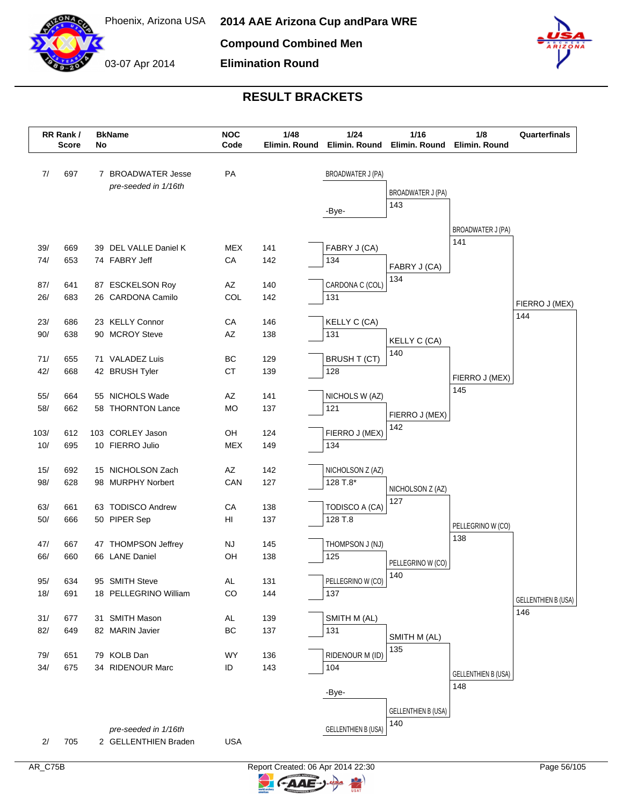



#### **RESULT BRACKETS**

**Elimination Round**

|             | RR Rank /<br><b>Score</b> | No | <b>BkName</b>                         | <b>NOC</b><br>Code | 1/48<br>Elimin. Round | 1/24<br>1/16<br>Elimin. Round<br>Elimin. Round |                            | 1/8<br>Elimin. Round       | Quarterfinals                     |
|-------------|---------------------------|----|---------------------------------------|--------------------|-----------------------|------------------------------------------------|----------------------------|----------------------------|-----------------------------------|
|             |                           |    |                                       |                    |                       |                                                |                            |                            |                                   |
| 7/          | 697                       |    | 7 BROADWATER Jesse                    | PA                 |                       | <b>BROADWATER J (PA)</b>                       |                            |                            |                                   |
|             |                           |    | pre-seeded in 1/16th                  |                    |                       |                                                | <b>BROADWATER J (PA)</b>   |                            |                                   |
|             |                           |    |                                       |                    |                       | -Bye-                                          | 143                        |                            |                                   |
|             |                           |    |                                       |                    |                       |                                                |                            |                            |                                   |
|             |                           |    |                                       |                    |                       |                                                |                            | BROADWATER J (PA)          |                                   |
| 39/         | 669                       |    | 39 DEL VALLE Daniel K                 | <b>MEX</b>         | 141                   | FABRY J (CA)                                   |                            | 141                        |                                   |
| 74/         | 653                       |    | 74 FABRY Jeff                         | CA                 | 142                   | 134                                            | FABRY J (CA)               |                            |                                   |
|             |                           |    |                                       |                    |                       |                                                | 134                        |                            |                                   |
| 87/         | 641                       |    | 87 ESCKELSON Roy                      | AZ                 | 140                   | CARDONA C (COL)                                |                            |                            |                                   |
| 26/         | 683                       |    | 26 CARDONA Camilo                     | COL                | 142                   | 131                                            |                            |                            | FIERRO J (MEX)                    |
| 23/         | 686                       |    | 23 KELLY Connor                       | CA                 | 146                   |                                                |                            |                            | 144                               |
| 90/         | 638                       |    | 90 MCROY Steve                        | AZ                 | 138                   | KELLY C (CA)<br>131                            |                            |                            |                                   |
|             |                           |    |                                       |                    |                       |                                                | KELLY C (CA)               |                            |                                   |
| 71/         | 655                       |    | 71 VALADEZ Luis                       | ВC                 | 129                   | <b>BRUSH T (CT)</b>                            | 140                        |                            |                                   |
| 42/         | 668                       |    | 42 BRUSH Tyler                        | <b>CT</b>          | 139                   | 128                                            |                            |                            |                                   |
|             |                           |    |                                       |                    |                       |                                                |                            | FIERRO J (MEX)<br>145      |                                   |
| 55/         | 664                       |    | 55 NICHOLS Wade                       | AZ                 | 141                   | NICHOLS W (AZ)                                 |                            |                            |                                   |
| 58/         | 662                       |    | 58 THORNTON Lance                     | <b>MO</b>          | 137                   | 121                                            | FIERRO J (MEX)             |                            |                                   |
|             |                           |    |                                       |                    |                       |                                                | 142                        |                            |                                   |
| 103/<br>10/ | 612<br>695                |    | 103 CORLEY Jason<br>10 FIERRO Julio   | OH<br><b>MEX</b>   | 124<br>149            | FIERRO J (MEX)<br>134                          |                            |                            |                                   |
|             |                           |    |                                       |                    |                       |                                                |                            |                            |                                   |
| 15/         | 692                       |    | 15 NICHOLSON Zach                     | AZ                 | 142                   | NICHOLSON Z (AZ)                               |                            |                            |                                   |
| 98/         | 628                       |    | 98 MURPHY Norbert                     | CAN                | 127                   | 128 T.8*                                       |                            |                            |                                   |
|             |                           |    |                                       |                    |                       |                                                | NICHOLSON Z (AZ)<br>127    |                            |                                   |
| 63/         | 661                       |    | 63 TODISCO Andrew                     | CA                 | 138                   | TODISCO A (CA)                                 |                            |                            |                                   |
| 50/         | 666                       |    | 50 PIPER Sep                          | HI                 | 137                   | 128 T.8                                        |                            | PELLEGRINO W (CO)          |                                   |
|             |                           |    |                                       |                    |                       |                                                |                            | 138                        |                                   |
| 47/<br>66/  | 667<br>660                |    | 47 THOMPSON Jeffrey<br>66 LANE Daniel | <b>NJ</b><br>OH    | 145<br>138            | THOMPSON J (NJ)<br>125                         |                            |                            |                                   |
|             |                           |    |                                       |                    |                       |                                                | PELLEGRINO W (CO)          |                            |                                   |
| 95/         | 634                       |    | 95 SMITH Steve                        | AL                 | 131                   | PELLEGRINO W (CO)                              | 140                        |                            |                                   |
| 18/         | 691                       |    | 18 PELLEGRINO William                 | CO                 | 144                   | 137                                            |                            |                            |                                   |
|             |                           |    |                                       |                    |                       |                                                |                            |                            | <b>GELLENTHIEN B (USA)</b><br>146 |
| 31/         | 677                       |    | 31 SMITH Mason                        | AL                 | 139                   | SMITH M (AL)                                   |                            |                            |                                   |
| 82/         | 649                       |    | 82 MARIN Javier                       | BC                 | 137                   | 131                                            | SMITH M (AL)               |                            |                                   |
|             |                           |    |                                       |                    |                       |                                                | 135                        |                            |                                   |
| 79/         | 651                       |    | 79 KOLB Dan                           | WY                 | 136                   | RIDENOUR M (ID)                                |                            |                            |                                   |
| 34/         | 675                       |    | 34 RIDENOUR Marc                      | ID                 | 143                   | 104                                            |                            | <b>GELLENTHIEN B (USA)</b> |                                   |
|             |                           |    |                                       |                    |                       | -Bye-                                          |                            | 148                        |                                   |
|             |                           |    |                                       |                    |                       |                                                |                            |                            |                                   |
|             |                           |    |                                       |                    |                       |                                                | <b>GELLENTHIEN B (USA)</b> |                            |                                   |
|             |                           |    | pre-seeded in 1/16th                  |                    |                       | <b>GELLENTHIEN B (USA)</b>                     | 140                        |                            |                                   |
| 2/          | 705                       |    | 2 GELLENTHIEN Braden                  | <b>USA</b>         |                       |                                                |                            |                            |                                   |

 $\blacktriangleright$ 

C-AAE-J-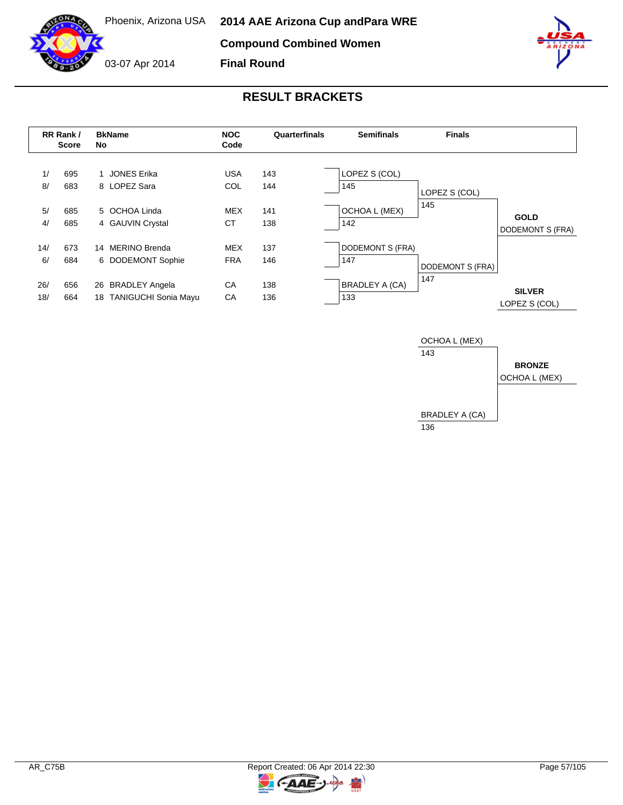**Compound Combined Women**

**Final Round**



03-07 Apr 2014

# **RESULT BRACKETS**





 $AAE-$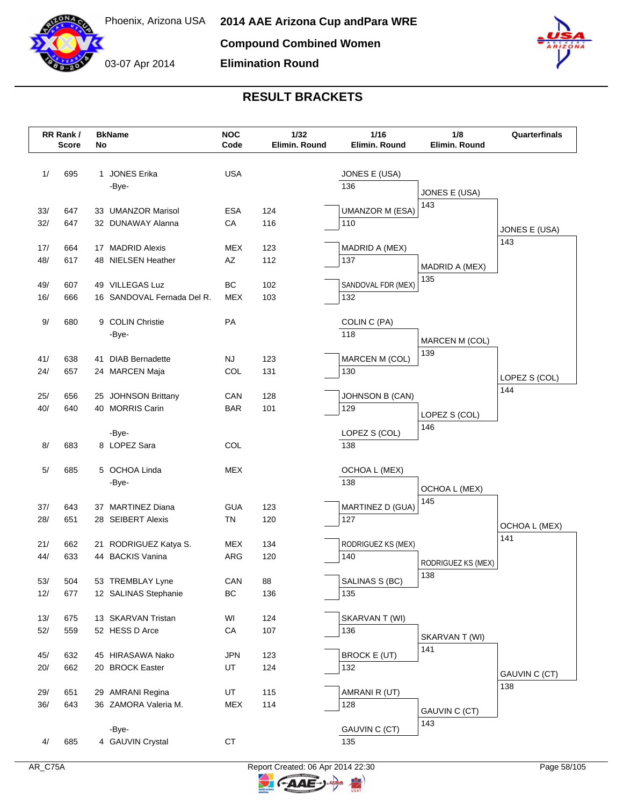03-07 Apr 2014

**Elimination Round**



# **RESULT BRACKETS**

|              | RR Rank /<br><b>Score</b> | No | <b>BkName</b>                          | <b>NOC</b><br>Code      | 1/32<br>Elimin. Round | 1/16<br>Elimin. Round         | 1/8<br>Elimin. Round      | Quarterfinals        |
|--------------|---------------------------|----|----------------------------------------|-------------------------|-----------------------|-------------------------------|---------------------------|----------------------|
|              |                           |    |                                        |                         |                       |                               |                           |                      |
| 1/           | 695                       |    | 1 JONES Erika                          | <b>USA</b>              |                       | JONES E (USA)                 |                           |                      |
|              |                           |    | -Bye-                                  |                         |                       | 136                           | JONES E (USA)             |                      |
| 33/          | 647                       |    | 33 UMANZOR Marisol                     | ESA                     | 124                   | <b>UMANZOR M (ESA)</b>        | 143                       |                      |
| 32/          | 647                       |    | 32 DUNAWAY Alanna                      | CA                      | 116                   | 110                           |                           |                      |
|              |                           |    |                                        |                         |                       |                               |                           | JONES E (USA)        |
| 17/          | 664                       |    | 17 MADRID Alexis                       | <b>MEX</b>              | 123                   | MADRID A (MEX)                |                           | 143                  |
| 48/          | 617                       |    | 48 NIELSEN Heather                     | AZ                      | 112                   | 137                           | MADRID A (MEX)            |                      |
|              |                           |    |                                        |                         |                       |                               | 135                       |                      |
| 49/          | 607                       |    | 49 VILLEGAS Luz                        | BC                      | 102                   | SANDOVAL FDR (MEX)            |                           |                      |
| 16/          | 666                       |    | 16 SANDOVAL Fernada Del R.             | MEX                     | 103                   | 132                           |                           |                      |
| 9/           | 680                       |    | 9 COLIN Christie                       | PA                      |                       | COLIN C (PA)                  |                           |                      |
|              |                           |    | -Bye-                                  |                         |                       | 118                           |                           |                      |
|              |                           |    |                                        |                         |                       |                               | MARCEN M (COL)            |                      |
| 41/          | 638                       |    | 41 DIAB Bernadette                     | <b>NJ</b>               | 123                   | MARCEN M (COL)                | 139                       |                      |
| 24/          | 657                       |    | 24 MARCEN Maja                         | COL                     | 131                   | 130                           |                           | LOPEZ S (COL)        |
|              |                           |    |                                        |                         |                       |                               |                           | 144                  |
| 25/<br>40/   | 656<br>640                |    | 25 JOHNSON Brittany<br>40 MORRIS Carin | CAN<br><b>BAR</b>       | 128<br>101            | <b>JOHNSON B (CAN)</b><br>129 |                           |                      |
|              |                           |    |                                        |                         |                       |                               | LOPEZ S (COL)             |                      |
|              |                           |    | -Bye-                                  |                         |                       | LOPEZ S (COL)                 | 146                       |                      |
| 8/           | 683                       |    | 8 LOPEZ Sara                           | COL                     |                       | 138                           |                           |                      |
|              |                           |    |                                        |                         |                       |                               |                           |                      |
| 5/           | 685                       |    | 5 OCHOA Linda                          | <b>MEX</b>              |                       | OCHOA L (MEX)                 |                           |                      |
|              |                           |    | -Bye-                                  |                         |                       | 138                           | OCHOA L (MEX)             |                      |
|              |                           |    |                                        |                         |                       |                               | 145                       |                      |
| 37/<br>28/   | 643<br>651                |    | 37 MARTINEZ Diana<br>28 SEIBERT Alexis | <b>GUA</b><br><b>TN</b> | 123<br>120            | MARTINEZ D (GUA)<br>127       |                           |                      |
|              |                           |    |                                        |                         |                       |                               |                           | OCHOA L (MEX)        |
| 21/          | 662                       |    | 21 RODRIGUEZ Katya S.                  | MEX                     | 134                   | RODRIGUEZ KS (MEX)            |                           | 141                  |
| 44/          | 633                       |    | 44 BACKIS Vanina                       | ARG                     | 120                   | 140                           |                           |                      |
|              |                           |    |                                        |                         |                       |                               | RODRIGUEZ KS (MEX)<br>138 |                      |
| $53/$        | 504                       |    | 53 TREMBLAY Lyne                       | CAN                     | 88                    | SALINAS S (BC)                |                           |                      |
| 12/          | 677                       |    | 12 SALINAS Stephanie                   | BC                      | 136                   | 135                           |                           |                      |
|              |                           |    |                                        |                         |                       |                               |                           |                      |
| 13/<br>$52/$ | 675<br>559                |    | 13 SKARVAN Tristan<br>52 HESS D Arce   | WI<br>${\sf CA}$        | 124<br>107            | SKARVAN T (WI)<br>136         |                           |                      |
|              |                           |    |                                        |                         |                       |                               | SKARVAN T (WI)            |                      |
| 45/          | 632                       |    | 45 HIRASAWA Nako                       | <b>JPN</b>              | 123                   | <b>BROCK E (UT)</b>           | 141                       |                      |
| 20/          | 662                       |    | 20 BROCK Easter                        | UT                      | 124                   | 132                           |                           |                      |
|              |                           |    |                                        |                         |                       |                               |                           | GAUVIN C (CT)<br>138 |
| 29/          | 651                       |    | 29 AMRANI Regina                       | UT                      | 115                   | AMRANI R (UT)                 |                           |                      |
| 36/          | 643                       |    | 36 ZAMORA Valeria M.                   | MEX                     | 114                   | 128                           | GAUVIN C (CT)             |                      |
|              |                           |    |                                        |                         |                       |                               | 143                       |                      |
| 4/           | 685                       |    | -Bye-<br>4 GAUVIN Crystal              | СT                      |                       | GAUVIN C (CT)<br>135          |                           |                      |
|              |                           |    |                                        |                         |                       |                               |                           |                      |



 $\mathbb{F}$ 

C-AAE-J-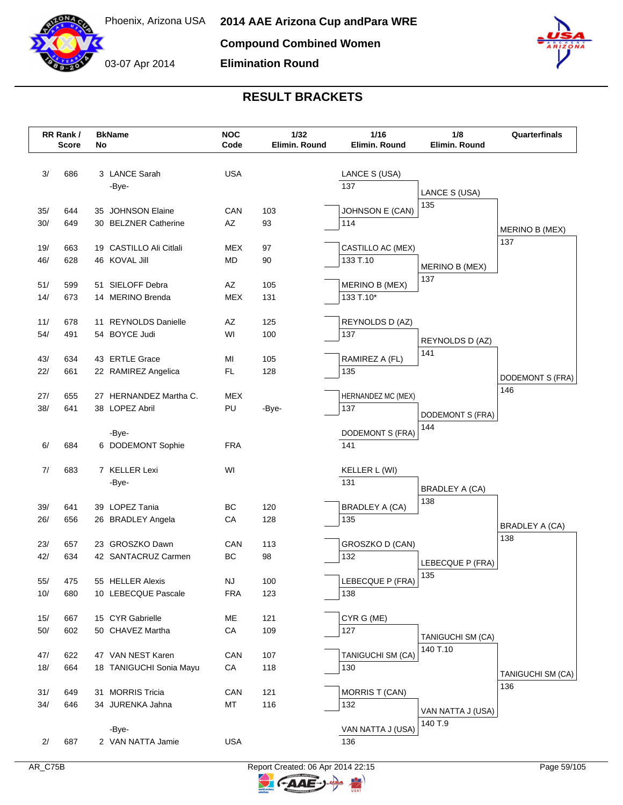

03-07 Apr 2014 **Elimination Round**



|       | RR Rank /<br><b>Score</b> | No | <b>BkName</b>           | <b>NOC</b><br>Code | 1/32<br>Elimin. Round | 1/16<br>1/8<br>Elimin. Round<br>Elimin. Round |                              | Quarterfinals     |
|-------|---------------------------|----|-------------------------|--------------------|-----------------------|-----------------------------------------------|------------------------------|-------------------|
|       |                           |    |                         |                    |                       |                                               |                              |                   |
| 3/    | 686                       |    | 3 LANCE Sarah           | <b>USA</b>         |                       | LANCE S (USA)                                 |                              |                   |
|       |                           |    | -Bye-                   |                    |                       | 137                                           | LANCE S (USA)                |                   |
|       |                           |    |                         |                    |                       |                                               | 135                          |                   |
| 35/   | 644                       |    | 35 JOHNSON Elaine       | CAN                | 103                   | JOHNSON E (CAN)                               |                              |                   |
| 30/   | 649                       |    | 30 BELZNER Catherine    | AZ                 | 93                    | 114                                           |                              | MERINO B (MEX)    |
| 19/   | 663                       |    | 19 CASTILLO Ali Citlali | MEX                | 97                    | CASTILLO AC (MEX)                             |                              | 137               |
| 46/   | 628                       |    | 46 KOVAL Jill           | MD                 | 90                    | 133 T.10                                      |                              |                   |
|       |                           |    |                         |                    |                       |                                               | MERINO B (MEX)               |                   |
| 51/   | 599                       |    | 51 SIELOFF Debra        | AZ                 | 105                   | <b>MERINO B (MEX)</b>                         | 137                          |                   |
| 14/   | 673                       |    | 14 MERINO Brenda        | <b>MEX</b>         | 131                   | 133 T.10*                                     |                              |                   |
|       |                           |    |                         |                    |                       |                                               |                              |                   |
| 11/   | 678                       |    | 11 REYNOLDS Danielle    | AZ                 | 125                   | REYNOLDS D (AZ)                               |                              |                   |
| 54/   | 491                       |    | 54 BOYCE Judi           | WI                 | 100                   | 137                                           | REYNOLDS D (AZ)              |                   |
| 43/   | 634                       |    | 43 ERTLE Grace          | MI                 | 105                   | RAMIREZ A (FL)                                | 141                          |                   |
| 22/   | 661                       |    | 22 RAMIREZ Angelica     | FL.                | 128                   | 135                                           |                              |                   |
|       |                           |    |                         |                    |                       |                                               |                              | DODEMONT S (FRA)  |
| 27/   | 655                       |    | 27 HERNANDEZ Martha C.  | <b>MEX</b>         |                       | HERNANDEZ MC (MEX)                            |                              | 146               |
| 38/   | 641                       |    | 38 LOPEZ Abril          | PU                 | -Bye-                 | 137                                           | DODEMONT S (FRA)             |                   |
|       |                           |    |                         |                    |                       |                                               | 144                          |                   |
|       |                           |    | -Bye-                   |                    |                       | DODEMONT S (FRA)                              |                              |                   |
| 6/    | 684                       |    | 6 DODEMONT Sophie       | <b>FRA</b>         |                       | 141                                           |                              |                   |
| 7/    | 683                       |    | 7 KELLER Lexi           | WI                 |                       | KELLER L (WI)                                 |                              |                   |
|       |                           |    | -Bye-                   |                    |                       | 131                                           |                              |                   |
|       |                           |    |                         |                    |                       |                                               | BRADLEY A (CA)<br>138        |                   |
| 39/   | 641                       |    | 39 LOPEZ Tania          | ВC                 | 120                   | BRADLEY A (CA)                                |                              |                   |
| 26/   | 656                       |    | 26 BRADLEY Angela       | CA                 | 128                   | 135                                           |                              | BRADLEY A (CA)    |
|       |                           |    |                         |                    |                       |                                               |                              | 138               |
| 23/   | 657                       |    | 23 GROSZKO Dawn         | CAN<br>BC          | 113                   | GROSZKO D (CAN)                               |                              |                   |
| 42/   | 634                       |    | 42 SANTACRUZ Carmen     |                    | 98                    | 132                                           | LEBECQUE P (FRA)             |                   |
| 55/   | 475                       |    | 55 HELLER Alexis        | NJ                 | 100                   | LEBECQUE P (FRA)                              | 135                          |                   |
| 10/   | 680                       |    | 10 LEBECQUE Pascale     | <b>FRA</b>         | 123                   | 138                                           |                              |                   |
|       |                           |    |                         |                    |                       |                                               |                              |                   |
| 15/   | 667                       |    | 15 CYR Gabrielle        | ME                 | 121                   | CYR G (ME)                                    |                              |                   |
| $50/$ | 602                       |    | 50 CHAVEZ Martha        | CA                 | 109                   | 127                                           | TANIGUCHI SM (CA)            |                   |
|       |                           |    |                         |                    |                       |                                               | 140 T.10                     |                   |
| 47/   | 622                       |    | 47 VAN NEST Karen       | CAN                | 107                   | TANIGUCHI SM (CA)                             |                              |                   |
| 18/   | 664                       |    | 18 TANIGUCHI Sonia Mayu | ${\sf CA}$         | 118                   | 130                                           |                              | TANIGUCHI SM (CA) |
| 31/   | 649                       |    | 31 MORRIS Tricia        | CAN                | 121                   | <b>MORRIS T (CAN)</b>                         |                              | 136               |
| 34/   | 646                       |    | 34 JURENKA Jahna        | MT                 | 116                   | 132                                           |                              |                   |
|       |                           |    |                         |                    |                       |                                               | VAN NATTA J (USA)<br>140 T.9 |                   |
|       |                           |    | -Bye-                   |                    |                       | VAN NATTA J (USA)                             |                              |                   |
| 2/    | 687                       |    | 2 VAN NATTA Jamie       | <b>USA</b>         |                       | 136                                           |                              |                   |
|       |                           |    |                         |                    |                       |                                               |                              |                   |

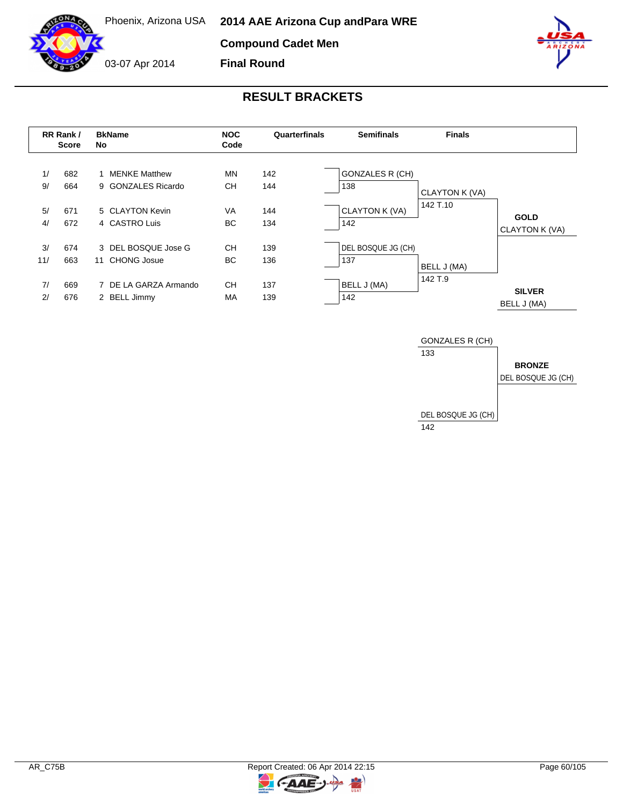**Compound Cadet Men**

03-07 Apr 2014

**Final Round**



# **RESULT BRACKETS**

|           | RR Rank /<br><b>Score</b> | <b>BkName</b><br>No                        | <b>NOC</b><br><b>Semifinals</b><br>Quarterfinals<br>Code |            | <b>Finals</b>                 |                |                               |
|-----------|---------------------------|--------------------------------------------|----------------------------------------------------------|------------|-------------------------------|----------------|-------------------------------|
| 1/<br>9/  | 682<br>664                | <b>MENKE Matthew</b><br>9 GONZALES Ricardo | MN<br>CН                                                 | 142<br>144 | <b>GONZALES R (CH)</b><br>138 | CLAYTON K (VA) |                               |
| 5/<br>4/  | 671<br>672                | 5 CLAYTON Kevin<br>4 CASTRO Luis           | VA<br>BC.                                                | 144<br>134 | CLAYTON K (VA)<br>142         | 142 T.10       | <b>GOLD</b><br>CLAYTON K (VA) |
| 3/<br>11/ | 674<br>663                | 3 DEL BOSQUE Jose G<br>CHONG Josue<br>11   | <b>CH</b><br>BC.                                         | 139<br>136 | DEL BOSQUE JG (CH)<br>137     | BELL J (MA)    |                               |
| 7/<br>2/  | 669<br>676                | 7 DE LA GARZA Armando<br>2 BELL Jimmy      | <b>CH</b><br>MA                                          | 137<br>139 | BELL J (MA)<br>142            | 142 T.9        | <b>SILVER</b><br>BELL J (MA)  |





 $\overline{z}$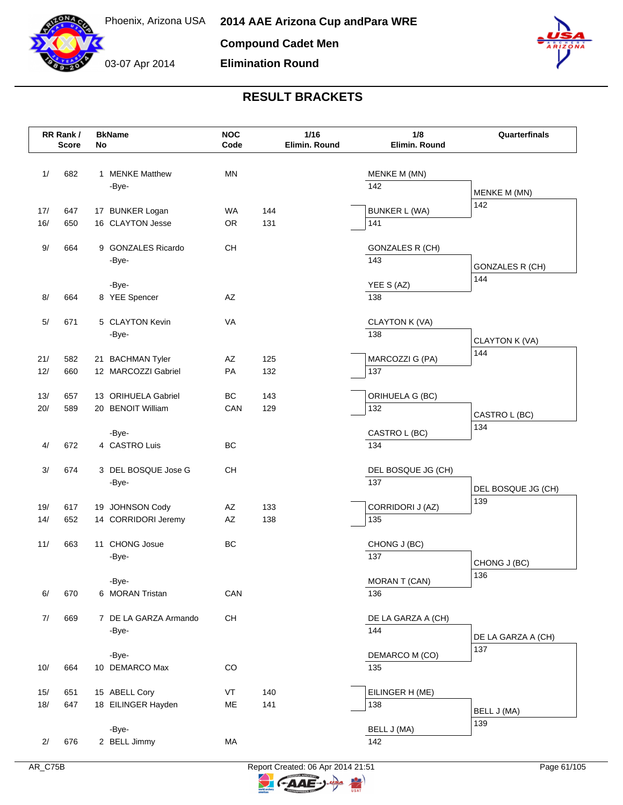



**Elimination Round**



|     | RR Rank /<br><b>Score</b> | No | <b>BkName</b>         | <b>NOC</b><br>Code                       |     | $1/16$<br>Elimin. Round | 1/8<br>Elimin. Round      | Quarterfinals                |
|-----|---------------------------|----|-----------------------|------------------------------------------|-----|-------------------------|---------------------------|------------------------------|
| 1/  | 682                       |    | 1 MENKE Matthew       | <b>MN</b>                                |     |                         | MENKE M (MN)              |                              |
|     |                           |    | -Bye-                 |                                          |     |                         | 142                       | MENKE M (MN)                 |
| 17/ | 647                       |    | 17 BUNKER Logan       | <b>WA</b>                                | 144 |                         | <b>BUNKER L (WA)</b>      | 142                          |
| 16/ | 650                       |    | 16 CLAYTON Jesse      | <b>OR</b>                                | 131 |                         | 141                       |                              |
|     |                           |    |                       |                                          |     |                         |                           |                              |
| 9/  | 664                       |    | 9 GONZALES Ricardo    | $\mathsf{CH}% \left( \mathcal{M}\right)$ |     |                         | <b>GONZALES R (CH)</b>    |                              |
|     |                           |    | -Bye-                 |                                          |     |                         | 143                       | <b>GONZALES R (CH)</b>       |
|     |                           |    | -Bye-                 |                                          |     |                         | YEE S (AZ)                | 144                          |
| 8/  | 664                       |    | 8 YEE Spencer         | AZ                                       |     |                         | 138                       |                              |
| 5/  | 671                       |    | 5 CLAYTON Kevin       | <b>VA</b>                                |     |                         | CLAYTON K (VA)            |                              |
|     |                           |    | -Bye-                 |                                          |     |                         | 138                       |                              |
|     |                           |    |                       |                                          |     |                         |                           | <b>CLAYTON K (VA)</b><br>144 |
| 21/ | 582                       |    | 21 BACHMAN Tyler      | AZ                                       | 125 |                         | MARCOZZI G (PA)           |                              |
| 12/ | 660                       |    | 12 MARCOZZI Gabriel   | PA                                       | 132 |                         | 137                       |                              |
| 13/ | 657                       |    | 13 ORIHUELA Gabriel   | BC                                       | 143 |                         | ORIHUELA G (BC)           |                              |
| 20/ | 589                       |    | 20 BENOIT William     | CAN                                      | 129 |                         | 132                       | CASTRO L (BC)                |
|     |                           |    | -Bye-                 |                                          |     |                         | CASTRO L (BC)             | 134                          |
| 4/  | 672                       |    | 4 CASTRO Luis         | BC                                       |     |                         | 134                       |                              |
|     |                           |    | 3 DEL BOSQUE Jose G   | <b>CH</b>                                |     |                         |                           |                              |
| 3/  | 674                       |    | -Bye-                 |                                          |     |                         | DEL BOSQUE JG (CH)<br>137 |                              |
|     |                           |    |                       |                                          |     |                         |                           | DEL BOSQUE JG (CH)<br>139    |
| 19/ | 617                       |    | 19 JOHNSON Cody       | AZ                                       | 133 |                         | CORRIDORI J (AZ)          |                              |
| 14/ | 652                       |    | 14 CORRIDORI Jeremy   | AZ                                       | 138 |                         | 135                       |                              |
| 11/ | 663                       |    | 11 CHONG Josue        | BC                                       |     |                         | CHONG J (BC)              |                              |
|     |                           |    | -Bye-                 |                                          |     |                         | 137                       | CHONG J (BC)                 |
|     |                           |    | -Bye-                 |                                          |     |                         | MORAN T (CAN)             | 136                          |
| 6/  | 670                       |    | 6 MORAN Tristan       | CAN                                      |     |                         | 136                       |                              |
|     |                           |    |                       |                                          |     |                         |                           |                              |
| 7/  | 669                       |    | 7 DE LA GARZA Armando | CH                                       |     |                         | DE LA GARZA A (CH)<br>144 |                              |
|     |                           |    | -Bye-                 |                                          |     |                         |                           | DE LA GARZA A (CH)           |
|     |                           |    | -Bye-                 |                                          |     |                         | DEMARCO M (CO)            | 137                          |
| 10/ | 664                       |    | 10 DEMARCO Max        | $_{\rm CO}$                              |     |                         | 135                       |                              |
| 15/ | 651                       |    | 15 ABELL Cory         | VT                                       | 140 |                         | EILINGER H (ME)           |                              |
| 18/ | 647                       |    | 18 EILINGER Hayden    | ME                                       | 141 |                         | 138                       | BELL J (MA)                  |
|     |                           |    |                       |                                          |     |                         |                           | 139                          |
| 2/  | 676                       |    | -Bye-<br>2 BELL Jimmy | MA                                       |     |                         | BELL J (MA)<br>142        |                              |
|     |                           |    |                       |                                          |     |                         |                           |                              |

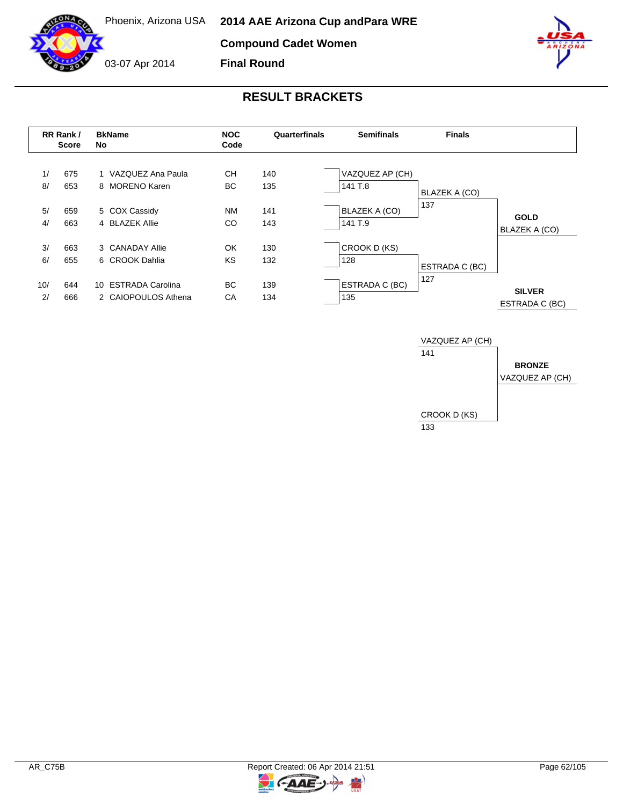**Compound Cadet Women**

**Final Round**



03-07 Apr 2014



|           | RR Rank /<br><b>Score</b> | <b>BkName</b><br>No                        | <b>NOC</b><br>Code | Quarterfinals | <b>Semifinals</b>               | <b>Finals</b>        |                                 |
|-----------|---------------------------|--------------------------------------------|--------------------|---------------|---------------------------------|----------------------|---------------------------------|
| 1/<br>8/  | 675<br>653                | 1 VAZQUEZ Ana Paula<br>8 MORENO Karen      | CН<br>BC.          | 140<br>135    | VAZQUEZ AP (CH)<br>141 T.8      | <b>BLAZEK A (CO)</b> |                                 |
| 5/<br>4/  | 659<br>663                | 5 COX Cassidy<br>4 BLAZEK Allie            | NM<br>CO           | 141<br>143    | <b>BLAZEK A (CO)</b><br>141 T.9 | 137                  | <b>GOLD</b><br>BLAZEK A (CO)    |
| 3/<br>6/  | 663<br>655                | 3 CANADAY Allie<br>6 CROOK Dahlia          | OK<br><b>KS</b>    | 130<br>132    | CROOK D (KS)<br>128             | ESTRADA C (BC)       |                                 |
| 10/<br>2/ | 644<br>666                | 10 ESTRADA Carolina<br>2 CAIOPOULOS Athena | BC.<br>CA          | 139<br>134    | ESTRADA C (BC)<br>135           | 127                  | <b>SILVER</b><br>ESTRADA C (BC) |



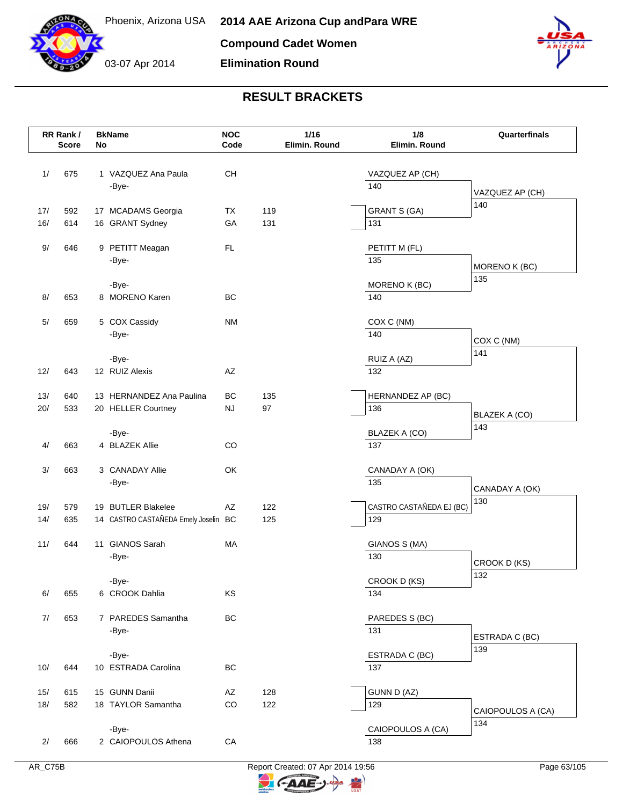

03-07 Apr 2014 **Elimination Round**



## **RESULT BRACKETS**

|     | RR Rank /<br><b>Score</b> | No | <b>BkName</b>                        | <b>NOC</b><br>Code |     | 1/16<br>Elimin. Round |     | 1/8<br>Elimin. Round     | Quarterfinals            |
|-----|---------------------------|----|--------------------------------------|--------------------|-----|-----------------------|-----|--------------------------|--------------------------|
| 1/  | 675                       |    | 1 VAZQUEZ Ana Paula<br>-Bye-         | CH                 |     |                       | 140 | VAZQUEZ AP (CH)          | VAZQUEZ AP (CH)          |
|     |                           |    |                                      |                    |     |                       |     |                          | 140                      |
| 17/ | 592                       |    | 17 MCADAMS Georgia                   | TX                 | 119 |                       |     | <b>GRANT S (GA)</b>      |                          |
| 16/ | 614                       |    | 16 GRANT Sydney                      | GA                 | 131 |                       | 131 |                          |                          |
| 9/  | 646                       |    | 9 PETITT Meagan<br>-Bye-             | <b>FL</b>          |     |                       | 135 | PETITT M (FL)            |                          |
|     |                           |    |                                      |                    |     |                       |     |                          | MORENO K (BC)<br>135     |
|     |                           |    | -Bye-                                |                    |     |                       |     | MORENO K (BC)            |                          |
| 8/  | 653                       |    | 8 MORENO Karen                       | BC                 |     |                       | 140 |                          |                          |
| 5/  | 659                       |    | 5 COX Cassidy                        | <b>NM</b>          |     |                       |     | COX C (NM)               |                          |
|     |                           |    | -Bye-                                |                    |     |                       | 140 |                          |                          |
|     |                           |    |                                      |                    |     |                       |     |                          | COX C (NM)<br>141        |
|     |                           |    | -Bye-                                |                    |     |                       |     | RUIZ A (AZ)              |                          |
| 12/ | 643                       |    | 12 RUIZ Alexis                       | AZ                 |     |                       | 132 |                          |                          |
| 13/ | 640                       |    | 13 HERNANDEZ Ana Paulina             | BC                 | 135 |                       |     | HERNANDEZ AP (BC)        |                          |
| 20/ | 533                       |    | 20 HELLER Courtney                   | <b>NJ</b>          | 97  |                       | 136 |                          |                          |
|     |                           |    |                                      |                    |     |                       |     |                          | BLAZEK A (CO)<br>143     |
|     |                           |    | -Bye-                                |                    |     |                       |     | BLAZEK A (CO)            |                          |
| 4/  | 663                       |    | 4 BLAZEK Allie                       | CO                 |     |                       | 137 |                          |                          |
| 3/  | 663                       |    | 3 CANADAY Allie                      | OK                 |     |                       |     | CANADAY A (OK)           |                          |
|     |                           |    | -Bye-                                |                    |     |                       | 135 |                          |                          |
|     |                           |    |                                      |                    |     |                       |     |                          | CANADAY A (OK)<br>130    |
| 19/ | 579                       |    | 19 BUTLER Blakelee                   | AZ                 | 122 |                       |     | CASTRO CASTAÑEDA EJ (BC) |                          |
| 14/ | 635                       |    | 14 CASTRO CASTAÑEDA Emely Joselin BC |                    | 125 |                       | 129 |                          |                          |
| 11/ | 644                       |    | 11 GIANOS Sarah                      | MA                 |     |                       |     | GIANOS S (MA)            |                          |
|     |                           |    | -Bye-                                |                    |     |                       | 130 |                          |                          |
|     |                           |    |                                      |                    |     |                       |     |                          | CROOK D (KS)<br>132      |
|     |                           |    | -Bye-                                |                    |     |                       |     | CROOK D (KS)             |                          |
| 6/  | 655                       |    | 6 CROOK Dahlia                       | KS                 |     |                       | 134 |                          |                          |
| 7/  | 653                       |    | 7 PAREDES Samantha                   | BC                 |     |                       |     | PAREDES S (BC)           |                          |
|     |                           |    | -Bye-                                |                    |     |                       | 131 |                          |                          |
|     |                           |    |                                      |                    |     |                       |     |                          | ESTRADA C (BC)<br>139    |
|     |                           |    | -Bye-                                |                    |     |                       |     | ESTRADA C (BC)           |                          |
| 10/ | 644                       |    | 10 ESTRADA Carolina                  | BC                 |     |                       | 137 |                          |                          |
| 15/ | 615                       |    | 15 GUNN Danii                        | AZ                 | 128 |                       |     | <b>GUNN D (AZ)</b>       |                          |
| 18/ | 582                       |    | 18 TAYLOR Samantha                   | CO                 | 122 |                       | 129 |                          |                          |
|     |                           |    |                                      |                    |     |                       |     |                          | CAIOPOULOS A (CA)<br>134 |
|     |                           |    | -Bye-                                |                    |     |                       |     | CAIOPOULOS A (CA)        |                          |
| 2/  | 666                       |    | 2 CAIOPOULOS Athena                  | ${\sf CA}$         |     |                       | 138 |                          |                          |

AR\_C75B Report Created: 07 Apr 2014 19:56 Report Created: 07 Apr 2014 19:56

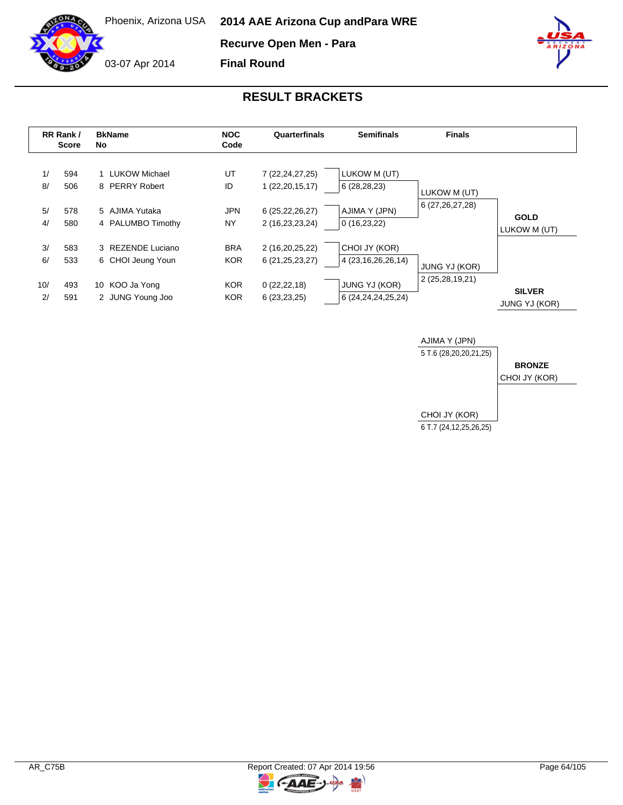

**Recurve Open Men - Para**



**Final Round**



|                       | RR Rank /<br><b>Score</b> | <b>BkName</b><br>No.                                                         | <b>NOC</b><br>Code                                   | Quarterfinals                                                                   | <b>Semifinals</b>                                                                         | <b>Finals</b>                           |                                       |
|-----------------------|---------------------------|------------------------------------------------------------------------------|------------------------------------------------------|---------------------------------------------------------------------------------|-------------------------------------------------------------------------------------------|-----------------------------------------|---------------------------------------|
| 1/<br>8/<br>5/<br>4/  | 594<br>506<br>578<br>580  | 1 LUKOW Michael<br>8 PERRY Robert<br>5 AJIMA Yutaka<br>4 PALUMBO Timothy     | UT<br>ID<br><b>JPN</b><br>NY.                        | 7 (22, 24, 27, 25)<br>1(22, 20, 15, 17)<br>6(25, 22, 26, 27)<br>2 (16,23,23,24) | LUKOW M (UT)<br>6 (28,28,23)<br>AJIMA Y (JPN)<br>0(16,23,22)                              | LUKOW M (UT)<br>6 (27, 26, 27, 28)      | <b>GOLD</b><br>LUKOW M (UT)           |
| 3/<br>6/<br>10/<br>2/ | 583<br>533<br>493<br>591  | 3 REZENDE Luciano<br>6 CHOI Jeung Youn<br>10 KOO Ja Yong<br>2 JUNG Young Joo | <b>BRA</b><br><b>KOR</b><br><b>KOR</b><br><b>KOR</b> | 2 (16,20,25,22)<br>6 (21, 25, 23, 27)<br>0(22, 22, 18)<br>6(23,23,25)           | CHOI JY (KOR)<br>4 (23, 16, 26, 26, 14)<br><b>JUNG YJ (KOR)</b><br>6 (24, 24, 24, 25, 24) | <b>JUNG YJ (KOR)</b><br>2 (25,28,19,21) | <b>SILVER</b><br><b>JUNG YJ (KOR)</b> |

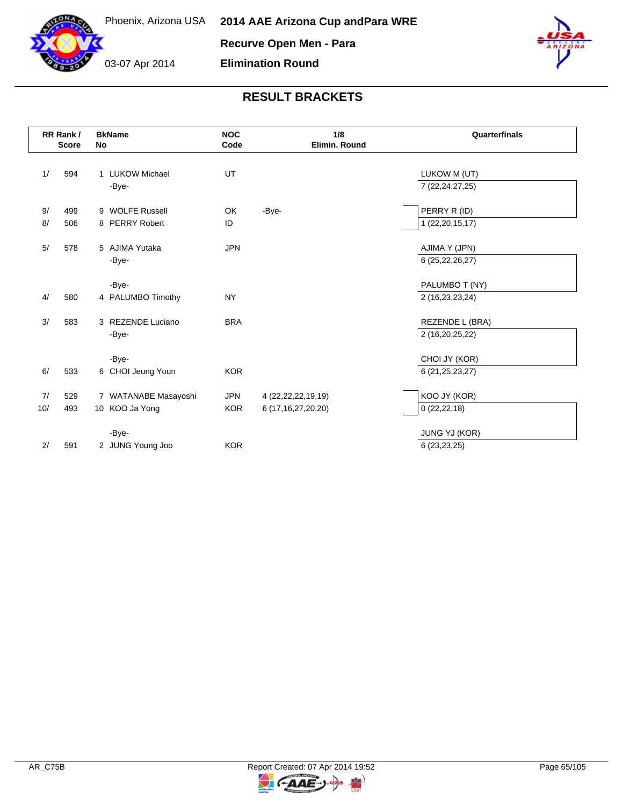



|      | RR Rank /    |           | <b>BkName</b>        | <b>NOC</b> | 1/8<br>Quarterfinals   |                    |
|------|--------------|-----------|----------------------|------------|------------------------|--------------------|
|      | <b>Score</b> | <b>No</b> |                      | Code       | Elimin. Round          |                    |
| 1/   | 594          |           | 1 LUKOW Michael      | UT         |                        | LUKOW M (UT)       |
|      |              |           | -Bye-                |            |                        | 7 (22, 24, 27, 25) |
| 9/   | 499          |           | 9 WOLFE Russell      | OK         | -Bye-                  | PERRY R (ID)       |
| $8/$ | 506          |           | 8 PERRY Robert       | ID         |                        | 1 (22,20,15,17)    |
| $5/$ | 578          |           | 5 AJIMA Yutaka       | <b>JPN</b> |                        | AJIMA Y (JPN)      |
|      |              |           | -Bye-                |            |                        | 6 (25, 22, 26, 27) |
|      |              |           | -Bye-                |            |                        | PALUMBO T (NY)     |
| 4/   | 580          |           | 4 PALUMBO Timothy    | <b>NY</b>  |                        | 2 (16,23,23,24)    |
| 3/   | 583          |           | 3 REZENDE Luciano    | <b>BRA</b> |                        | REZENDE L (BRA)    |
|      |              |           | -Bye-                |            |                        | 2 (16,20,25,22)    |
|      |              |           | -Bye-                |            |                        | CHOI JY (KOR)      |
| 6/   | 533          |           | 6 CHOI Jeung Youn    | <b>KOR</b> |                        | 6 (21, 25, 23, 27) |
| 7/   | 529          |           | 7 WATANABE Masayoshi | <b>JPN</b> | 4 (22, 22, 22, 19, 19) | KOO JY (KOR)       |
| 10/  | 493          |           | 10 KOO Ja Yong       | <b>KOR</b> | 6 (17, 16, 27, 20, 20) | 0(22, 22, 18)      |
|      |              |           | -Bye-                |            |                        | JUNG YJ (KOR)      |
| 2/   | 591          |           | 2 JUNG Young Joo     | <b>KOR</b> |                        | 6 (23,23,25)       |

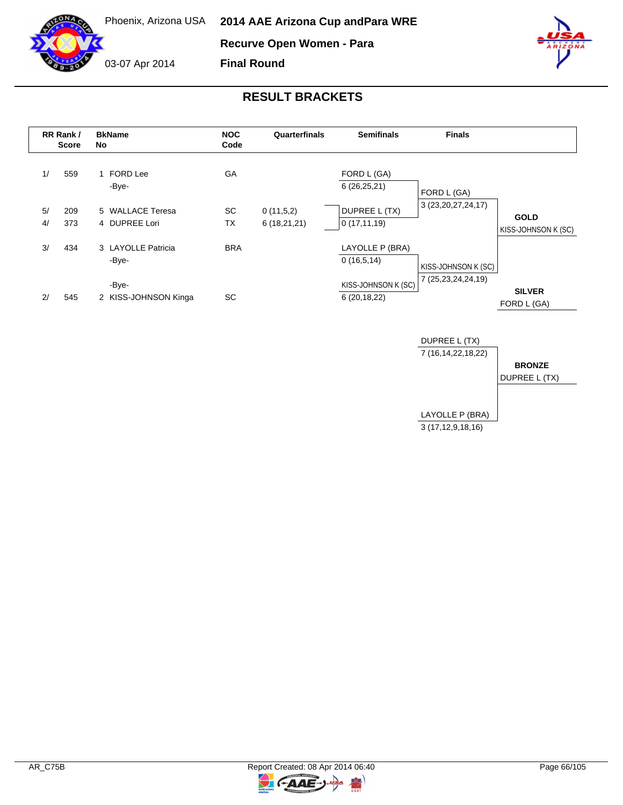

**Recurve Open Women - Para**

**Final Round**



03-07 Apr 2014



|          | RR Rank /<br><b>Score</b> | <b>BkName</b><br>No               | <b>NOC</b><br>Code | Quarterfinals            | <b>Semifinals</b>                    | <b>Finals</b>          |                                    |
|----------|---------------------------|-----------------------------------|--------------------|--------------------------|--------------------------------------|------------------------|------------------------------------|
| 1/       | 559                       | 1 FORD Lee<br>-Bye-               | GA                 |                          | FORD L (GA)<br>6(26,25,21)           | FORD L (GA)            |                                    |
| 5/<br>4/ | 209<br>373                | 5 WALLACE Teresa<br>4 DUPREE Lori | SC<br><b>TX</b>    | 0(11,5,2)<br>6(18,21,21) | DUPREE L (TX)<br>0(17, 11, 19)       | 3 (23, 20, 27, 24, 17) | <b>GOLD</b><br>KISS-JOHNSON K (SC) |
| 3/       | 434                       | 3 LAYOLLE Patricia<br>-Bye-       | <b>BRA</b>         |                          | LAYOLLE P (BRA)<br>0(16,5,14)        | KISS-JOHNSON K (SC)    |                                    |
| 2/       | 545                       | -Bye-<br>2 KISS-JOHNSON Kinga     | SC                 |                          | KISS-JOHNSON K (SC)<br>6(20, 18, 22) | 7 (25, 23, 24, 24, 19) | <b>SILVER</b><br>FORD L (GA)       |



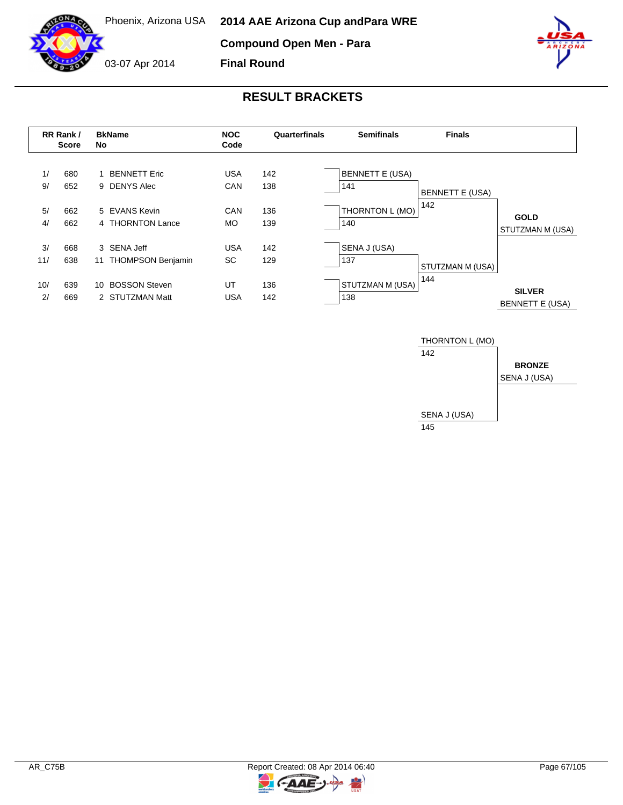**Compound Open Men - Para**

**Final Round**



03-07 Apr 2014



|           | RR Rank /<br>Score | <b>BkName</b><br>No                           | <b>NOC</b><br>Code      | Quarterfinals | <b>Semifinals</b>             | <b>Finals</b>          |                                         |
|-----------|--------------------|-----------------------------------------------|-------------------------|---------------|-------------------------------|------------------------|-----------------------------------------|
| 1/<br>9/  | 680<br>652         | <b>BENNETT Eric</b><br>9 DENYS Alec           | <b>USA</b><br>CAN       | 142<br>138    | <b>BENNETT E (USA)</b><br>141 | <b>BENNETT E (USA)</b> |                                         |
| 5/<br>4/  | 662<br>662         | 5 EVANS Kevin<br>4 THORNTON Lance             | <b>CAN</b><br><b>MO</b> | 136<br>139    | THORNTON L (MO)<br>140        | 142                    | <b>GOLD</b><br>STUTZMAN M (USA)         |
| 3/<br>11/ | 668<br>638         | 3 SENA Jeff<br><b>THOMPSON Benjamin</b><br>11 | <b>USA</b><br>SC        | 142<br>129    | SENA J (USA)<br>137           | STUTZMAN M (USA)       |                                         |
| 10/<br>2/ | 639<br>669         | <b>BOSSON Steven</b><br>10<br>2 STUTZMAN Matt | UT<br><b>USA</b>        | 136<br>142    | STUTZMAN M (USA)<br>138       | 144                    | <b>SILVER</b><br><b>BENNETT E (USA)</b> |



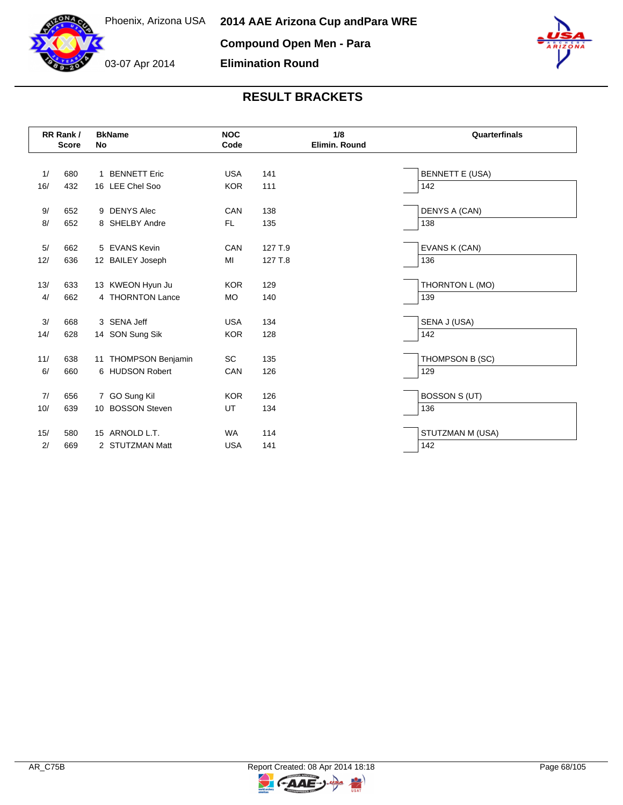03-07 Apr 2014



#### **RESULT BRACKETS**

**Elimination Round**

|           | RR Rank /<br><b>Score</b> | <b>BkName</b><br><b>No</b>              | <b>NOC</b><br>Code | 1/8<br>Elimin, Round | Quarterfinals          |
|-----------|---------------------------|-----------------------------------------|--------------------|----------------------|------------------------|
|           |                           |                                         |                    |                      |                        |
| 1/        | 680                       | 1 BENNETT Eric                          | <b>USA</b>         | 141                  | <b>BENNETT E (USA)</b> |
| 16/       | 432                       | 16 LEE Chel Soo                         | <b>KOR</b>         | 111                  | 142                    |
| 9/        | 652                       | 9 DENYS Alec                            | CAN                | 138                  | DENYS A (CAN)          |
| 8/        | 652                       | 8 SHELBY Andre                          | FL.                | 135                  | 138                    |
| 5/        | 662                       | 5 EVANS Kevin                           | CAN                | 127 T.9              | EVANS K (CAN)          |
| 12/       | 636                       | 12 BAILEY Joseph                        | MI                 | 127 T.8              | 136                    |
| 13/       | 633                       | 13 KWEON Hyun Ju                        | <b>KOR</b>         | 129                  | THORNTON L (MO)        |
| 4/        | 662                       | 4 THORNTON Lance                        | <b>MO</b>          | 140                  | 139                    |
| 3/        | 668                       | 3 SENA Jeff                             | <b>USA</b>         | 134                  | SENA J (USA)           |
| 14/       | 628                       | 14 SON Sung Sik                         | <b>KOR</b>         | 128                  | 142                    |
|           |                           |                                         |                    |                      |                        |
| 11/<br>6/ | 638<br>660                | 11 THOMPSON Benjamin<br>6 HUDSON Robert | SC<br>CAN          | 135<br>126           | THOMPSON B (SC)<br>129 |
|           |                           |                                         |                    |                      |                        |
| 7/        | 656                       | 7 GO Sung Kil                           | <b>KOR</b>         | 126                  | <b>BOSSON S (UT)</b>   |
| 10/       | 639                       | <b>BOSSON Steven</b><br>10              | UT                 | 134                  | 136                    |
| 15/       | 580                       | 15 ARNOLD L.T.                          | <b>WA</b>          | 114                  | STUTZMAN M (USA)       |
| 2/        | 669                       | 2 STUTZMAN Matt                         | <b>USA</b>         | 141                  | 142                    |

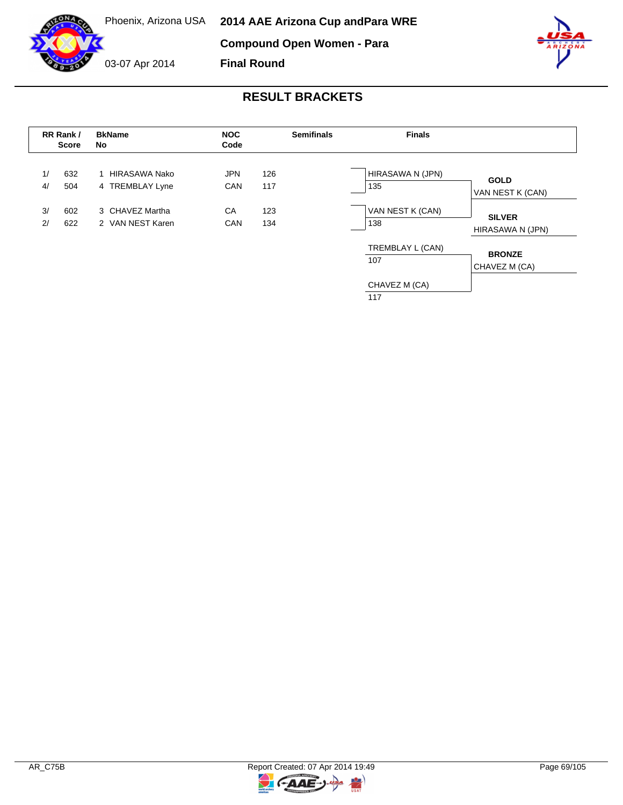**Compound Open Women - Para**

**Final Round**



03-07 Apr 2014



|                        | RR Rank /<br><b>Score</b> | <b>BkName</b><br>No                 | <b>NOC</b><br>Code      |            | <b>Semifinals</b> | <b>Finals</b>           |                                   |  |
|------------------------|---------------------------|-------------------------------------|-------------------------|------------|-------------------|-------------------------|-----------------------------------|--|
| 1/<br>4/               | 632<br>504                | HIRASAWA Nako<br>4 TREMBLAY Lyne    | <b>JPN</b><br>CAN       | 126<br>117 |                   | HIRASAWA N (JPN)<br>135 | <b>GOLD</b><br>VAN NEST K (CAN)   |  |
| 3/<br>602<br>2/<br>622 |                           | 3 CHAVEZ Martha<br>2 VAN NEST Karen | CA<br>123<br>CAN<br>134 |            |                   | VAN NEST K (CAN)<br>138 | <b>SILVER</b><br>HIRASAWA N (JPN) |  |
|                        |                           |                                     |                         |            |                   | TREMBLAY L (CAN)<br>107 | <b>BRONZE</b><br>CHAVEZ M (CA)    |  |
|                        |                           |                                     |                         |            |                   | CHAVEZ M (CA)<br>117    |                                   |  |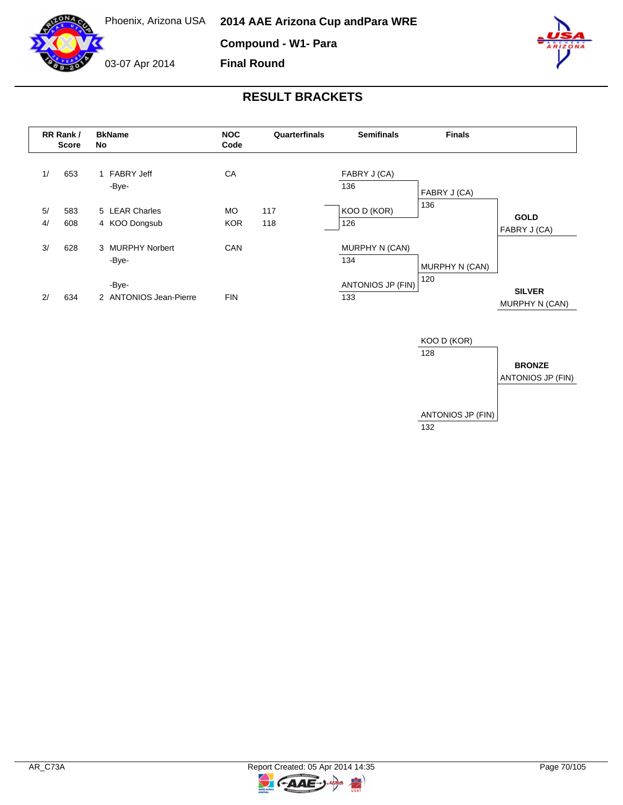

**Compound - W1- Para**

**Final Round**



03-07 Apr 2014







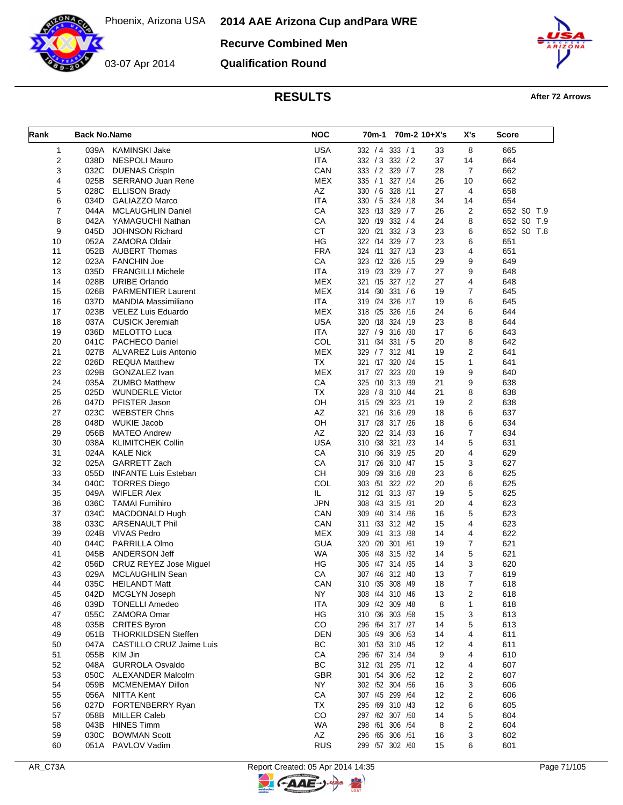

**Recurve Combined Men**

**Qualification Round**



# **RESULTS After 72 Arrows**

| Rank | <b>Back No.Name</b> |                                 | <b>NOC</b> | 70m-2 10+X's<br>70m-1 |    | X's            | Score      |
|------|---------------------|---------------------------------|------------|-----------------------|----|----------------|------------|
| 1    | 039A                | <b>KAMINSKI Jake</b>            | <b>USA</b> | 332 / 4 333 / 1       | 33 | 8              | 665        |
| 2    | 038D                | <b>NESPOLI Mauro</b>            | <b>ITA</b> | 332 / 3 332 / 2       | 37 | 14             | 664        |
| 3    | 032C                | <b>DUENAS Crispln</b>           | CAN        | 333 / 2 329 / 7       | 28 | $\overline{7}$ | 662        |
| 4    | 025B                | <b>SERRANO Juan Rene</b>        | <b>MEX</b> | 327 /14<br>335 / 1    | 26 | 10             | 662        |
| 5    | 028C                | <b>ELLISON Brady</b>            | AZ         | 330 / 6 328 /11       | 27 | 4              | 658        |
| 6    | 034D                | GALIAZZO Marco                  | <b>ITA</b> | 330 / 5 324 / 18      | 34 | 14             | 654        |
| 7    | 044A                | <b>MCLAUGHLIN Daniel</b>        | CA         | 323 /13 329 / 7       | 26 | $\overline{c}$ | 652 SO T.9 |
| 8    |                     | 042A YAMAGUCHI Nathan           | CA         | 320 /19 332 / 4       | 24 | 8              | 652 SO T.9 |
| 9    | 045D                | JOHNSON Richard                 | <b>CT</b>  | 320 /21<br>332 / 3    | 23 | 6              | 652 SO T.8 |
| 10   |                     | 052A ZAMORA Oldair              | HG         | 322 /14<br>329 / 7    | 23 | 6              | 651        |
| 11   | 052B                | <b>AUBERT Thomas</b>            | <b>FRA</b> | 324 /11 327 /13       | 23 | 4              | 651        |
| 12   | 023A                | <b>FANCHIN Joe</b>              | CA         | 323 /12 326 /15       | 29 | 9              | 649        |
| 13   | 035D                | <b>FRANGILLI Michele</b>        | <b>ITA</b> | 319 /23<br>329 / 7    | 27 | 9              | 648        |
| 14   | 028B                | <b>URIBE Orlando</b>            | <b>MEX</b> | 321 /15 327 /12       | 27 | 4              | 648        |
| 15   | 026B                | <b>PARMENTIER Laurent</b>       | <b>MEX</b> | 314 /30<br>331 / 6    | 19 | 7              | 645        |
| 16   | 037D                | MANDIA Massimiliano             | <b>ITA</b> | 319 /24<br>326 /17    | 19 | 6              | 645        |
| 17   | 023B                | VELEZ Luis Eduardo              | <b>MEX</b> | 318 /25 326 /16       | 24 | 6              | 644        |
| 18   | 037A                | <b>CUSICK Jeremiah</b>          | <b>USA</b> | 320 /18 324 /19       | 23 | 8              | 644        |
| 19   | 036D                | <b>MELOTTO Luca</b>             | <b>ITA</b> | 327 / 9 316 / 30      | 17 | 6              | 643        |
| 20   | 041C                | PACHECO Daniel                  | COL        | 311 /34 331 / 5       | 20 | 8              | 642        |
| 21   | 027B                | <b>ALVAREZ Luis Antonio</b>     | <b>MEX</b> | 329 / 7 312 / 41      | 19 | 2              | 641        |
| 22   | 026D                | <b>REQUA Matthew</b>            | <b>TX</b>  | 320 /24<br>321 /17    | 15 | 1              | 641        |
| 23   | 029B                | GONZALEZ Ivan                   | <b>MEX</b> | 317 /27 323 /20       | 19 | 9              | 640        |
| 24   | 035A                | <b>ZUMBO Matthew</b>            | CA         | 325 /10 313 /39       | 21 | 9              | 638        |
| 25   | 025D                | <b>WUNDERLE Victor</b>          | <b>TX</b>  | 328 / 8 310 / 44      | 21 | 8              | 638        |
| 26   | 047D                | PFISTER Jason                   | OН         | 315 /29<br>323 /21    | 19 | 2              | 638        |
| 27   | 023C                | <b>WEBSTER Chris</b>            | AZ         | 321 /16 316 /29       | 18 | 6              | 637        |
| 28   | 048D                | <b>WUKIE Jacob</b>              | OH         | 317 /28 317 /26       | 18 | 6              | 634        |
| 29   | 056B                | <b>MATEO Andrew</b>             | AZ         | 320 /22 314 /33       | 16 | 7              | 634        |
| 30   | 038A                | <b>KLIMITCHEK Collin</b>        | <b>USA</b> | 310 /38 321<br>/23    | 14 | 5              | 631        |
| 31   | 024A                | <b>KALE Nick</b>                | CA         | 310 /36 319 /25       | 20 | 4              | 629        |
| 32   | 025A                | <b>GARRETT Zach</b>             | CA         | 317 /26 310 /47       | 15 | 3              | 627        |
| 33   | 055D                | <b>INFANTE Luis Esteban</b>     | <b>CH</b>  | 309<br>/39<br>316 /28 | 23 | 6              | 625        |
| 34   | 040C                | <b>TORRES Diego</b>             | COL        | 303 /51<br>322 /22    | 20 | 6              | 625        |
| 35   | 049A                | <b>WIFLER Alex</b>              | IL         | 312 /31 313 /37       | 19 | 5              | 625        |
| 36   | 036C                | <b>TAMAI Fumihiro</b>           | <b>JPN</b> | 308 /43 315 /31       | 20 | 4              | 623        |
| 37   | 034C                | <b>MACDONALD Hugh</b>           | CAN        | 309 /40 314 /36       | 16 | 5              | 623        |
| 38   | 033C                | <b>ARSENAULT Phil</b>           | CAN        | 311 /33 312 /42       | 15 | 4              | 623        |
| 39   | 024B                | <b>VIVAS Pedro</b>              | <b>MEX</b> | 309 /41<br>313 /38    | 14 | 4              | 622        |
| 40   | 044C                | <b>PARRILLA Olmo</b>            | <b>GUA</b> | 320 /20 301 /61       | 19 | 7              | 621        |
| 41   | 045B                | ANDERSON Jeff                   | <b>WA</b>  | 306 /48 315 /32       | 14 | 5              | 621        |
| 42   | 056D                | CRUZ REYEZ Jose Miguel          | ΗG         | 306 /47 314 /35       | 14 | 3              | 620        |
| 43   | 029A                | MCLAUGHLIN Sean                 | СA         | 307 /46 312 /40       | 13 | 7              | 619        |
| 44   |                     | 035C HEILANDT Matt              | CAN        | 310 /35 308 /49       | 18 | 7              | 618        |
| 45   | 042D                | MCGLYN Joseph                   | NY         | 308 /44 310 /46       | 13 | 2              | 618        |
| 46   | 039D                | <b>TONELLI Amedeo</b>           | <b>ITA</b> | 309 /42 309 /48       | 8  | 1              | 618        |
| 47   |                     | 055C ZAMORA Omar                | HG         | 310 /36 303 /58       | 15 | 3              | 613        |
| 48   |                     | 035B CRITES Byron               | CO         | 296 /64 317 /27       | 14 | 5              | 613        |
| 49   | 051B                | <b>THORKILDSEN Steffen</b>      | <b>DEN</b> | 305 /49 306 /53       | 14 | 4              | 611        |
| 50   | 047A                | <b>CASTILLO CRUZ Jaime Luis</b> | <b>BC</b>  | 301 /53 310 /45       | 12 | 4              | 611        |
| 51   | 055B                | KIM Jin                         | CA         | 296 /67 314 /34       | 9  | 4              | 610        |
| 52   |                     | 048A GURROLA Osvaldo            | BC         | 312 /31 295 /71       | 12 | 4              | 607        |
| 53   |                     | 050C ALEXANDER Malcolm          | GBR        | 301 /54 306 /52       | 12 | 2              | 607        |
| 54   | 059B                | <b>MCMENEMAY Dillon</b>         | <b>NY</b>  | 302 /52 304 /56       | 16 | 3              | 606        |
| 55   |                     | 056A NITTA Kent                 | CA         | 307 /45 299 /64       | 12 | 2              | 606        |
| 56   | 027D                | <b>FORTENBERRY Ryan</b>         | TX         | 295 /69 310 /43       | 12 | 6              | 605        |
| 57   | 058B                | <b>MILLER Caleb</b>             | CO         | 297 /62 307 /50       | 14 | 5              | 604        |
| 58   | 043B                | <b>HINES Timm</b>               | WA         | 298 /61 306 /54       | 8  | 2              | 604        |
| 59   | 030C                | <b>BOWMAN Scott</b>             | AZ         | 296 /65 306 /51       | 16 | 3              | 602        |
| 60   |                     | 051A PAVLOV Vadim               | <b>RUS</b> | 299 /57 302 /60       | 15 | 6              | 601        |

키

**C-AAE-**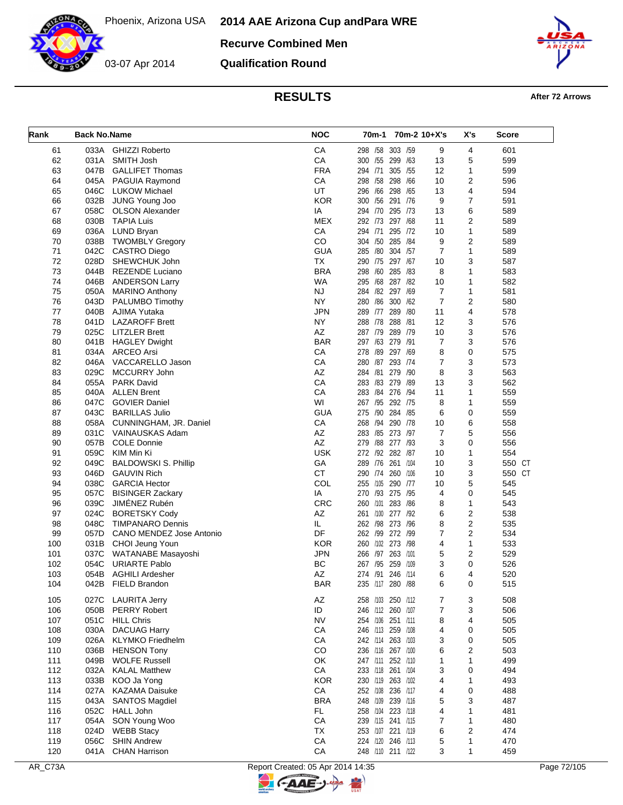**2014 AAE Arizona Cup and Para WRE**

**Recurve Combined Men**

03-07 Apr 2014

**Qualification Round**



# **RESULTS After 72 Arrows**

| Rank     | <b>Back No.Name</b> |                                                     | <b>NOC</b> |                                        | 70m-1 70m-2 10+X's |                | X's            | <b>Score</b> |
|----------|---------------------|-----------------------------------------------------|------------|----------------------------------------|--------------------|----------------|----------------|--------------|
| 61       | 033A                | <b>GHIZZI Roberto</b>                               | CA         | 298 /58 303 /59                        |                    | 9              | 4              | 601          |
| 62       | 031A                | SMITH Josh                                          | CA         | 300 /55 299 /63                        |                    | 13             | 5              | 599          |
| 63       |                     | 047B GALLIFET Thomas                                | <b>FRA</b> | 294 /71                                | 305 /55            | 12             | 1              | 599          |
| 64       | 045A                | <b>PAGUIA Raymond</b>                               | CA         | 298 /58 298 /66                        |                    | 10             | 2              | 596          |
| 65       |                     | 046C LUKOW Michael                                  | UT         | 296 /66                                | 298 /65            | 13             | 4              | 594          |
| 66       |                     | 032B JUNG Young Joo                                 | <b>KOR</b> | 300 /56 291 /76                        |                    | 9              | 7              | 591          |
| 67       | 058C                | <b>OLSON Alexander</b>                              | ΙA         | 294 /70 295 /73                        |                    | 13             | 6              | 589          |
| 68       | 030B                | <b>TAPIA Luis</b>                                   | <b>MEX</b> | 292 /73 297 /68                        |                    | 11             | $\overline{2}$ | 589          |
| 69       |                     | 036A LUND Bryan                                     | CA         | 294 /71                                | 295 /72            | 10             | 1              | 589          |
| 70       | 038B                | <b>TWOMBLY Gregory</b>                              | CO         | 304 /50 285 /84                        |                    | 9              | $\overline{2}$ | 589          |
| 71       | 042C                | CASTRO Diego                                        | <b>GUA</b> | 285 /80 304 /57                        |                    | 7              | 1              | 589          |
| 72       | 028D                | SHEWCHUK John                                       | <b>TX</b>  | 290 /75 297 /67                        |                    | 10             | 3              | 587          |
| 73       | 044B                | REZENDE Luciano                                     | <b>BRA</b> | 298 /60 285 /83                        |                    | 8              | 1              | 583          |
| 74       |                     | 046B ANDERSON Larry                                 | <b>WA</b>  | 295 /68 287 /82                        |                    | 10             | 1              | 582          |
| 75       | 050A                | <b>MARINO Anthony</b>                               | NJ         | 284 /82 297 /69                        |                    | $\overline{7}$ | $\mathbf{1}$   | 581          |
| 76       |                     | 043D PALUMBO Timothy                                | NY.        | 280 /86 300 /62                        |                    | 7              | 2              | 580          |
| 77       |                     | 040B AJIMA Yutaka                                   | <b>JPN</b> | 289 /77 289 /80                        |                    | 11             | 4              | 578          |
| 78       | 041D                | <b>LAZAROFF Brett</b>                               | NY.        | 288 /78 288 /81                        |                    | 12             | 3              | 576          |
| 79       |                     | 025C LITZLER Brett                                  | AZ         | 287 /79 289 /79                        |                    | 10             | 3              | 576          |
| 80       |                     | 041B HAGLEY Dwight                                  | <b>BAR</b> | 297 /63 279 /91                        |                    | 7              | 3              | 576          |
| 81       |                     | 034A ARCEO Arsi                                     | CA         | 278 /89 297 /69                        |                    | 8              | 0              | 575          |
| 82       |                     | 046A VACCARELLO Jason                               | CA         | 280 /87 293 /74                        |                    | 7              | 3              | 573          |
| 83       | 029C                | MCCURRY John<br>055A PARK David                     | AZ<br>CA   | 284 /81 279 /90<br>283 /83 279 /89     |                    | 8              | 3              | 563          |
| 84       |                     |                                                     |            |                                        |                    | 13             | 3              | 562          |
| 85       | 040A                | <b>ALLEN Brent</b>                                  | CA<br>WI   | 283 /84 276 /94                        |                    | 11             | $\mathbf{1}$   | 559          |
| 86<br>87 | 047C<br>043C        | <b>GOVIER Daniel</b><br><b>BARILLAS Julio</b>       | <b>GUA</b> | 267 /95 292 /75<br>275 /90 284 /85     |                    | 8<br>6         | 1<br>0         | 559<br>559   |
| 88       |                     |                                                     | CA         | 268 /94 290 /78                        |                    | 10             | 6              | 558          |
| 89       |                     | 058A CUNNINGHAM, JR. Daniel<br>031C VAINAUSKAS Adam | AZ         | 283 /85 273 /97                        |                    | $\overline{7}$ | 5              | 556          |
| 90       | 057B                | <b>COLE Donnie</b>                                  | AZ         | 279 /88 277 /93                        |                    | 3              | 0              | 556          |
| 91       | 059C                | KIM Min Ki                                          | <b>USK</b> | 272 /92 282 /87                        |                    | 10             | $\mathbf{1}$   | 554          |
| 92       | 049C                | <b>BALDOWSKI S. Phillip</b>                         | GA         | 289 /76                                | 261 /104           | 10             | 3              | 550 CT       |
| 93       | 046D                | <b>GAUVIN Rich</b>                                  | <b>CT</b>  | 290 /74 260 /106                       |                    | 10             | 3              | 550 CT       |
| 94       | 038C                | <b>GARCIA Hector</b>                                | COL        | 255 /105 290 /77                       |                    | 10             | 5              | 545          |
| 95       | 057C                | <b>BISINGER Zackary</b>                             | IA         | 270 /93 275 /95                        |                    | 4              | 0              | 545          |
| 96       | 039C                | JIMÉNEZ Rubén                                       | <b>CRC</b> | 260 /101 283 /86                       |                    | 8              | 1              | 543          |
| 97       | 024C                | <b>BORETSKY Cody</b>                                | AZ         | 261 /100                               | 277 /92            | 6              | $\overline{2}$ | 538          |
| 98       | 048C                | TIMPANARO Dennis                                    | IL.        | 262 /98 273 /96                        |                    | 8              | $\overline{2}$ | 535          |
| 99       | 057D                | CANO MENDEZ Jose Antonio                            | DF         | 262 /99 272 /99                        |                    | 7              | $\overline{2}$ | 534          |
| 100      |                     | 031B CHOI Jeung Youn                                | <b>KOR</b> | 260 /102 273 /98                       |                    | 4              | 1              | 533          |
| 101      | 037C                | WATANABE Masayoshi                                  | JPN        | 266 /97 263 /101                       |                    | 5              | $\overline{2}$ | 529          |
| 102      | 054C                | <b>URIARTE Pablo</b>                                | BC         | 267 /95 259 /109                       |                    | 3              | 0              | 526          |
| 103      | 054B                | <b>AGHILI Ardesher</b>                              | AZ         | 274 /91 246 /114                       |                    | 6              | 4              | 520          |
| 104      | 042B                | FIELD Brandon                                       | <b>BAR</b> | 235 /117 280 /88                       |                    | 6              | 0              | 515          |
| 105      | 027C                | <b>LAURITA Jerry</b>                                | AZ         |                                        |                    |                |                | 508          |
| 106      | 050B                | <b>PERRY Robert</b>                                 | ID         | 258 /103 250 /112                      |                    | 7<br>7         | 3<br>3         | 506          |
| 107      | 051C                | <b>HILL Chris</b>                                   | <b>NV</b>  | 246 /112 260 /107<br>254 /106 251 /111 |                    | 8              | 4              | 505          |
| 108      | 030A                | <b>DACUAG Harry</b>                                 | CA         | 246 /113 259 /108                      |                    | 4              | 0              | 505          |
| 109      | 026A                | <b>KLYMKO</b> Friedhelm                             | CA         | 242 /114 263 /103                      |                    | 3              | 0              | 505          |
| 110      | 036B                | <b>HENSON Tony</b>                                  | CO         | 236 /116 267 /100                      |                    | 6              | 2              | 503          |
| 111      | 049B                | <b>WOLFE Russell</b>                                | OK         | 247 /111 252 /110                      |                    | 1              | 1              | 499          |
| 112      | 032A                | <b>KALAL Matthew</b>                                | CA         | 233 /118 261 /104                      |                    | 3              | 0              | 494          |
| 113      | 033B                | KOO Ja Yong                                         | <b>KOR</b> | 230 /119 263 /102                      |                    | 4              | 1              | 493          |
| 114      | 027A                | <b>KAZAMA Daisuke</b>                               | СA         | 252 /108 236 /117                      |                    | 4              | 0              | 488          |
| 115      | 043A                | <b>SANTOS Magdiel</b>                               | <b>BRA</b> | 248 /109 239 /116                      |                    | 5              | 3              | 487          |
| 116      | 052C                | <b>HALL John</b>                                    | <b>FL</b>  | 258 /104 223 /118                      |                    | 4              | 1              | 481          |
| 117      | 054A                | SON Young Woo                                       | ${\sf CA}$ | 239 /115 241 /115                      |                    | 7              | 1              | 480          |
| 118      | 024D                | <b>WEBB Stacy</b>                                   | TX         | 253 /107 221 /119                      |                    | 6              | 2              | 474          |
| 119      | 056C                | <b>SHIN Andrew</b>                                  | ${\sf CA}$ | 224 /120 246 /113                      |                    | 5              | 1              | 470          |
| 120      |                     | 041A CHAN Harrison                                  | CA         | 248 /110 211 /122                      |                    | 3              | 1              | 459          |

키

**C-AAE-**

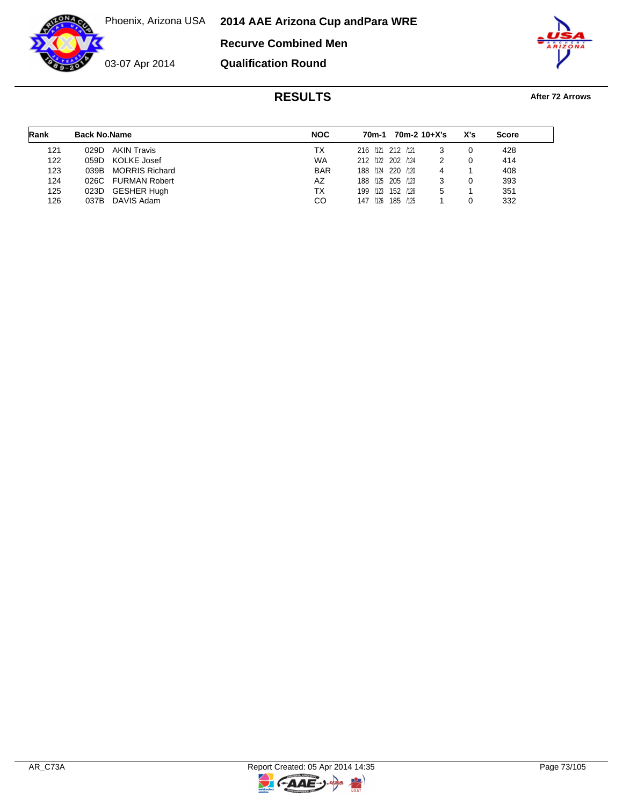**2014 AAE Arizona Cup and Para WRE**

**Recurve Combined Men**



**Qualification Round**



| Rank | <b>Back No.Name</b> |                      | <b>NOC</b> |                   | 70m-1 |          | 70m-2 10+X's | X's | <b>Score</b> |  |
|------|---------------------|----------------------|------------|-------------------|-------|----------|--------------|-----|--------------|--|
| 121  | 029D.               | <b>AKIN Travis</b>   | TX.        | 216 /121 212 /121 |       |          |              |     | 428          |  |
| 122  | 059D KOLKE Josef    |                      | <b>WA</b>  | 212 /122 202 /124 |       |          |              |     | 414          |  |
| 123  |                     | 039B MORRIS Richard  | <b>BAR</b> | 188 /124 220 /120 |       |          | 4            |     | 408          |  |
| 124  | 026C                | <b>FURMAN Robert</b> | AZ         | 188 /125 205 /123 |       |          |              |     | 393          |  |
| 125  | 023D GESHER Hugh    |                      | TX         | 199 /123 152 /126 |       |          | 5            |     | 351          |  |
| 126  | 037B                | DAVIS Adam           | CO         | 147               | /126  | 185 /125 |              |     | 332          |  |

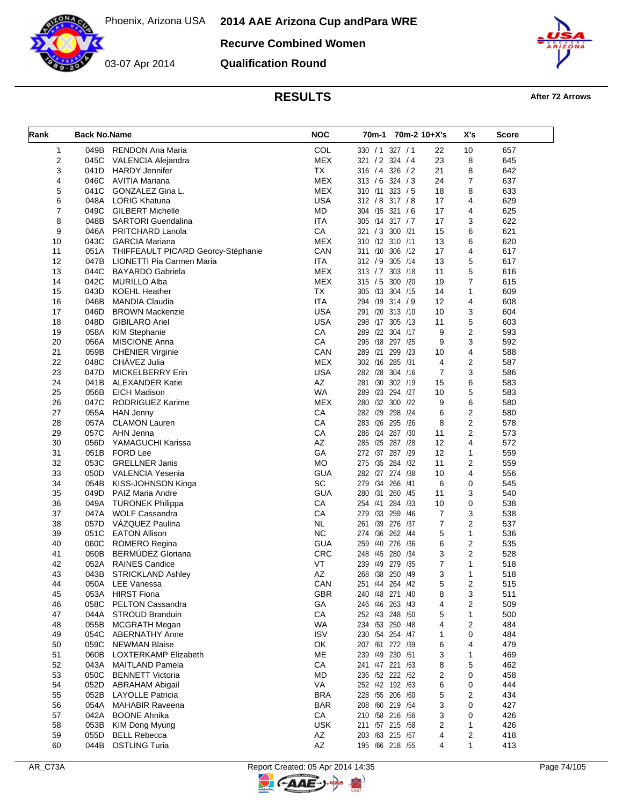03-07 Apr 2014

**Recurve Combined Women**

**Qualification Round**



**RESULTS After 72 Arrows** 

| Rank           | <b>Back No.Name</b> |                                         | <b>NOC</b> | 70 <sub>m</sub> -1 |                  | 70m-2 10+X's | X's            | <b>Score</b> |
|----------------|---------------------|-----------------------------------------|------------|--------------------|------------------|--------------|----------------|--------------|
| 1              |                     | 049B RENDON Ana Maria                   | COL        |                    | 330 / 1 327 / 1  | 22           | 10             | 657          |
| $\overline{c}$ | 045C                | VALENCIA Alejandra                      | <b>MEX</b> |                    | 321 / 2 324 / 4  | 23           | 8              | 645          |
| 3              | 041D                | <b>HARDY Jennifer</b>                   | TX         |                    | 316 / 4 326 / 2  | 21           | 8              | 642          |
| 4              | 046C                | AVITIA Mariana                          | <b>MEX</b> |                    | 313 / 6 324 / 3  | 24           | 7              | 637          |
| 5              | 041C                | GONZALEZ Gina L.                        | <b>MEX</b> |                    | 310 /11 323 / 5  | 18           | 8              | 633          |
| 6              |                     | 048A LORIG Khatuna                      | USA        |                    | 312 / 8 317 / 8  | 17           | 4              | 629          |
| 7              |                     | 049C GILBERT Michelle                   | MD         |                    | 304 /15 321 /6   | 17           | 4              | 625          |
| 8              | 048B                | <b>SARTORI</b> Guendalina               | <b>ITA</b> |                    | 305 /14 317 / 7  | 17           | 3              | 622          |
| 9              |                     | 046A PRITCHARD Lanola                   | СA         |                    | 321 / 3 300 / 21 | 15           | 6              | 621          |
| 10             |                     | 043C GARCIA Mariana                     | <b>MEX</b> |                    | 310 /12 310 /11  | 13           | 6              | 620          |
| 11             |                     | 051A THIFFEAULT PICARD Georcy-Stéphanie | CAN        |                    | 311 /10 306 /12  | 17           | 4              | 617          |
| 12             |                     | 047B LIONETTI Pia Carmen Maria          | ITA        |                    | 312 / 9 305 /14  | 13           | 5              | 617          |
| 13             | 044C                | <b>BAYARDO Gabriela</b>                 | <b>MEX</b> | 313 / 7            | 303 /18          | 11           | 5              | 616          |
| 14             | 042C                | <b>MURILLO Alba</b>                     | <b>MEX</b> |                    | 315 / 5 300 / 20 | 19           | $\overline{7}$ | 615          |
| 15             | 043D                | <b>KOEHL Heather</b>                    | <b>TX</b>  |                    | 305 /13 304 /15  | 14           | 1              | 609          |
| 16             | 046B                | <b>MANDIA Claudia</b>                   | <b>ITA</b> |                    | 294 /19 314 / 9  | 12           | 4              | 608          |
| 17             | 046D                | <b>BROWN Mackenzie</b>                  | <b>USA</b> |                    | 291 /20 313 /10  | 10           | 3              | 604          |
| 18             | 048D                | <b>GIBILARO Ariel</b>                   | <b>USA</b> |                    | 298 /17 305 /13  | 11           | 5              | 603          |
| 19             | 058A                | <b>KIM Stephanie</b>                    | CA         |                    | 289 /22 304 /17  | 9            | $\overline{2}$ | 593          |
| 20             | 056A                | <b>MISCIONE Anna</b>                    | CA         |                    | 295 /18 297 /25  | 9            | 3              | 592          |
|                |                     |                                         |            |                    |                  |              |                |              |
| 21             |                     | 059B CHÉNIER Virginie                   | CAN        |                    | 289 /21 299 /23  | 10           | 4              | 588          |
| 22             | 048C                | CHÀVEZ Julia                            | <b>MEX</b> |                    | 302 /16 285 /31  | 4            | $\overline{2}$ | 587          |
| 23             | 047D                | <b>MICKELBERRY Erin</b>                 | <b>USA</b> |                    | 282 /28 304 /16  | 7            | 3              | 586          |
| 24             |                     | 041B ALEXANDER Katie                    | AZ         | 281 /30            | 302 /19          | 15           | 6              | 583          |
| 25             | 056B                | <b>EICH Madison</b>                     | <b>WA</b>  |                    | 289 /23 294 /27  | 10           | 5              | 583          |
| 26             | 047C                | <b>RODRIGUEZ Karime</b>                 | <b>MEX</b> | 280 /32            | 300 /22          | 9            | 6              | 580          |
| 27             |                     | 055A HAN Jenny                          | CA         |                    | 282 /29 298 /24  | 6            | $\overline{2}$ | 580          |
| 28             | 057A                | <b>CLAMON Lauren</b>                    | CA         |                    | 283 /26 295 /26  | 8            | $\overline{2}$ | 578          |
| 29             | 057C                | AHN Jenna                               | СA         |                    | 286 /24 287 /30  | 11           | $\overline{2}$ | 573          |
| 30             | 056D                | YAMAGUCHI Karissa                       | AZ         |                    | 285 /25 287 /28  | 12           | 4              | 572          |
| 31             | 051B                | FORD Lee                                | GA         |                    | 272 /37 287 /29  | 12           | 1              | 559          |
| 32             | 053C                | <b>GRELLNER Janis</b>                   | МO         |                    | 275 /35 284 /32  | 11           | $\overline{2}$ | 559          |
| 33             | 050D                | VALENCIA Yesenia                        | <b>GUA</b> |                    | 282 /27 274 /38  | 10           | 4              | 556          |
| 34             | 054B                | KISS-JOHNSON Kinga                      | SC         |                    | 279 /34 266 /41  | 6            | 0              | 545          |
| 35             | 049D                | PAIZ Maria Andre                        | <b>GUA</b> |                    | 280 /31 260 /45  | 11           | 3              | 540          |
| 36             | 049A                | <b>TURONEK Philippa</b>                 | CA         | 254 /41            | 284 /33          | 10           | 0              | 538          |
| 37             | 047A                | <b>WOLF Cassandra</b>                   | CA         |                    | 279 /33 259 /46  | 7            | 3              | 538          |
| 38             | 057D                | VÁZQUEZ Paulina                         | <b>NL</b>  |                    | 261 /39 276 /37  | 7            | $\overline{2}$ | 537          |
| 39             | 051C                | <b>EATON Allison</b>                    | <b>NC</b>  | 274 /36            | 262 /44          | 5            | 1              | 536          |
| 40             |                     | 060C ROMERO Regina                      | <b>GUA</b> |                    | 259 /40 276 /36  | 6            | $\overline{2}$ | 535          |
| 41             | 050B                | <b>BERMÚDEZ Gloriana</b>                | <b>CRC</b> |                    | 248 /45 280 /34  | 3            | $\overline{2}$ | 528          |
| 42             | 052A                | <b>RAINES Candice</b>                   | VT         | /49<br>239         | 279 /35          | 7            | $\mathbf{1}$   | 518          |
| 43             | 043B                | <b>STRICKLAND Ashley</b>                | AZ         |                    | 268 /38 250 /49  | 3            | 1              | 518          |
| 44             | 050A                | LEE Vanessa                             | CAN        |                    | 251 /44 264 /42  | 5            | 2              | 515          |
| 45             | 053A                | <b>HIRST Fiona</b>                      | <b>GBR</b> |                    | 240 /48 271 /40  | 8            | 3              | 511          |
| 46             | 058C                | <b>PELTON Cassandra</b>                 | GA         |                    | 246 /46 263 /43  | 4            | 2              | 509          |
| 47             | 044A                | <b>STROUD Branduin</b>                  | CA         |                    | 252 /43 248 /50  | 5            | 1              | 500          |
| 48             |                     | 055B MCGRATH Megan                      | WA         |                    | 234 /53 250 /48  | 4            | 2              | 484          |
| 49             |                     | 054C ABERNATHY Anne                     | <b>ISV</b> |                    | 230 /54 254 /47  | 1            | 0              | 484          |
| 50             |                     | 059C NEWMAN Blaise                      | OK         |                    | 207 /61 272 /39  | 6            | 4              | 479          |
| 51             | 060B                | LOXTERKAMP Elizabeth                    | ME         |                    | 239 /49 230 /51  | 3            | 1              | 469          |
| 52             | 043A                | <b>MAITLAND Pamela</b>                  | СA         |                    | 241 /47 221 /53  | 8            | 5              | 462          |
| 53             |                     | 050C BENNETT Victoria                   | <b>MD</b>  |                    | 236 /52 222 /52  | 2            | 0              | 458          |
| 54             |                     | 052D ABRAHAM Abigail                    | VA         |                    | 252 /42 192 /63  | 6            | 0              | 444          |
| 55             | 052B                | <b>LAYOLLE Patricia</b>                 | <b>BRA</b> |                    | 228 /55 206 /60  | 5            | 2              | 434          |
| 56             |                     | 054A MAHABIR Raveena                    | <b>BAR</b> |                    | 208 /60 219 /54  | 3            | 0              | 427          |
| 57             | 042A                | <b>BOONE Ahnika</b>                     | CA         |                    | 210 /58 216 /56  | 3            | 0              | 426          |
| 58             | 053B                | KIM Dong Myung                          | USK.       |                    | 211 /57 215 /58  | 2            | 1              | 426          |
| 59             | 055D                | <b>BELL Rebecca</b>                     | AZ         |                    | 203 /63 215 /57  | 4            | 2              | 418          |
|                |                     |                                         |            |                    |                  | 4            |                |              |
| 60             | 044B                | <b>OSTLING Turia</b>                    | AZ         |                    | 195 /66 218 /55  |              | 1              | 413          |

**C-AAE-J** 

 $\Rightarrow$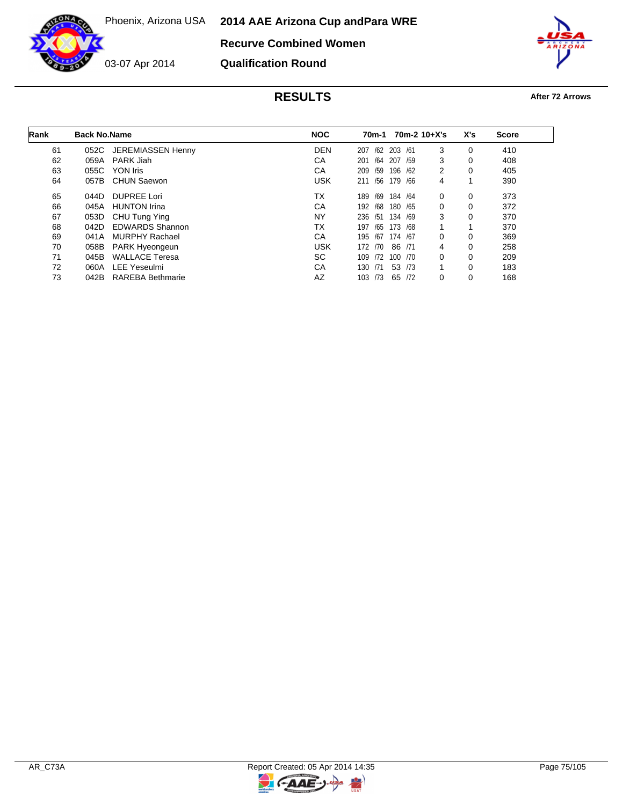Phoenix, Arizona USA **2014 AAE Arizona Cup and Para WRE**





**Qualification Round**



| Rank | <b>Back No.Name</b> |                         | <b>NOC</b> | 70m-1      | $70m-2$ 10+X's |                | X's | <b>Score</b> |  |
|------|---------------------|-------------------------|------------|------------|----------------|----------------|-----|--------------|--|
| 61   |                     | 052C JEREMIASSEN Henny  | <b>DEN</b> | /62<br>207 | 203 /61        | 3              | 0   | 410          |  |
| 62   | 059A                | PARK Jiah               | СA         | /64<br>201 | 207<br>/59     | 3              | 0   | 408          |  |
| 63   | 055C                | YON Iris                | CA         | /59<br>209 | 196 /62        | $\overline{2}$ | 0   | 405          |  |
| 64   | 057B                | <b>CHUN Saewon</b>      | <b>USK</b> | 211 /56    | 179 /66        | 4              |     | 390          |  |
| 65   | 044D                | DUPREE Lori             | ТX         | /69<br>189 | 184 /64        | $\Omega$       | 0   | 373          |  |
| 66   | 045A                | <b>HUNTON Irina</b>     | CA         | /68<br>192 | 180 / 65       | 0              | 0   | 372          |  |
| 67   | 053D                | CHU Tung Ying           | NY         | /51<br>236 | 134 /69        | 3              | 0   | 370          |  |
| 68   | 042D                | <b>EDWARDS Shannon</b>  | ТX         | /65<br>197 | 173 /68        |                |     | 370          |  |
| 69   | 041A                | <b>MURPHY Rachael</b>   | CA         | 195<br>/67 | 174 /67        | 0              | 0   | 369          |  |
| 70   | 058B                | PARK Hyeongeun          | <b>USK</b> | 172 /70    | 86 /71         | 4              | 0   | 258          |  |
| 71   | 045B                | <b>WALLACE Teresa</b>   | SC.        | /72<br>109 | 100 /70        | 0              | 0   | 209          |  |
| 72   | 060A                | <b>LEE Yeseulmi</b>     | CA         | 130<br>/71 | 53 /73         |                | 0   | 183          |  |
| 73   | 042B                | <b>RAREBA Bethmarie</b> | AZ         | 103 /73    | 65 /72         | 0              | 0   | 168          |  |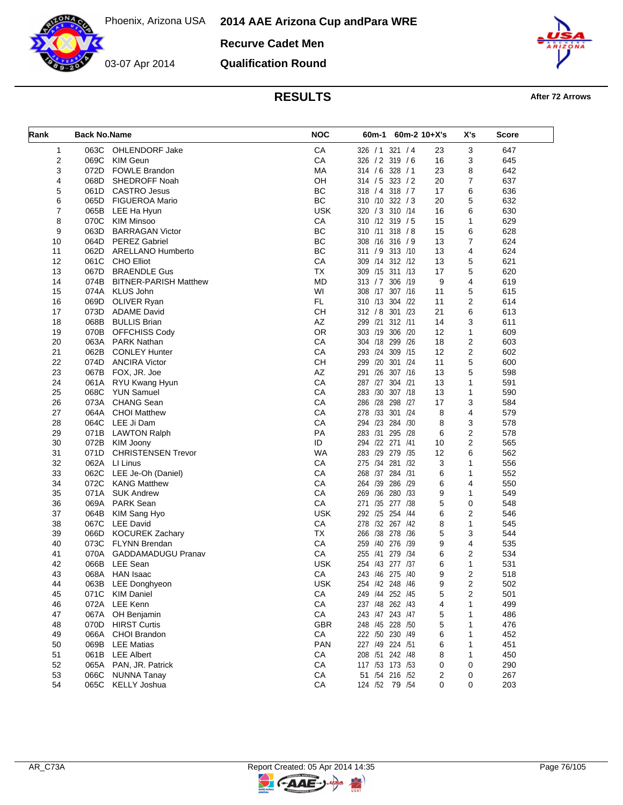

**Recurve Cadet Men Qualification Round**



# **RESULTS After 72 Arrows**

| CA<br>СA   | 326 / 1 321 / 4                                                                                                                                     | 3<br>23                                                                                                                                                                                                                                                                                                                   | 647                                                                                                   |
|------------|-----------------------------------------------------------------------------------------------------------------------------------------------------|---------------------------------------------------------------------------------------------------------------------------------------------------------------------------------------------------------------------------------------------------------------------------------------------------------------------------|-------------------------------------------------------------------------------------------------------|
|            |                                                                                                                                                     |                                                                                                                                                                                                                                                                                                                           |                                                                                                       |
|            | 326 / 2 319 / 6                                                                                                                                     | 16<br>3                                                                                                                                                                                                                                                                                                                   | 645                                                                                                   |
|            |                                                                                                                                                     | 8<br>23                                                                                                                                                                                                                                                                                                                   | 642                                                                                                   |
| OH         | 314 / 5 323 / 2                                                                                                                                     | $\overline{7}$<br>20                                                                                                                                                                                                                                                                                                      | 637                                                                                                   |
| BC         | 318 / 4 318 / 7                                                                                                                                     | 17<br>6                                                                                                                                                                                                                                                                                                                   | 636                                                                                                   |
| BC         | 310 /10 322 / 3                                                                                                                                     | 5<br>20                                                                                                                                                                                                                                                                                                                   | 632                                                                                                   |
| <b>USK</b> | 320 / 3 310 / 14                                                                                                                                    | 16<br>6                                                                                                                                                                                                                                                                                                                   | 630                                                                                                   |
| CA         | 310 /12 319 / 5                                                                                                                                     | 15<br>1                                                                                                                                                                                                                                                                                                                   | 629                                                                                                   |
| BC         | 310 /11<br>318 / 8                                                                                                                                  | 15<br>6                                                                                                                                                                                                                                                                                                                   | 628                                                                                                   |
| <b>BC</b>  | 308 /16 316 / 9                                                                                                                                     | 7<br>13                                                                                                                                                                                                                                                                                                                   | 624                                                                                                   |
|            | 311 / 9 313 /10                                                                                                                                     | 13<br>4                                                                                                                                                                                                                                                                                                                   | 624                                                                                                   |
| CA         | 309 /14 312 /12                                                                                                                                     | 5<br>13                                                                                                                                                                                                                                                                                                                   | 621                                                                                                   |
| <b>TX</b>  | 309 /15 311 /13                                                                                                                                     | 17<br>5                                                                                                                                                                                                                                                                                                                   | 620                                                                                                   |
| <b>MD</b>  | 313 / 7 306 /19                                                                                                                                     | 9<br>4                                                                                                                                                                                                                                                                                                                    | 619                                                                                                   |
| WI         | 308 /17<br>307 /16                                                                                                                                  | 5<br>11                                                                                                                                                                                                                                                                                                                   | 615                                                                                                   |
| FL.        | 310 /13 304 /22                                                                                                                                     | 2<br>11                                                                                                                                                                                                                                                                                                                   | 614                                                                                                   |
|            |                                                                                                                                                     | 21<br>6                                                                                                                                                                                                                                                                                                                   | 613                                                                                                   |
| AZ         | 299 /21<br>312 / 11                                                                                                                                 | 3<br>14                                                                                                                                                                                                                                                                                                                   | 611                                                                                                   |
| <b>OR</b>  | 303 /19 306 /20                                                                                                                                     | 12<br>1                                                                                                                                                                                                                                                                                                                   | 609                                                                                                   |
| CA         | /26                                                                                                                                                 | 18<br>2                                                                                                                                                                                                                                                                                                                   | 603                                                                                                   |
| CA         | 293 /24<br>309 /15                                                                                                                                  | 2<br>12                                                                                                                                                                                                                                                                                                                   | 602                                                                                                   |
|            | 299 /20 301 /24                                                                                                                                     | 5<br>11                                                                                                                                                                                                                                                                                                                   | 600                                                                                                   |
| AZ         | 291 /26 307 /16                                                                                                                                     | 5<br>13                                                                                                                                                                                                                                                                                                                   | 598                                                                                                   |
|            | 287 /27<br>304 /21                                                                                                                                  | 13<br>1                                                                                                                                                                                                                                                                                                                   | 591                                                                                                   |
|            | 283 /30 307 /18                                                                                                                                     | 13<br>1                                                                                                                                                                                                                                                                                                                   | 590                                                                                                   |
| CA         | 286 /28 298<br>/27                                                                                                                                  | 3<br>17                                                                                                                                                                                                                                                                                                                   | 584                                                                                                   |
|            | 301 /24<br>278 /33                                                                                                                                  | 8<br>4                                                                                                                                                                                                                                                                                                                    | 579                                                                                                   |
| СA         | 294 /23 284<br>/30                                                                                                                                  | 8<br>3                                                                                                                                                                                                                                                                                                                    | 578                                                                                                   |
| PA         | 283 /31<br>295<br>/28                                                                                                                               | 6<br>$\overline{2}$                                                                                                                                                                                                                                                                                                       | 578                                                                                                   |
| ID         | 294 /22 271 /41                                                                                                                                     | $\overline{2}$<br>10                                                                                                                                                                                                                                                                                                      | 565                                                                                                   |
| <b>WA</b>  | 283 /29 279 /35                                                                                                                                     | 6<br>12                                                                                                                                                                                                                                                                                                                   | 562                                                                                                   |
| CA         | 281<br>275 /34<br>/32                                                                                                                               | 1<br>3                                                                                                                                                                                                                                                                                                                    | 556                                                                                                   |
| CA         | 268 /37 284<br>/31                                                                                                                                  | 6<br>1                                                                                                                                                                                                                                                                                                                    | 552                                                                                                   |
| CA         | 264 /39<br>286<br>/29                                                                                                                               | 6<br>4                                                                                                                                                                                                                                                                                                                    | 550                                                                                                   |
| CA         | 269 /36<br>280 /33                                                                                                                                  | 9<br>1                                                                                                                                                                                                                                                                                                                    | 549                                                                                                   |
| CA         | 271 /35 277 /38                                                                                                                                     | 5<br>0                                                                                                                                                                                                                                                                                                                    | 548                                                                                                   |
| <b>USK</b> | 292 /25 254 /44                                                                                                                                     | $\overline{2}$<br>6                                                                                                                                                                                                                                                                                                       | 546                                                                                                   |
| CA         | 278 /32 267 /42                                                                                                                                     | 8<br>1                                                                                                                                                                                                                                                                                                                    | 545                                                                                                   |
| <b>TX</b>  | 266 /38 278<br>/36                                                                                                                                  | 5<br>3                                                                                                                                                                                                                                                                                                                    | 544                                                                                                   |
|            |                                                                                                                                                     | 9<br>4                                                                                                                                                                                                                                                                                                                    | 535                                                                                                   |
| CA         | 255 /41<br>279 /34                                                                                                                                  | $\overline{2}$<br>6                                                                                                                                                                                                                                                                                                       | 534                                                                                                   |
| <b>USK</b> |                                                                                                                                                     | 6<br>1                                                                                                                                                                                                                                                                                                                    | 531                                                                                                   |
|            |                                                                                                                                                     | 9<br>2                                                                                                                                                                                                                                                                                                                    | 518                                                                                                   |
|            |                                                                                                                                                     |                                                                                                                                                                                                                                                                                                                           | 502                                                                                                   |
|            |                                                                                                                                                     |                                                                                                                                                                                                                                                                                                                           | 501                                                                                                   |
|            |                                                                                                                                                     |                                                                                                                                                                                                                                                                                                                           | 499                                                                                                   |
|            |                                                                                                                                                     |                                                                                                                                                                                                                                                                                                                           | 486                                                                                                   |
|            |                                                                                                                                                     |                                                                                                                                                                                                                                                                                                                           | 476                                                                                                   |
|            |                                                                                                                                                     | 1                                                                                                                                                                                                                                                                                                                         | 452                                                                                                   |
|            |                                                                                                                                                     |                                                                                                                                                                                                                                                                                                                           | 451                                                                                                   |
|            |                                                                                                                                                     |                                                                                                                                                                                                                                                                                                                           | 450                                                                                                   |
|            |                                                                                                                                                     |                                                                                                                                                                                                                                                                                                                           | 290                                                                                                   |
|            |                                                                                                                                                     |                                                                                                                                                                                                                                                                                                                           | 267                                                                                                   |
|            |                                                                                                                                                     |                                                                                                                                                                                                                                                                                                                           | 203                                                                                                   |
|            | MA<br>BC<br>CH<br><b>CH</b><br>CA<br>CA<br>CA<br>CA<br>СA<br><b>USK</b><br>CA<br>CA<br>CA<br><b>GBR</b><br>CA<br><b>PAN</b><br>CA<br>CA<br>CA<br>CA | 314 / 6 328 / 1<br>312 / 8 301 /23<br>304 /18 299<br>259 /40 276 /39<br>254 /43 277 /37<br>243 /46 275 /40<br>254 /42 248 /46<br>249 /44 252 /45<br>237 /48 262 /43<br>243 /47 243 /47<br>248 /45 228 /50<br>222 /50 230 /49<br>227 /49 224 /51<br>208 /51 242 /48<br>117 /53 173 /53<br>51 /54 216 /52<br>124 /52 79 /54 | 9<br>2<br>2<br>5<br>4<br>1<br>5<br>1<br>5<br>1<br>6<br>6<br>1<br>8<br>1<br>0<br>0<br>2<br>0<br>0<br>0 |

 $\mathbb{F}$ 

**CAAE-**

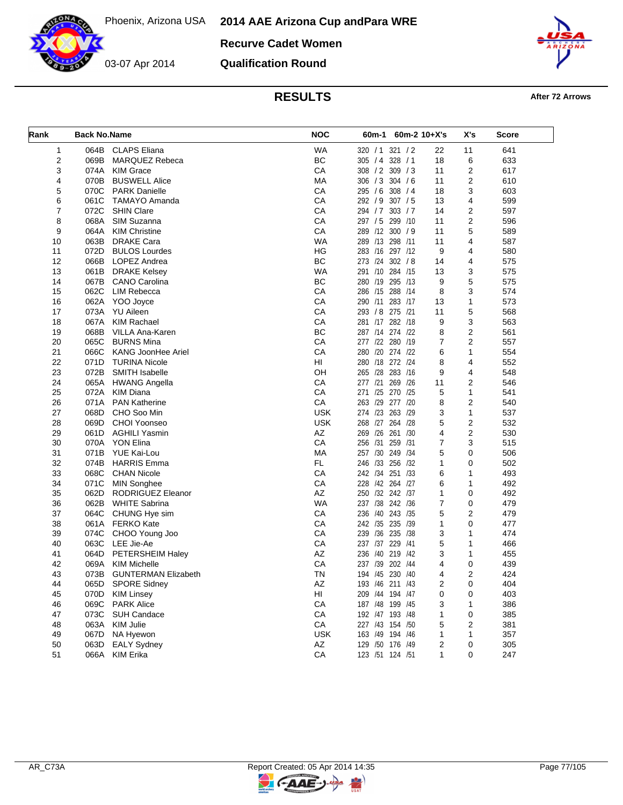**Recurve Cadet Women**

03-07 Apr 2014

**Qualification Round**



## **RESULTS After 72 Arrows**

| Rank           | <b>Back No.Name</b> |                            | <b>NOC</b> | 60m-1 60m-2 10+X's       |                | X's            | Score |
|----------------|---------------------|----------------------------|------------|--------------------------|----------------|----------------|-------|
| 1              |                     | 064B CLAPS Eliana          | <b>WA</b>  | 321 / 2<br>320 / 1       | 22             | 11             | 641   |
| 2              | 069B                | <b>MARQUEZ Rebeca</b>      | <b>BC</b>  | 328 / 1<br>305 / 4       | 18             | 6              | 633   |
| 3              | 074A                | <b>KIM Grace</b>           | CA         | 308 / 2 309 / 3          | 11             | $\overline{2}$ | 617   |
| 4              | 070B                | <b>BUSWELL Alice</b>       | MA         | 306 / 3 304 / 6          | 11             | 2              | 610   |
| 5              | 070C                | <b>PARK Danielle</b>       | CA         | 295 / 6 308 / 4          | 18             | 3              | 603   |
| 6              | 061C                | TAMAYO Amanda              | CA         | 292 / 9 307 / 5          | 13             | 4              | 599   |
| $\overline{7}$ | 072C                | <b>SHIN Clare</b>          | CA         | 294 / 7 303 / 7          | 14             | 2              | 597   |
| 8              | 068A                | SIM Suzanna                | CA         | 297 / 5 299 /10          | 11             | 2              | 596   |
| 9              | 064A                | <b>KIM Christine</b>       | CA         | 289 /12 300 / 9          | 11             | 5              | 589   |
| 10             | 063B                | <b>DRAKE Cara</b>          | <b>WA</b>  | 289 /13 298 /11          | 11             | 4              | 587   |
| 11             | 072D                | <b>BULOS Lourdes</b>       | HG         | 283 /16 297 /12          | 9              | 4              | 580   |
| 12             | 066B                | LOPEZ Andrea               | <b>BC</b>  | 273 /24 302 / 8          | 14             | 4              | 575   |
| 13             | 061B                | <b>DRAKE Kelsey</b>        | <b>WA</b>  | 291 /10 284 /15          | 13             | 3              | 575   |
| 14             | 067B                | <b>CANO Carolina</b>       | ВC         | 280 /19 295 /13          | 9              | 5              | 575   |
| 15             | 062C                | LIM Rebecca                | CA         | 286 /15<br>288<br>/14    | 8              | 3              | 574   |
| 16             |                     | 062A YOO Joyce             | CA         | 290 /11 283 /17          | 13             | 1              | 573   |
| 17             | 073A                | YU Aileen                  | CA         | 293 / 8 275 /21          | 11             | 5              | 568   |
| 18             | 067A                | <b>KIM Rachael</b>         | CA         | 281 /17 282 /18          | 9              | 3              | 563   |
| 19             | 068B                | VILLA Ana-Karen            | BC         | 287 /14 274 /22          | 8              | 2              | 561   |
| 20             | 065C                | <b>BURNS Mina</b>          | CA         | 277 /22 280 /19          | $\overline{7}$ | 2              | 557   |
| 21             | 066C                | <b>KANG JoonHee Ariel</b>  | CA         | 280 /20 274 /22          | 6              | 1              | 554   |
|                |                     |                            | HI         |                          |                |                |       |
| 22             | 071D                | <b>TURINA Nicole</b>       |            | 280 /18 272 /24          | 8              | 4              | 552   |
| 23             | 072B                | SMITH Isabelle             | OH         | 265 /28 283 /16          | 9              | $\overline{4}$ | 548   |
| 24             | 065A                | <b>HWANG Angella</b>       | CA         | 277 /21<br>269 /26       | 11             | 2              | 546   |
| 25             | 072A                | <b>KIM Diana</b>           | CA         | 271 /25 270 /25          | 5              | 1              | 541   |
| 26             | 071A                | <b>PAN Katherine</b>       | CA         | 263 /29<br>277<br>/20    | 8              | 2              | 540   |
| 27             | 068D                | CHO Soo Min                | <b>USK</b> | 274 /23 263<br>/29       | 3              | 1              | 537   |
| 28             | 069D                | <b>CHOI Yoonseo</b>        | <b>USK</b> | 268 /27 264 /28          | 5              | 2              | 532   |
| 29             | 061D                | <b>AGHILI Yasmin</b>       | AZ         | 269 /26<br>261<br>/30    | 4              | 2              | 530   |
| 30             |                     | 070A YON Elina             | CA         | 256 /31<br>259<br>/31    | 7              | 3              | 515   |
| 31             | 071B                | YUE Kai-Lou                | МA         | 257 /30 249<br>/34       | 5              | 0              | 506   |
| 32             | 074B                | <b>HARRIS Emma</b>         | FL.        | 246 /33 256<br>/32       | 1              | 0              | 502   |
| 33             | 068C                | <b>CHAN Nicole</b>         | CA         | 242 /34 251<br>/33       | 6              | 1              | 493   |
| 34             | 071C                | MIN Songhee                | CA         | 228 /42 264 /27          | 6              | 1              | 492   |
| 35             | 062D                | RODRIGUEZ Eleanor          | AZ         | 250 /32 242 /37          | 1              | 0              | 492   |
| 36             | 062B                | <b>WHITE Sabrina</b>       | <b>WA</b>  | 237 /38 242 /36          | 7              | 0              | 479   |
| 37             | 064C                | CHUNG Hye sim              | CA         | 236 /40 243 /35          | 5              | 2              | 479   |
| 38             |                     | 061A FERKO Kate            | CA         | 242 /35<br>235<br>/39    | 1              | 0              | 477   |
| 39             | 074C                | CHOO Young Joo             | CA         | /36 235<br>/38<br>239    | 3              | 1              | 474   |
| 40             | 063C                | LEE Jie-Ae                 | CA         | 237 /37 229<br>/41       | 5              | 1              | 466   |
| 41             | 064D                | PETERSHEIM Haley           | AZ         | /40<br>219<br>/42<br>236 | 3              | 1              | 455   |
| 42             | 069A                | <b>KIM Michelle</b>        | CA         | 237 /39 202 /44          | 4              | 0              | 439   |
| 43             | 073B                | <b>GUNTERMAN Elizabeth</b> | ΤN         | 194 /45 230 /40          | 4              | 2              | 424   |
| 44             |                     | 065D SPORE Sidney          | AZ         | 193 /46 211 /43          | $\overline{2}$ | 0              | 404   |
| 45             | 070D                | <b>KIM Linsey</b>          | HI         | 209 /44 194 /47          | 0              | 0              | 403   |
| 46             | 069C                | <b>PARK Alice</b>          | CA         | 187 /48 199 /45          | 3              | 1              | 386   |
| 47             | 073C                | <b>SUH Candace</b>         | CA         | 192 /47 193 /48          | 1              | 0              | 385   |
| 48             | 063A                | <b>KIM Julie</b>           | CA         | 227 /43 154 /50          | 5              | 2              | 381   |
| 49             | 067D                | NA Hyewon                  | <b>USK</b> | 163 /49 194 /46          | 1              | 1              | 357   |
| 50             | 063D                | <b>EALY Sydney</b>         | AZ         | 129 /50 176 /49          | 2              | 0              | 305   |
| 51             | 066A                | <b>KIM Erika</b>           | CA         | 123 /51 124 /51          | 1              | 0              | 247   |
|                |                     |                            |            |                          |                |                |       |

키

**C-AAE-**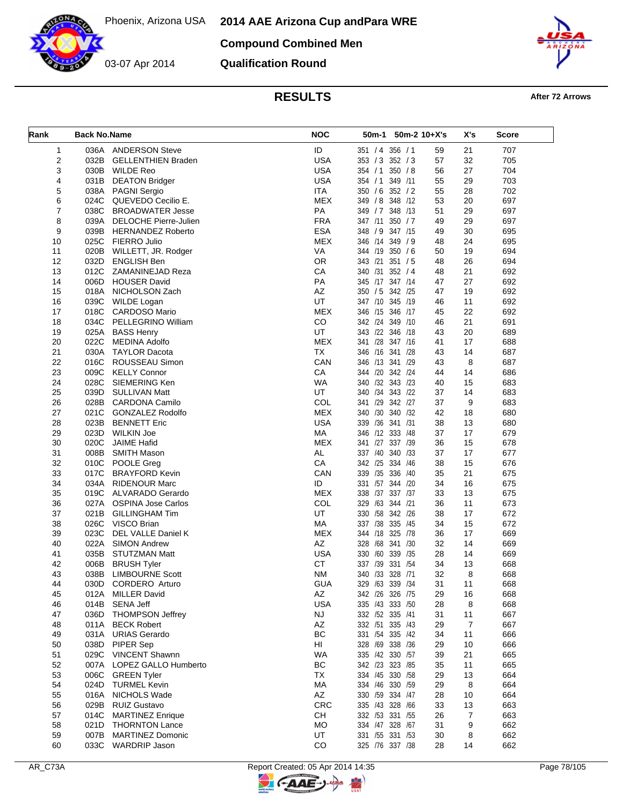03-07 Apr 2014

**Compound Combined Men**

**Qualification Round**



# **RESULTS After 72 Arrows**

| Rank | <b>Back No.Name</b> |                           | <b>NOC</b>  | 50m-2 10+X's<br>50m-1 |    | X's | Score |
|------|---------------------|---------------------------|-------------|-----------------------|----|-----|-------|
| 1    |                     | 036A ANDERSON Steve       | ID          | 351 / 4 356 / 1       | 59 | 21  | 707   |
| 2    | 032B                | <b>GELLENTHIEN Braden</b> | <b>USA</b>  | 353 / 3 352 / 3       | 57 | 32  | 705   |
| 3    | 030B                | <b>WILDE Reo</b>          | <b>USA</b>  | 350 / 8<br>354 / 1    | 56 | 27  | 704   |
| 4    | 031B                | <b>DEATON Bridger</b>     | <b>USA</b>  | 354 / 1<br>349 /11    | 55 | 29  | 703   |
| 5    |                     | 038A PAGNI Sergio         | ITA         | 350 / 6 352 / 2       | 55 | 28  | 702   |
| 6    |                     | 024C QUEVEDO Cecilio E.   | <b>MEX</b>  | 349 / 8 348 / 12      | 53 | 20  | 697   |
| 7    | 038C                | <b>BROADWATER Jesse</b>   | PA          | 349 / 7 348 / 13      | 51 | 29  | 697   |
| 8    | 039A                | DELOCHE Pierre-Julien     | <b>FRA</b>  | 347 /11 350 / 7       | 49 | 29  | 697   |
| 9    |                     | 039B HERNANDEZ Roberto    | <b>ESA</b>  | 348 / 9 347 /15       | 49 | 30  | 695   |
| 10   |                     | 025C FIERRO Julio         | <b>MEX</b>  | 346 /14 349 / 9       | 48 | 24  | 695   |
| 11   | 020B                | WILLETT, JR. Rodger       | VA          | 344 /19 350 / 6       | 50 | 19  | 694   |
| 12   | 032D                | <b>ENGLISH Ben</b>        | <b>OR</b>   | 343 /21 351 / 5       | 48 | 26  | 694   |
| 13   |                     | 012C ZAMANINEJAD Reza     | CA          | 340 /31<br>352 / 4    | 48 | 21  | 692   |
| 14   | 006D                | <b>HOUSER David</b>       | PA          | 345 /17 347 /14       | 47 | 27  | 692   |
| 15   | 018A                | NICHOLSON Zach            | AZ          | 350 / 5 342 /25       | 47 | 19  | 692   |
| 16   | 039C                | WILDE Logan               | UT          | 347 /10 345 /19       | 46 | 11  | 692   |
| 17   | 018C                | CARDOSO Mario             | <b>MEX</b>  | 346 /15 346 /17       | 45 | 22  | 692   |
| 18   | 034C                | PELLEGRINO William        | $_{\rm CO}$ | 342 /24 349 /10       | 46 | 21  | 691   |
| 19   | 025A                | <b>BASS Henry</b>         | UT          | 343 /22 346 /18       | 43 | 20  | 689   |
| 20   | 022C                | <b>MEDINA Adolfo</b>      | <b>MEX</b>  | 341 /28 347 /16       | 41 | 17  | 688   |
| 21   |                     | 030A TAYLOR Dacota        | <b>TX</b>   | 346 /16 341 /28       | 43 | 14  | 687   |
| 22   | 016C                | ROUSSEAU Simon            | CAN         | 346 /13 341 /29       | 43 | 8   | 687   |
| 23   | 009C                | <b>KELLY Connor</b>       | CA          | 344 /20 342 /24       | 44 | 14  | 686   |
| 24   | 028C                | SIEMERING Ken             | <b>WA</b>   | 340 /32 343 /23       | 40 | 15  | 683   |
| 25   | 039D                | <b>SULLIVAN Matt</b>      | UT          | 340 /34 343 /22       | 37 | 14  | 683   |
| 26   |                     | 028B CARDONA Camilo       | COL         | 341 /29 342 /27       | 37 | 9   | 683   |
| 27   |                     | 021C GONZALEZ Rodolfo     | <b>MEX</b>  | 340 /32<br>340 /30    | 42 | 18  | 680   |
| 28   | 023B                | <b>BENNETT Eric</b>       | <b>USA</b>  | 339 /36 341 /31       | 38 | 13  | 680   |
| 29   | 023D                | WILKIN Joe                | MA          | 346 /12 333 /48       | 37 | 17  | 679   |
| 30   | 020C                | <b>JAIME Hafid</b>        | <b>MEX</b>  | 341 /27 337 /39       | 36 | 15  | 678   |
| 31   | 008B                | <b>SMITH Mason</b>        | AL          | 337 /40 340 /33       | 37 | 17  | 677   |
| 32   |                     | 010C POOLE Greg           | CA          | 342 /25<br>334<br>/46 | 38 | 15  | 676   |
| 33   | 017C                | <b>BRAYFORD Kevin</b>     | CAN         | 339 /35<br>336<br>/40 | 35 | 21  | 675   |
| 34   | 034A                | <b>RIDENOUR Marc</b>      | ID          | 331 /57 344 /20       | 34 | 16  | 675   |
| 35   |                     | 019C ALVARADO Gerardo     | <b>MEX</b>  | 338 /37 337 /37       | 33 | 13  | 675   |
| 36   | 027A                | <b>OSPINA Jose Carlos</b> | COL         | 329 /63<br>344 /21    | 36 | 11  | 673   |
| 37   | 021B                | <b>GILLINGHAM Tim</b>     | UT          | 330 /58 342 /26       | 38 | 17  | 672   |
| 38   |                     | 026C VISCO Brian          | MA          | 337 /38 335<br>/45    | 34 | 15  | 672   |
| 39   | 023C                | DEL VALLE Daniel K        | <b>MEX</b>  | 344 /18<br>325 /78    | 36 | 17  | 669   |
| 40   | 022A                | <b>SIMON Andrew</b>       | AZ          | 328 /68 341 /30       | 32 | 14  | 669   |
| 41   | 035B                | <b>STUTZMAN Matt</b>      | <b>USA</b>  | 330 /60 339 /35       | 28 | 14  | 669   |
| 42   | 006B                | <b>BRUSH Tyler</b>        | <b>CT</b>   | 337 /39 331 /54       | 34 | 13  | 668   |
| 43   | 038B                | <b>LIMBOURNE Scott</b>    | <b>NM</b>   | 340 /33 328 /71       | 32 | 8   | 668   |
| 44   |                     | 030D CORDERO Arturo       | <b>GUA</b>  | 329 /63 339 /34       | 31 | 11  | 668   |
| 45   | 012A                | <b>MILLER David</b>       | AZ          | 342 /26 326 /75       | 29 | 16  | 668   |
| 46   | 014B                | SENA Jeff                 | <b>USA</b>  | 335 /43 333 /50       | 28 | 8   | 668   |
| 47   | 036D                | <b>THOMPSON Jeffrey</b>   | <b>NJ</b>   | 332 /52 335 /41       | 31 | 11  | 667   |
| 48   | 011A                | <b>BECK Robert</b>        | AZ          | 332 /51 335 /43       | 29 | 7   | 667   |
| 49   | 031A                | <b>URIAS Gerardo</b>      | BC          | 331 /54 335 /42       | 34 | 11  | 666   |
| 50   | 038D                | PIPER Sep                 | HI          | 328 /69 338 /36       | 29 | 10  | 666   |
| 51   |                     | 029C VINCENT Shawnn       | <b>WA</b>   | 335 /42 330 /57       | 39 | 21  | 665   |
| 52   |                     | 007A LOPEZ GALLO Humberto | BC          | 342 /23 323 /85       | 35 | 11  | 665   |
| 53   |                     | 006C GREEN Tyler          | TX          | 334 /45 330 /58       | 29 | 13  | 664   |
| 54   |                     | 024D TURMEL Kevin         | МA          | 334 /46 330 /59       | 29 | 8   | 664   |
| 55   |                     | 016A NICHOLS Wade         | AZ          | 330 /59 334 /47       | 28 | 10  | 664   |
| 56   | 029B                | <b>RUIZ Gustavo</b>       | CRC         | 335 /43 328 /66       | 33 | 13  | 663   |
| 57   | 014C                | <b>MARTINEZ Enrique</b>   | CH          | 332 /53 331 /55       | 26 | 7   | 663   |
| 58   |                     | 021D THORNTON Lance       | MO          | 334 /47 328 /67       | 31 | 9   | 662   |
| 59   | 007B                | <b>MARTINEZ Domonic</b>   | UT          | 331 /55 331 /53       | 30 | 8   | 662   |
| 60   | 033C                | <b>WARDRIP Jason</b>      | CO          | 325 /76 337 /38       | 28 | 14  | 662   |

뮈

**CAAE-**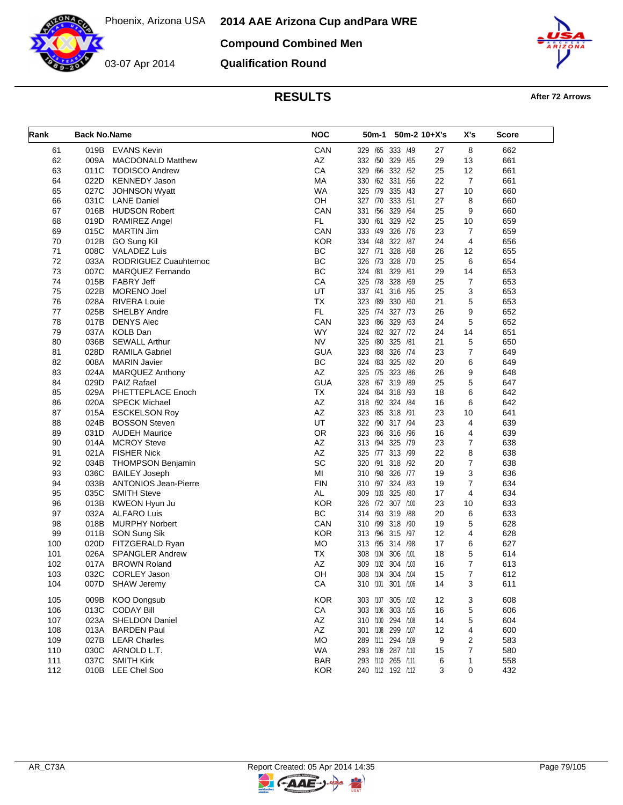**2014 AAE Arizona Cup and Para WRE**



**Compound Combined Men**

**Qualification Round**



**RESULTS After 72 Arrows** 

| Rank | <b>Back No.Name</b> |                             | <b>NOC</b> | 50m-1<br>$50m-2$ 10+X's    |    | X's            | Score |
|------|---------------------|-----------------------------|------------|----------------------------|----|----------------|-------|
| 61   | 019B                | <b>EVANS Kevin</b>          | CAN        | 333 /49<br>329 /65         | 27 | 8              | 662   |
| 62   | 009A                | <b>MACDONALD Matthew</b>    | AZ         | 332 /50 329<br>/65         | 29 | 13             | 661   |
| 63   | 011C                | <b>TODISCO Andrew</b>       | CA         | 329 /66 332<br>/52         | 25 | 12             | 661   |
| 64   | 022D                | <b>KENNEDY Jason</b>        | MA         | 330 /62 331<br>/56         | 22 | $\overline{7}$ | 661   |
| 65   | 027C                | <b>JOHNSON Wyatt</b>        | <b>WA</b>  | 325 /79 335 /43            | 27 | 10             | 660   |
| 66   | 031C                | <b>LANE Daniel</b>          | OH         | 333<br>327 /70<br>/51      | 27 | 8              | 660   |
| 67   | 016B                | <b>HUDSON Robert</b>        | CAN        | 331 /56 329<br>/64         | 25 | 9              | 660   |
| 68   | 019D                | <b>RAMIREZ Angel</b>        | FL.        | 330 /61<br>329<br>/62      | 25 | 10             | 659   |
| 69   | 015C                | <b>MARTIN Jim</b>           | CAN        | 326<br>333 /49<br>/76      | 23 | 7              | 659   |
| 70   | 012B                | GO Sung Kil                 | <b>KOR</b> | 334 /48 322 /87            | 24 | 4              | 656   |
| 71   | 008C                | <b>VALADEZ Luis</b>         | BC         | 328 /68<br>327 /71         | 26 | 12             | 655   |
| 72   |                     | 033A RODRIGUEZ Cuauhtemoc   | <b>BC</b>  | 326 /73<br>328<br>/70      | 25 | 6              | 654   |
| 73   | 007C                | MARQUEZ Fernando            | <b>BC</b>  | 324 /81 329 /61            | 29 | 14             | 653   |
| 74   | 015B                | <b>FABRY Jeff</b>           | CA         | 325 /78 328<br>/69         | 25 | $\overline{7}$ | 653   |
| 75   | 022B                | <b>MORENO Joel</b>          | UT         | 337 /41<br>316<br>/95      | 25 | 3              | 653   |
| 76   | 028A                | RIVERA Louie                | <b>TX</b>  | 323 /89 330<br>/60         | 21 | 5              | 653   |
| 77   | 025B                | <b>SHELBY Andre</b>         | FL.        | 325 /74 327 /73            | 26 | 9              | 652   |
| 78   | 017B                | <b>DENYS Alec</b>           | CAN        | 323 /86<br>329<br>/63      | 24 | 5              | 652   |
| 79   | 037A                | <b>KOLB Dan</b>             | <b>WY</b>  | 324 /82 327 /72            | 24 | 14             | 651   |
| 80   | 036B                | <b>SEWALL Arthur</b>        | <b>NV</b>  | /80<br>325<br>325<br>/81   | 21 | 5              | 650   |
| 81   | 028D                | <b>RAMILA Gabriel</b>       | <b>GUA</b> | 323 /88<br>326<br>/74      | 23 | $\overline{7}$ | 649   |
| 82   | 008A                | <b>MARIN Javier</b>         | <b>BC</b>  | 324 /83 325<br>/82         | 20 | 6              | 649   |
| 83   | 024A                | <b>MARQUEZ Anthony</b>      | AZ         | /75 323<br>/86<br>325      | 26 | 9              | 648   |
| 84   | 029D                | <b>PAIZ Rafael</b>          | <b>GUA</b> | 328 /67 319 /89            | 25 | 5              | 647   |
| 85   | 029A                | PHETTEPLACE Enoch           | ТX         | 324 / 84 318<br>/93        | 18 | 6              | 642   |
| 86   | 020A                | SPECK Michael               | AZ         | 318 /92 324 /84            | 16 | 6              | 642   |
| 87   | 015A                | <b>ESCKELSON Roy</b>        | AZ         | 323 /85 318 /91            | 23 | 10             | 641   |
| 88   | 024B                | <b>BOSSON Steven</b>        | UT         | 322 /90 317 /94            | 23 | 4              | 639   |
| 89   | 031D                | <b>AUDEH Maurice</b>        | <b>OR</b>  | 323<br>/86 316 /96         | 16 | 4              | 639   |
| 90   | 014A                | <b>MCROY Steve</b>          | AZ         | 313 /94 325 /79            | 23 | $\overline{7}$ | 638   |
| 91   | 021A                | <b>FISHER Nick</b>          | AZ         | 325 /77 313 /99            | 22 | 8              | 638   |
| 92   | 034B                | <b>THOMPSON Benjamin</b>    | <b>SC</b>  | 320<br>/91<br>318<br>/92   | 20 | 7              | 638   |
| 93   | 036C                | <b>BAILEY Joseph</b>        | MI         | 310 /98 326<br>/77         | 19 | 3              | 636   |
| 94   | 033B                | <b>ANTONIOS Jean-Pierre</b> | <b>FIN</b> | 310 /97 324 /83            | 19 | 7              | 634   |
| 95   | 035C                | <b>SMITH Steve</b>          | AL         | 325<br>309<br>/103<br>/80  | 17 | 4              | 634   |
| 96   | 013B                | KWEON Hyun Ju               | <b>KOR</b> | 326 /72 307 /100           | 23 | 10             | 633   |
| 97   | 032A                | <b>ALFARO Luis</b>          | <b>BC</b>  | 314 /93 319 /88            | 20 | 6              | 633   |
| 98   | 018B                | <b>MURPHY Norbert</b>       | CAN        | 310 /99<br>318<br>/90      | 19 | 5              | 628   |
| 99   | 011B                | SON Sung Sik                | <b>KOR</b> | 313 /96 315 /97            | 12 | 4              | 628   |
| 100  | 020D                | FITZGERALD Ryan             | MO         | 313 /95 314 /98            | 17 | 6              | 627   |
| 101  | 026A                | <b>SPANGLER Andrew</b>      | TX         | /104<br>306<br>/101<br>308 | 18 | 5              | 614   |
| 102  | 017A                | <b>BROWN Roland</b>         | AZ         | /102<br>304<br>/103<br>309 | 16 | 7              | 613   |
| 103  | 032C                | <b>CORLEY Jason</b>         | OН         | 308 /104 304 /104          | 15 | $\overline{7}$ | 612   |
| 104  | 007D                | <b>SHAW Jeremy</b>          | CA         | 310 /101 301 /106          | 14 | 3              | 611   |
|      |                     |                             |            |                            |    |                |       |
| 105  | 009B                | <b>KOO Dongsub</b>          | <b>KOR</b> | 303 /107 305 /102          | 12 | 3              | 608   |
| 106  |                     | 013C CODAY Bill             | CA         | 303 /106 303 /105          | 16 | 5              | 606   |
| 107  | 023A                | SHELDON Daniel              | AZ         | 310 /100 294 /108          | 14 | 5              | 604   |
| 108  | 013A                | <b>BARDEN Paul</b>          | AZ         | 301 /108 299 /107          | 12 | 4              | 600   |
| 109  | 027B                | <b>LEAR Charles</b>         | MO         | 289 /111 294 /109          | 9  | 2              | 583   |
| 110  | 030C                | ARNOLD L.T.                 | <b>WA</b>  | 293 /109 287 /110          | 15 | 7              | 580   |
| 111  | 037C                | <b>SMITH Kirk</b>           | <b>BAR</b> | 293 /110 265 /111          | 6  | 1              | 558   |
| 112  | 010B                | <b>LEE Chel Soo</b>         | <b>KOR</b> | 240 /112 192 /112          | 3  | 0              | 432   |

뮈

**CAAE-**

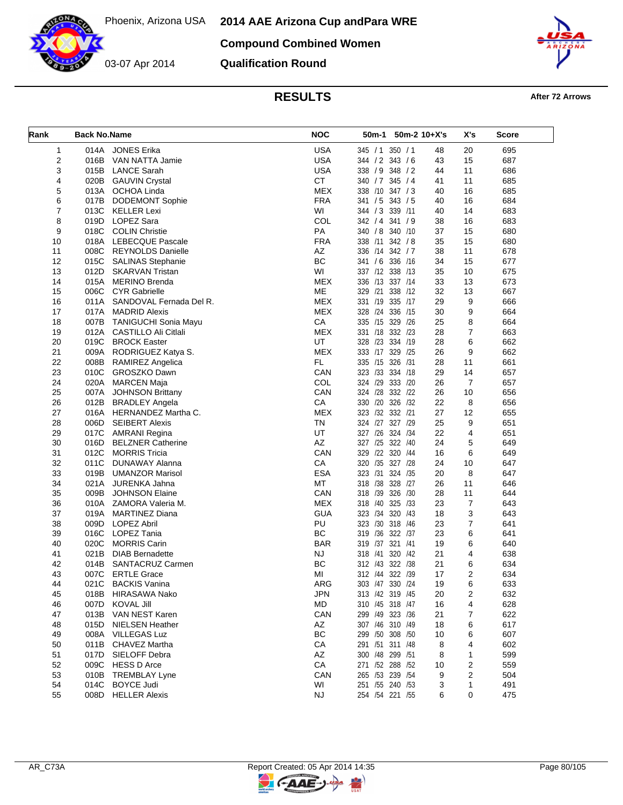**2014 AAE Arizona Cup and Para WRE**



03-07 Apr 2014

**Compound Combined Women**

**Qualification Round**



**RESULTS After 72 Arrows** 

| Rank           | <b>Back No.Name</b> |                                           | <b>NOC</b>       | 50m-1<br>50m-2 10+X's                    |          | X's                 | Score      |
|----------------|---------------------|-------------------------------------------|------------------|------------------------------------------|----------|---------------------|------------|
| 1              | 014A                | <b>JONES Erika</b>                        | <b>USA</b>       | 345 / 1 350 / 1                          | 48       | 20                  | 695        |
| $\overline{2}$ | 016B                | VAN NATTA Jamie                           | <b>USA</b>       | 344 / 2 343 / 6                          | 43       | 15                  | 687        |
| 3              | 015B                | <b>LANCE Sarah</b>                        | <b>USA</b>       | 338 / 9 348 / 2                          | 44       | 11                  | 686        |
| 4              | 020B                | <b>GAUVIN Crystal</b>                     | <b>CT</b>        | 340 / 7 345 / 4                          | 41       | 11                  | 685        |
| 5              |                     | 013A OCHOA Linda                          | MEX              | 338 /10 347 / 3                          | 40       | 16                  | 685        |
| 6              | 017B                | <b>DODEMONT Sophie</b>                    | <b>FRA</b>       | 341 / 5 343 / 5                          | 40       | 16                  | 684        |
| 7              |                     | 013C KELLER Lexi                          | WI               | 344 / 3 339 /11                          | 40       | 14                  | 683        |
| 8              | 019D                | LOPEZ Sara                                | COL              | 342 / 4 341 / 9                          | 38       | 16                  | 683        |
| 9              | 018C                | <b>COLIN Christie</b>                     | PA               | 340 / 8<br>340 /10                       | 37       | 15                  | 680        |
| 10             |                     | 018A LEBECQUE Pascale                     | <b>FRA</b>       | 338 /11 342 / 8                          | 35       | 15                  | 680        |
| 11             | 008C                | <b>REYNOLDS Danielle</b>                  | AZ               | 336 /14 342 / 7                          | 38       | 11                  | 678        |
| 12             | 015C                | <b>SALINAS Stephanie</b>                  | BC               | 341 / 6 336 /16                          | 34       | 15                  | 677        |
| 13             | 012D                | <b>SKARVAN Tristan</b>                    | WI               | 337 /12 338 /13                          | 35       | 10                  | 675        |
| 14             | 015A                | <b>MERINO Brenda</b>                      | <b>MEX</b>       | 336 /13 337 /14                          | 33       | 13                  | 673        |
| 15             | 006C                | <b>CYR Gabrielle</b>                      | ME               | 329 /21<br>338<br>/12                    | 32       | 13                  | 667        |
| 16             |                     | 011A SANDOVAL Fernada Del R.              | <b>MEX</b>       | 331 /19 335 /17                          | 29       | 9                   | 666        |
| 17             | 017A                | <b>MADRID Alexis</b>                      | <b>MEX</b>       | 328 /24 336 /15                          | 30       | 9                   | 664        |
| 18             | 007B                | TANIGUCHI Sonia Mayu                      | CA               | 335 /15 329 /26                          | 25       | 8                   | 664        |
| 19             | 012A                | CASTILLO Ali Citlali                      | <b>MEX</b>       | 331 /18 332 /23                          | 28       | $\overline{7}$      | 663        |
| 20             | 019C                | <b>BROCK Easter</b>                       | UT               | 328 /23 334 /19                          | 28       | 6                   | 662        |
| 21             |                     | 009A RODRIGUEZ Katya S.                   | <b>MEX</b>       | 333 /17 329 /25                          | 26       | 9                   | 662        |
| 22             | 008B                | RAMIREZ Angelica                          | FL.              | 335 /15 326 /31                          | 28       | 11                  | 661        |
| 23             | 010C                | GROSZKO Dawn                              | CAN              | 323 /33 334 /18                          | 29       | 14                  | 657        |
| 24             |                     | 020A MARCEN Maja                          | COL              | 324 /29 333 /20                          | 26       | $\overline{7}$      | 657        |
| 25             | 007A                | <b>JOHNSON Brittany</b>                   | CAN              | 324 /28 332 /22                          | 26       | 10                  | 656        |
| 26             | 012B                | <b>BRADLEY Angela</b>                     | CA               | 330 /20 326<br>/32                       | 22       | 8                   | 656        |
| 27             | 016A                | HERNANDEZ Martha C.                       | <b>MEX</b>       | 323 /32 332 /21                          | 27       | 12                  | 655        |
| 28             | 006D                | <b>SEIBERT Alexis</b>                     | ΤN               | 324 /27 327 /29                          | 25       | 9                   | 651        |
| 29             |                     | 017C AMRANI Regina                        | UT               | 327 /26 324 /34                          | 22       | 4                   | 651        |
| 30             | 016D                | <b>BELZNER Catherine</b>                  | AZ               | 327 /25 322 /40                          | 24       | 5                   | 649        |
| 31             | 012C                | <b>MORRIS Tricia</b>                      | CAN              | 329 /22 320 /44                          | 16       | 6                   | 649        |
| 32             | 011C                | DUNAWAY Alanna                            | CA               | 320 /35 327 /28                          | 24       | 10                  | 647        |
| 33             | 019B                | <b>UMANZOR Marisol</b>                    | <b>ESA</b>       | 323 /31 324 /35                          | 20       | 8                   | 647        |
| 34             | 021A                | JURENKA Jahna                             | MT               | 318 /38 328 /27                          | 26       | 11                  | 646        |
| 35             | 009B                | <b>JOHNSON Elaine</b>                     | CAN              | /39<br>326<br>318<br>/30                 | 28       | 11                  | 644        |
| 36             |                     | 010A ZAMORA Valeria M.                    | <b>MEX</b>       | 318 /40 325<br>/33                       | 23       | $\overline{7}$      | 643        |
| 37             | 019A                | <b>MARTINEZ Diana</b>                     | <b>GUA</b>       | 323 /34 320 /43                          | 18       | 3                   | 643        |
| 38             | 009D                | LOPEZ Abril                               | PU               | 323<br>/30 318<br>/46                    | 23       | $\overline{7}$      | 641        |
| 39             | 016C                | LOPEZ Tania                               | <b>BC</b>        | 319 /36 322 /37                          | 23       | 6                   | 641        |
| 40             | 020C                | <b>MORRIS Carin</b>                       | <b>BAR</b>       | 319 /37 321 /41                          | 19       | 6                   | 640        |
| 41             | 021B                | <b>DIAB Bernadette</b>                    | NJ<br><b>BC</b>  | /41<br>320 /42<br>318<br>312 /43 322 /38 | 21<br>21 | 4                   | 638        |
| 42             | 014B                | SANTACRUZ Carmen                          |                  |                                          |          | 6<br>$\overline{2}$ | 634        |
| 43             | 007C                | <b>ERTLE Grace</b>                        | MI               | 312 /44 322 /39                          | 17       |                     | 634        |
| 44             |                     | 021C BACKIS Vanina                        | ARG              | 303 /47 330 /24                          | 19       | 6                   | 633        |
| 45             | 018B<br>007D        | HIRASAWA Nako<br><b>KOVAL Jill</b>        | <b>JPN</b><br>MD | 313 /42 319 /45<br>310 /45 318 /47       | 20       | 2                   | 632<br>628 |
| 46             |                     |                                           |                  |                                          | 16       | 4                   |            |
| 47<br>48       | 013B<br>015D        | VAN NEST Karen<br><b>NIELSEN Heather</b>  | CAN<br>AZ        | 299 /49 323 /36<br>307 /46 310 /49       | 21<br>18 | 7<br>6              | 622<br>617 |
|                |                     | <b>VILLEGAS Luz</b>                       | <b>BC</b>        | 299 /50 308 /50                          |          |                     |            |
| 49             | 008A<br>011B        | CHAVEZ Martha                             | CA               | 291 /51 311 /48                          | 10       | 6<br>4              | 607<br>602 |
| 50             | 017D                | SIELOFF Debra                             |                  | 300 /48 299 /51                          | 8<br>8   |                     | 599        |
| 51             | 009C                | <b>HESS D Arce</b>                        | ΑZ<br>СA         | 271 /52 288 /52                          |          | 1                   | 559        |
| 52<br>53       | 010B                |                                           | CAN              | 265 /53 239 /54                          | 10<br>9  | 2<br>2              | 504        |
|                | 014C                | <b>TREMBLAY Lyne</b><br><b>BOYCE Judi</b> | WI               | 251 /55 240 /53                          |          |                     |            |
| 54             |                     | 008D HELLER Alexis                        | NJ               | 254 /54 221 /55                          | 3        | 1                   | 491        |
| 55             |                     |                                           |                  |                                          | 6        | 0                   | 475        |

키

**C-AAE-**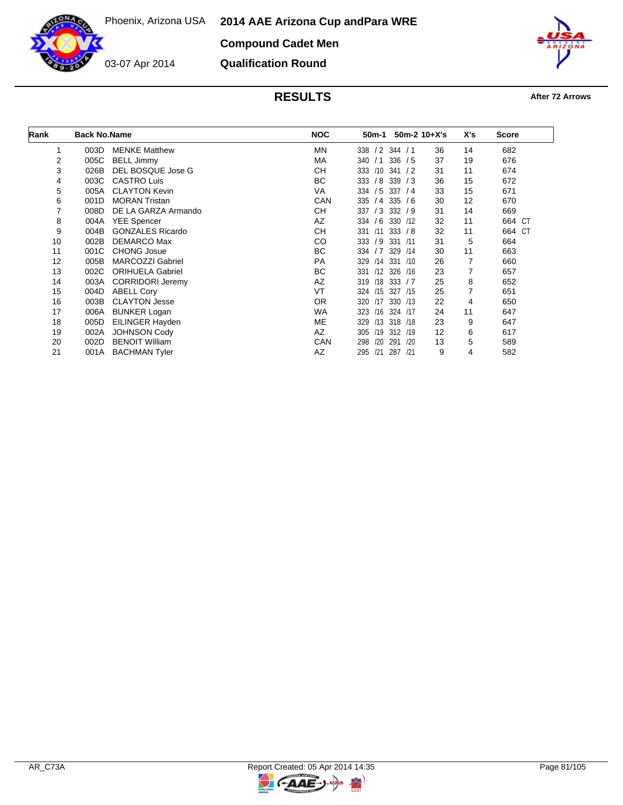**2014 AAE Arizona Cup and Para WRE**

**Compound Cadet Men**



03-07 Apr 2014

**Qualification Round**



| Rank           | <b>Back No.Name</b> |                         | <b>NOC</b> | 50m-1                    | $50m-2$ 10+X's | X's            | <b>Score</b> |
|----------------|---------------------|-------------------------|------------|--------------------------|----------------|----------------|--------------|
| 1              | 003D                | <b>MENKE Matthew</b>    | <b>MN</b>  | 338 / 2 344 / 1          | 36             | 14             | 682          |
| 2              | 005C                | <b>BELL Jimmy</b>       | МA         | 336 / 5<br>340 / 1       | 37             | 19             | 676          |
| 3              | 026B                | DEL BOSQUE Jose G       | <b>CH</b>  | 333 /10 341 / 2          | 31             | 11             | 674          |
| 4              | 003C                | <b>CASTRO Luis</b>      | ВC         | 333 / 8 339 / 3          | 36             | 15             | 672          |
| 5              | 005A                | <b>CLAYTON Kevin</b>    | VA         | 334 / 5 337 / 4          | 33             | 15             | 671          |
| 6              | 001D                | <b>MORAN Tristan</b>    | CAN        | 335 / 4 335 / 6          | 30             | 12             | 670          |
| $\overline{7}$ | 008D                | DE LA GARZA Armando     | CН         | 337 / 3 332 / 9          | 31             | 14             | 669          |
| 8              | 004A                | <b>YEE Spencer</b>      | AZ         | 334 / 6 330 / 12         | 32             | 11             | 664 CT       |
| 9              | 004B                | <b>GONZALES Ricardo</b> | CН         | 331 /11<br>333 / 8       | 32             | 11             | 664 CT       |
| 10             | 002B                | <b>DEMARCO Max</b>      | <b>CO</b>  | 333 / 9 331 / 11         | 31             | 5              | 664          |
| 11             | 001C                | <b>CHONG Josue</b>      | ВC         | 334 / 7 329 / 14         | 30             | 11             | 663          |
| 12             | 005B                | <b>MARCOZZI Gabriel</b> | PA         | 329 /14 331 /10          | 26             | 7              | 660          |
| 13             | 002C                | <b>ORIHUELA Gabriel</b> | ВC         | /12 326 /16<br>331       | 23             | 7              | 657          |
| 14             | 003A                | <b>CORRIDORI Jeremy</b> | AZ         | $/18$ 333 $/7$<br>319    | 25             | 8              | 652          |
| 15             | 004D                | <b>ABELL Cory</b>       | <b>VT</b>  | 324 /15 327 /15          | 25             | $\overline{7}$ | 651          |
| 16             | 003B                | <b>CLAYTON Jesse</b>    | 0R         | 320 /17 330 /13          | 22             | 4              | 650          |
| 17             | 006A                | <b>BUNKER Logan</b>     | <b>WA</b>  | /16 324 /17<br>323       | 24             | 11             | 647          |
| 18             | 005D                | EILINGER Hayden         | ME         | /13 318 /18<br>329       | 23             | 9              | 647          |
| 19             | 002A                | <b>JOHNSON Cody</b>     | AZ         | /19 312 /19<br>305       | 12             | 6              | 617          |
| 20             | 002D                | <b>BENOIT William</b>   | CAN        | 298<br>/20<br>291<br>/20 | 13             | 5              | 589          |
| 21             | 001A                | <b>BACHMAN Tyler</b>    | AZ         | 295<br>/21 287 /21       | 9              | 4              | 582          |

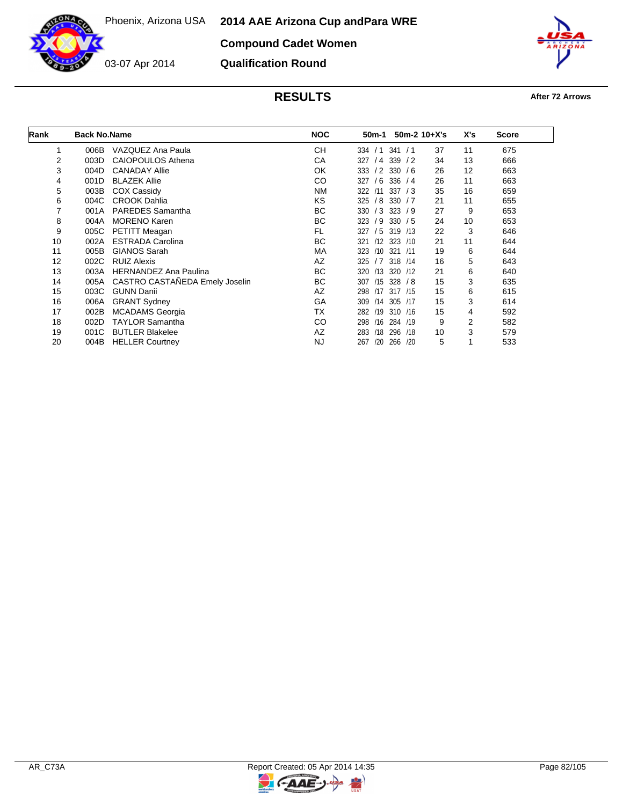**2014 AAE Arizona Cup and Para WRE**



**Compound Cadet Women**

**Qualification Round**



| Rank           | <b>Back No.Name</b> |                                | <b>NOC</b> | 50m-1      |                      | $50m-2$ 10+X's | X's | <b>Score</b> |
|----------------|---------------------|--------------------------------|------------|------------|----------------------|----------------|-----|--------------|
| 1              | 006B                | VAZQUEZ Ana Paula              | <b>CH</b>  | 334<br>/1  | 341<br>$\frac{1}{1}$ | 37             | 11  | 675          |
| 2              | 003D                | <b>CAIOPOULOS Athena</b>       | СA         | 327<br>/4  | 339<br>/2            | 34             | 13  | 666          |
| 3              | 004D                | <b>CANADAY Allie</b>           | OK         | /2<br>333  | 330<br>/6            | 26             | 12  | 663          |
| 4              | 001D                | <b>BLAZEK Allie</b>            | CO         | /6<br>327  | 336<br>/4            | 26             | 11  | 663          |
| 5              | 003B                | <b>COX Cassidy</b>             | NM         | 322<br>/11 | 337<br>/3            | 35             | 16  | 659          |
| 6              | 004C                | <b>CROOK Dahlia</b>            | ΚS         | /8<br>325  | 330<br>/7            | 21             | 11  | 655          |
| $\overline{7}$ | 001A                | <b>PAREDES</b> Samantha        | BC         | 330<br>/3  | 323<br>79            | 27             | 9   | 653          |
| 8              | 004A                | <b>MORENO Karen</b>            | BC         | 323<br>/9  | 330<br>/5            | 24             | 10  | 653          |
| 9              | 005C                | <b>PETITT Meagan</b>           | FL         | /5<br>327  | 319<br>/13           | 22             | 3   | 646          |
| 10             | 002A                | <b>ESTRADA Carolina</b>        | <b>BC</b>  | /12<br>321 | 323<br>/10           | 21             | 11  | 644          |
| 11             | 005B                | <b>GIANOS Sarah</b>            | МA         | 323<br>/10 | 321<br>/11           | 19             | 6   | 644          |
| 12             | 002C                | <b>RUIZ Alexis</b>             | AZ         | /7<br>325  | 318 /14              | 16             | 5   | 643          |
| 13             | 003A                | <b>HERNANDEZ Ana Paulina</b>   | ВC         | /13<br>320 | 320<br>/12           | 21             | 6   | 640          |
| 14             | 005A                | CASTRO CASTAÑEDA Emely Joselin | BC         | 307<br>/15 | 328<br>/ 8           | 15             | 3   | 635          |
| 15             | 003C                | <b>GUNN Danii</b>              | AZ         | 298<br>/17 | 317 /15              | 15             | 6   | 615          |
| 16             | 006A                | <b>GRANT Sydney</b>            | GA         | 309<br>/14 | 305<br>/17           | 15             | 3   | 614          |
| 17             | 002B                | <b>MCADAMS</b> Georgia         | <b>TX</b>  | 282<br>/19 | 310 /16              | 15             | 4   | 592          |
| 18             | 002D                | <b>TAYLOR Samantha</b>         | CO         | /16<br>298 | 284<br>/19           | 9              | 2   | 582          |
| 19             | 001C                | <b>BUTLER Blakelee</b>         | AZ         | 283<br>/18 | 296<br>/18           | 10             | 3   | 579          |
| 20             | 004B                | <b>HELLER Courtney</b>         | <b>NJ</b>  | 267<br>/20 | 266<br>/20           | 5              |     | 533          |

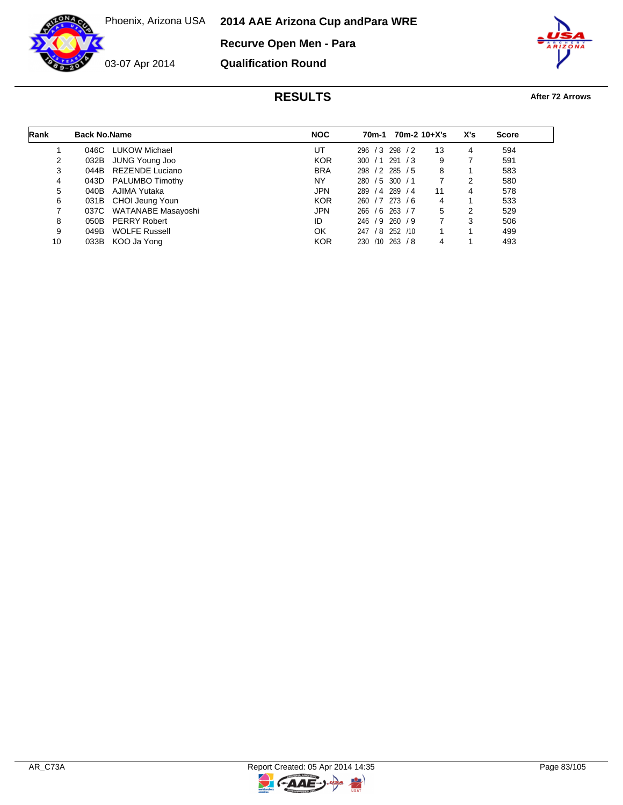**2014 AAE Arizona Cup and Para WRE**

**Recurve Open Men - Para**



03-07 Apr 2014

**Qualification Round**



| Rank | <b>Back No.Name</b> |                         | <b>NOC</b> | 70m-1                        | $70m-2$ 10+X's | X's | <b>Score</b> |  |
|------|---------------------|-------------------------|------------|------------------------------|----------------|-----|--------------|--|
|      | 046C                | LUKOW Michael           | UT         | 296 / 3<br>298 / 2           | 13             | 4   | 594          |  |
| 2    | 032B                | JUNG Young Joo          | <b>KOR</b> | 291<br>300 / 1<br>$\sqrt{3}$ | 9              |     | 591          |  |
| 3    |                     | 044B REZENDE Luciano    | <b>BRA</b> | $/2$ 285 $/5$<br>298         | 8              |     | 583          |  |
| 4    |                     | 043D PALUMBO Timothy    | NY         | 280 / 5 300 / 1              |                | 2   | 580          |  |
| 5    | 040B                | AJIMA Yutaka            | JPN        | 289 / 4 289 / 4              | 11             | 4   | 578          |  |
| 6    |                     | 031B CHOI Jeung Youn    | <b>KOR</b> | 260 / 7 273 / 6              | 4              |     | 533          |  |
|      |                     | 037C WATANABE Masayoshi | JPN        | 266 / 6 263 / 7              | 5              | 2   | 529          |  |
| 8    |                     | 050B PERRY Robert       | ID         | 246 / 9 260 / 9              |                | 3   | 506          |  |
| 9    | 049B                | <b>WOLFE Russell</b>    | OK         | $/8$ 252 $/10$<br>247        |                |     | 499          |  |
| 10   |                     | 033B KOO Ja Yong        | <b>KOR</b> | 263 / 8<br>230 /10           |                |     | 493          |  |

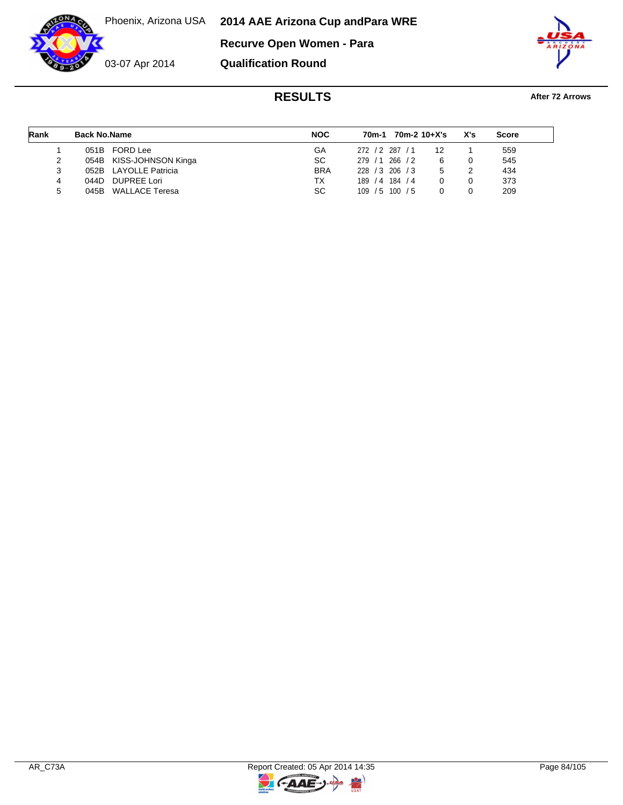**2014 AAE Arizona Cup and Para WRE**

**Recurve Open Women - Para**



**Qualification Round**



| Rank | <b>Back No.Name</b> |                         | <b>NOC</b> | 70m-1           | 70m-2 10+X's |    | X's | <b>Score</b> |
|------|---------------------|-------------------------|------------|-----------------|--------------|----|-----|--------------|
|      | 051B                | FORD Lee                | GA         | 272 / 2 287 / 1 |              | 12 |     | 559          |
|      |                     | 054B KISS-JOHNSON Kinga | SC.        | 279/1           | $266 \t/2$   |    |     | 545          |
|      |                     | 052B LAYOLLE Patricia   | <b>BRA</b> | 228 / 3 206 / 3 |              | 5  |     | 434          |
| 4    | 044D.               | <b>DUPREE Lori</b>      | ТX         | 189<br>/4       | 184 / 4      |    |     | 373          |
| 5    | 045B                | WALLACE Teresa          | SC.        | 109<br>/5       | 100 / 5      |    |     | 209          |

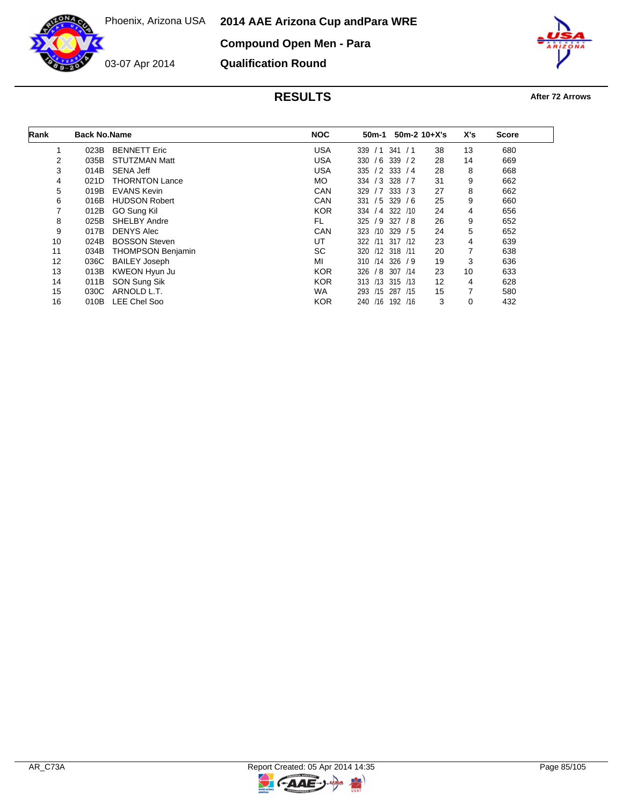**2014 AAE Arizona Cup and Para WRE**

**Compound Open Men - Para**



**Qualification Round**



| Rank | <b>Back No.Name</b> |                          | <b>NOC</b> | 50m-1             | $50m-2$ 10+X's |    | X's | <b>Score</b> |
|------|---------------------|--------------------------|------------|-------------------|----------------|----|-----|--------------|
|      | 023B                | <b>BENNETT Eric</b>      | <b>USA</b> | 339<br>/1         | 341<br>/1      | 38 | 13  | 680          |
| 2    | 035B                | <b>STUTZMAN Matt</b>     | <b>USA</b> | 330               | $/6$ 339 $/2$  | 28 | 14  | 669          |
| 3    | 014B                | SENA Jeff                | <b>USA</b> | 335               | $/2$ 333 $/4$  | 28 | 8   | 668          |
| 4    | 021D                | <b>THORNTON Lance</b>    | MO.        | 334 / 3           | $328$ / 7      | 31 | 9   | 662          |
| 5    | 019B                | <b>EVANS Kevin</b>       | CAN        | 329               | $/7$ 333 $/3$  | 27 | 8   | 662          |
| 6    | 016B                | <b>HUDSON Robert</b>     | CAN        | 331               | $/5$ 329 $/6$  | 25 | 9   | 660          |
| 7    | 012B                | GO Sung Kil              | <b>KOR</b> | 334 / 4 322 / 10  |                | 24 | 4   | 656          |
| 8    | 025B                | SHELBY Andre             | FL.        | $325 / 9$ 327 / 8 |                | 26 | 9   | 652          |
| 9    | 017B                | <b>DENYS Alec</b>        | CAN        | 323<br>/10        | 329/5          | 24 | 5   | 652          |
| 10   | 024B                | <b>BOSSON Steven</b>     | UT         | $322 \quad 111$   | 317 /12        | 23 | 4   | 639          |
| 11   | 034B                | <b>THOMPSON Benjamin</b> | <b>SC</b>  | 320 /12 318 /11   |                | 20 | 7   | 638          |
| 12   | 036C                | <b>BAILEY Joseph</b>     | МI         | 310 /14 326 / 9   |                | 19 | 3   | 636          |
| 13   | 013B                | KWEON Hyun Ju            | <b>KOR</b> | 326<br>/8         | 307 / 14       | 23 | 10  | 633          |
| 14   | 011B                | SON Sung Sik             | <b>KOR</b> | 313 /13 315 /13   |                | 12 | 4   | 628          |
| 15   | 030C                | ARNOLD L.T.              | <b>WA</b>  | /15<br>293        | 287<br>/15     | 15 | 7   | 580          |
| 16   | 010B                | <b>LEE Chel Soo</b>      | <b>KOR</b> | /16<br>240        | 192<br>/16     | 3  | 0   | 432          |

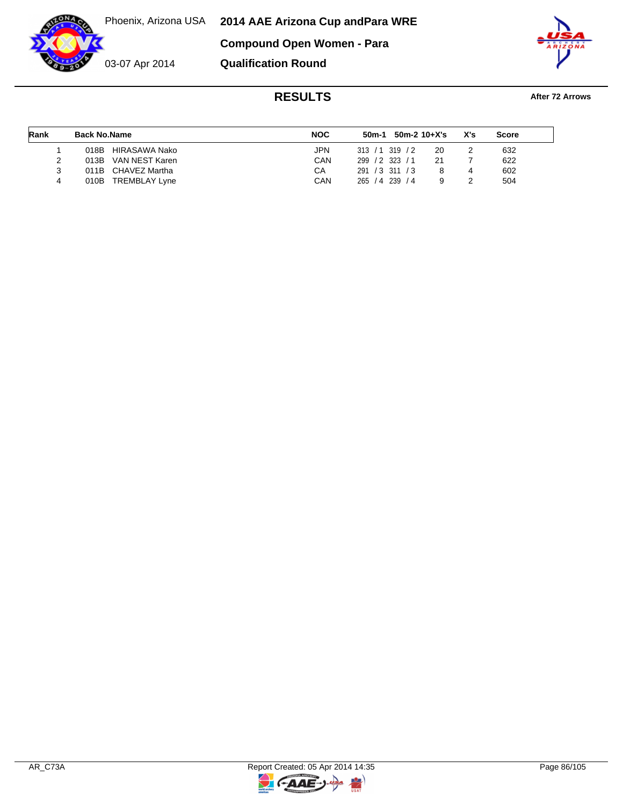**2014 AAE Arizona Cup and Para WRE Compound Open Women - Para**

03-07 Apr 2014



## **RESULTS After 72 Arrows**

| Rank | <b>Back No.Name</b>          | <b>NOC</b> | $50m-1$ 50m-2 10+X's  | X's | <b>Score</b> |
|------|------------------------------|------------|-----------------------|-----|--------------|
|      | HIRASAWA Nako<br>018B        | JPN.       | 313 / 1319 / 2<br>20  |     | 632          |
|      | 013B VAN NEST Karen          | CAN        | 299 / 2 323 / 1<br>21 |     | 622          |
|      | 011B CHAVEZ Martha           | CА         | 291 / 3 311 / 3       |     | 602          |
| 4    | <b>TREMBLAY Lyne</b><br>010B | CAN        | 265 / 4 239 / 4       |     | 504          |

**Qualification Round**

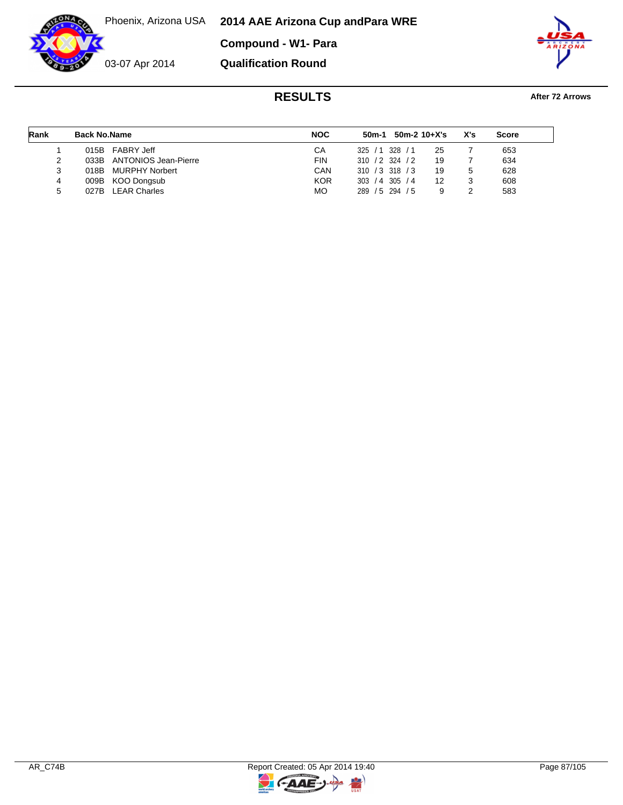Phoenix, Arizona USA **2014 AAE Arizona Cup and Para WRE**

**Compound - W1- Para**



**Qualification Round**



| Rank | <b>Back No.Name</b> |                           | <b>NOC</b> |                   | $50m-1$ 50m-2 10+X's |    | X's | <b>Score</b> |  |
|------|---------------------|---------------------------|------------|-------------------|----------------------|----|-----|--------------|--|
|      | 015B                | FABRY Jeff                | СA         | 325/1             | $328$ / 1            | 25 |     | 653          |  |
|      |                     | 033B ANTONIOS Jean-Pierre | <b>FIN</b> | $310 / 2$ 324 / 2 |                      | 19 |     | 634          |  |
| 3    |                     | 018B MURPHY Norbert       | CAN        | $310 / 3$ 318 / 3 |                      | 19 |     | 628          |  |
| 4    |                     | 009B KOO Dongsub          | <b>KOR</b> | 303 / 4           | 305 / 4              | 12 |     | 608          |  |
| 5    |                     | 027B LEAR Charles         | <b>MO</b>  | 289 / 5 294 / 5   |                      |    |     | 583          |  |

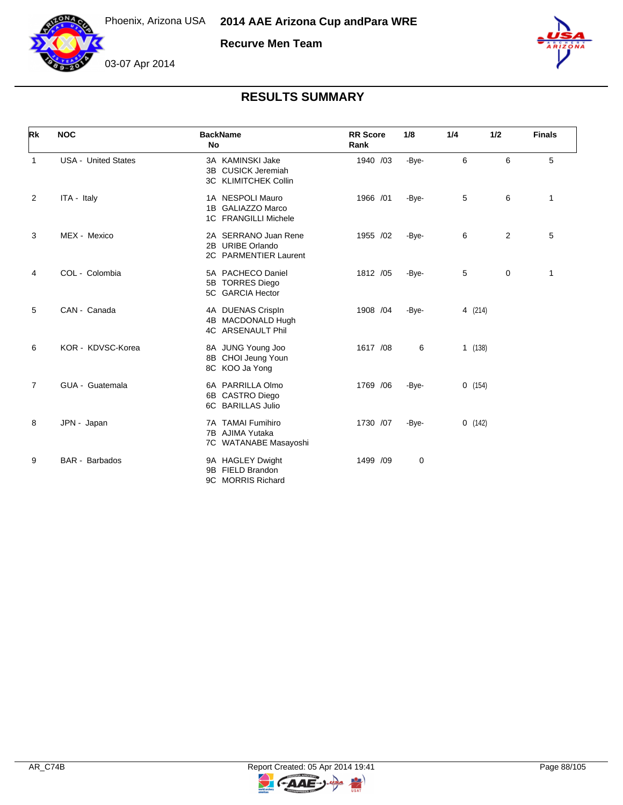

**Recurve Men Team**





| <b>Rk</b>      | <b>NOC</b>                 | <b>BackName</b><br>No                                                   | <b>RR</b> Score<br>Rank | 1/8   | 1/4     | 1/2 | <b>Finals</b> |
|----------------|----------------------------|-------------------------------------------------------------------------|-------------------------|-------|---------|-----|---------------|
| 1              | <b>USA - United States</b> | 3A KAMINSKI Jake<br>3B CUSICK Jeremiah<br>3C KLIMITCHEK Collin          | 1940 /03                | -Bye- | 6       | 6   | 5             |
| 2              | ITA - Italy                | 1A NESPOLI Mauro<br>1B GALIAZZO Marco<br>1C FRANGILLI Michele           | 1966 /01                | -Bye- | 5       | 6   | $\mathbf 1$   |
| 3              | MEX - Mexico               | 2A SERRANO Juan Rene<br>2B URIBE Orlando<br>2C PARMENTIER Laurent       | 1955 /02                | -Bye- | 6       | 2   | 5             |
| 4              | COL - Colombia             | 5A PACHECO Daniel<br>5B TORRES Diego<br>5C GARCIA Hector                | 1812 /05                | -Bye- | 5       | 0   | $\mathbf{1}$  |
| 5              | CAN - Canada               | 4A DUENAS Crispln<br>4B MACDONALD Hugh<br>4C ARSENAULT Phil             | 1908 /04                | -Bye- | 4 (214) |     |               |
| 6              | KOR - KDVSC-Korea          | 8A JUNG Young Joo<br>8B CHOI Jeung Youn<br>8C KOO Ja Yong               | 1617 /08                | 6     | 1(138)  |     |               |
| $\overline{7}$ | GUA - Guatemala            | 6A PARRILLA Olmo<br>6B CASTRO Diego<br>6C BARILLAS Julio                | 1769 / 06               | -Bye- | 0(154)  |     |               |
| 8              | JPN - Japan                | <b>TAMAI Fumihiro</b><br>7A<br>7B AJIMA Yutaka<br>7C WATANABE Masayoshi | 1730 /07                | -Bye- | 0(142)  |     |               |
| 9              | BAR - Barbados             | 9A HAGLEY Dwight<br>FIELD Brandon<br>9B<br>9C MORRIS Richard            | 1499 /09                | 0     |         |     |               |

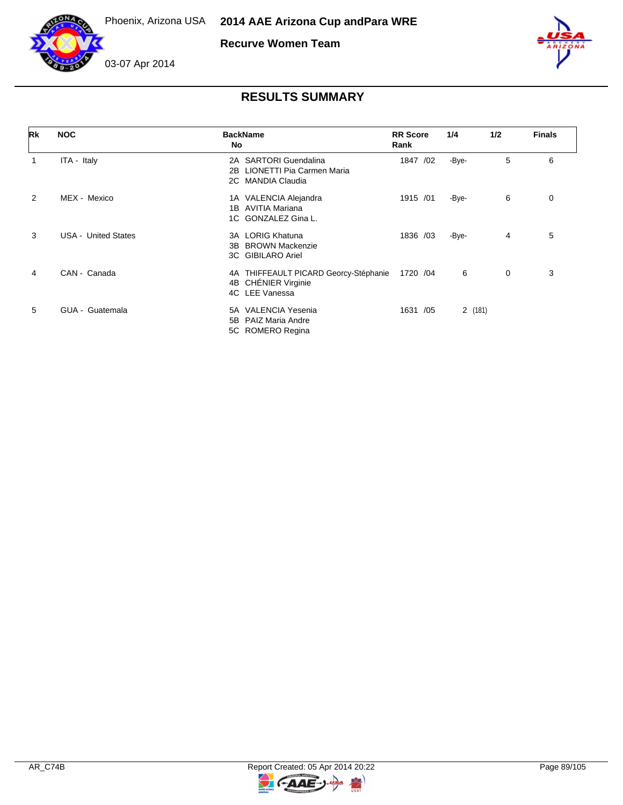



**Recurve Women Team**



## 03-07 Apr 2014

| Rk             | <b>NOC</b>                 | <b>BackName</b><br>No                                                          | <b>RR</b> Score<br>Rank | 1/4    | 1/2 | <b>Finals</b> |
|----------------|----------------------------|--------------------------------------------------------------------------------|-------------------------|--------|-----|---------------|
| 1              | ITA - Italy                | 2A SARTORI Guendalina<br>LIONETTI Pia Carmen Maria<br>2В<br>2C MANDIA Claudia  | 1847<br>/02             | -Bye-  | 5   | 6             |
| $\overline{2}$ | MEX - Mexico               | 1A VALENCIA Alejandra<br>AVITIA Mariana<br>1B<br>1C GONZALEZ Gina L.           | 1915 /01                | -Bye-  | 6   | 0             |
| 3              | <b>USA - United States</b> | LORIG Khatuna<br>3A<br><b>BROWN Mackenzie</b><br>3B<br>3C GIBILARO Ariel       | 1836 /03                | -Bye-  | 4   | 5             |
| 4              | CAN - Canada               | 4A THIFFEAULT PICARD Georcy-Stéphanie<br>4B CHÉNIER Virginie<br>4C LEE Vanessa | 1720 / 04               | 6      | 0   | 3             |
| 5              | GUA - Guatemala            | <b>VALENCIA Yesenia</b><br>5А<br>PAIZ Maria Andre<br>5B<br>5C ROMERO Regina    | /05<br>1631             | 2(181) |     |               |

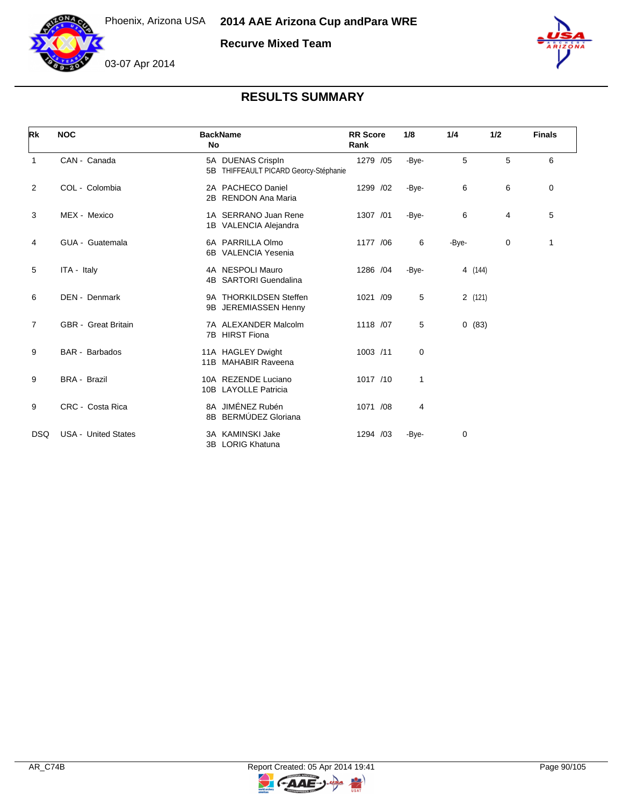

**Recurve Mixed Team**



# 03-07 Apr 2014

| Rk             | <b>NOC</b>                 | <b>BackName</b><br>No                                      | <b>RR</b> Score<br>Rank | 1/8   | 1/4     | 1/2 | <b>Finals</b> |
|----------------|----------------------------|------------------------------------------------------------|-------------------------|-------|---------|-----|---------------|
| 1              | CAN - Canada               | 5A DUENAS Crispln<br>5B THIFFEAULT PICARD Georcy-Stéphanie | 1279 /05                | -Bye- | 5       | 5   | 6             |
| 2              | COL - Colombia             | 2A PACHECO Daniel<br><b>RENDON Ana Maria</b><br>2B         | 1299 /02                | -Bye- | 6       | 6   | 0             |
| 3              | MEX - Mexico               | 1A SERRANO Juan Rene<br>1B VALENCIA Alejandra              | 1307 /01                | -Bye- | 6       | 4   | 5             |
| 4              | GUA - Guatemala            | 6A PARRILLA Olmo<br>6B VALENCIA Yesenia                    | 1177 /06                | 6     | -Bye-   | 0   | 1             |
| 5              | ITA - Italy                | 4A NESPOLI Mauro<br>4B SARTORI Guendalina                  | 1286 /04                | -Bye- | 4 (144) |     |               |
| 6              | DEN - Denmark              | 9A THORKILDSEN Steffen<br>JEREMIASSEN Henny<br>9B          | 1021 /09                | 5     | 2(121)  |     |               |
| $\overline{7}$ | <b>GBR</b> - Great Britain | 7A ALEXANDER Malcolm<br>7B HIRST Fiona                     | 1118 /07                | 5     | 0(83)   |     |               |
| 9              | <b>BAR</b> - Barbados      | 11A HAGLEY Dwight<br>11B MAHABIR Raveena                   | 1003 /11                | 0     |         |     |               |
| 9              | <b>BRA - Brazil</b>        | 10A REZENDE Luciano<br>10B LAYOLLE Patricia                | 1017 /10                | 1     |         |     |               |
| 9              | CRC - Costa Rica           | 8A JIMÉNEZ Rubén<br>8B BERMÚDEZ Gloriana                   | 1071 /08                | 4     |         |     |               |
| <b>DSQ</b>     | <b>USA - United States</b> | 3A KAMINSKI Jake<br>3B LORIG Khatuna                       | 1294 /03                | -Bye- | 0       |     |               |

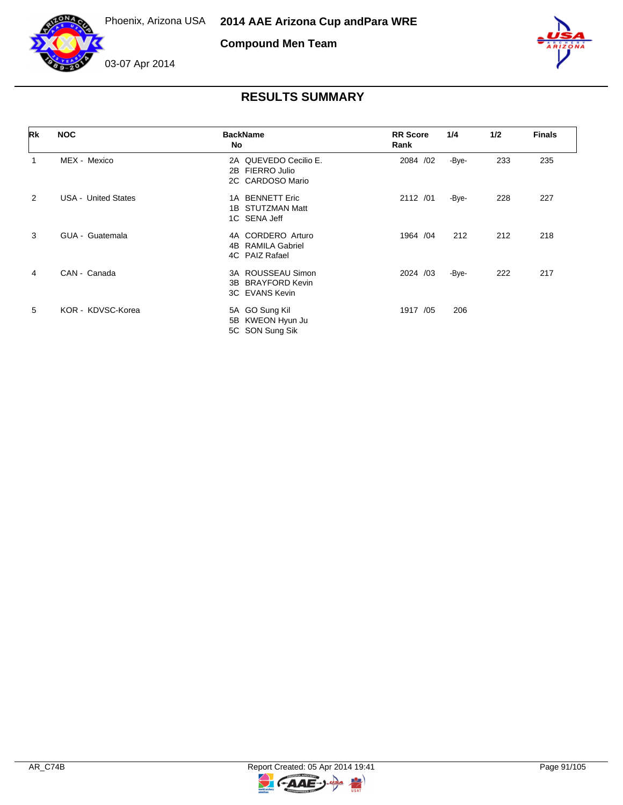



**Compound Men Team**



| Rk             | <b>NOC</b>                 | <b>BackName</b><br>No                                              | <b>RR</b> Score<br>Rank | 1/4   | 1/2 | <b>Finals</b> |
|----------------|----------------------------|--------------------------------------------------------------------|-------------------------|-------|-----|---------------|
|                | MEX - Mexico               | 2A QUEVEDO Cecilio E.<br>FIERRO Julio<br>2B<br>2C CARDOSO Mario    | 2084 /02                | -Bye- | 233 | 235           |
| $\overline{2}$ | <b>USA - United States</b> | 1A BENNETT Eric<br>1B STUTZMAN Matt<br>1C SENA Jeff                | 2112 /01                | -Bye- | 228 | 227           |
| 3              | GUA - Guatemala            | 4A CORDERO Arturo<br>RAMILA Gabriel<br>4B.<br>4C PAIZ Rafael       | 1964 / 04               | 212   | 212 | 218           |
| 4              | CAN - Canada               | 3A ROUSSEAU Simon<br><b>BRAYFORD Kevin</b><br>3B<br>3C EVANS Kevin | 2024 /03                | -Bye- | 222 | 217           |
| 5              | KOR - KDVSC-Korea          | 5A GO Sung Kil<br>5B KWEON Hyun Ju<br>5C SON Sung Sik              | 1917 /05                | 206   |     |               |

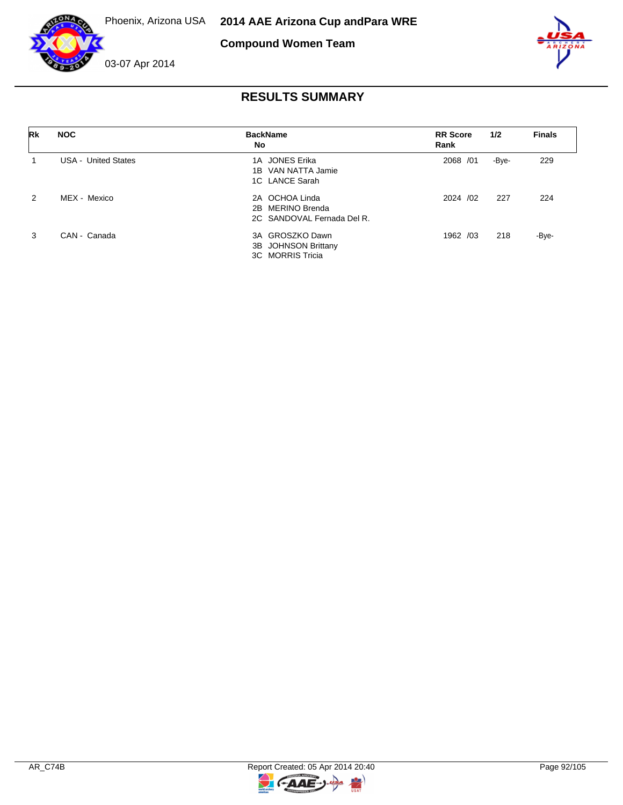

**Compound Women Team**



| Rk | <b>NOC</b>                 | <b>BackName</b><br>No                                            | <b>RR</b> Score<br>Rank | 1/2   | <b>Finals</b> |
|----|----------------------------|------------------------------------------------------------------|-------------------------|-------|---------------|
|    | <b>USA - United States</b> | 1A JONES Erika<br>1B VAN NATTA Jamie<br>1C LANCE Sarah           | 2068 / 01               | -Bye- | 229           |
| 2  | MEX - Mexico               | 2A OCHOA Linda<br>2B MERINO Brenda<br>2C SANDOVAL Fernada Del R. | 2024 /02                | 227   | 224           |
| 3  | CAN - Canada               | 3A GROSZKO Dawn<br>3B JOHNSON Brittany<br>3C MORRIS Tricia       | 1962 /03                | 218   | -Bye-         |

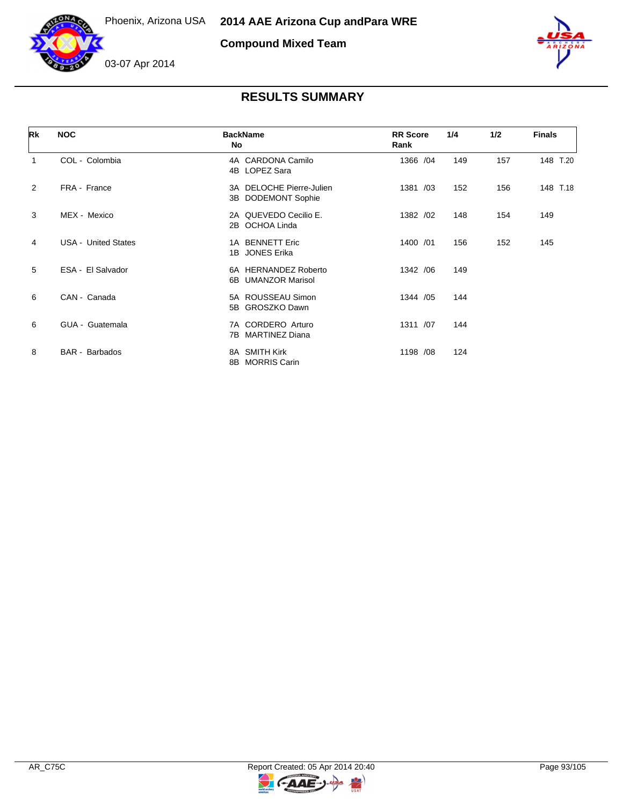



**Compound Mixed Team**



| Rk | <b>NOC</b>                 | <b>BackName</b><br>No                          | <b>RR</b> Score<br>Rank | 1/4 | 1/2 | <b>Finals</b> |
|----|----------------------------|------------------------------------------------|-------------------------|-----|-----|---------------|
| 1  | COL - Colombia             | 4A CARDONA Camilo<br>4B LOPEZ Sara             | 1366 / 04               | 149 | 157 | 148 T.20      |
| 2  | FRA - France               | 3A DELOCHE Pierre-Julien<br>3B DODEMONT Sophie | 1381 /03                | 152 | 156 | 148 T.18      |
| 3  | MEX - Mexico               | 2A QUEVEDO Cecilio E.<br>2B OCHOA Linda        | 1382 /02                | 148 | 154 | 149           |
| 4  | <b>USA - United States</b> | 1A BENNETT Eric<br>1B JONES Erika              | 1400 /01                | 156 | 152 | 145           |
| 5  | ESA - El Salvador          | 6A HERNANDEZ Roberto<br>6B UMANZOR Marisol     | 1342 / 06               | 149 |     |               |
| 6  | CAN - Canada               | 5A ROUSSEAU Simon<br>5B GROSZKO Dawn           | 1344 / 05               | 144 |     |               |
| 6  | GUA - Guatemala            | 7A CORDERO Arturo<br>7B MARTINEZ Diana         | 1311 /07                | 144 |     |               |
| 8  | <b>BAR</b> - Barbados      | 8A SMITH Kirk<br>8B MORRIS Carin               | 1198 /08                | 124 |     |               |

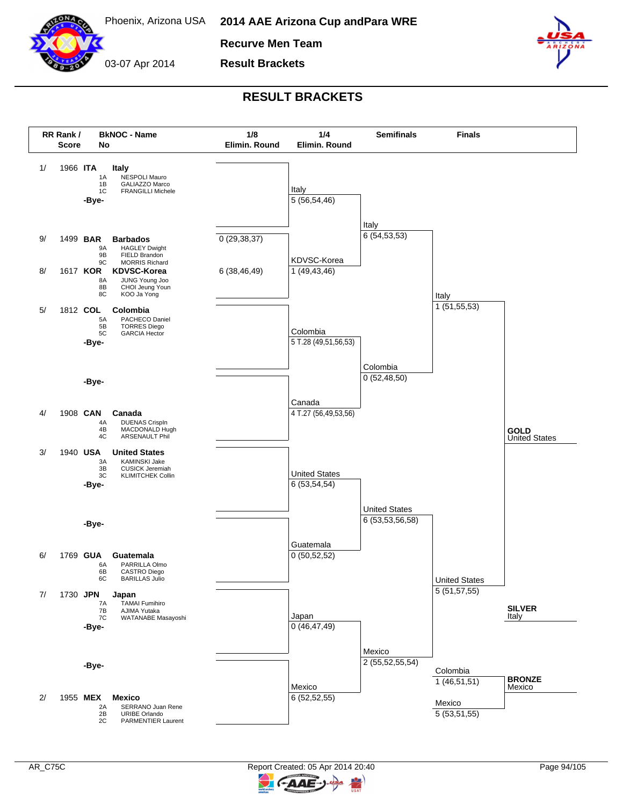

**2014 AAE Arizona Cup and Para WRE**

**Recurve Men Team**

03-07 Apr 2014 **Result Brackets**



### **RESULT BRACKETS**



ААЕ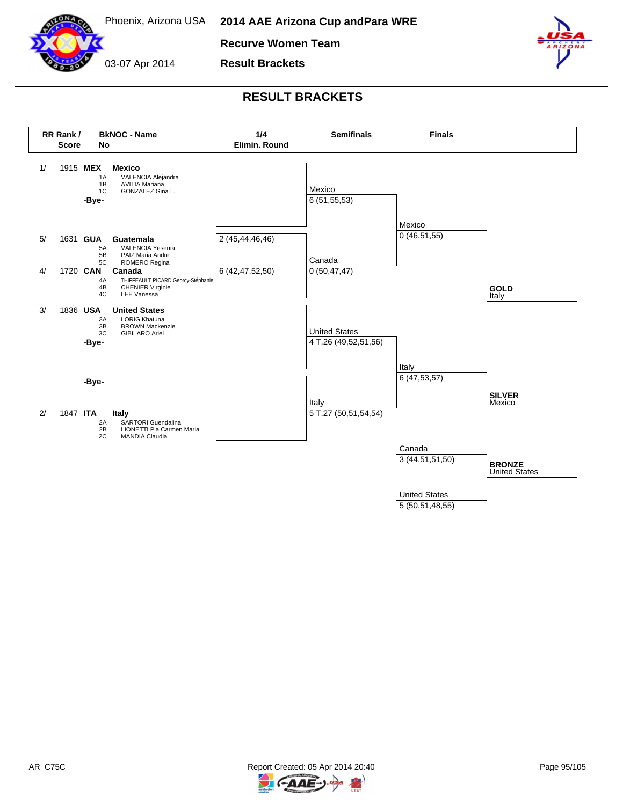

Phoenix, Arizona USA **2014 AAE Arizona Cup and Para WRE**

**Recurve Women Team**



**Result Brackets**



## **RESULT BRACKETS**



5 (50,51,48,55)

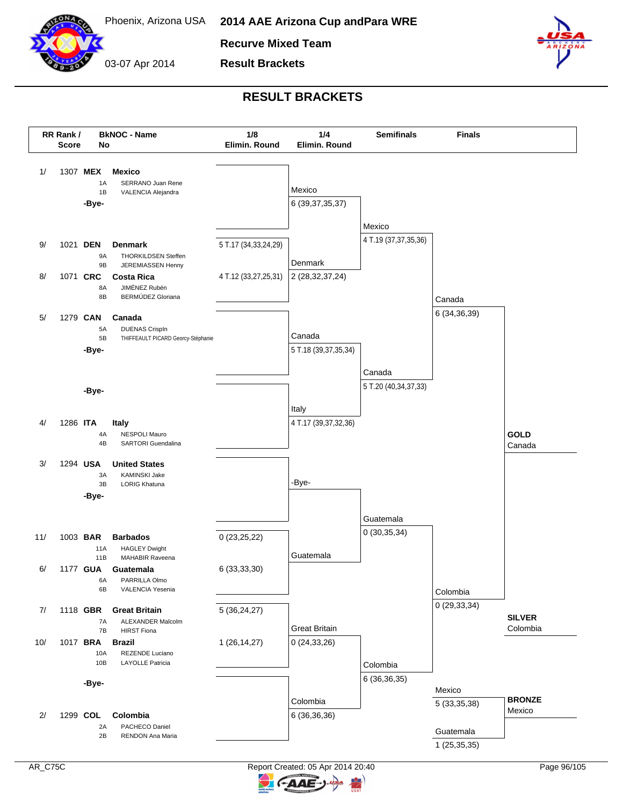

03-07 Apr 2014

**Recurve Mixed Team**

**Result Brackets**



### **RESULT BRACKETS**





ААЕ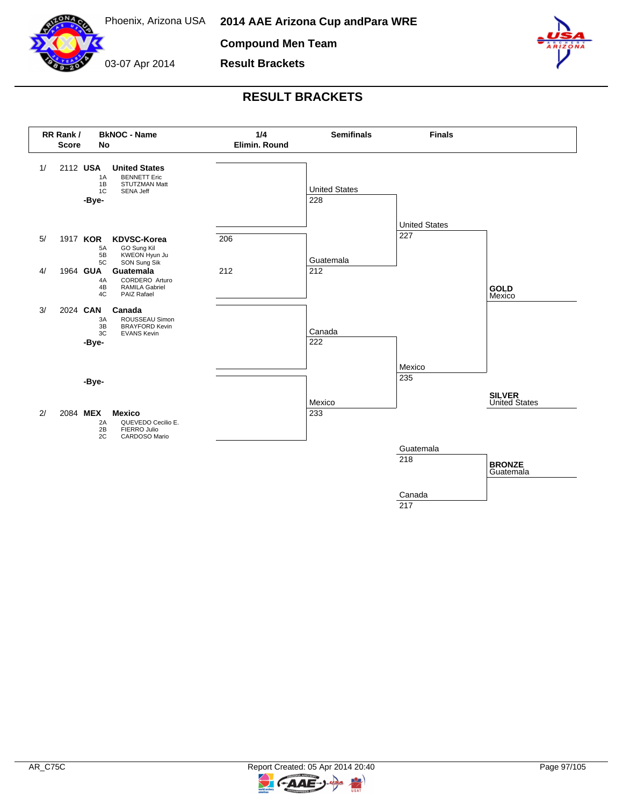

**2014 AAE Arizona Cup and Para WRE**

**Compound Men Team**

**Result Brackets**

03-07 Apr 2014



## **RESULT BRACKETS**





 $\epsilon$ **AAE** 

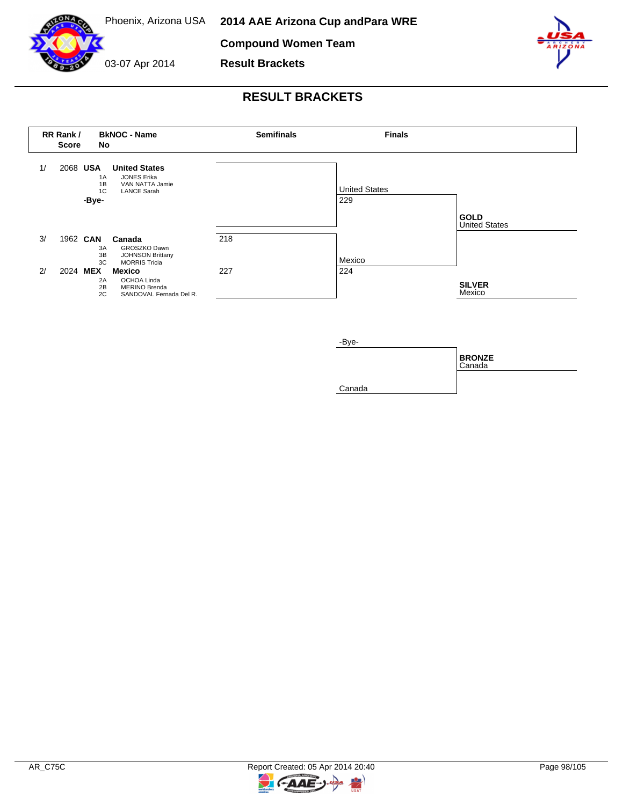

**Compound Women Team**

03-07 Apr 2014 **Result Brackets**



## **RESULT BRACKETS**







₹

 $-AAE-$ 

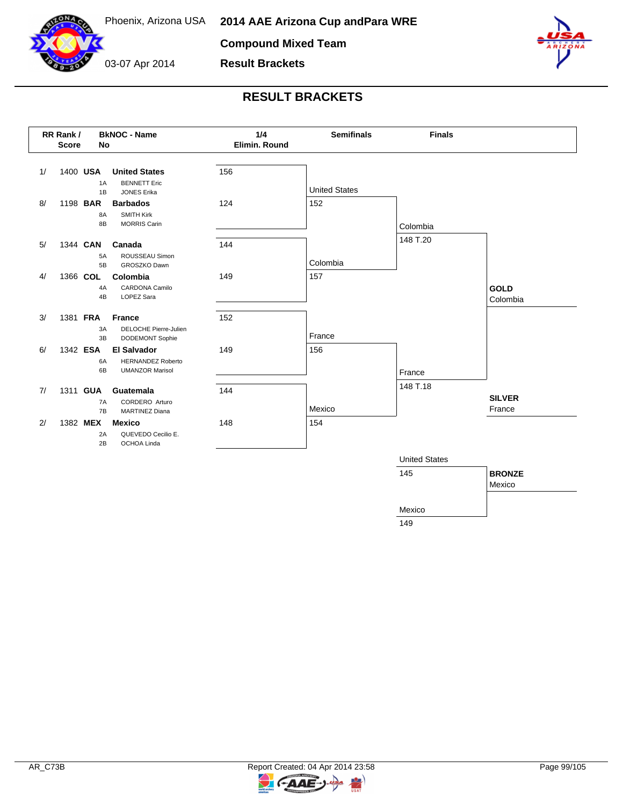

**Compound Mixed Team**

**Result Brackets**



03-07 Apr 2014



## **RESULT BRACKETS**



149

**FAAE** 

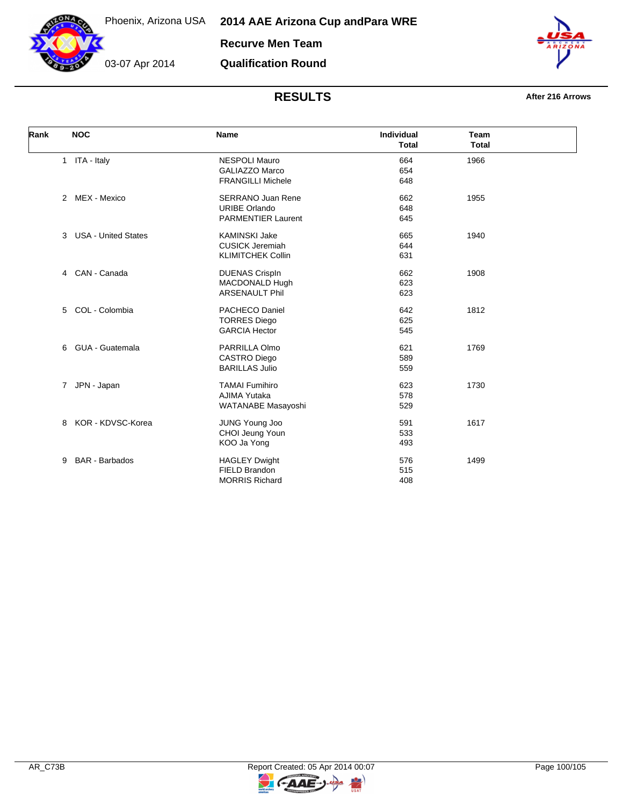

**Qualification Round**

03-07 Apr 2014



## **RESULTS After 216 Arrows**

| Rank | <b>NOC</b>                      | <b>Name</b>                                                                   | <b>Individual</b><br><b>Total</b> | <b>Team</b><br><b>Total</b> |  |
|------|---------------------------------|-------------------------------------------------------------------------------|-----------------------------------|-----------------------------|--|
|      | 1 ITA - Italy                   | <b>NESPOLI Mauro</b><br><b>GALIAZZO Marco</b><br><b>FRANGILLI Michele</b>     | 664<br>654<br>648                 | 1966                        |  |
|      | 2 MEX - Mexico                  | <b>SERRANO Juan Rene</b><br><b>URIBE Orlando</b><br><b>PARMENTIER Laurent</b> | 662<br>648<br>645                 | 1955                        |  |
|      | <b>USA - United States</b><br>3 | <b>KAMINSKI Jake</b><br><b>CUSICK Jeremiah</b><br><b>KLIMITCHEK Collin</b>    | 665<br>644<br>631                 | 1940                        |  |
|      | CAN - Canada<br>$\overline{4}$  | <b>DUENAS CrispIn</b><br>MACDONALD Hugh<br><b>ARSENAULT Phil</b>              | 662<br>623<br>623                 | 1908                        |  |
|      | COL - Colombia<br>5             | <b>PACHECO Daniel</b><br><b>TORRES Diego</b><br><b>GARCIA Hector</b>          | 642<br>625<br>545                 | 1812                        |  |
|      | GUA - Guatemala<br>6            | PARRILLA Olmo<br><b>CASTRO Diego</b><br><b>BARILLAS Julio</b>                 | 621<br>589<br>559                 | 1769                        |  |
|      | JPN - Japan<br>7                | <b>TAMAI Fumihiro</b><br><b>AJIMA Yutaka</b><br>WATANABE Masayoshi            | 623<br>578<br>529                 | 1730                        |  |
|      | KOR - KDVSC-Korea<br>8          | JUNG Young Joo<br>CHOI Jeung Youn<br>KOO Ja Yong                              | 591<br>533<br>493                 | 1617                        |  |
|      | <b>BAR</b> - Barbados<br>9      | <b>HAGLEY Dwight</b><br>FIELD Brandon<br><b>MORRIS Richard</b>                | 576<br>515<br>408                 | 1499                        |  |



키

**C-AAE-**

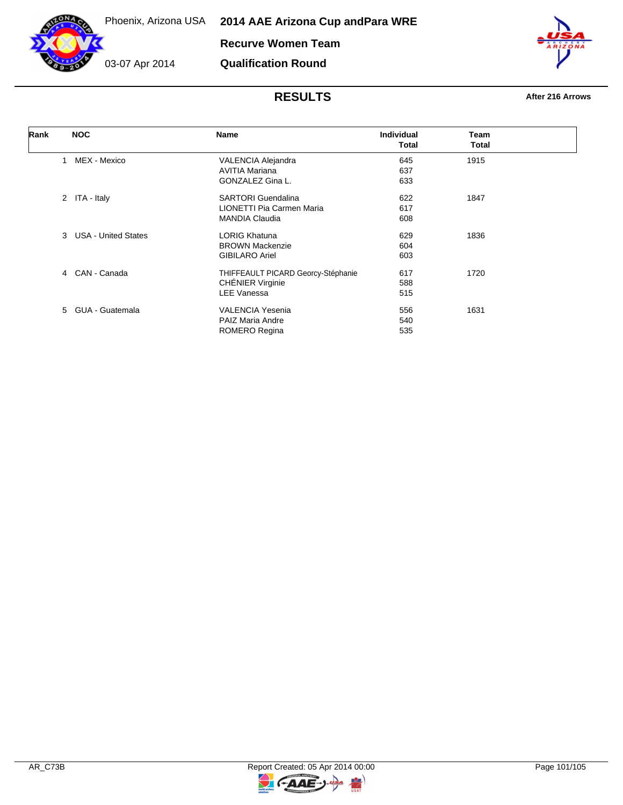

**Recurve Women Team**

**Qualification Round**

03-07 Apr 2014

| Rank | <b>NOC</b>                      | Name                               | <b>Individual</b> | Team  |  |
|------|---------------------------------|------------------------------------|-------------------|-------|--|
|      |                                 |                                    | <b>Total</b>      | Total |  |
|      | MEX - Mexico<br>1               | VALENCIA Alejandra                 | 645               | 1915  |  |
|      |                                 | <b>AVITIA Mariana</b>              | 637               |       |  |
|      |                                 | GONZALEZ Gina L.                   | 633               |       |  |
|      | 2 ITA - Italy                   | <b>SARTORI</b> Guendalina          | 622               | 1847  |  |
|      |                                 | LIONETTI Pia Carmen Maria          | 617               |       |  |
|      |                                 | <b>MANDIA Claudia</b>              | 608               |       |  |
|      | 3<br><b>USA - United States</b> | <b>LORIG Khatuna</b>               | 629               | 1836  |  |
|      |                                 | <b>BROWN Mackenzie</b>             | 604               |       |  |
|      |                                 | <b>GIBILARO Ariel</b>              | 603               |       |  |
|      | CAN - Canada<br>4               | THIFFEAULT PICARD Georcy-Stéphanie | 617               | 1720  |  |
|      |                                 | <b>CHÉNIER Virginie</b>            | 588               |       |  |
|      |                                 | <b>LEE Vanessa</b>                 | 515               |       |  |
|      | 5 GUA - Guatemala               | <b>VALENCIA Yesenia</b>            | 556               | 1631  |  |
|      |                                 | <b>PAIZ Maria Andre</b>            | 540               |       |  |
|      |                                 | ROMERO Regina                      | 535               |       |  |



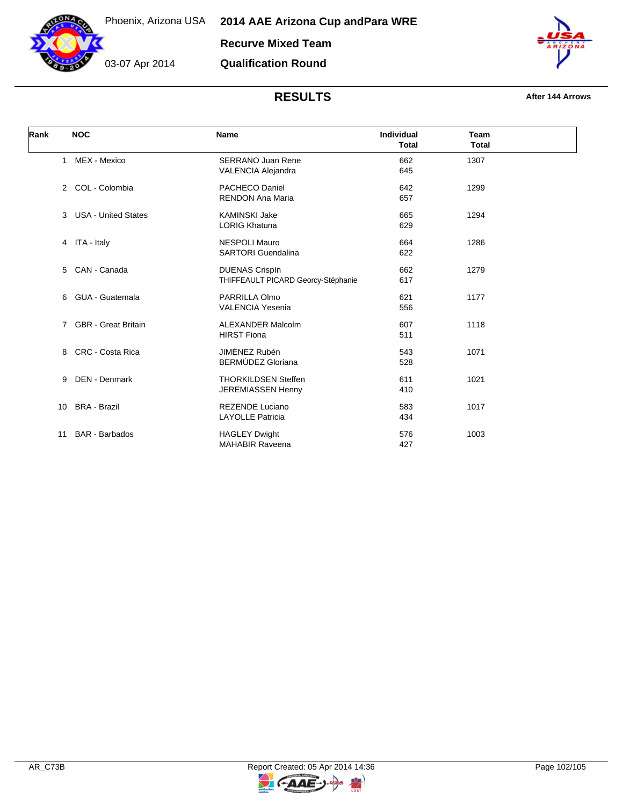

03-07 Apr 2014



### **RESULTS After 144 Arrows**

| Rank |                | <b>NOC</b>                 | <b>Name</b>                        | <b>Individual</b><br><b>Total</b> | <b>Team</b><br><b>Total</b> |  |
|------|----------------|----------------------------|------------------------------------|-----------------------------------|-----------------------------|--|
|      | $\mathbf{1}$   | MEX - Mexico               | <b>SERRANO Juan Rene</b>           | 662                               | 1307                        |  |
|      |                |                            | <b>VALENCIA Alejandra</b>          | 645                               |                             |  |
|      | 2              | COL - Colombia             | PACHECO Daniel                     | 642                               | 1299                        |  |
|      |                |                            | <b>RENDON Ana Maria</b>            | 657                               |                             |  |
|      | 3              | <b>USA - United States</b> | <b>KAMINSKI Jake</b>               | 665                               | 1294                        |  |
|      |                |                            | <b>LORIG Khatuna</b>               | 629                               |                             |  |
|      |                | 4 ITA - Italy              | <b>NESPOLI Mauro</b>               | 664                               | 1286                        |  |
|      |                |                            | <b>SARTORI</b> Guendalina          | 622                               |                             |  |
|      | 5              | CAN - Canada               | <b>DUENAS CrispIn</b>              | 662                               | 1279                        |  |
|      |                |                            | THIFFEAULT PICARD Georcy-Stéphanie | 617                               |                             |  |
|      | 6              | GUA - Guatemala            | PARRILLA Olmo                      | 621                               | 1177                        |  |
|      |                |                            | <b>VALENCIA Yesenia</b>            | 556                               |                             |  |
|      | $\overline{7}$ | <b>GBR</b> - Great Britain | <b>ALEXANDER Malcolm</b>           | 607                               | 1118                        |  |
|      |                |                            | <b>HIRST Fiona</b>                 | 511                               |                             |  |
|      | 8              | CRC - Costa Rica           | JIMÉNEZ Rubén                      | 543                               | 1071                        |  |
|      |                |                            | BERMÚDEZ Gloriana                  | 528                               |                             |  |
|      | 9              | <b>DEN</b> - Denmark       | <b>THORKILDSEN Steffen</b>         | 611                               | 1021                        |  |
|      |                |                            | JEREMIASSEN Henny                  | 410                               |                             |  |
|      | 10             | <b>BRA - Brazil</b>        | <b>REZENDE Luciano</b>             | 583                               | 1017                        |  |
|      |                |                            | <b>LAYOLLE Patricia</b>            | 434                               |                             |  |
|      | 11             | <b>BAR</b> - Barbados      | <b>HAGLEY Dwight</b>               | 576                               | 1003                        |  |
|      |                |                            | <b>MAHABIR Raveena</b>             | 427                               |                             |  |

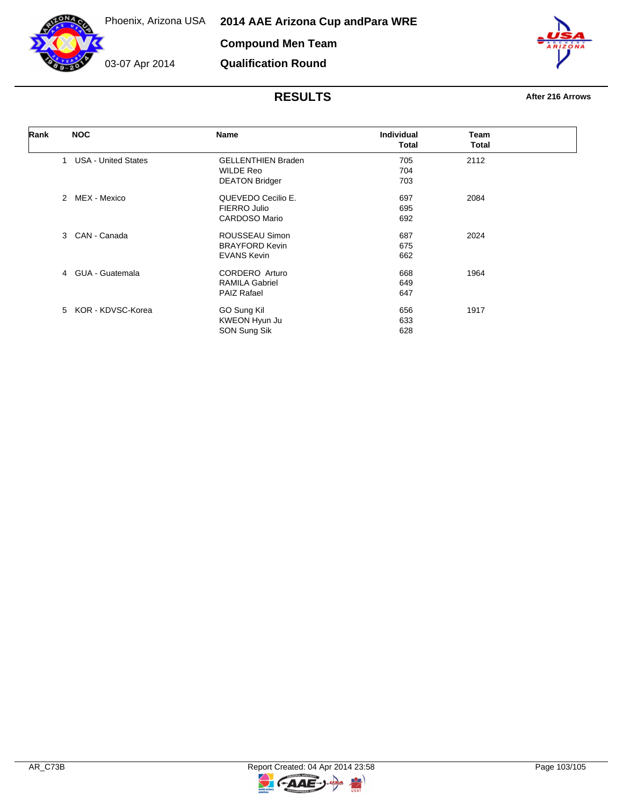

**Compound Men Team**

**Qualification Round**

03-07 Apr 2014



| Rank | <b>NOC</b>                        | <b>Name</b>               | <b>Individual</b> | Team  |  |
|------|-----------------------------------|---------------------------|-------------------|-------|--|
|      |                                   |                           | Total             | Total |  |
|      | <b>USA - United States</b><br>1   | <b>GELLENTHIEN Braden</b> | 705               | 2112  |  |
|      |                                   | <b>WILDE Reo</b>          | 704               |       |  |
|      |                                   | <b>DEATON Bridger</b>     | 703               |       |  |
|      | MEX - Mexico<br>2                 | QUEVEDO Cecilio E.        | 697               | 2084  |  |
|      |                                   | FIERRO Julio              | 695               |       |  |
|      |                                   | CARDOSO Mario             | 692               |       |  |
|      | CAN - Canada<br>3                 | ROUSSEAU Simon            | 687               | 2024  |  |
|      |                                   | <b>BRAYFORD Kevin</b>     | 675               |       |  |
|      |                                   | <b>EVANS Kevin</b>        | 662               |       |  |
|      | GUA - Guatemala<br>$\overline{4}$ | CORDERO Arturo            | 668               | 1964  |  |
|      |                                   | <b>RAMILA Gabriel</b>     | 649               |       |  |
|      |                                   | <b>PAIZ Rafael</b>        | 647               |       |  |
|      | 5 KOR - KDVSC-Korea               | GO Sung Kil               | 656               | 1917  |  |
|      |                                   | KWEON Hyun Ju             | 633               |       |  |
|      |                                   | SON Sung Sik              | 628               |       |  |

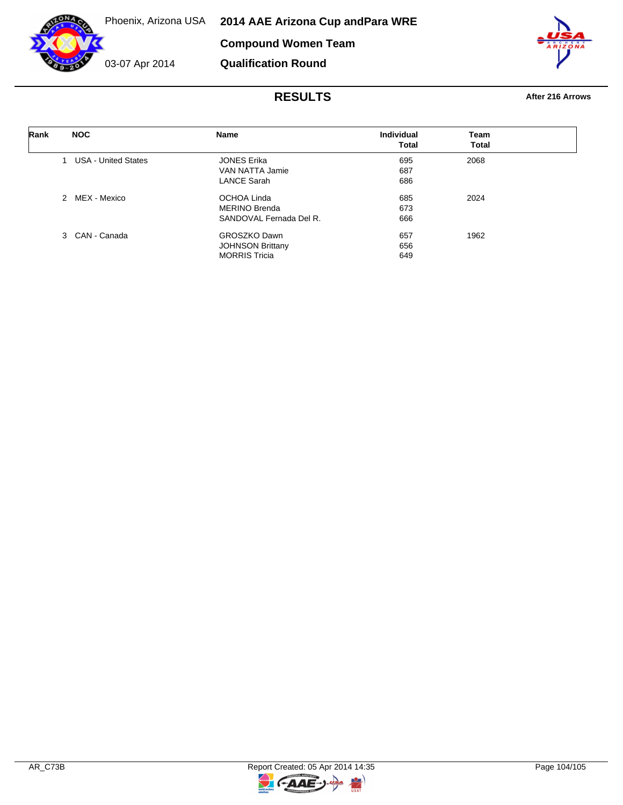

03-07 Apr 2014

**Compound Women Team**

**Qualification Round**



| Rank | <b>NOC</b>                    | <b>Name</b>             | Individual | Team         |
|------|-------------------------------|-------------------------|------------|--------------|
|      |                               |                         | Total      | <b>Total</b> |
|      | <b>USA - United States</b>    | <b>JONES Erika</b>      | 695        | 2068         |
|      |                               | VAN NATTA Jamie         | 687        |              |
|      |                               | <b>LANCE Sarah</b>      | 686        |              |
|      | MEX - Mexico<br>$\mathcal{P}$ | OCHOA Linda             | 685        | 2024         |
|      |                               | <b>MERINO Brenda</b>    | 673        |              |
|      |                               | SANDOVAL Fernada Del R. | 666        |              |
|      | 3 CAN - Canada                | <b>GROSZKO Dawn</b>     | 657        | 1962         |
|      |                               | <b>JOHNSON Brittany</b> | 656        |              |
|      |                               | <b>MORRIS Tricia</b>    | 649        |              |